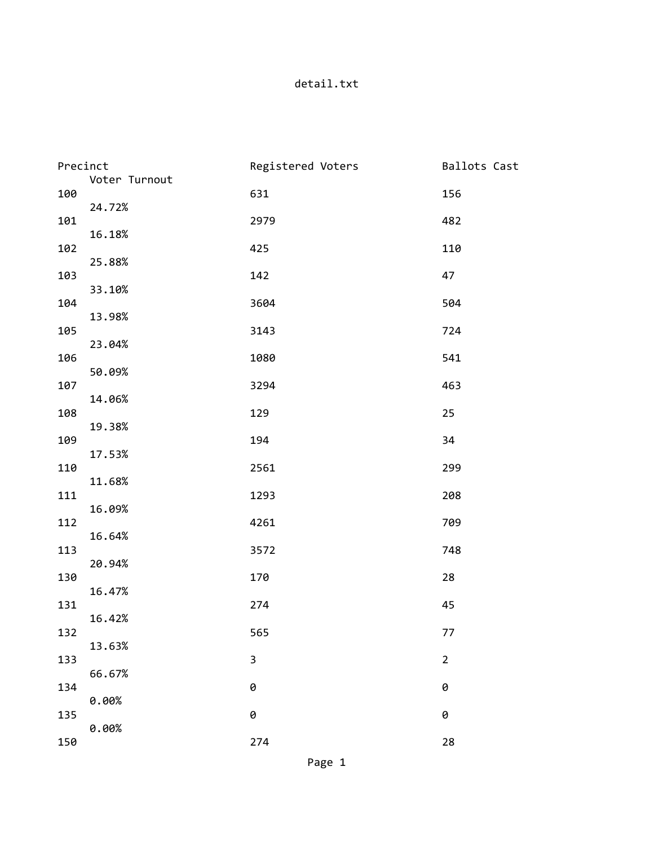## detail.txt

| Precinct |               | Registered Voters | Ballots Cast   |
|----------|---------------|-------------------|----------------|
| 100      | Voter Turnout | 631               | 156            |
| 101      | 24.72%        | 2979              | 482            |
| 102      | 16.18%        | 425               | 110            |
| 103      | 25.88%        | 142               | 47             |
| 104      | 33.10%        | 3604              | 504            |
| 105      | 13.98%        | 3143              | 724            |
| 106      | 23.04%        | 1080              | 541            |
| 107      | 50.09%        | 3294              | 463            |
| 108      | 14.06%        | 129               | 25             |
| 109      | 19.38%        | 194               | 34             |
| 110      | 17.53%        | 2561              | 299            |
| 111      | 11.68%        | 1293              | 208            |
| 112      | 16.09%        | 4261              | 709            |
| 113      | 16.64%        | 3572              | 748            |
| 130      | 20.94%        | 170               | 28             |
| 131      | 16.47%        | 274               | 45             |
| 132      | 16.42%        | 565               | 77             |
| 133      | 13.63%        | $\mathsf 3$       | $\overline{2}$ |
| 134      | 66.67%        | 0                 | 0              |
| 135      | 0.00%         | 0                 | 0              |
| 150      | 0.00%         | 274               | 28             |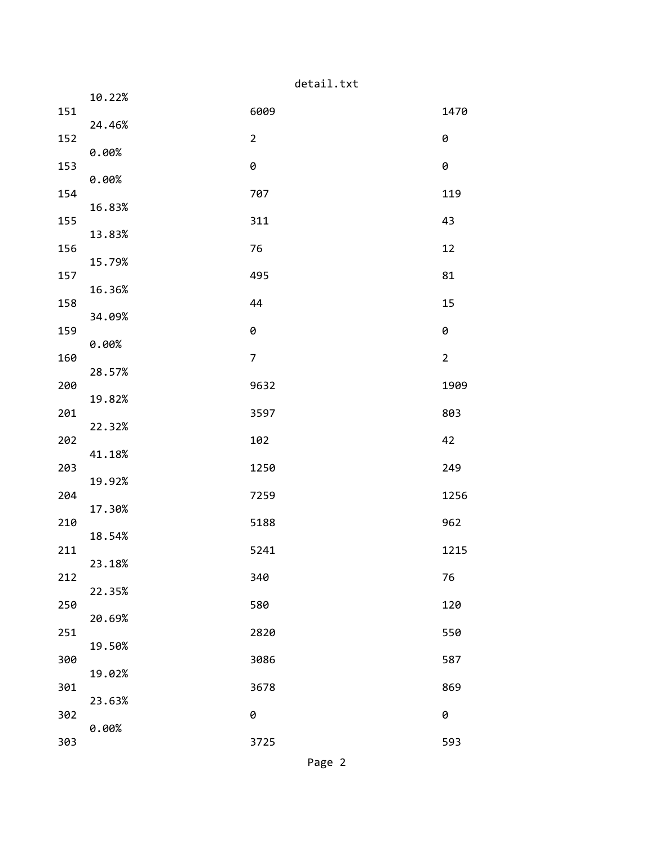|     |        | detail.txt     |                |  |  |  |  |
|-----|--------|----------------|----------------|--|--|--|--|
| 151 | 10.22% | 6009           | 1470           |  |  |  |  |
|     | 24.46% |                |                |  |  |  |  |
| 152 | 0.00%  | $\overline{2}$ | 0              |  |  |  |  |
| 153 | 0.00%  | 0              | 0              |  |  |  |  |
| 154 | 16.83% | 707            | 119            |  |  |  |  |
| 155 |        | 311            | 43             |  |  |  |  |
| 156 | 13.83% | 76             | 12             |  |  |  |  |
| 157 | 15.79% | 495            | 81             |  |  |  |  |
| 158 | 16.36% | 44             | 15             |  |  |  |  |
|     | 34.09% |                |                |  |  |  |  |
| 159 | 0.00%  | 0              | 0              |  |  |  |  |
| 160 | 28.57% | $\overline{7}$ | $\overline{2}$ |  |  |  |  |
| 200 | 19.82% | 9632           | 1909           |  |  |  |  |
| 201 |        | 3597           | 803            |  |  |  |  |
| 202 | 22.32% | 102            | 42             |  |  |  |  |
| 203 | 41.18% | 1250           | 249            |  |  |  |  |
| 204 | 19.92% | 7259           | 1256           |  |  |  |  |
|     | 17.30% |                |                |  |  |  |  |
| 210 | 18.54% | 5188           | 962            |  |  |  |  |
| 211 | 23.18% | 5241           | 1215           |  |  |  |  |
| 212 | 22.35% | 340            | 76             |  |  |  |  |
| 250 |        | 580            | 120            |  |  |  |  |
| 251 | 20.69% | 2820           | 550            |  |  |  |  |
| 300 | 19.50% | 3086           | 587            |  |  |  |  |
| 301 | 19.02% | 3678           | 869            |  |  |  |  |
|     | 23.63% |                |                |  |  |  |  |
| 302 | 0.00%  | 0              | 0              |  |  |  |  |
| 303 |        | 3725           | 593            |  |  |  |  |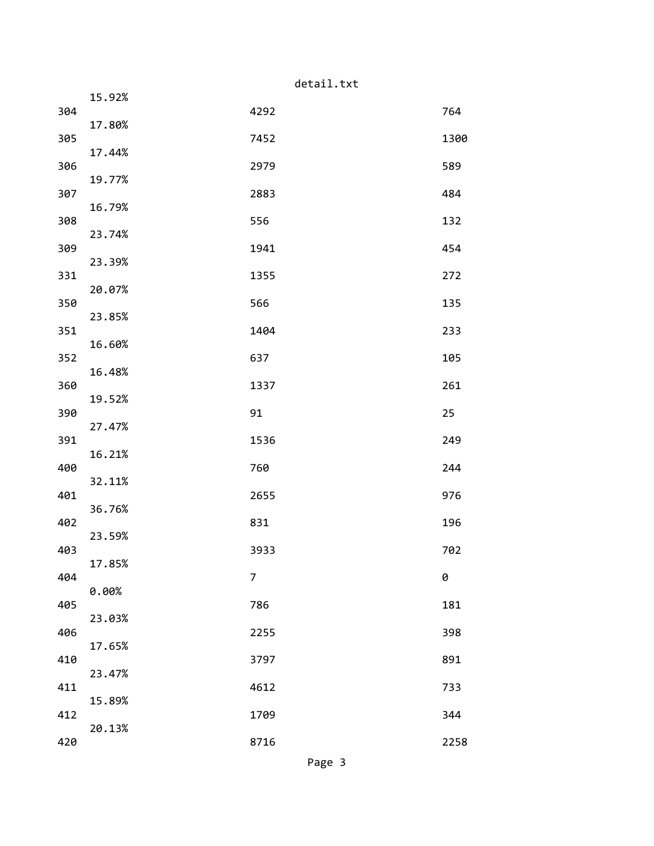|     |        | detail.txt     |      |
|-----|--------|----------------|------|
| 304 | 15.92% | 4292           | 764  |
|     | 17.80% |                |      |
| 305 | 17.44% | 7452           | 1300 |
| 306 | 19.77% | 2979           | 589  |
| 307 |        | 2883           | 484  |
| 308 | 16.79% | 556            | 132  |
| 309 | 23.74% | 1941           | 454  |
|     | 23.39% |                |      |
| 331 | 20.07% | 1355           | 272  |
| 350 | 23.85% | 566            | 135  |
| 351 |        | 1404           | 233  |
| 352 | 16.60% | 637            | 105  |
| 360 | 16.48% | 1337           | 261  |
|     | 19.52% |                |      |
| 390 | 27.47% | 91             | 25   |
| 391 | 16.21% | 1536           | 249  |
| 400 |        | 760            | 244  |
| 401 | 32.11% | 2655           | 976  |
| 402 | 36.76% | 831            | 196  |
|     | 23.59% |                |      |
| 403 | 17.85% | 3933           | 702  |
| 404 | 0.00%  | $\overline{7}$ | 0    |
| 405 |        | 786            | 181  |
| 406 | 23.03% | 2255           | 398  |
| 410 | 17.65% | 3797           | 891  |
|     | 23.47% |                |      |
| 411 | 15.89% | 4612           | 733  |
| 412 | 20.13% | 1709           | 344  |
| 420 |        | 8716           | 2258 |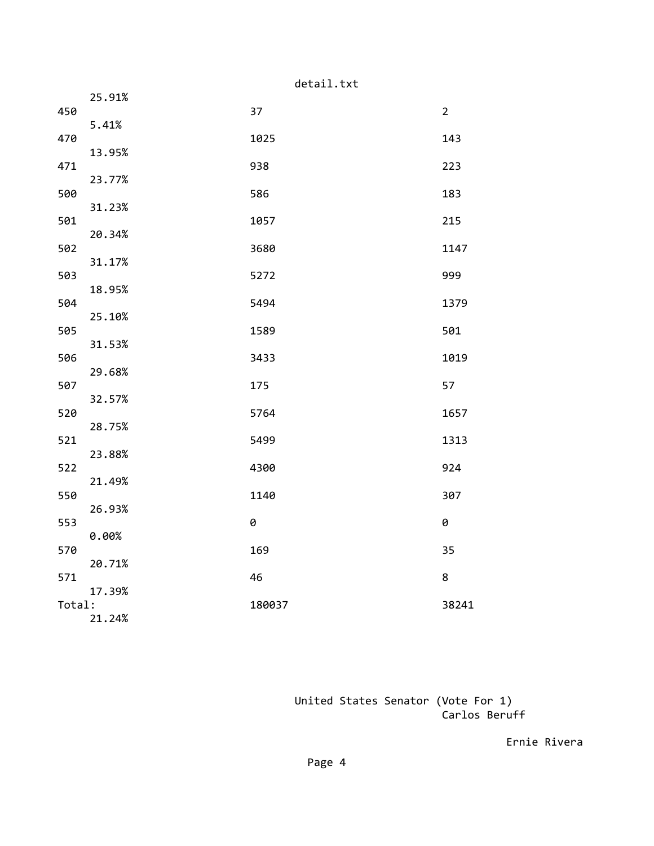|        |        | detail.txt |  |                |  |  |  |
|--------|--------|------------|--|----------------|--|--|--|
| 450    | 25.91% | 37         |  | $\overline{2}$ |  |  |  |
|        | 5.41%  |            |  |                |  |  |  |
| 470    | 13.95% | 1025       |  | 143            |  |  |  |
| 471    |        | 938        |  | 223            |  |  |  |
| 500    | 23.77% | 586        |  | 183            |  |  |  |
|        | 31.23% |            |  |                |  |  |  |
| 501    | 20.34% | 1057       |  | 215            |  |  |  |
| 502    |        | 3680       |  | 1147           |  |  |  |
| 503    | 31.17% | 5272       |  | 999            |  |  |  |
| 504    | 18.95% | 5494       |  | 1379           |  |  |  |
|        | 25.10% |            |  |                |  |  |  |
| 505    | 31.53% | 1589       |  | 501            |  |  |  |
| 506    |        | 3433       |  | 1019           |  |  |  |
| 507    | 29.68% | 175        |  | 57             |  |  |  |
|        | 32.57% |            |  |                |  |  |  |
| 520    | 28.75% | 5764       |  | 1657           |  |  |  |
| 521    | 23.88% | 5499       |  | 1313           |  |  |  |
| 522    |        | 4300       |  | 924            |  |  |  |
| 550    | 21.49% | 1140       |  | 307            |  |  |  |
|        | 26.93% |            |  |                |  |  |  |
| 553    | 0.00%  | 0          |  | 0              |  |  |  |
| 570    |        | 169        |  | 35             |  |  |  |
| 571    | 20.71% | 46         |  | 8              |  |  |  |
|        | 17.39% |            |  |                |  |  |  |
| Total: | 21.24% | 180037     |  | 38241          |  |  |  |

 United States Senator (Vote For 1) Carlos Beruff

Ernie Rivera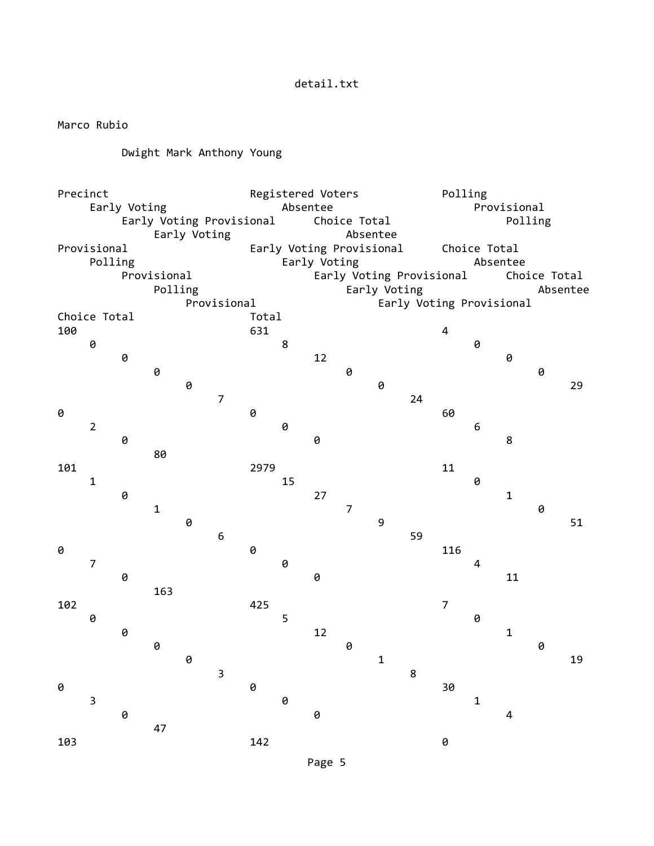## detail.txt

Marco Rubio

## Dwight Mark Anthony Young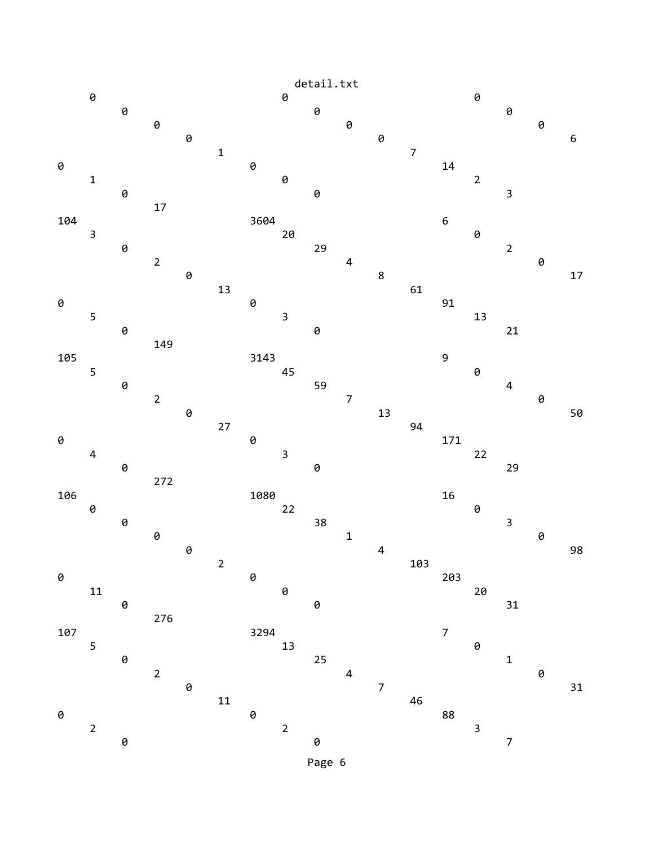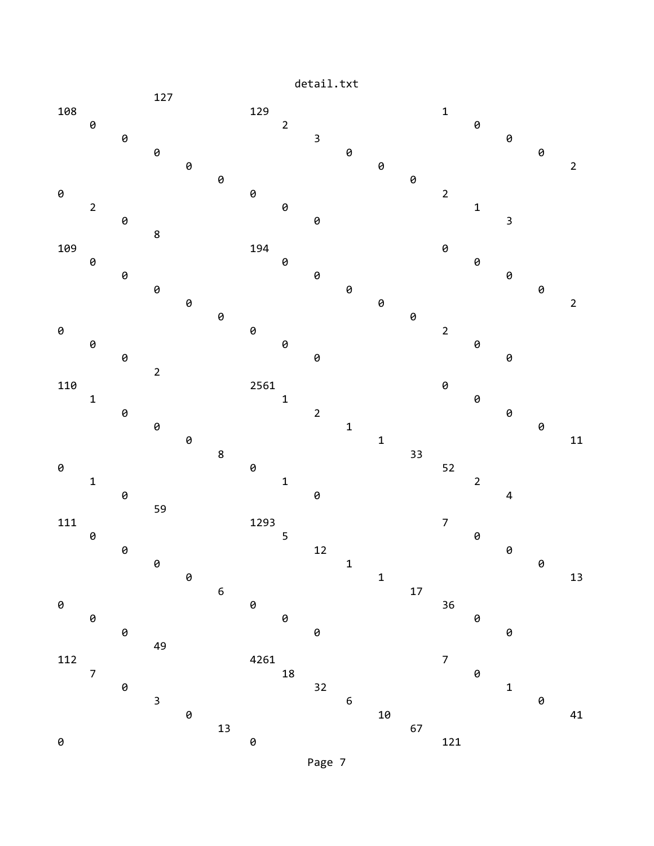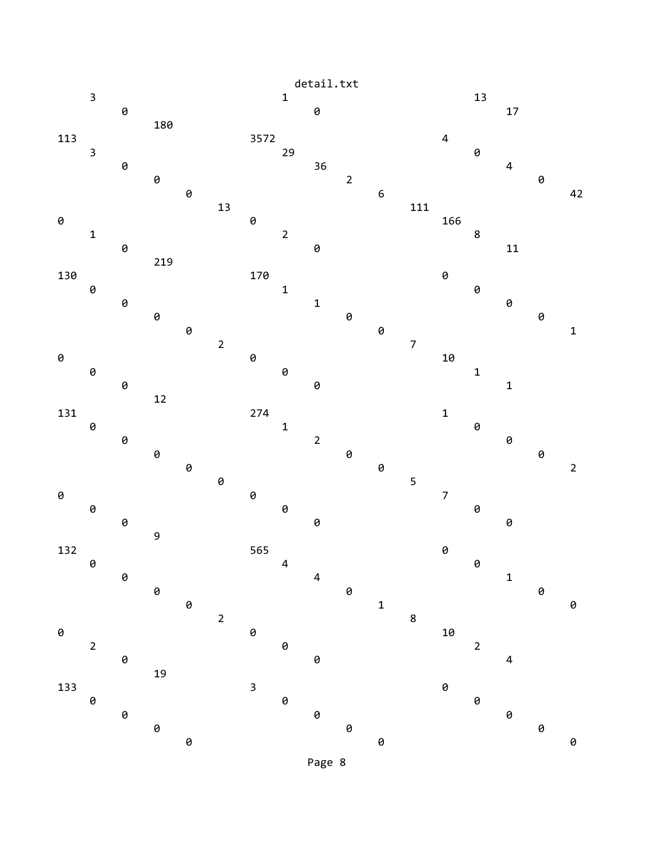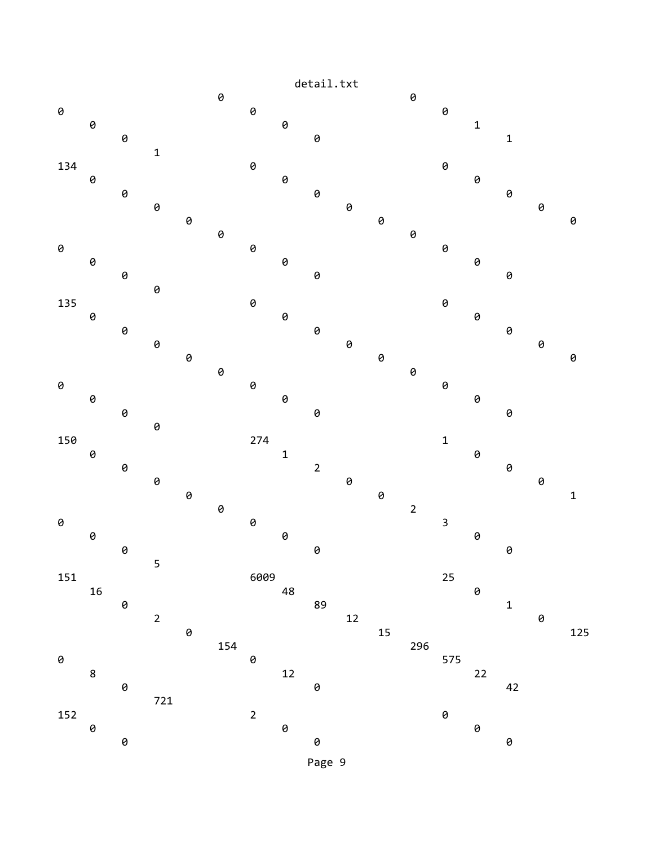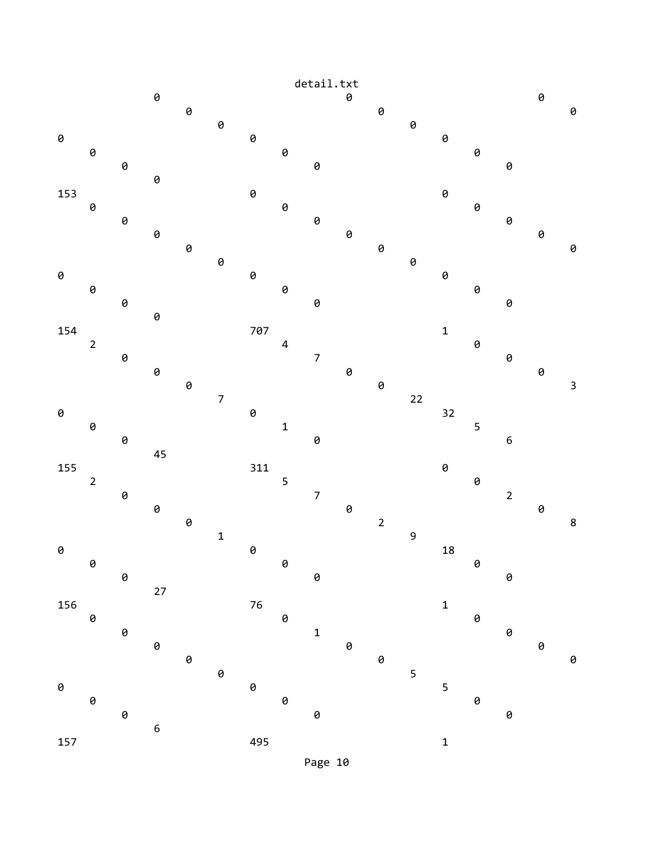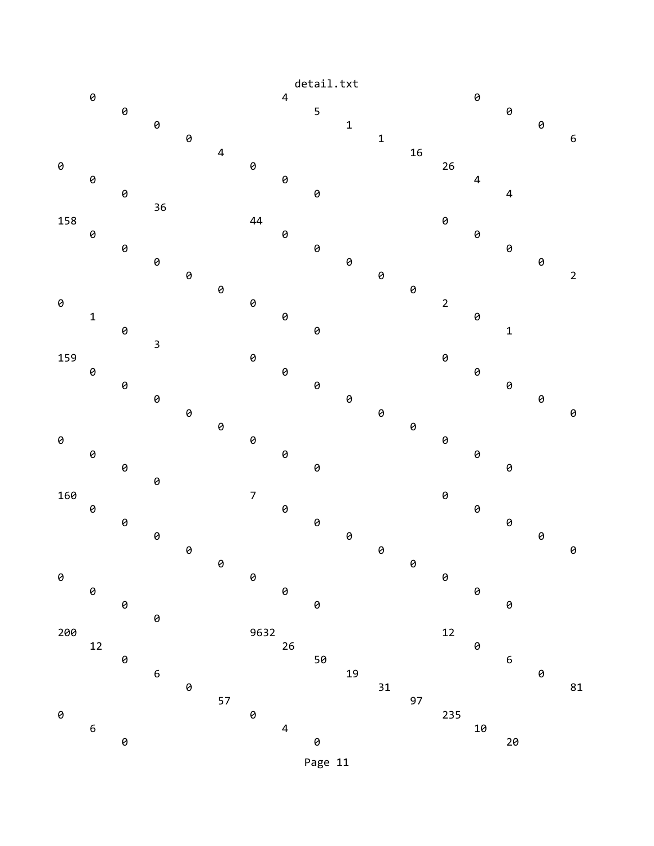

Page 11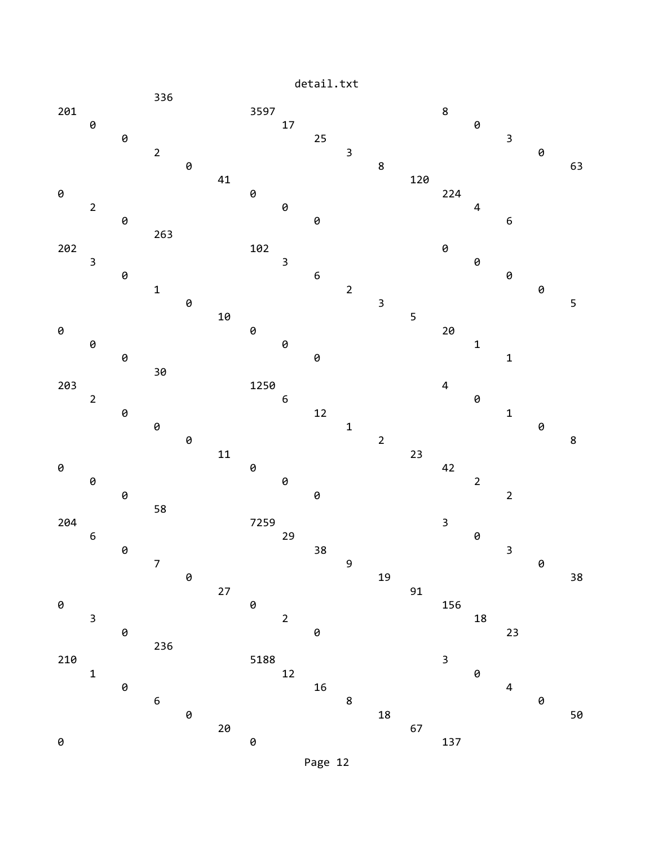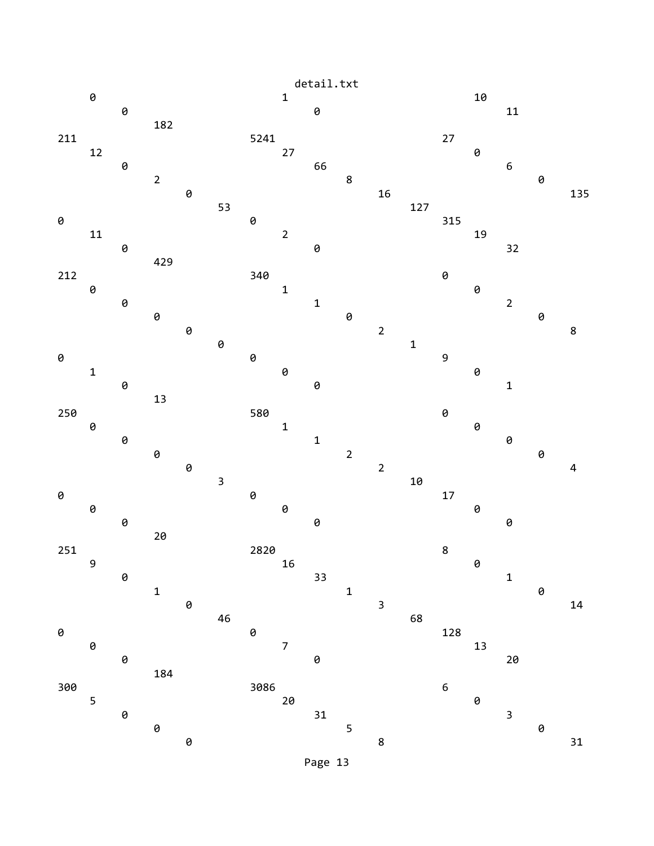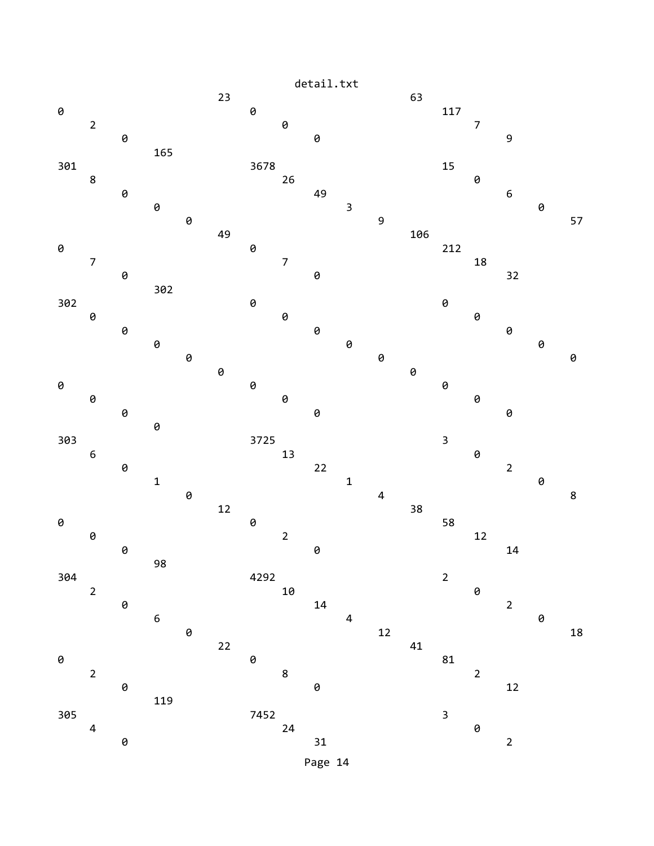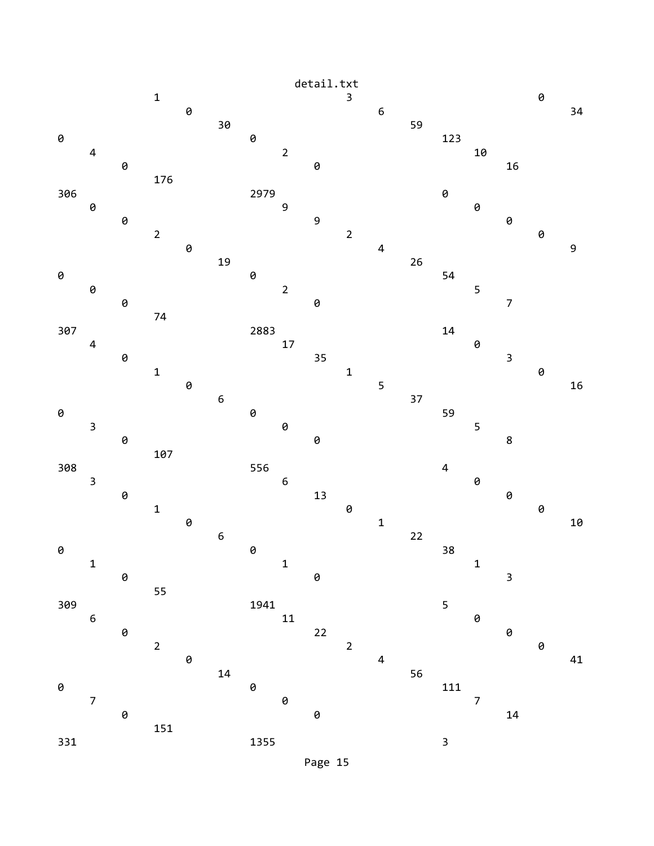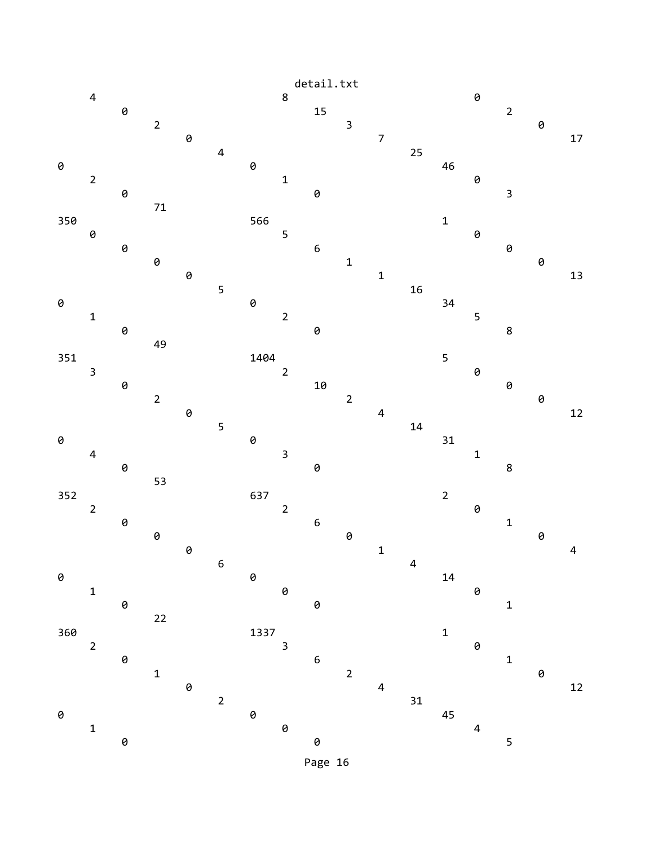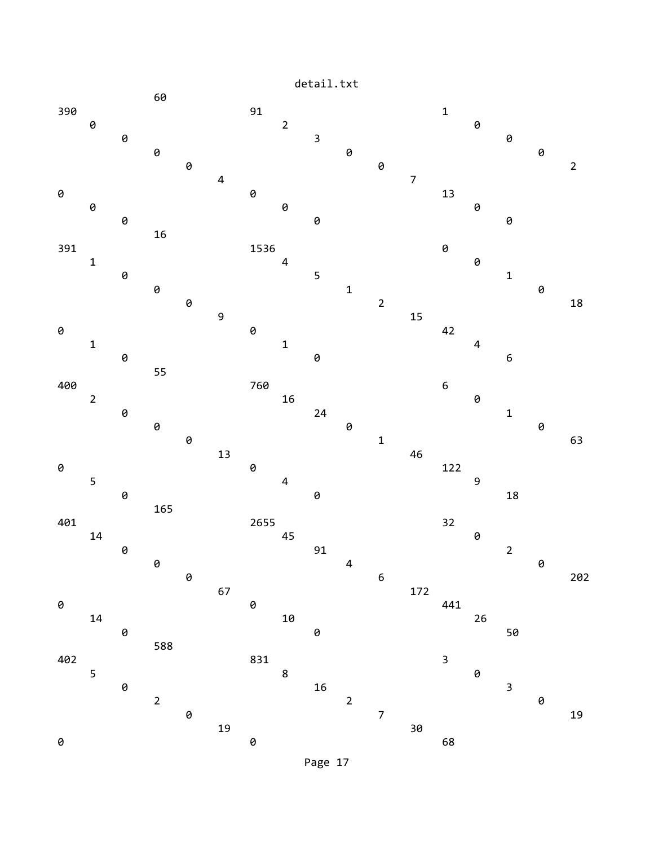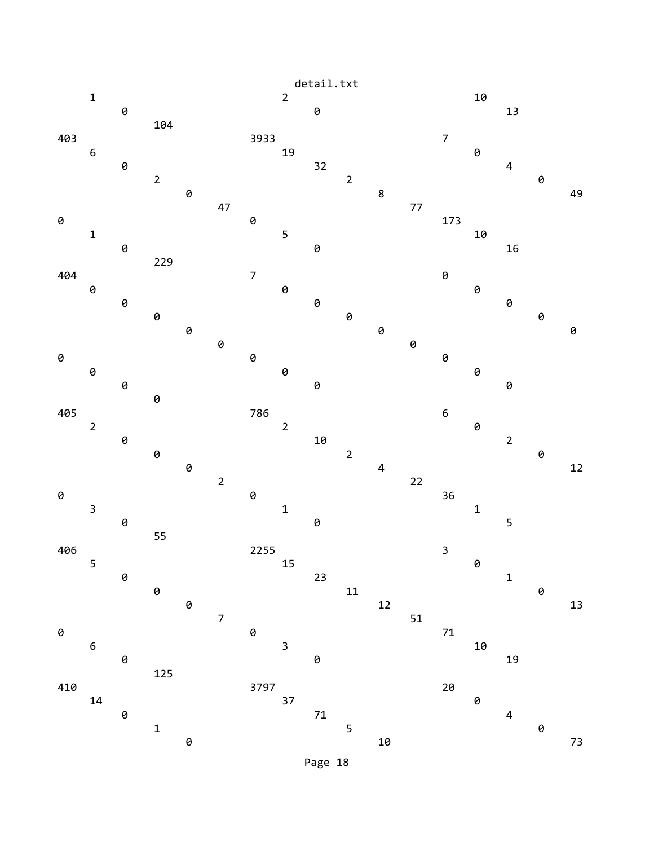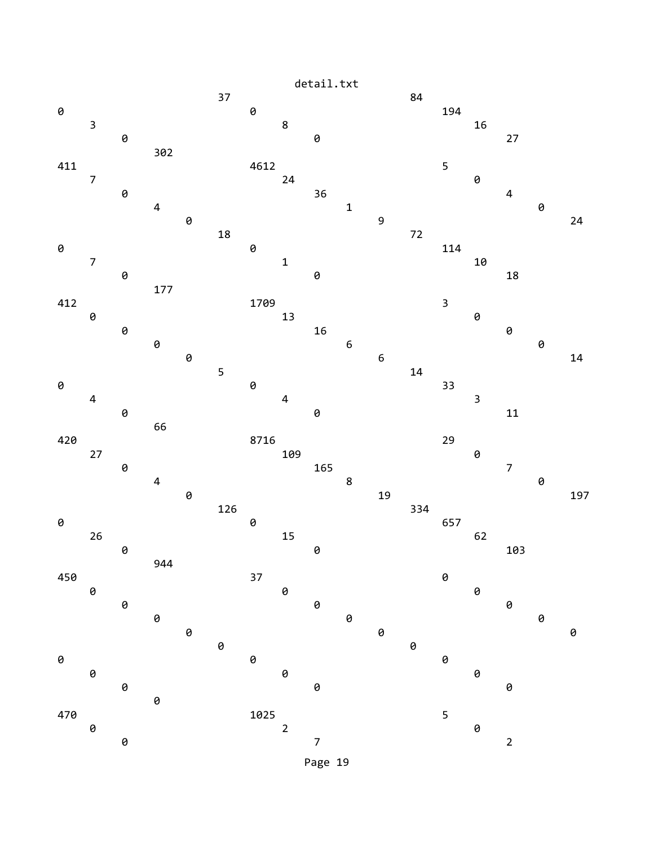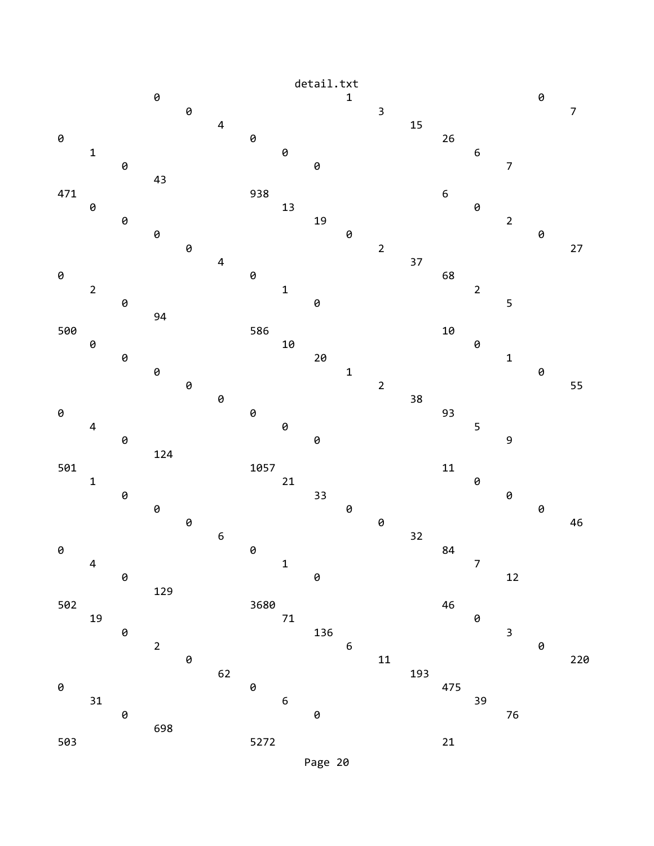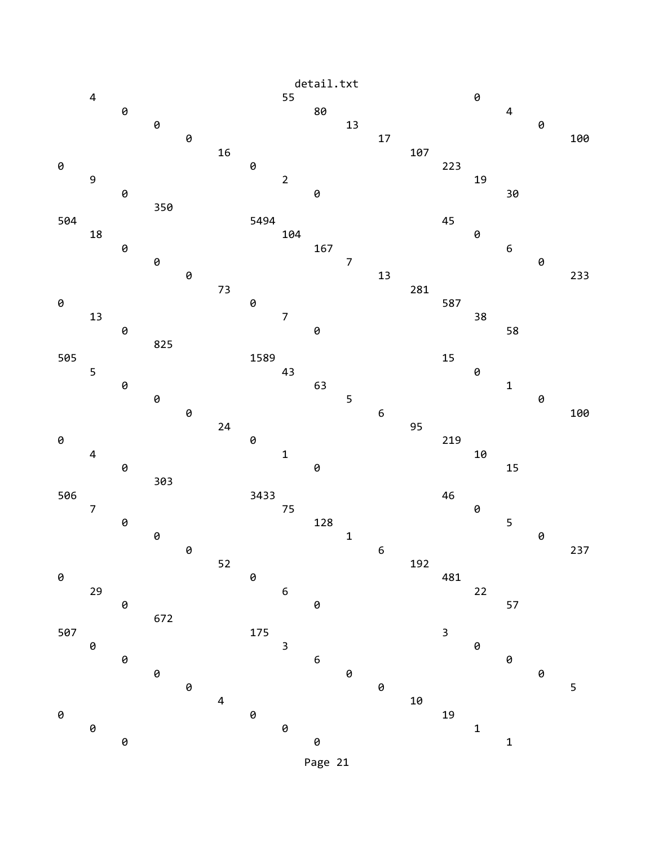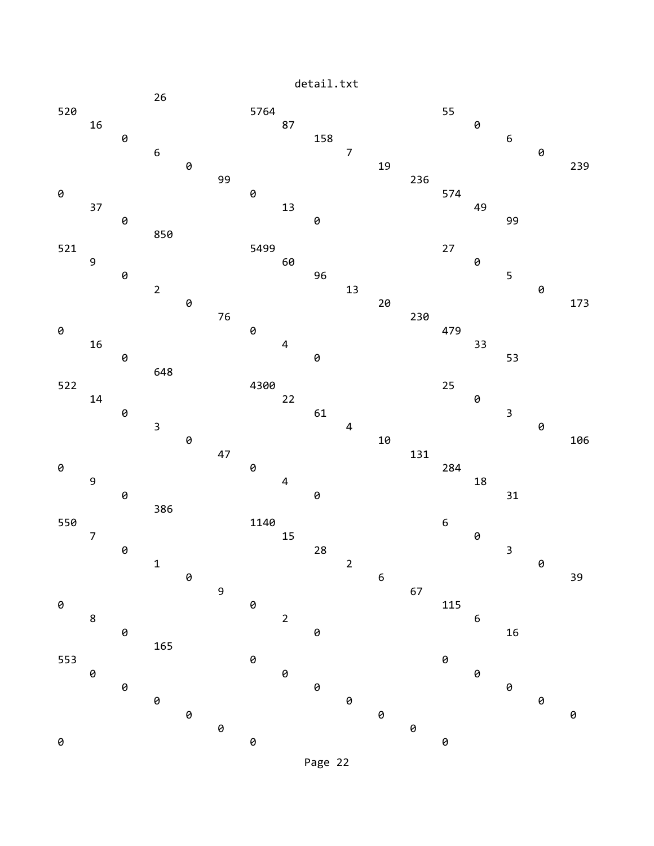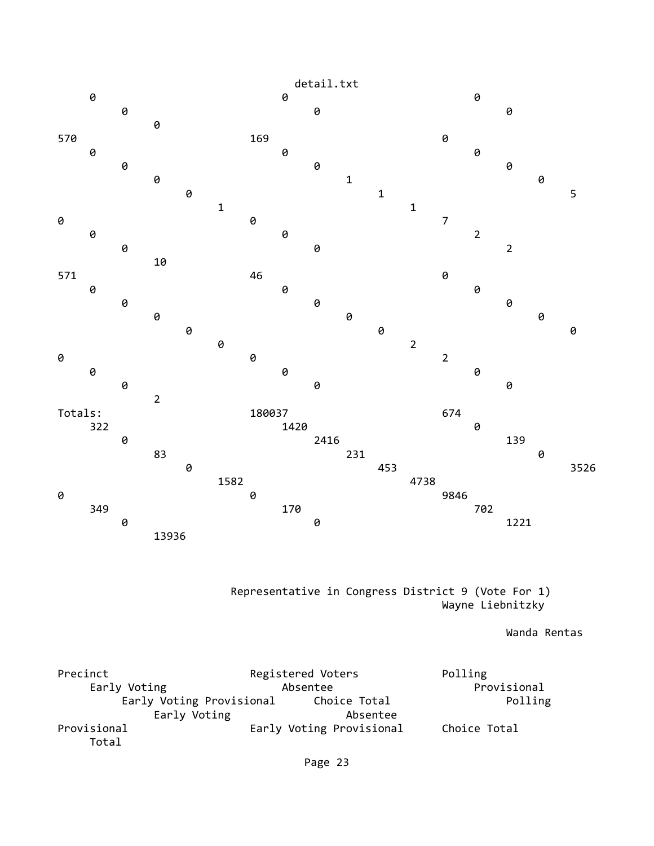

 Representative in Congress District 9 (Vote For 1) Wayne Liebnitzky

Wanda Rentas

Precinct **Registered Voters** Polling Early Voting **Absentee** Absentee **Provisional** Early Voting Provisional Choice Total **Polling** Early Voting **Absentee** Provisional Early Voting Provisional Choice Total Total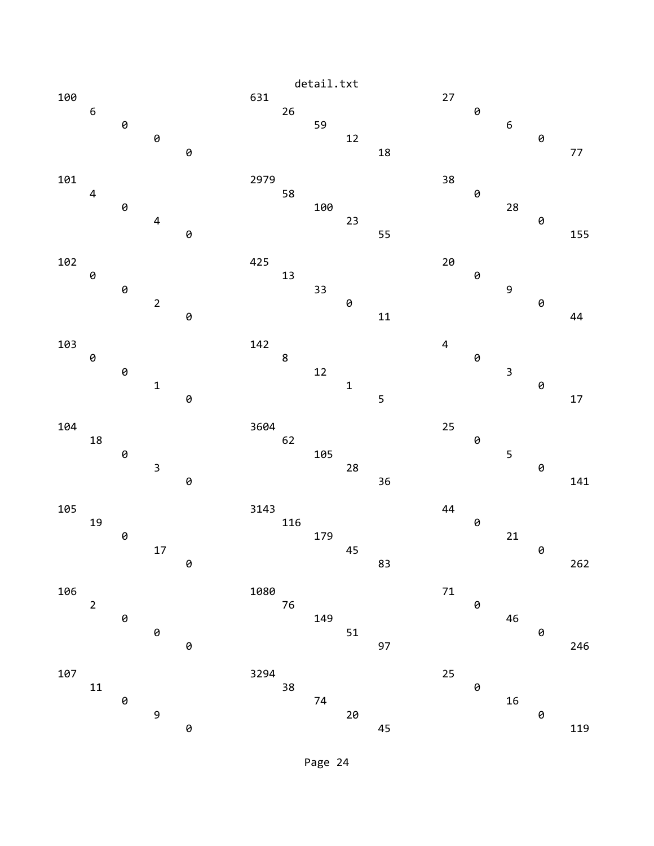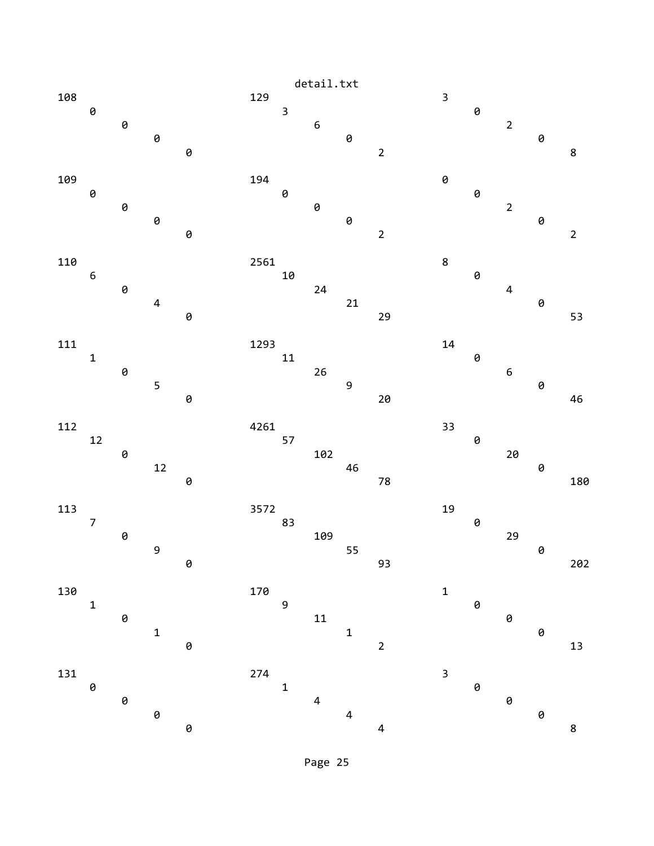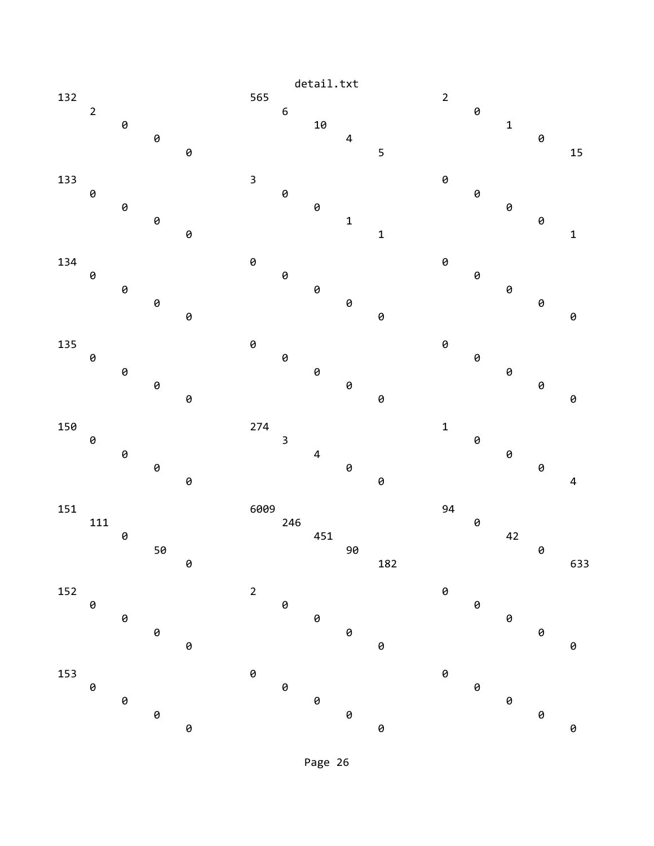

Page 26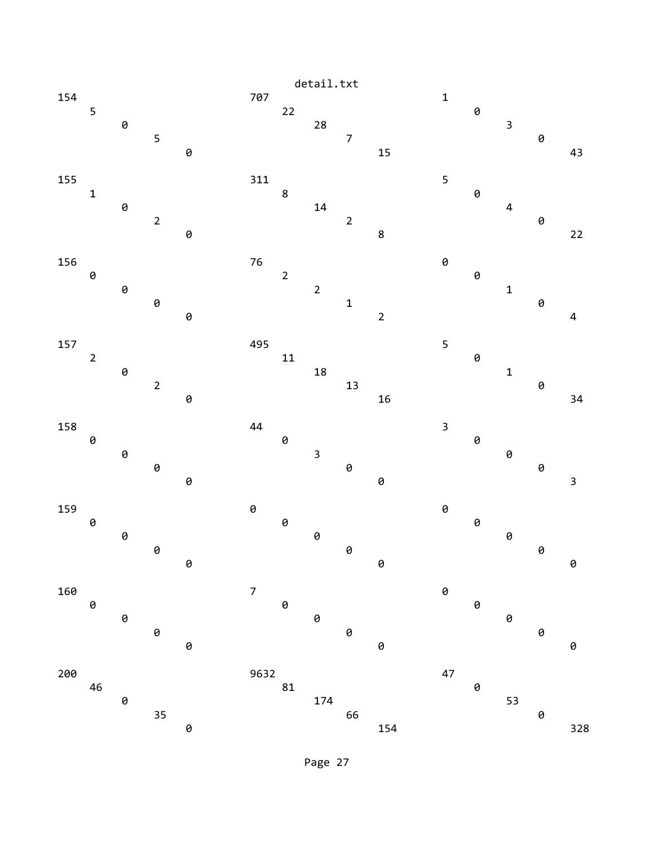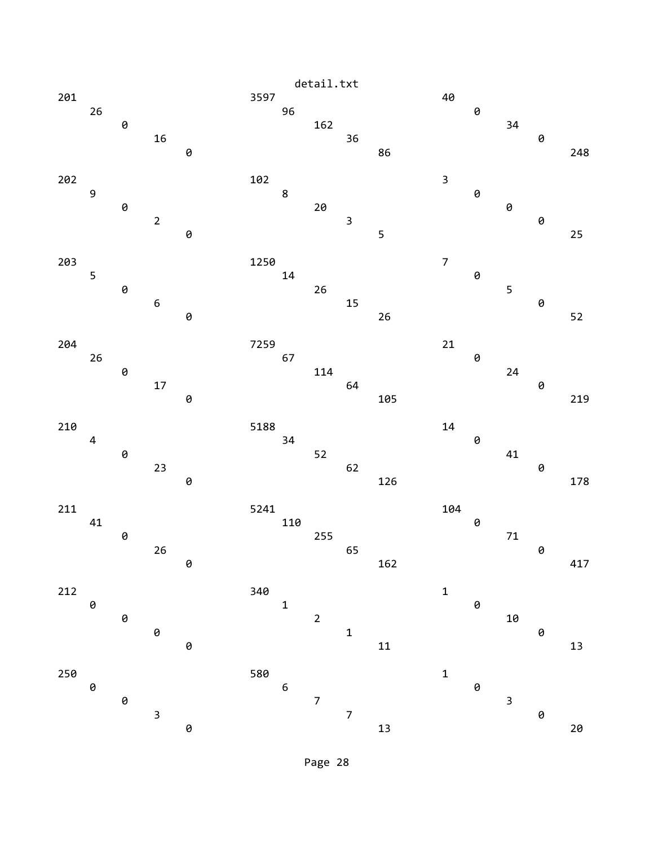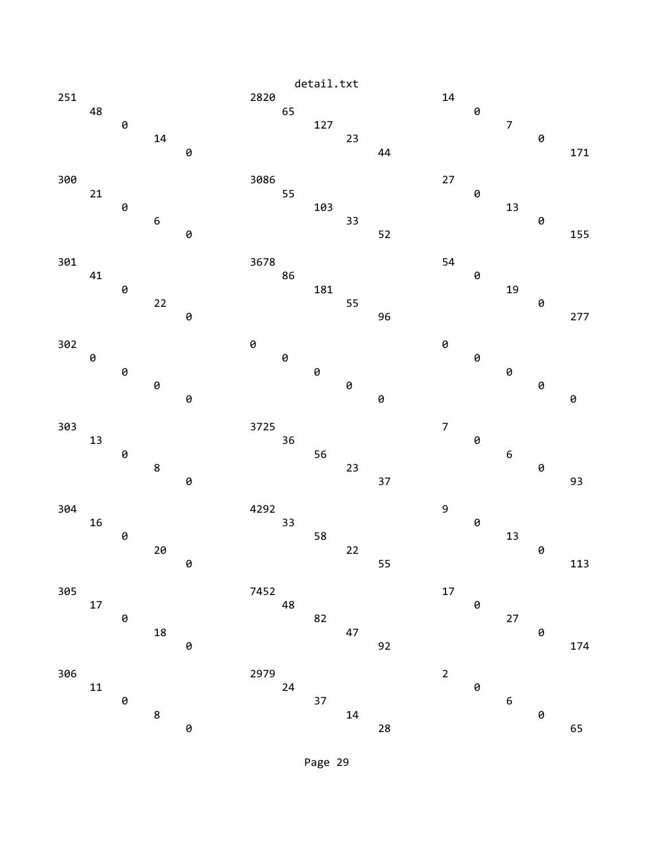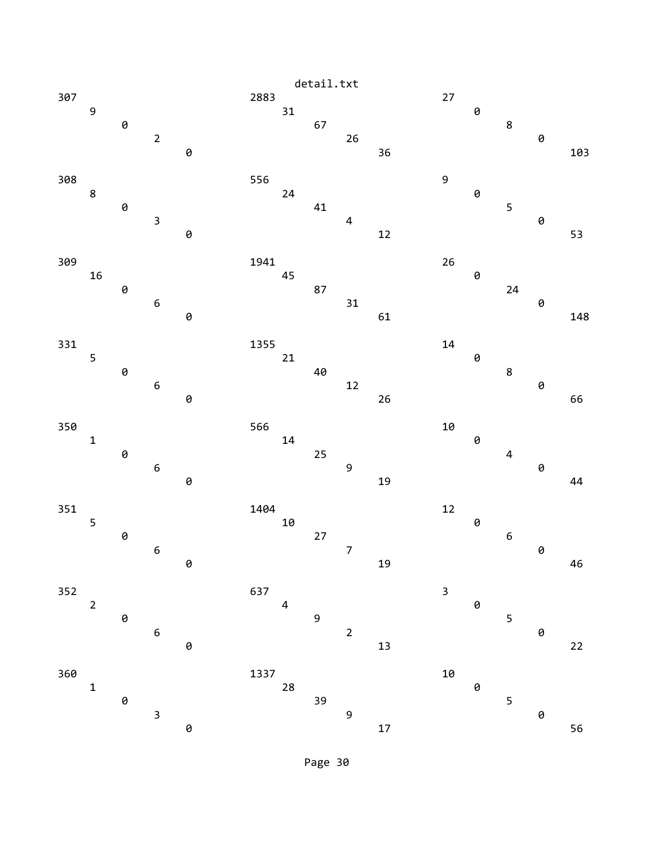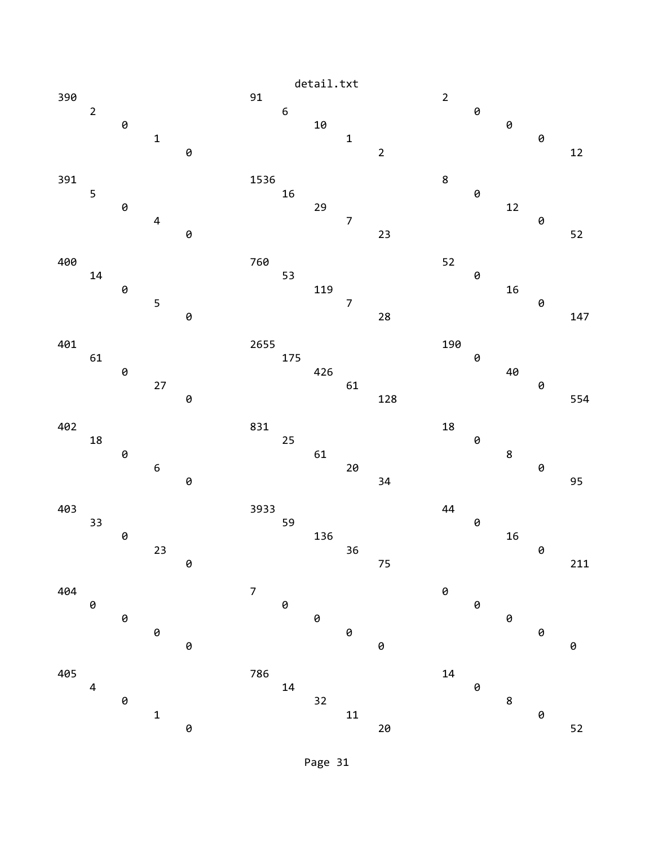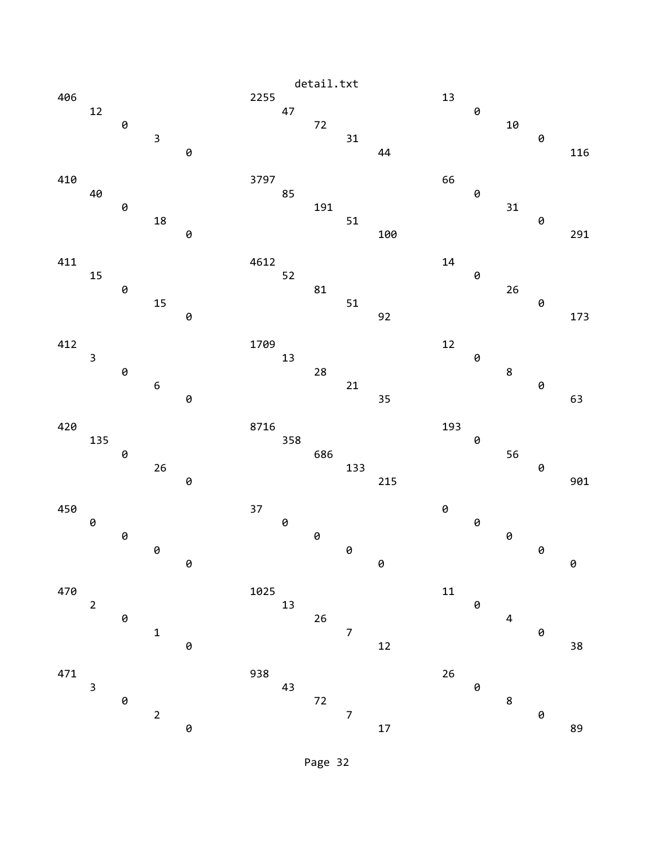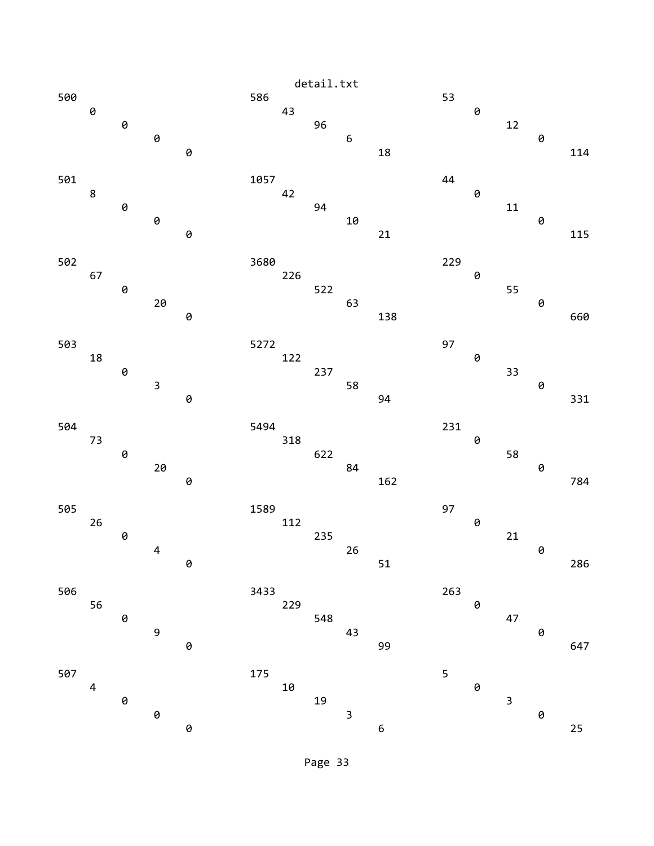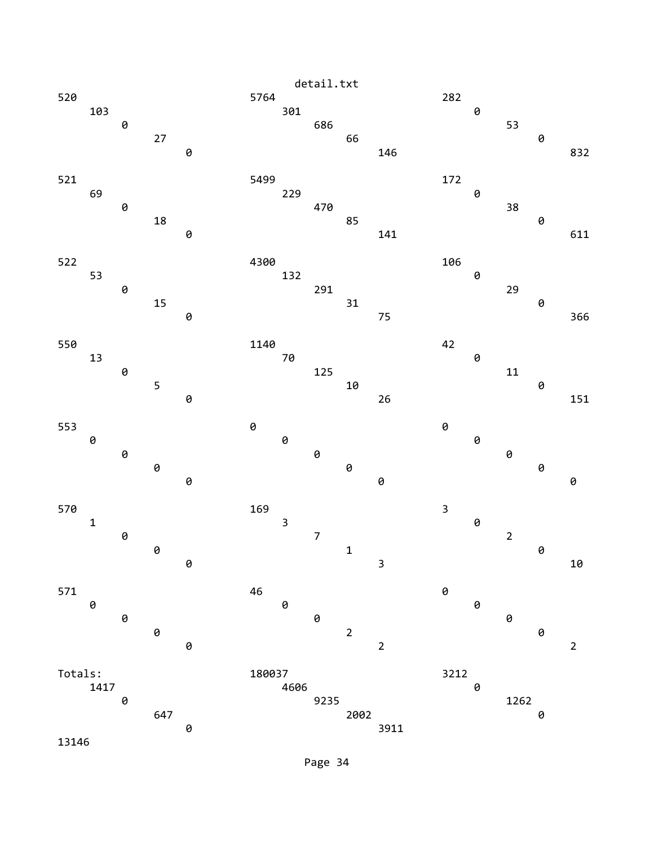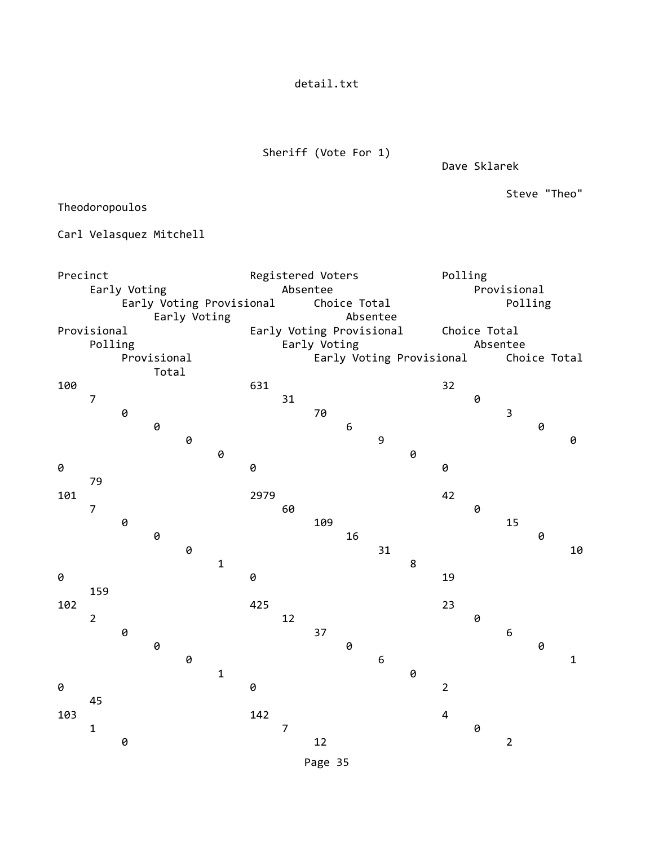detail.txt

Sheriff (Vote For 1)

Dave Sklarek

Steve "Theo"

Theodoropoulos

Carl Velasquez Mitchell

| Precinct     |                        |   |   | Registered Voters        |                          |                                          |                | Polling |                  |    |                          |                |   |                         |              |             |
|--------------|------------------------|---|---|--------------------------|--------------------------|------------------------------------------|----------------|---------|------------------|----|--------------------------|----------------|---|-------------------------|--------------|-------------|
| Early Voting |                        |   |   | Absentee                 |                          |                                          |                |         | Provisional      |    |                          |                |   |                         |              |             |
|              |                        |   |   |                          | Early Voting Provisional |                                          |                |         | Choice Total     |    |                          |                |   | Polling                 |              |             |
|              |                        |   |   | Early Voting             |                          |                                          |                |         | Absentee         |    |                          |                |   |                         |              |             |
|              | Provisional<br>Polling |   |   |                          |                          | Early Voting Provisional<br>Early Voting |                |         |                  |    | Choice Total<br>Absentee |                |   |                         |              |             |
|              |                        |   |   |                          |                          |                                          |                |         |                  |    |                          |                |   |                         | Choice Total |             |
|              | Provisional<br>Total   |   |   | Early Voting Provisional |                          |                                          |                |         |                  |    |                          |                |   |                         |              |             |
| 100          |                        |   |   |                          |                          | 631                                      |                |         |                  |    |                          | 32             |   |                         |              |             |
|              | $\overline{7}$         |   |   |                          |                          |                                          | 31             |         |                  |    |                          |                | 0 |                         |              |             |
|              |                        | 0 |   |                          |                          |                                          |                | 70      |                  |    |                          |                |   | $\overline{\mathbf{3}}$ |              |             |
|              |                        |   | 0 |                          |                          |                                          |                |         | $\boldsymbol{6}$ |    |                          |                |   |                         | 0            |             |
|              |                        |   |   | 0                        | 0                        |                                          |                |         |                  | 9  | 0                        |                |   |                         |              | 0           |
| 0            |                        |   |   |                          |                          | 0                                        |                |         |                  |    |                          | 0              |   |                         |              |             |
|              | 79                     |   |   |                          |                          |                                          |                |         |                  |    |                          |                |   |                         |              |             |
| 101          |                        |   |   |                          |                          | 2979                                     |                |         |                  |    |                          | 42             |   |                         |              |             |
|              | $\overline{7}$         |   |   |                          |                          |                                          | 60             |         |                  |    |                          |                | 0 |                         |              |             |
|              |                        | 0 |   |                          |                          |                                          |                | 109     |                  |    |                          |                |   | 15                      |              |             |
|              |                        |   | 0 |                          |                          |                                          |                |         | 16               |    |                          |                |   |                         | 0            |             |
|              |                        |   |   | 0                        | $\mathbf{1}$             |                                          |                |         |                  | 31 | 8                        |                |   |                         |              | 10          |
| 0            |                        |   |   |                          |                          | 0                                        |                |         |                  |    |                          | 19             |   |                         |              |             |
|              | 159                    |   |   |                          |                          |                                          |                |         |                  |    |                          |                |   |                         |              |             |
| 102          |                        |   |   |                          |                          | 425                                      |                |         |                  |    |                          | 23             |   |                         |              |             |
|              | $\overline{2}$         |   |   |                          |                          |                                          | 12             |         |                  |    |                          |                | 0 |                         |              |             |
|              |                        | 0 |   |                          |                          |                                          |                | 37      |                  |    |                          |                |   | $\epsilon$              |              |             |
|              |                        |   | 0 |                          |                          |                                          |                |         | 0                |    |                          |                |   |                         | 0            |             |
|              |                        |   |   | 0                        | $\mathbf 1$              |                                          |                |         |                  | 6  | 0                        |                |   |                         |              | $\mathbf 1$ |
| 0            |                        |   |   |                          |                          | 0                                        |                |         |                  |    |                          | $\overline{2}$ |   |                         |              |             |
|              | 45                     |   |   |                          |                          |                                          |                |         |                  |    |                          |                |   |                         |              |             |
| 103          |                        |   |   |                          |                          | 142                                      |                |         |                  |    |                          | $\overline{4}$ |   |                         |              |             |
|              | $\mathbf 1$            |   |   |                          |                          |                                          | $\overline{7}$ |         |                  |    |                          |                | 0 |                         |              |             |
|              |                        | 0 |   |                          |                          |                                          |                | 12      |                  |    |                          |                |   | $\overline{2}$          |              |             |
|              |                        |   |   |                          |                          |                                          |                | Page 35 |                  |    |                          |                |   |                         |              |             |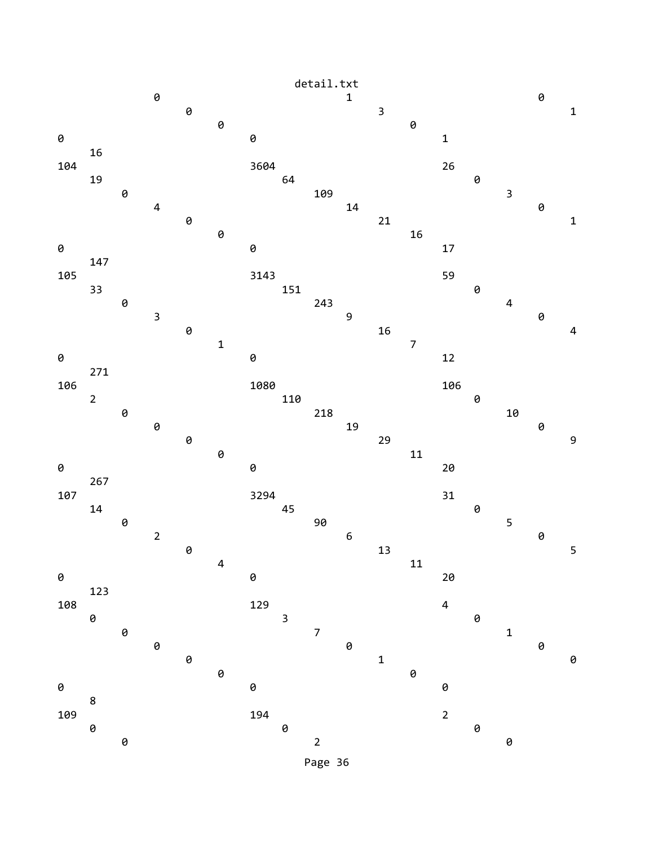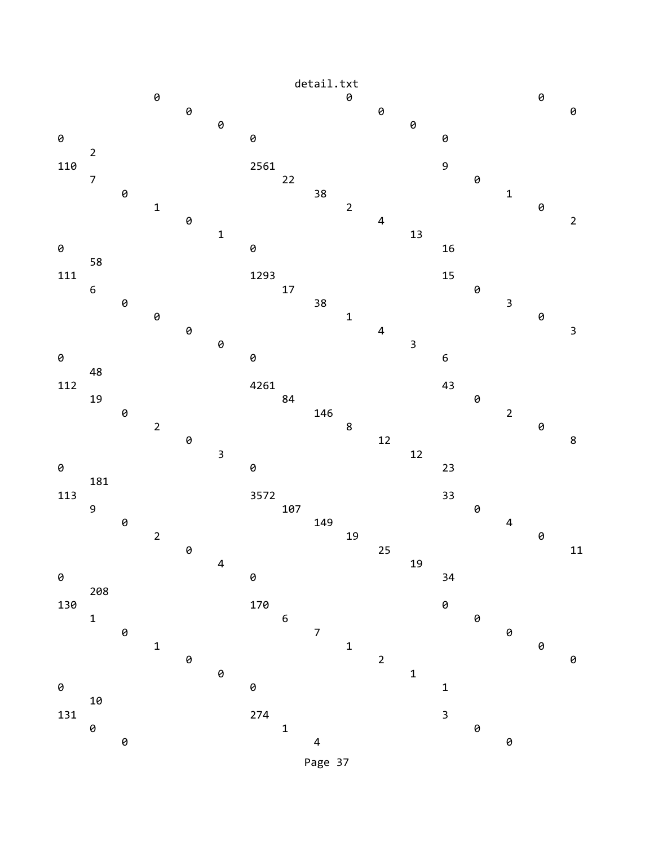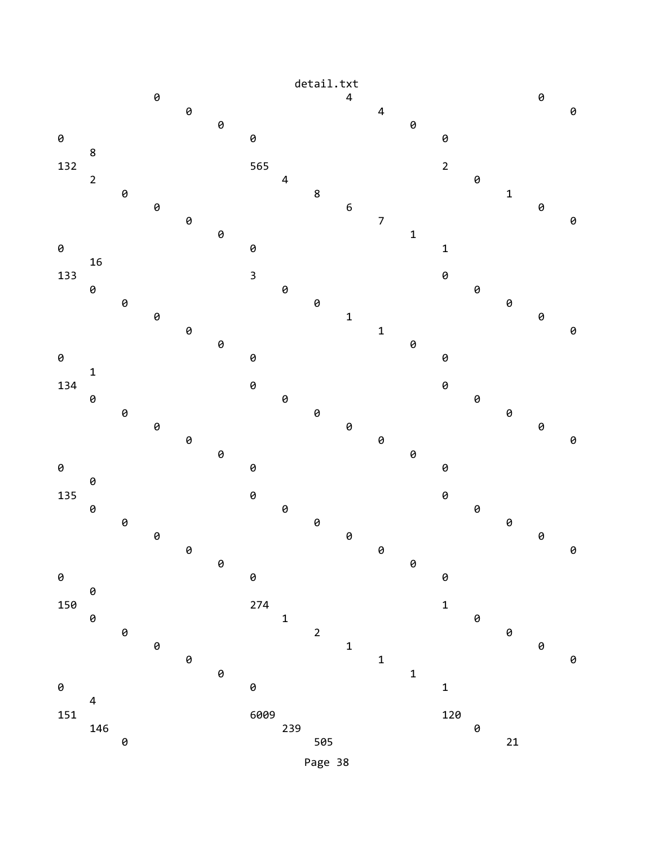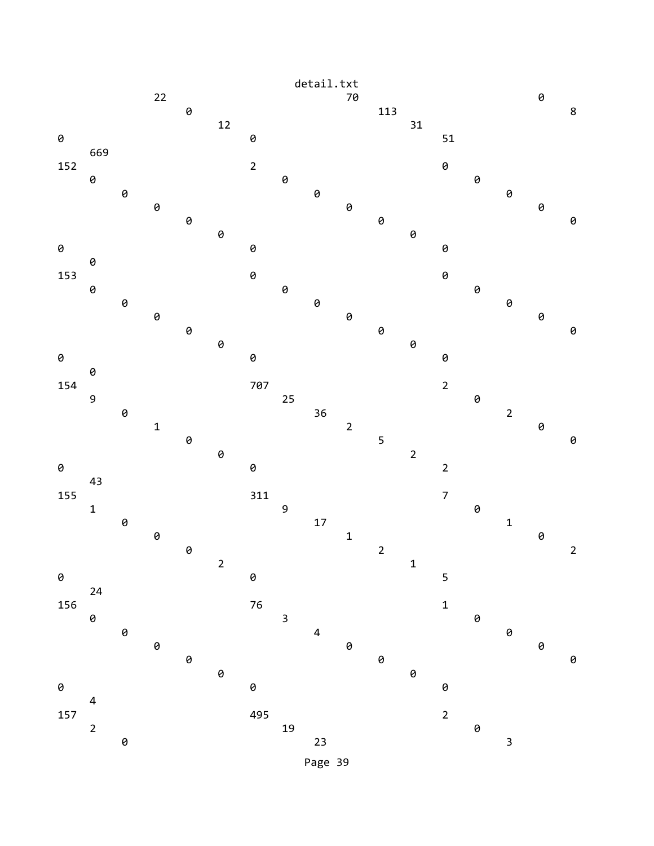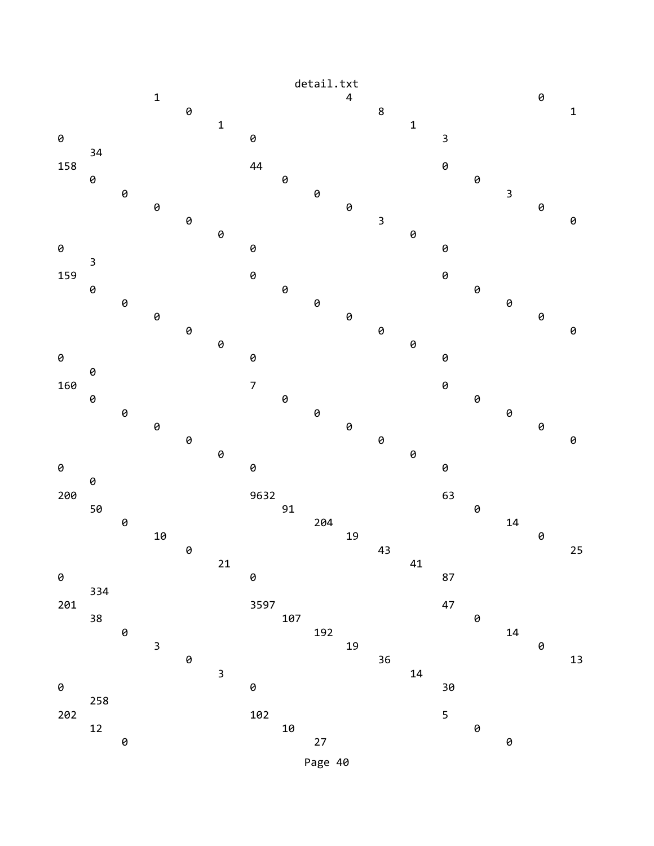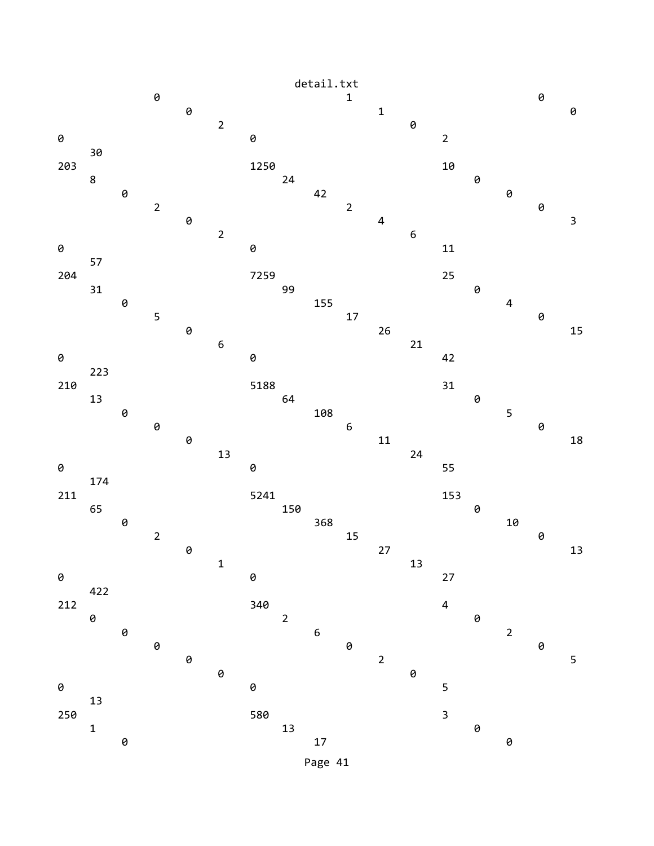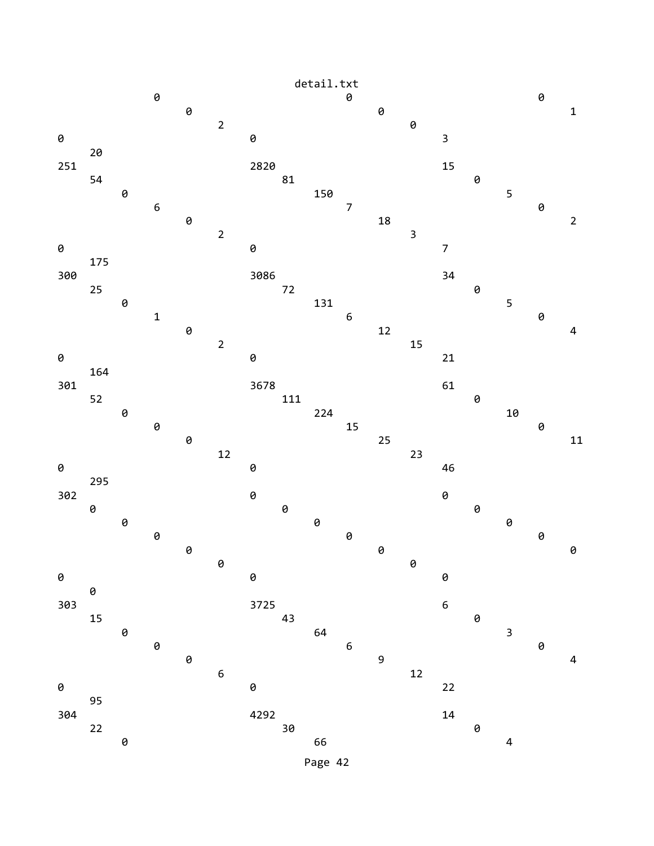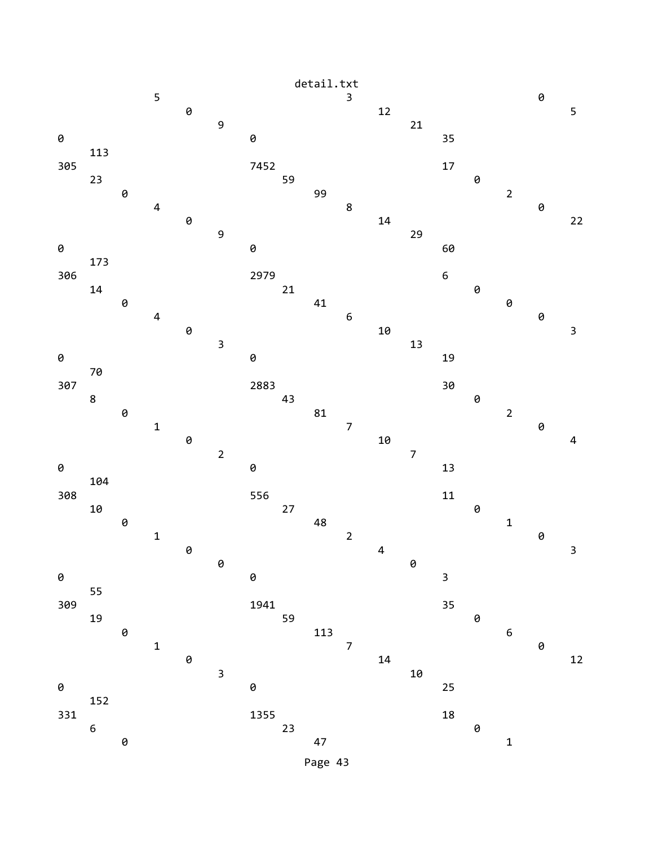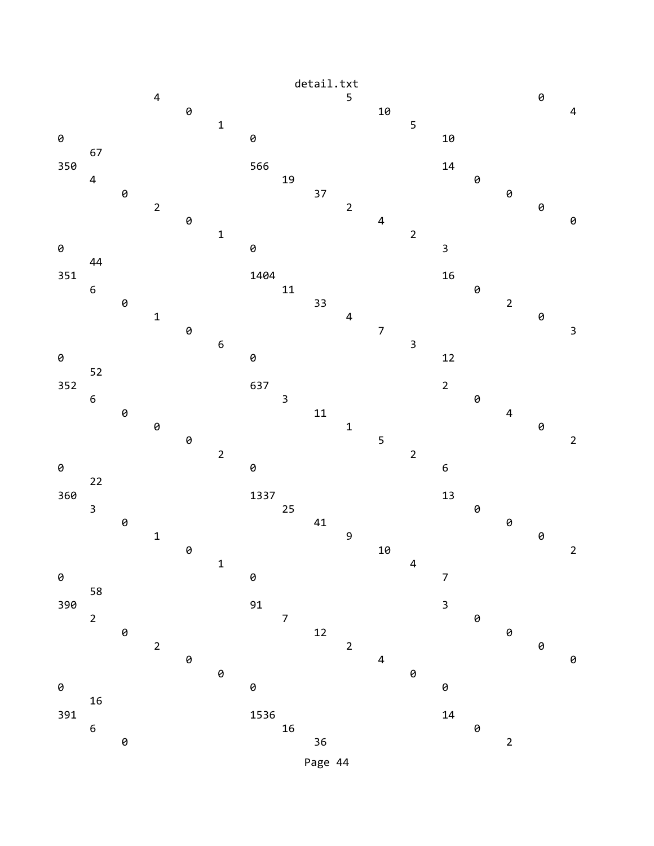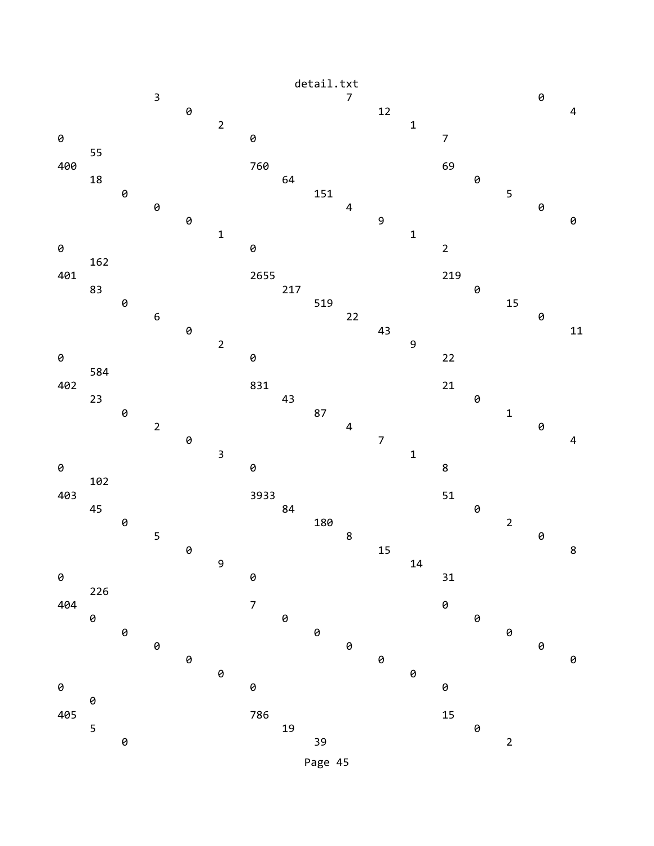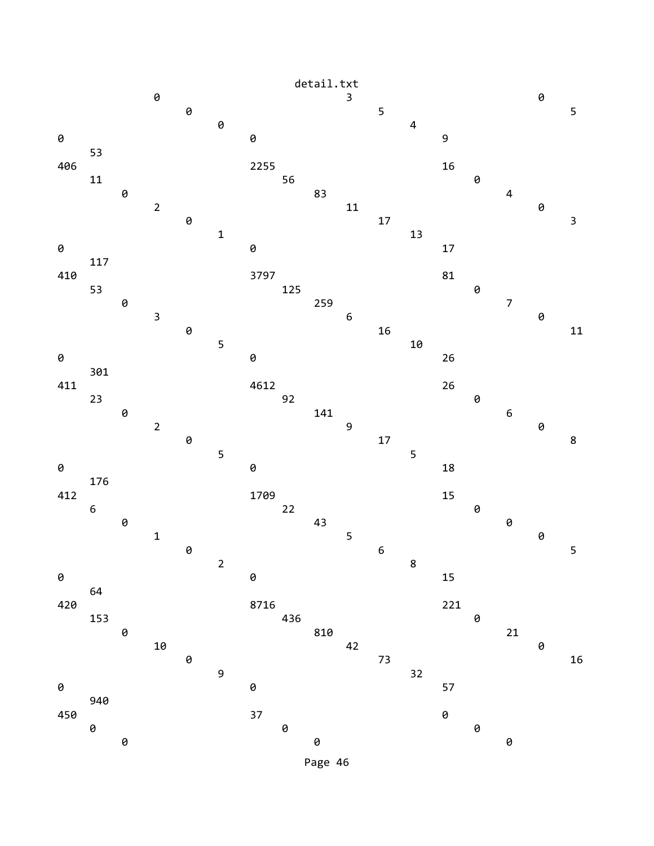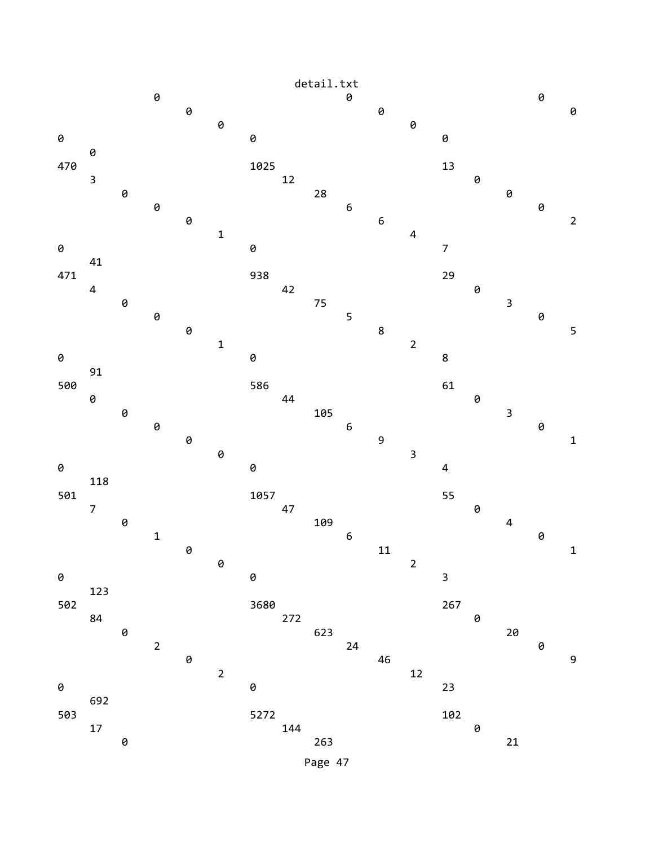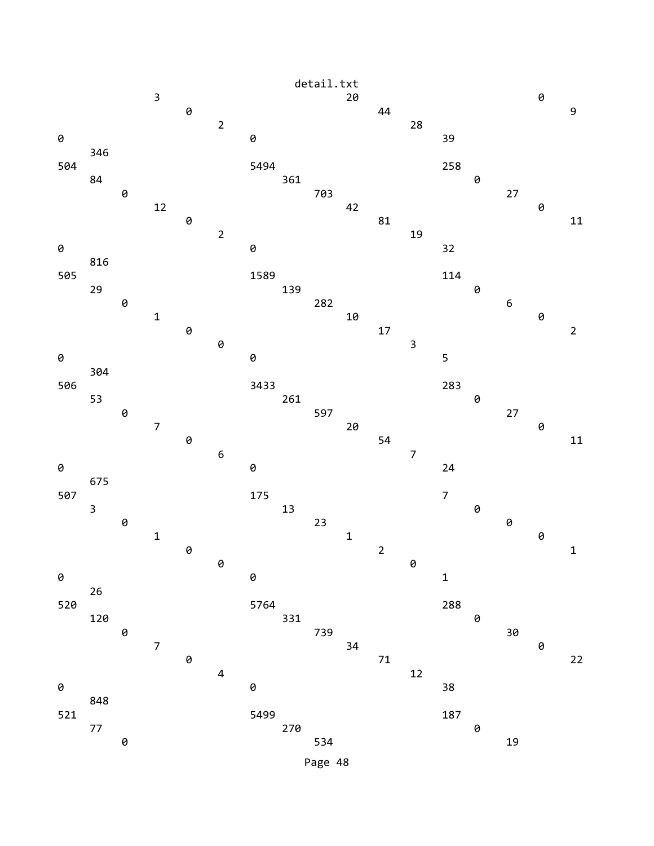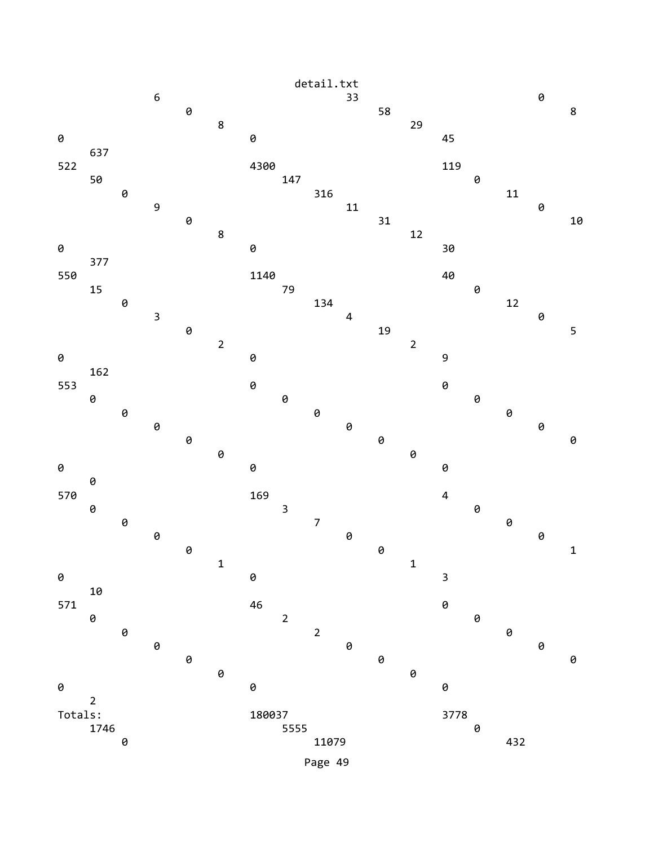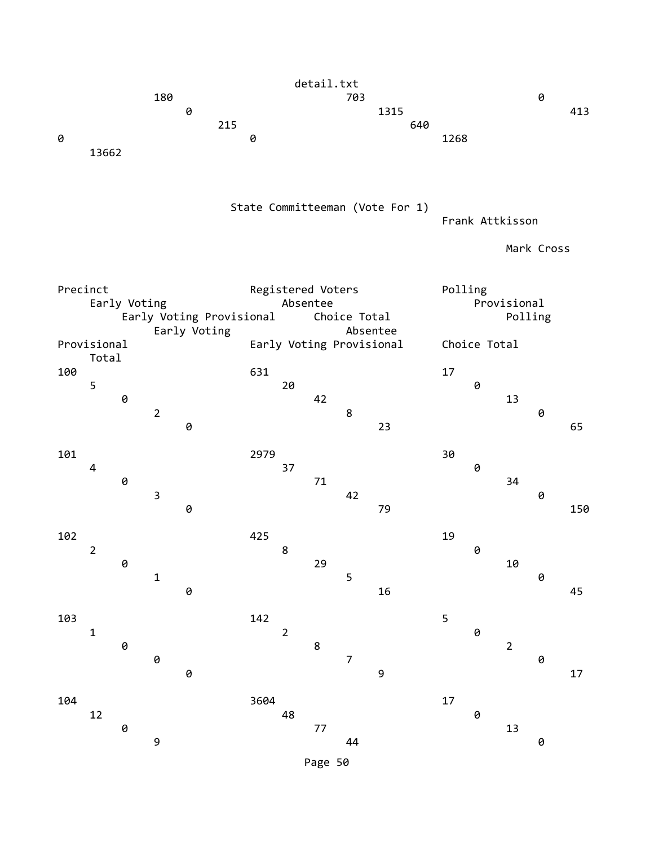detail.txt 180 703 0 0 1315 413 **215** 640 **0** 1268 13662 State Committeeman (Vote For 1) Frank Attkisson Mark Cross Precinct Registered Voters Polling Early Voting **Absentee** Absentee **Provisional** Early Voting Provisional Choice Total **Polling** Early Voting **Absentee** Provisional Early Voting Provisional Choice Total Total 100 631 17 5 20 0 **0** 13 2 8 0 **0** 23 65 101 2979 30 4 37 0 **0** 34  $\overline{3}$  and  $\overline{42}$  and  $\overline{9}$ **0** 150 102 **102 102 102 102 102 102 102 102 102 102 102 102 102 102**  2 8 0 **0** 29 10  $1$  5 0  $\theta$  and  $\theta$  16 and  $\theta$  16 and  $\theta$  16 and  $\theta$  15 and  $\theta$  15 and  $\theta$  15 and  $\theta$  15 and  $\theta$  16 and  $\theta$  16 and  $\theta$  16 and  $\theta$  16 and  $\theta$  16 and  $\theta$  16 and  $\theta$  16 and  $\theta$  16 and  $\theta$  16 and  $\theta$  16 and  $\theta$  16 103 142 5 1 2 0 **0** 8 2 0 7 0 **0** 9 17 104 3604 17 12 48 0  $\overline{0}$  0 13 9 44 0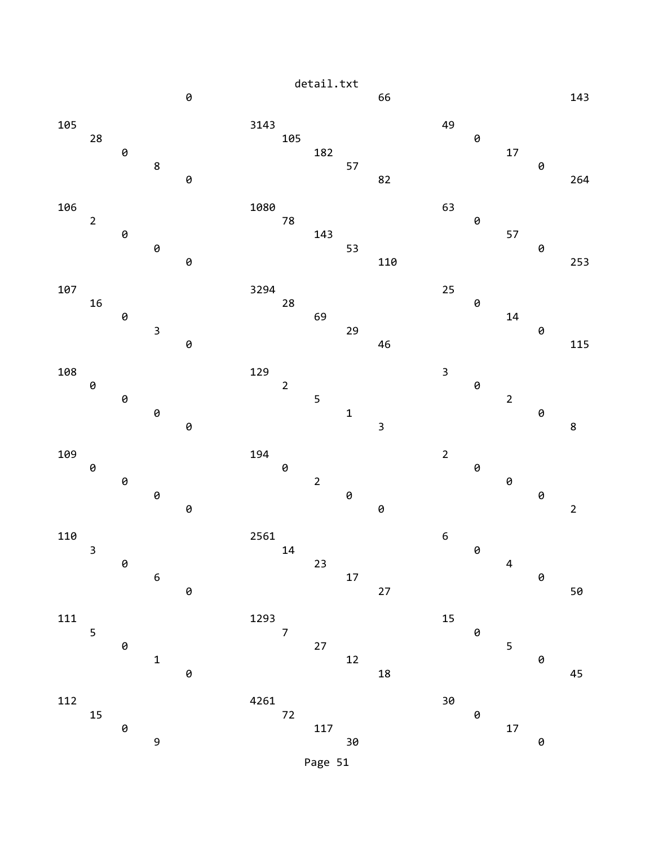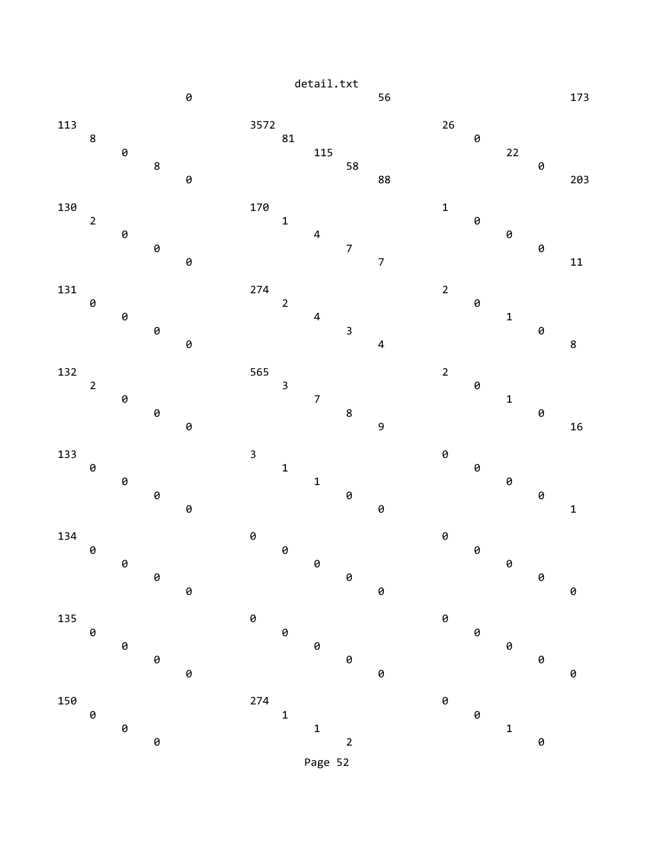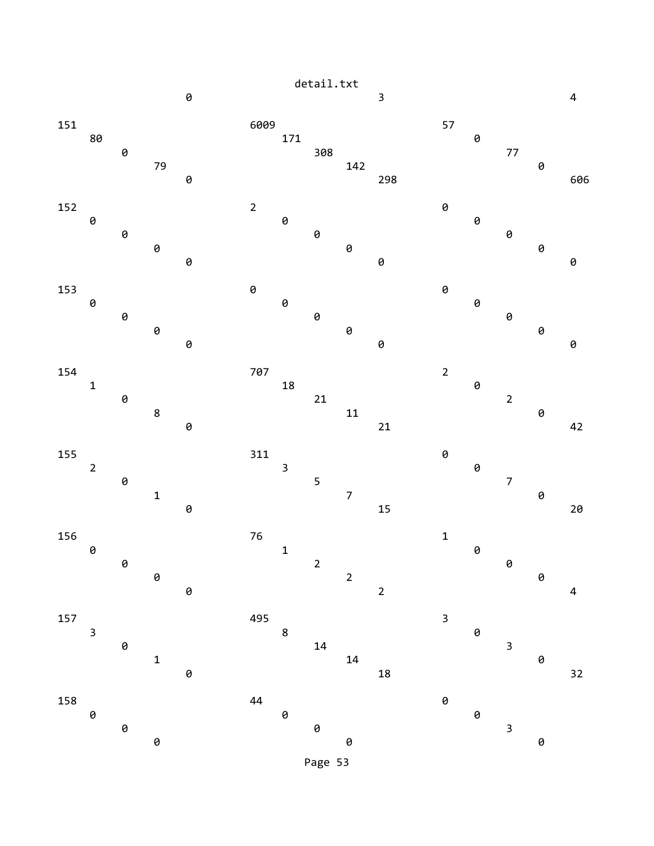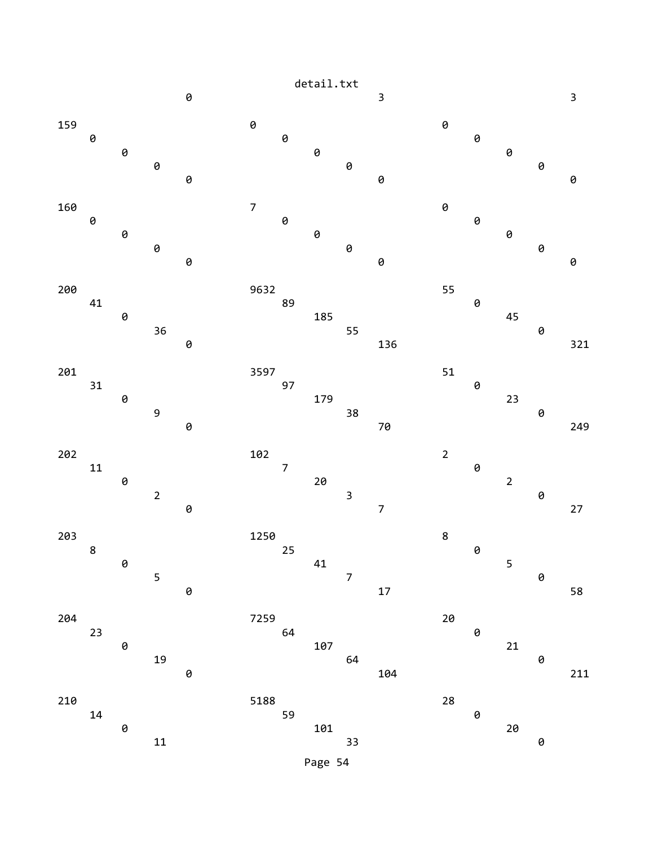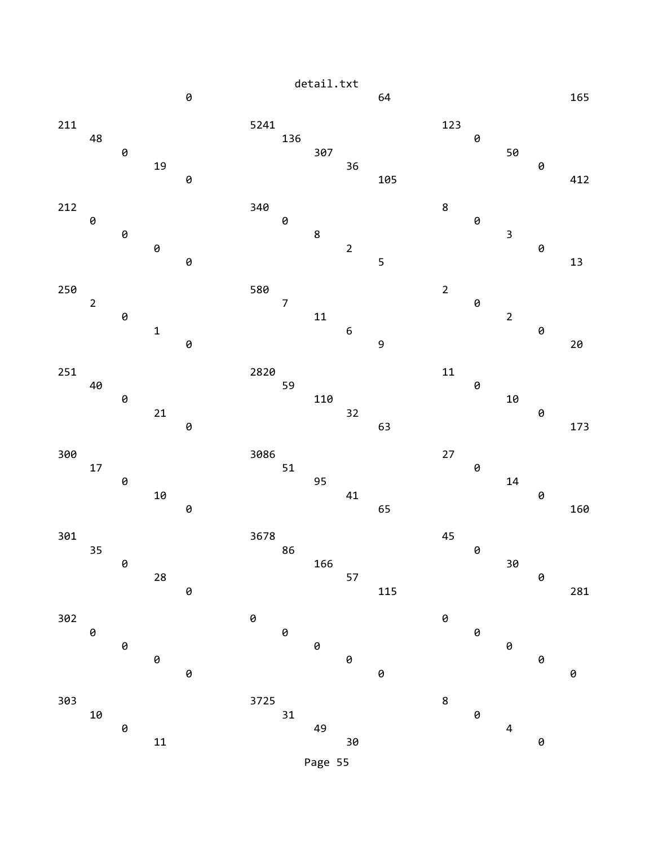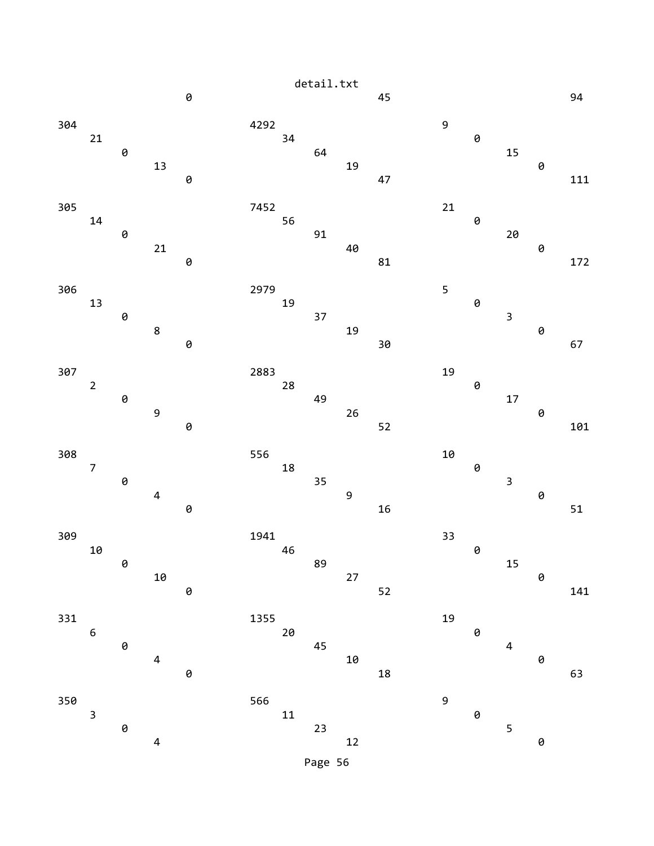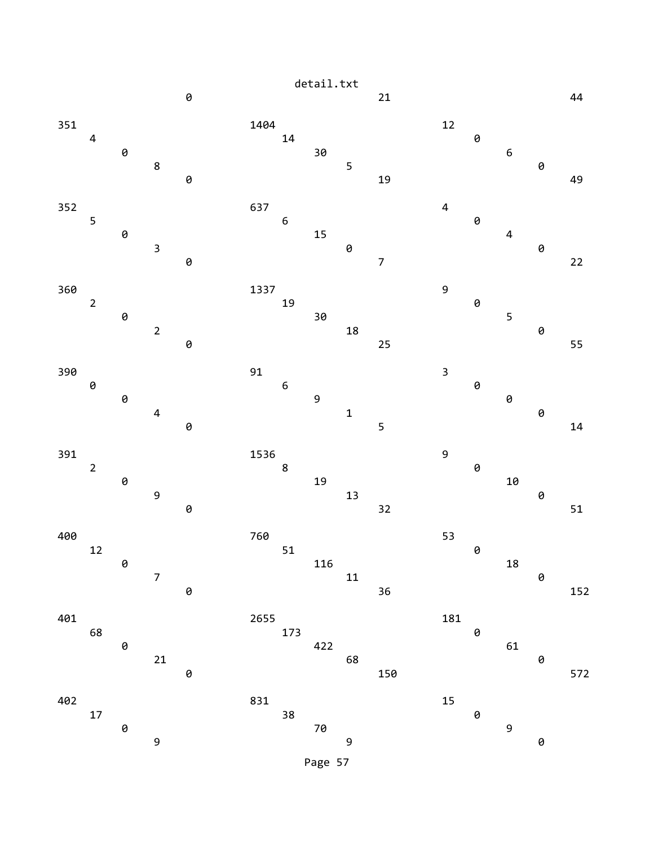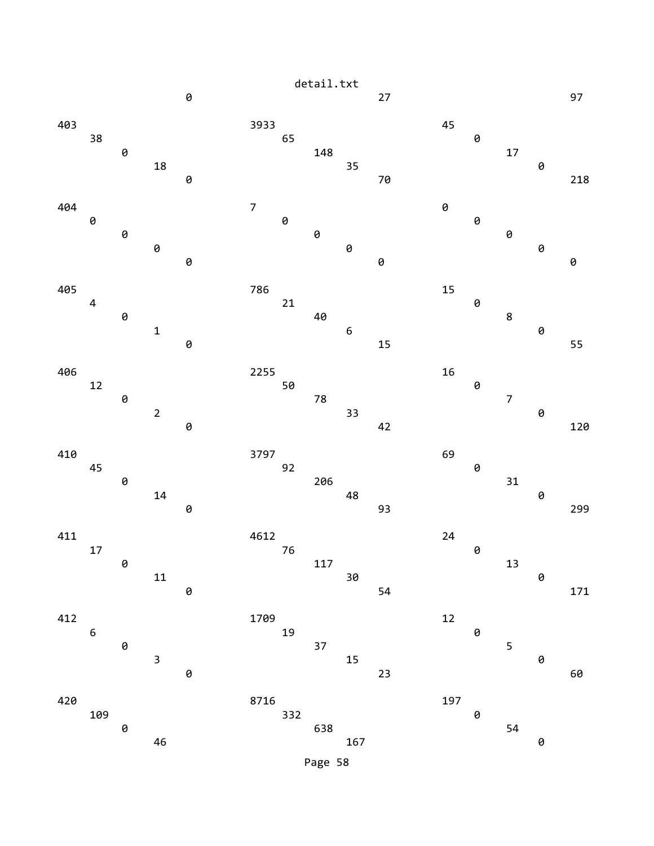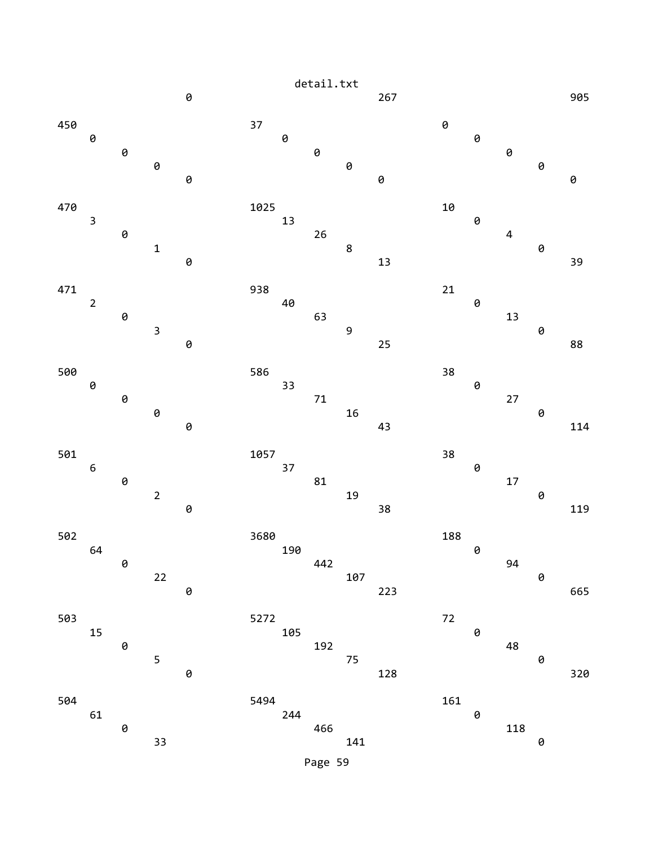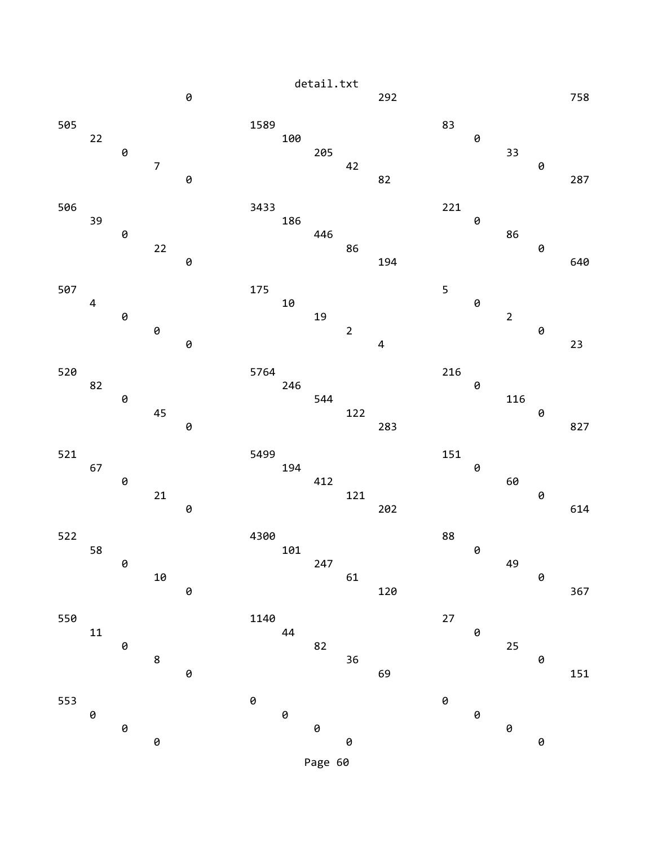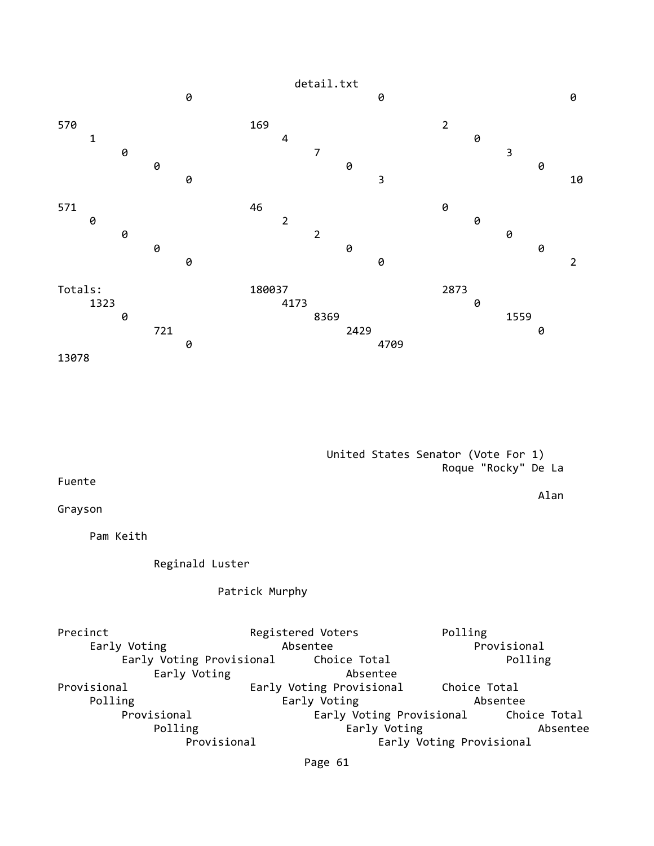

 United States Senator (Vote For 1) Roque "Rocky" De La

Alan

Fuente

Grayson

Pam Keith

Reginald Luster

Patrick Murphy

Precinct Registered Voters Polling Early Voting Absentee Provisional Early Voting Provisional Early Voting **Absentee** Provisional Early Voting Provisional Choice Total Polling **Early Voting Absentee**  Provisional Early Voting Provisional Choice Total Polling **Early Voting Absentee** Provisional Early Voting Provisional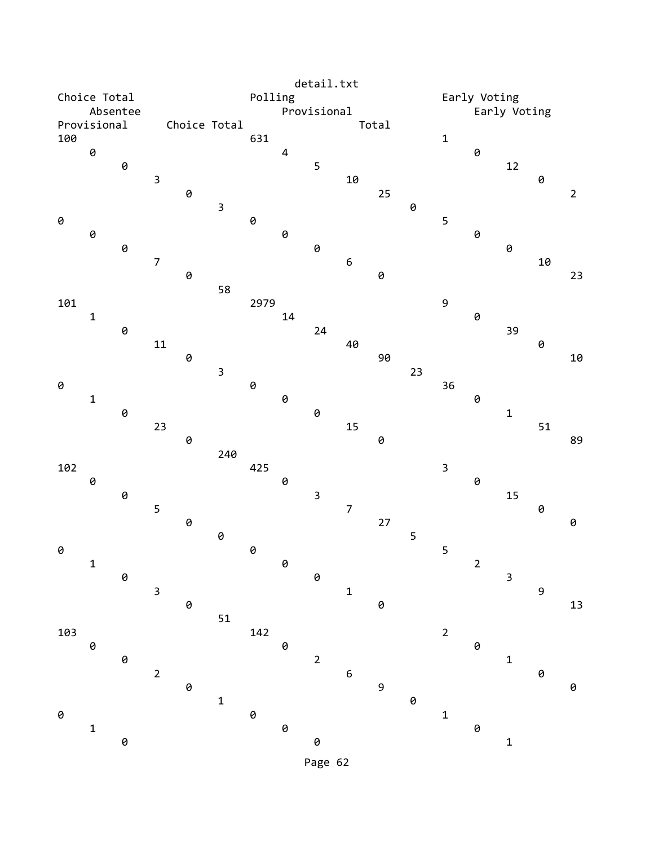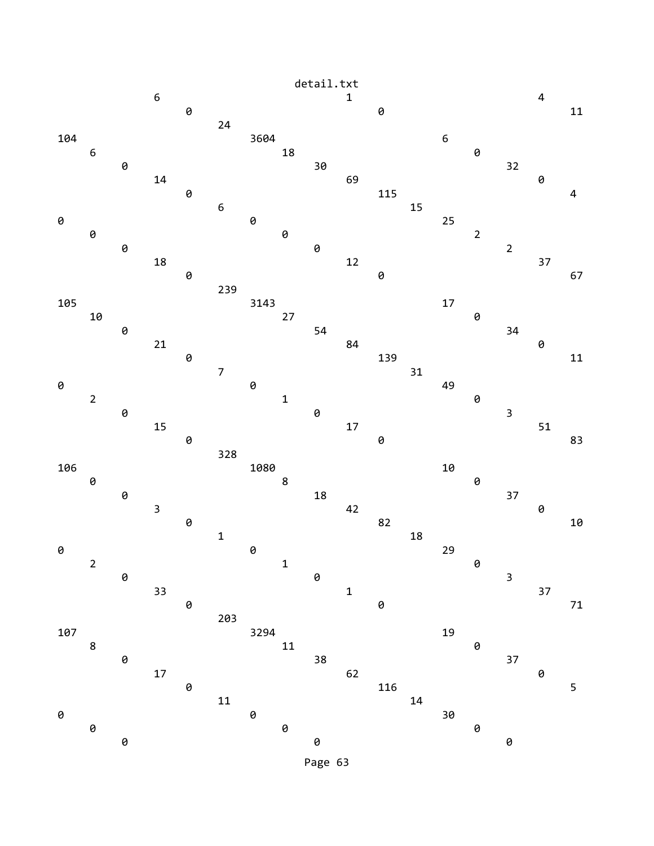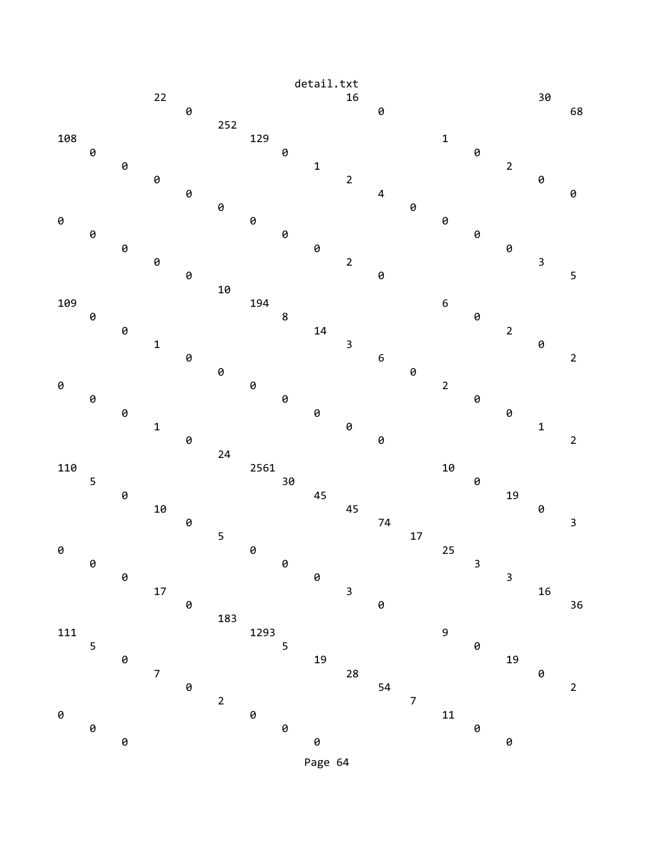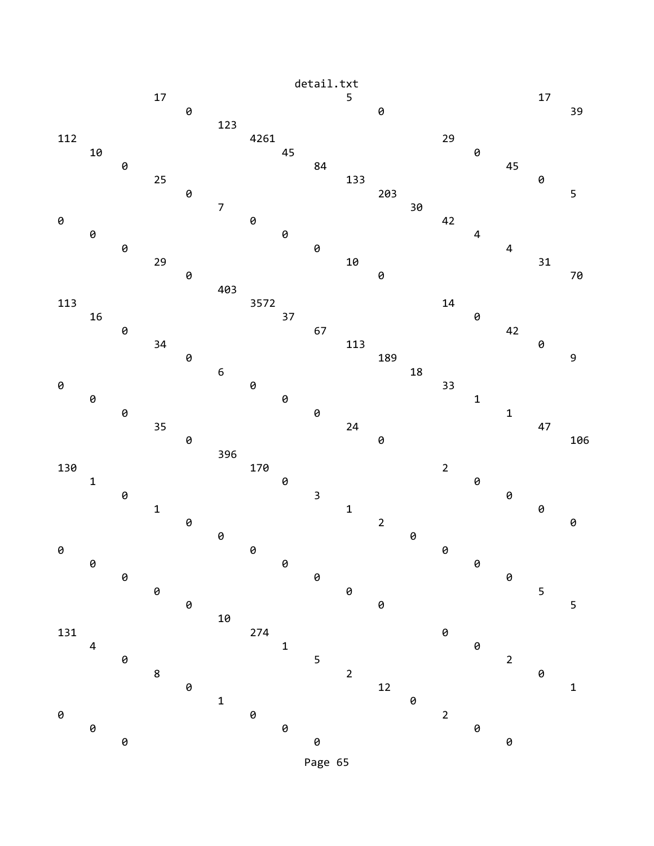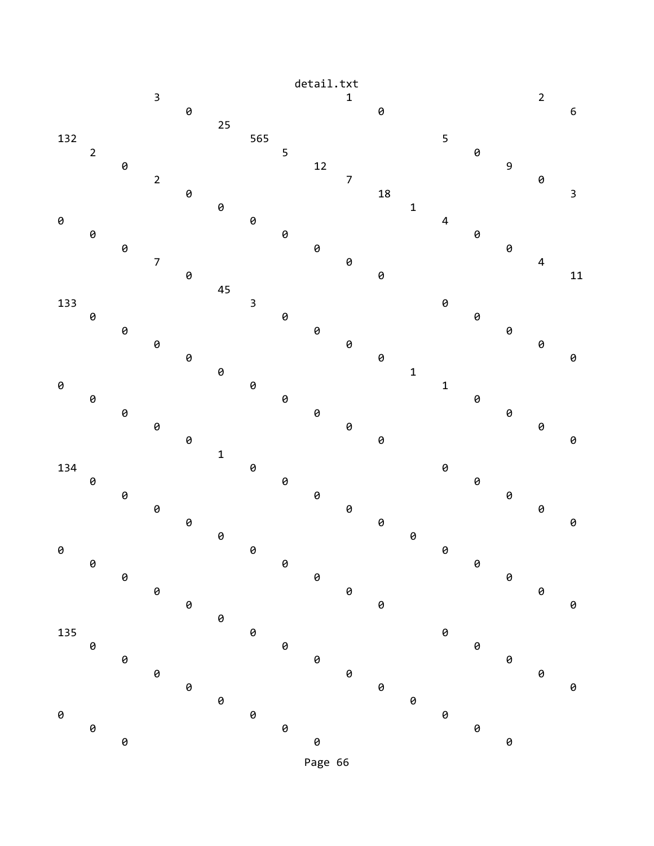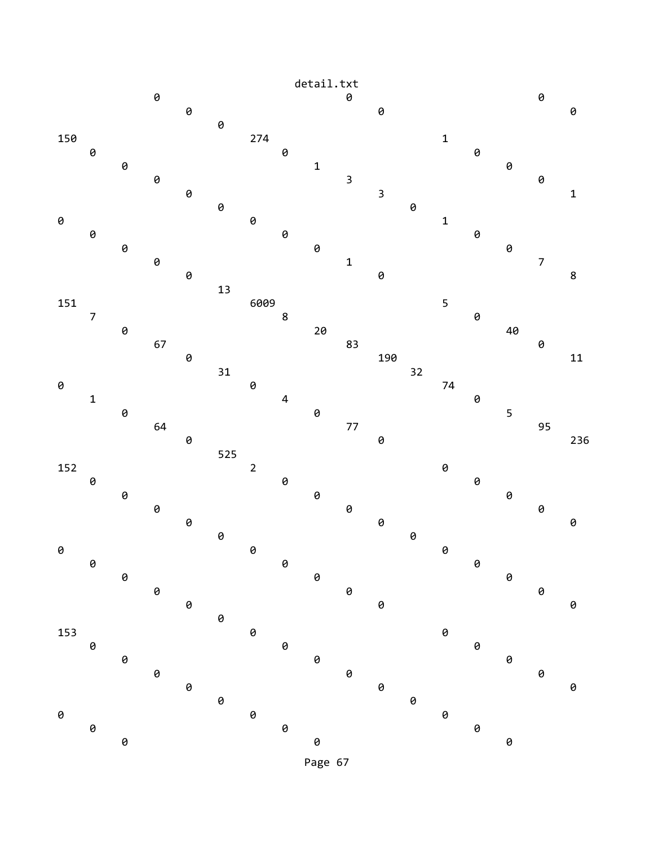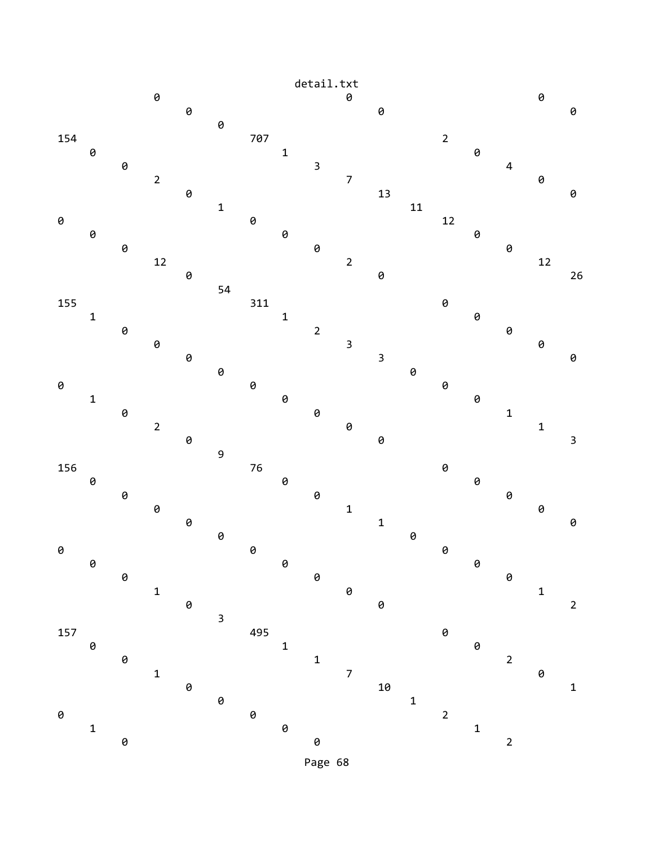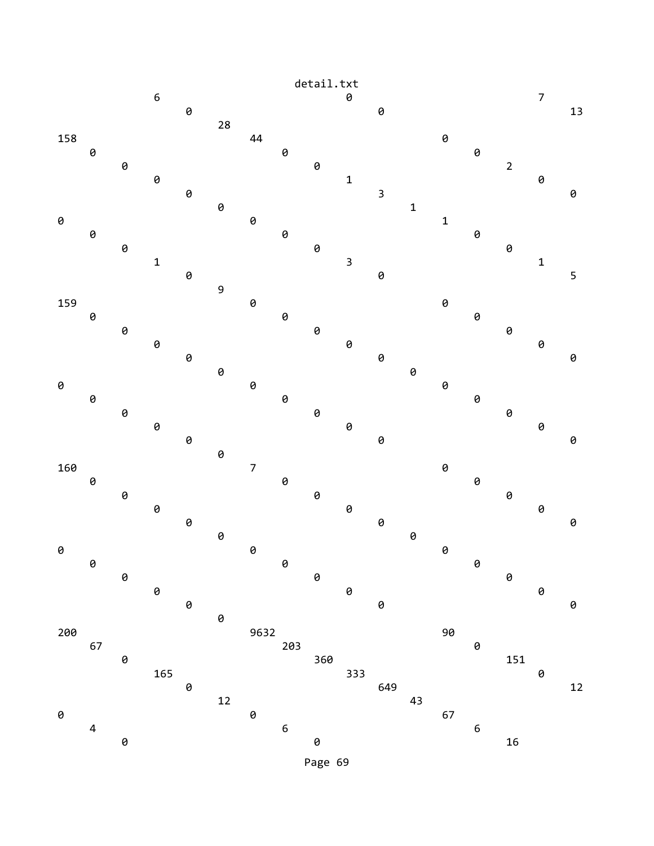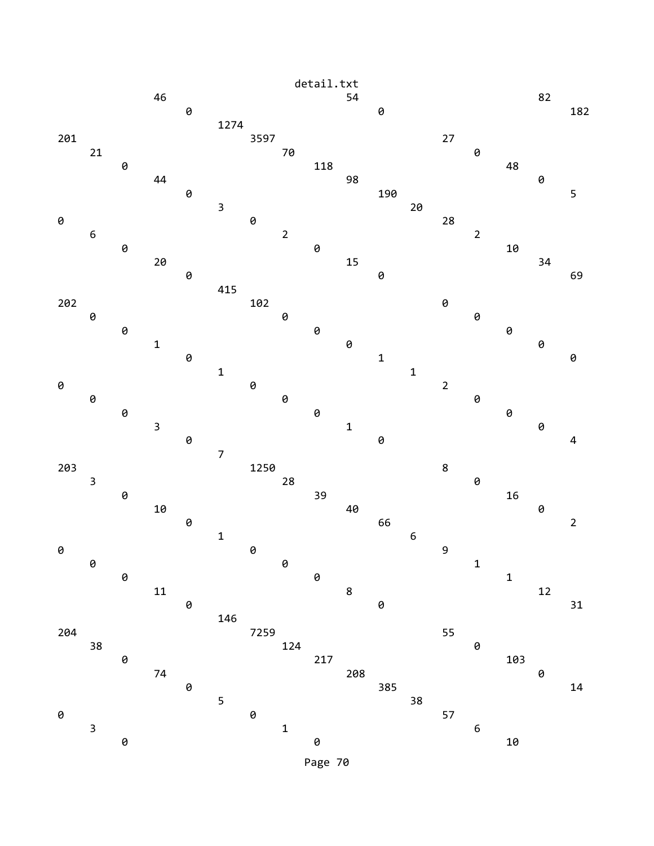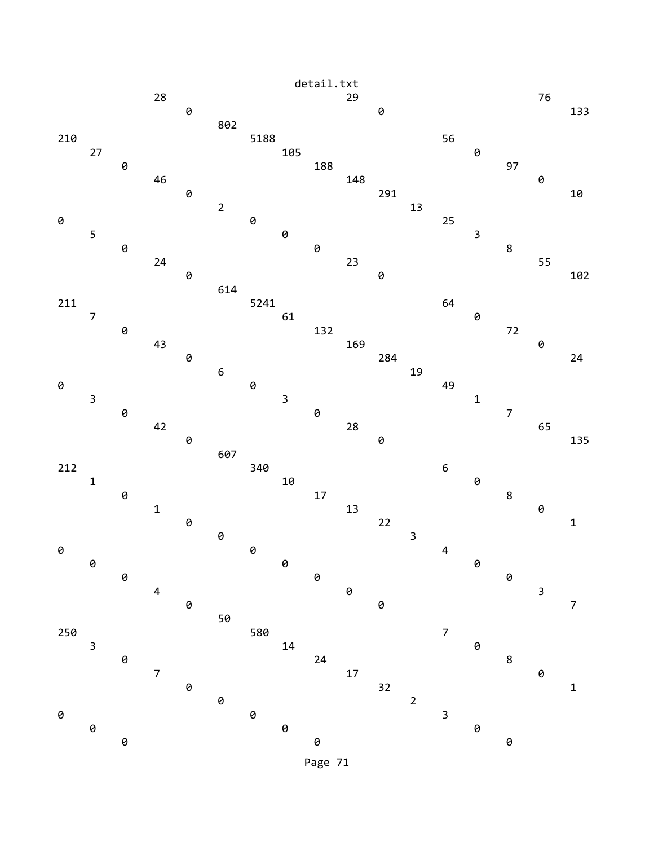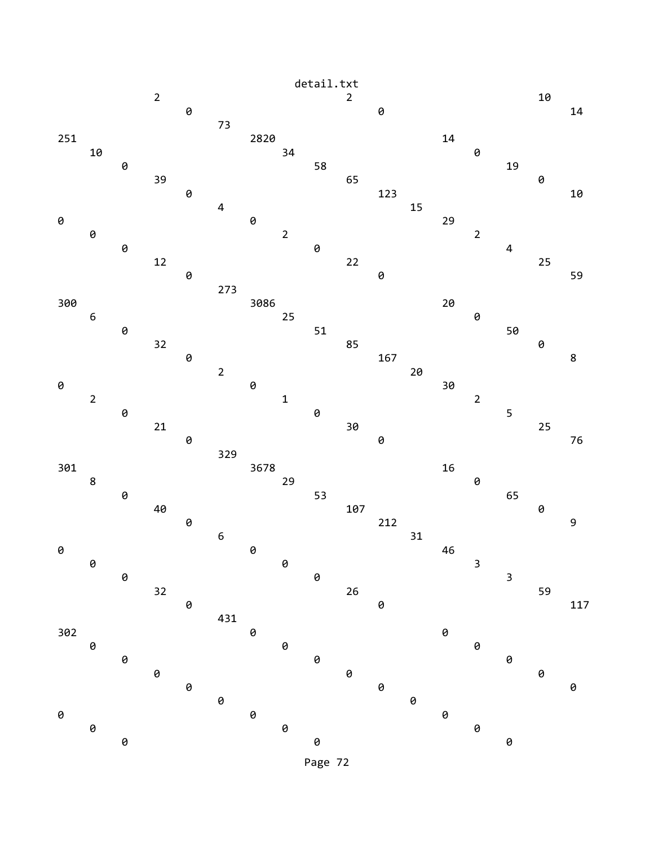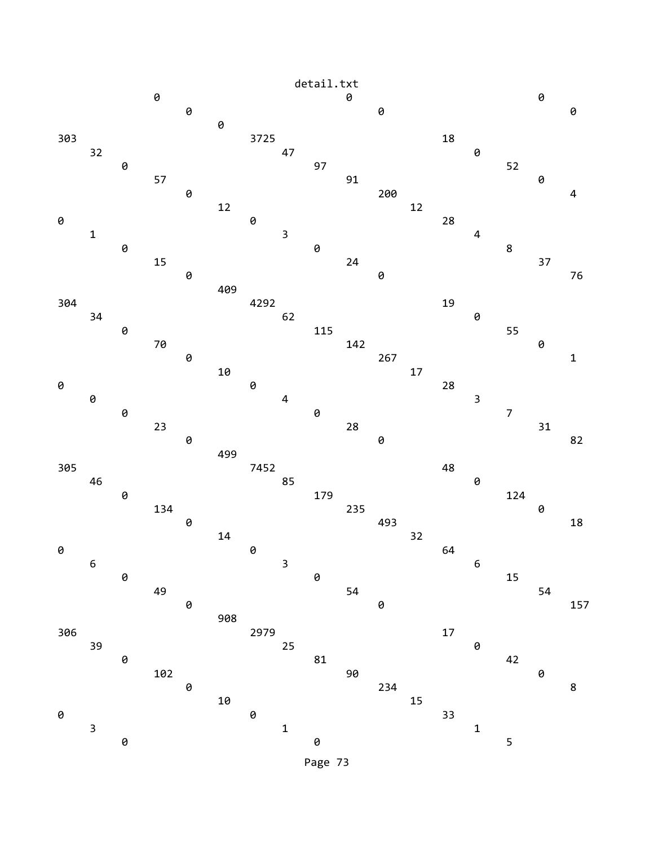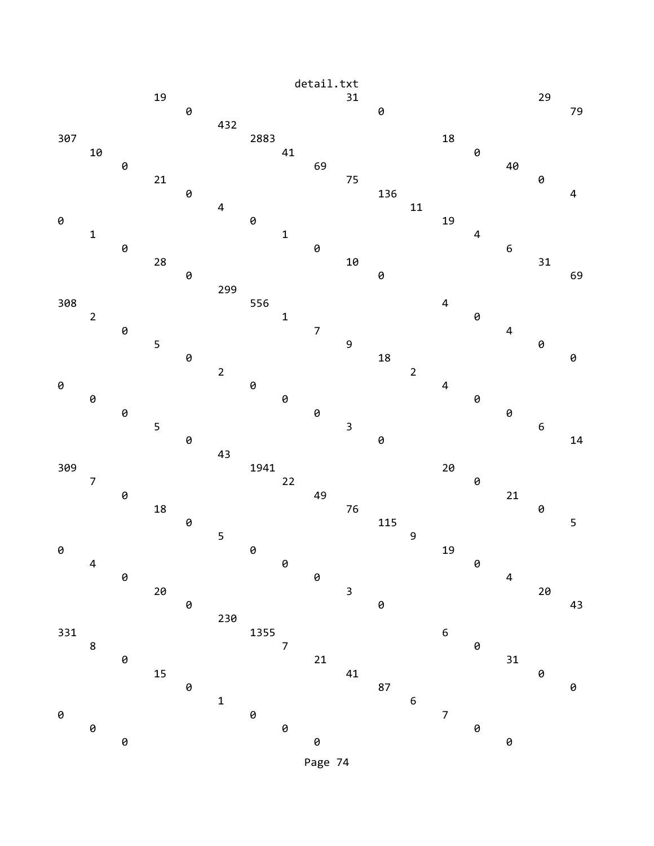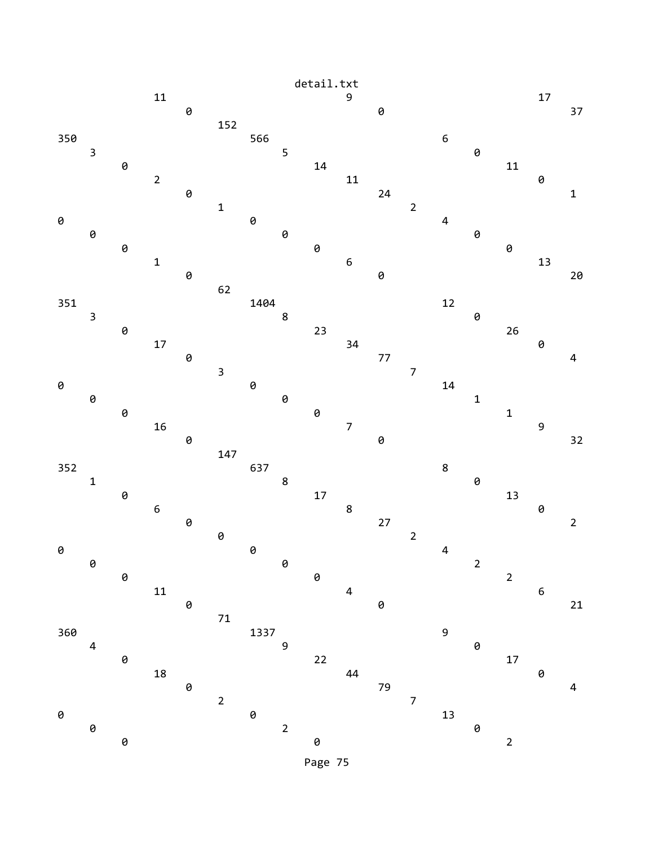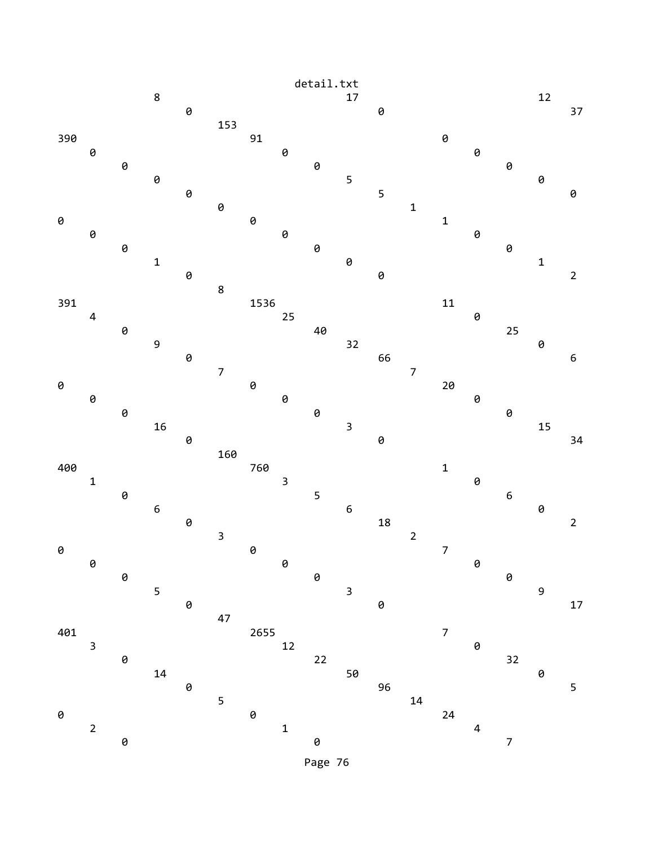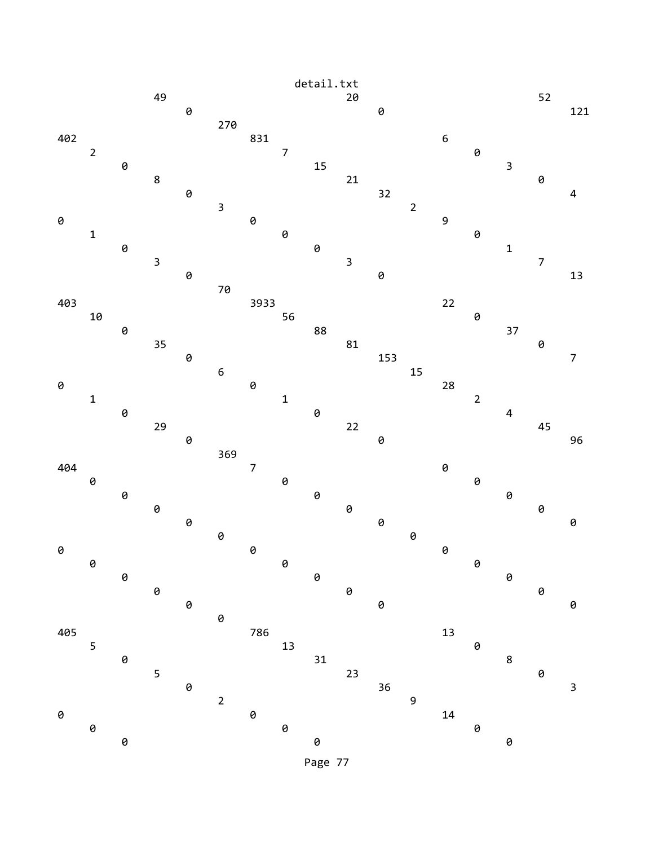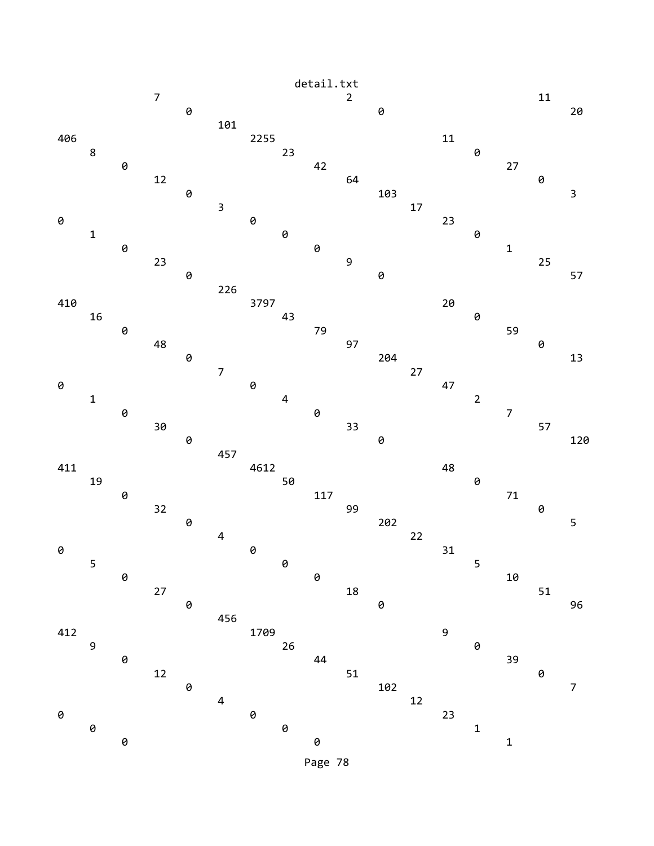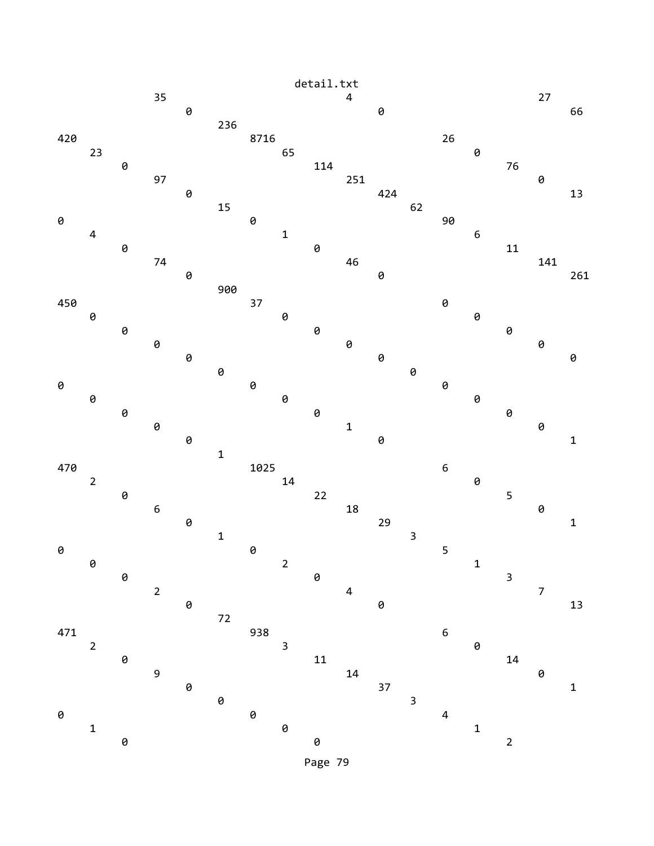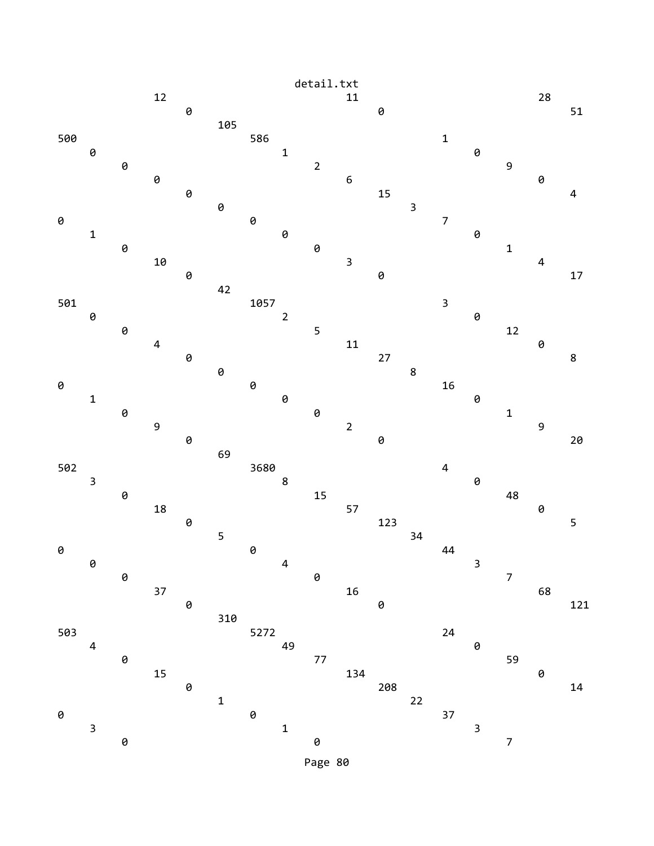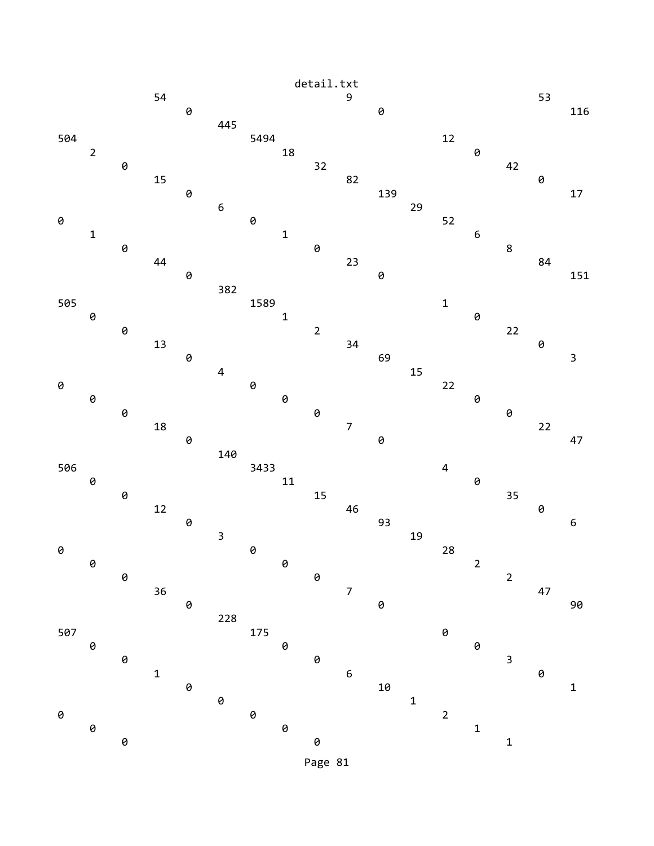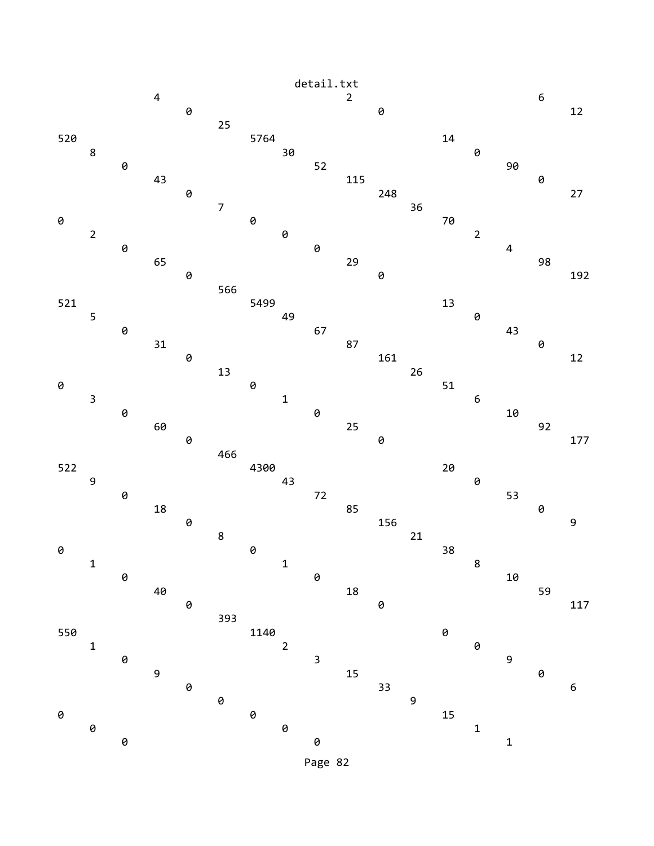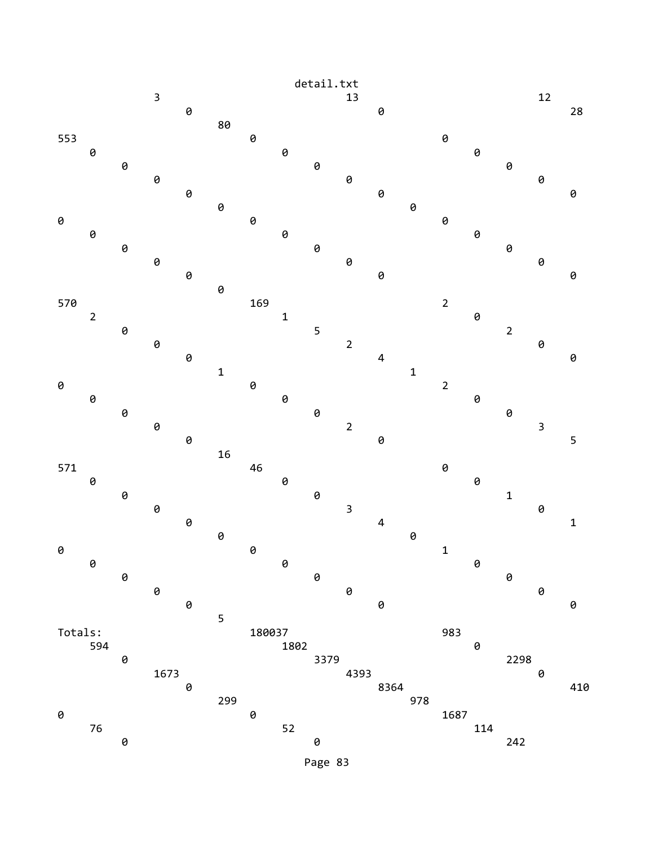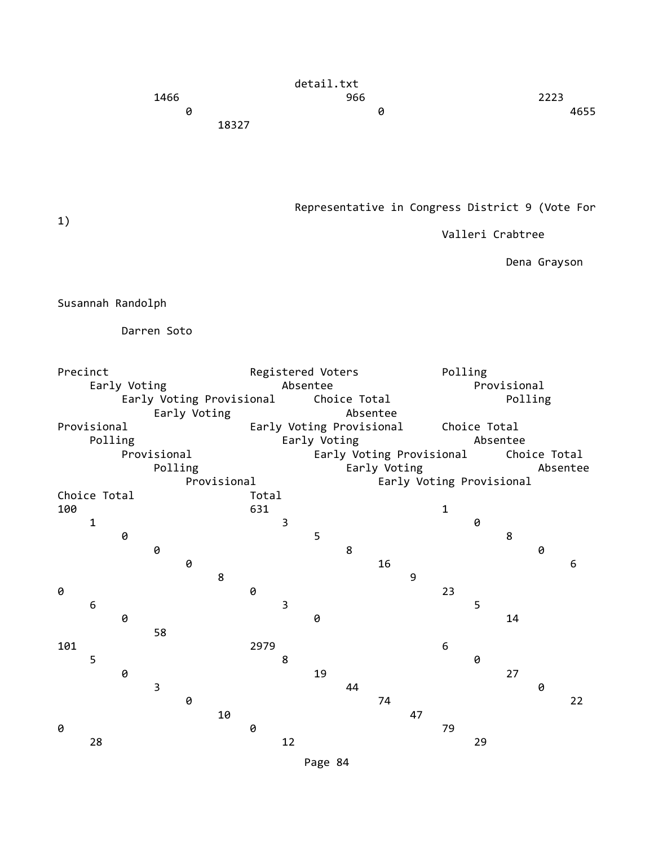|       | detail.txt |      |  |  |
|-------|------------|------|--|--|
| 1466  | 966        | 2223 |  |  |
| 0     | 0          | 4655 |  |  |
| 18327 |            |      |  |  |

Representative in Congress District 9 (Vote For

Valleri Crabtree

Dena Grayson

Susannah Randolph

Darren Soto

| Precinct     |                          |   |             |              |             |              |                          | Registered Voters |          |    |    | Polling                  |              |              |   |    |  |  |  |
|--------------|--------------------------|---|-------------|--------------|-------------|--------------|--------------------------|-------------------|----------|----|----|--------------------------|--------------|--------------|---|----|--|--|--|
| Early Voting |                          |   |             |              |             |              | Absentee                 |                   |          |    |    |                          | Provisional  |              |   |    |  |  |  |
|              | Early Voting Provisional |   |             |              |             |              | Choice Total             |                   |          |    |    | Polling                  |              |              |   |    |  |  |  |
|              |                          |   |             | Early Voting |             |              |                          |                   | Absentee |    |    |                          |              |              |   |    |  |  |  |
| Provisional  |                          |   |             |              |             |              | Early Voting Provisional |                   |          |    |    |                          |              | Choice Total |   |    |  |  |  |
|              | Polling                  |   |             |              |             |              | Early Voting             |                   |          |    |    |                          | Absentee     |              |   |    |  |  |  |
|              |                          |   | Provisional |              |             |              | Early Voting Provisional |                   |          |    |    |                          | Choice Total |              |   |    |  |  |  |
|              |                          |   | Polling     |              |             | Early Voting |                          |                   |          |    |    | Absentee                 |              |              |   |    |  |  |  |
|              |                          |   |             |              | Provisional |              |                          |                   |          |    |    | Early Voting Provisional |              |              |   |    |  |  |  |
|              | Choice Total             |   |             |              |             |              | Total                    |                   |          |    |    |                          |              |              |   |    |  |  |  |
| 100          |                          |   |             |              |             | 631          |                          |                   |          |    |    | 1                        |              |              |   |    |  |  |  |
|              | 1                        |   |             |              |             |              | 3                        |                   |          |    |    |                          | 0            |              |   |    |  |  |  |
|              |                          | 0 |             |              |             |              |                          | 5                 |          |    |    |                          |              | 8            |   |    |  |  |  |
|              |                          |   | 0           |              |             |              |                          |                   | 8        |    |    |                          |              |              | 0 |    |  |  |  |
|              |                          |   |             | 0            |             |              |                          |                   |          | 16 |    |                          |              |              |   | 6  |  |  |  |
|              |                          |   |             |              | 8           |              |                          |                   |          |    | 9  |                          |              |              |   |    |  |  |  |
| 0            |                          |   |             |              |             | 0            |                          |                   |          |    |    | 23                       |              |              |   |    |  |  |  |
|              | 6                        |   |             |              |             |              | 3                        |                   |          |    |    |                          | 5            |              |   |    |  |  |  |
|              |                          | 0 |             |              |             |              |                          | 0                 |          |    |    |                          |              | 14           |   |    |  |  |  |
|              |                          |   | 58          |              |             |              |                          |                   |          |    |    |                          |              |              |   |    |  |  |  |
| 101          |                          |   |             |              |             | 2979         |                          |                   |          |    |    | 6                        |              |              |   |    |  |  |  |
|              | 5                        |   |             |              |             |              | 8                        |                   |          |    |    |                          | 0            |              |   |    |  |  |  |
|              |                          | 0 |             |              |             |              |                          | 19                |          |    |    |                          |              | 27           |   |    |  |  |  |
|              |                          |   | 3           |              |             |              |                          |                   | 44       |    |    |                          |              |              | 0 |    |  |  |  |
|              |                          |   |             | 0            |             |              |                          |                   |          | 74 |    |                          |              |              |   | 22 |  |  |  |
|              |                          |   |             |              | 10          |              |                          |                   |          |    | 47 |                          |              |              |   |    |  |  |  |
| 0            |                          |   |             |              |             | 0            |                          |                   |          |    |    | 79                       |              |              |   |    |  |  |  |
|              | 28                       |   |             |              |             |              | 12                       |                   |          |    |    |                          | 29           |              |   |    |  |  |  |

1)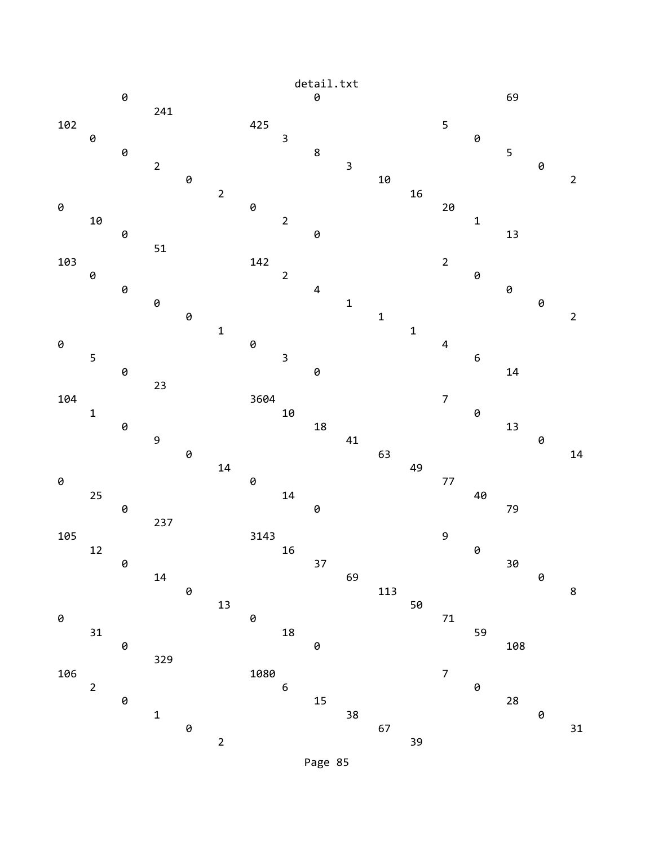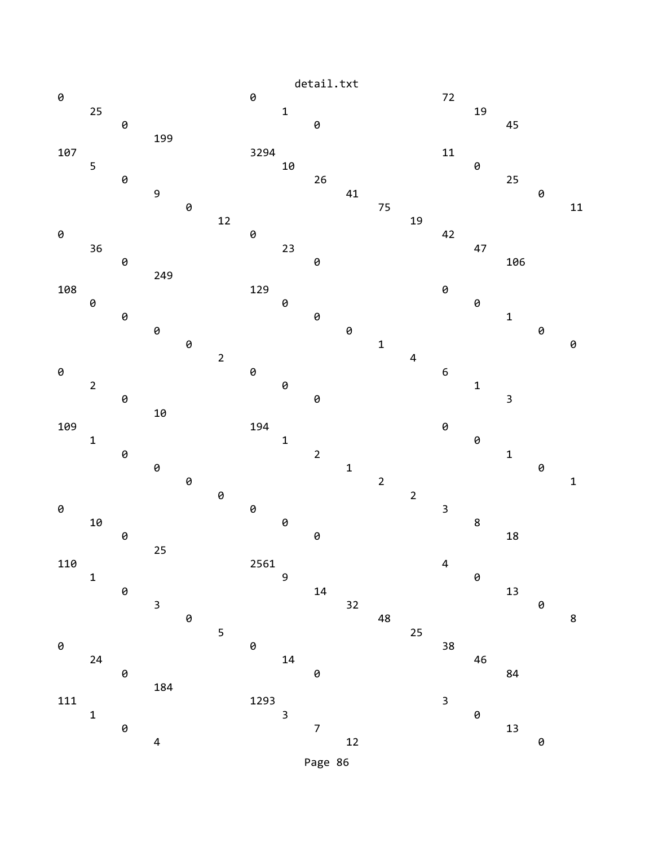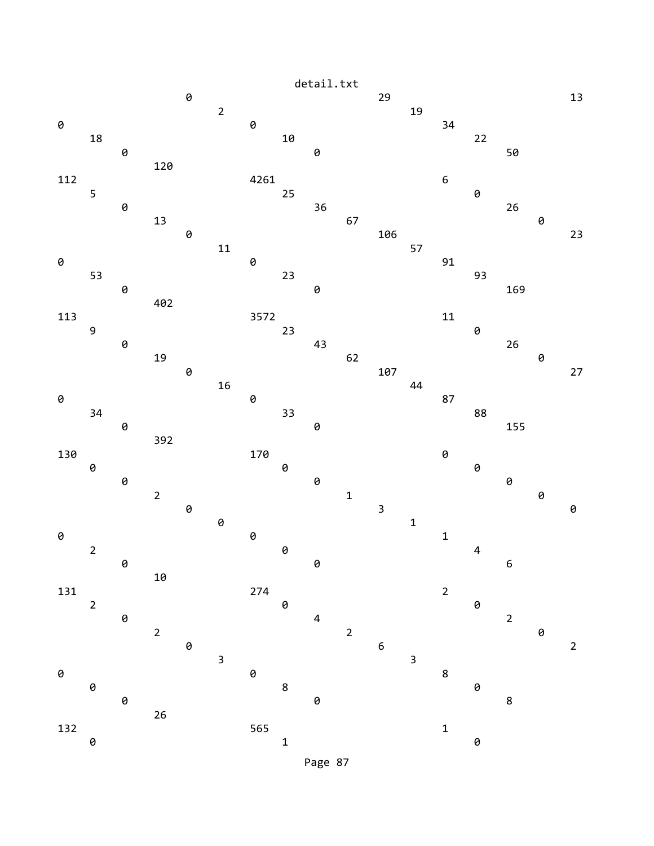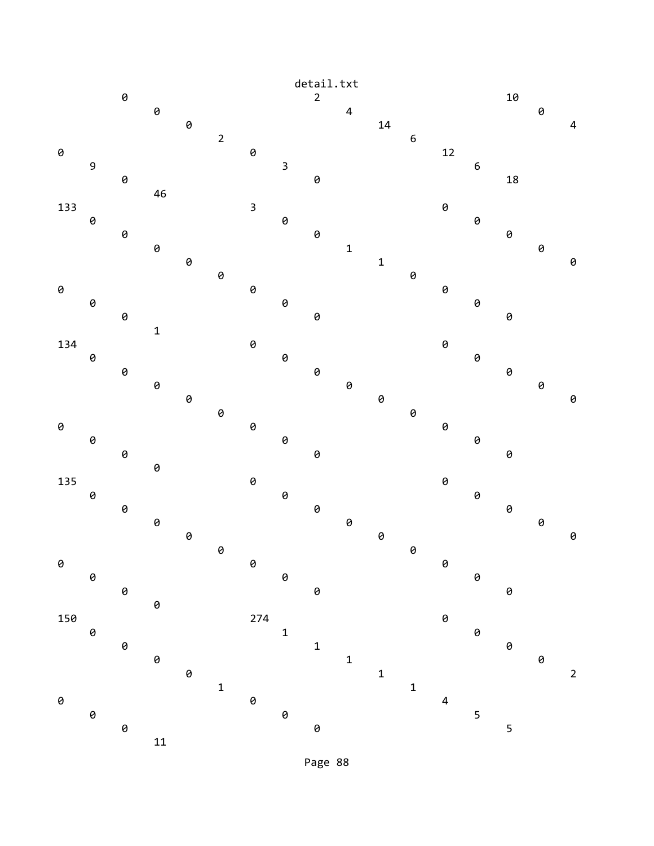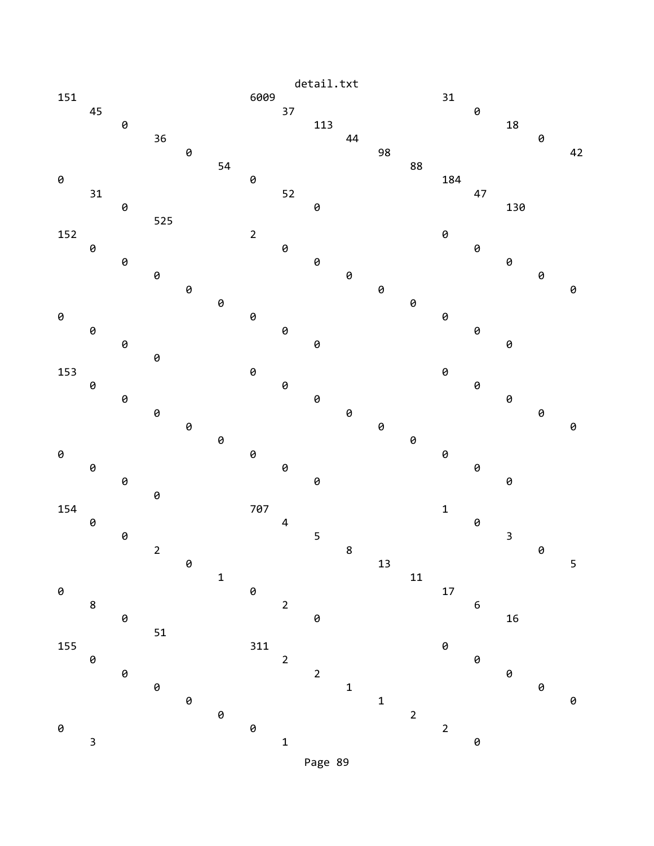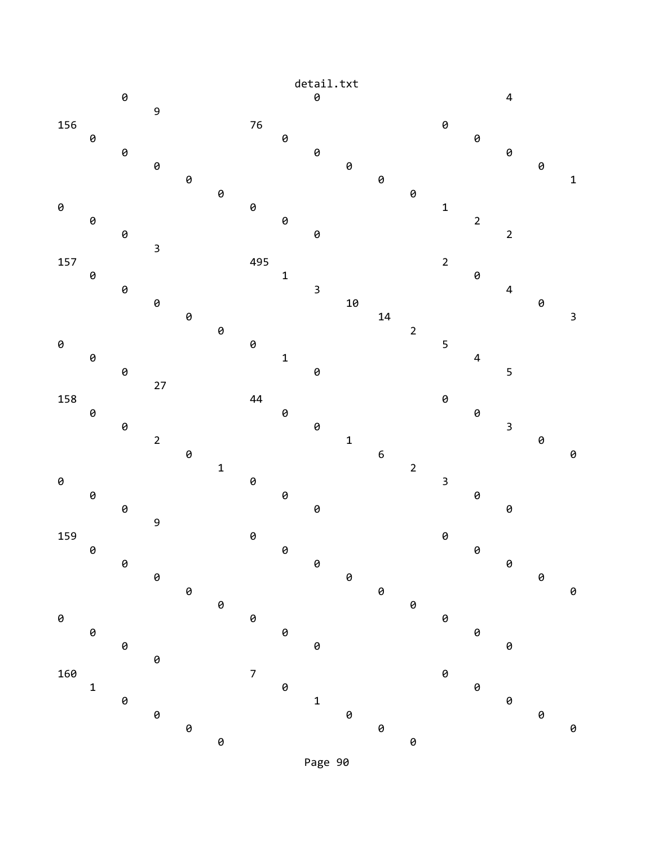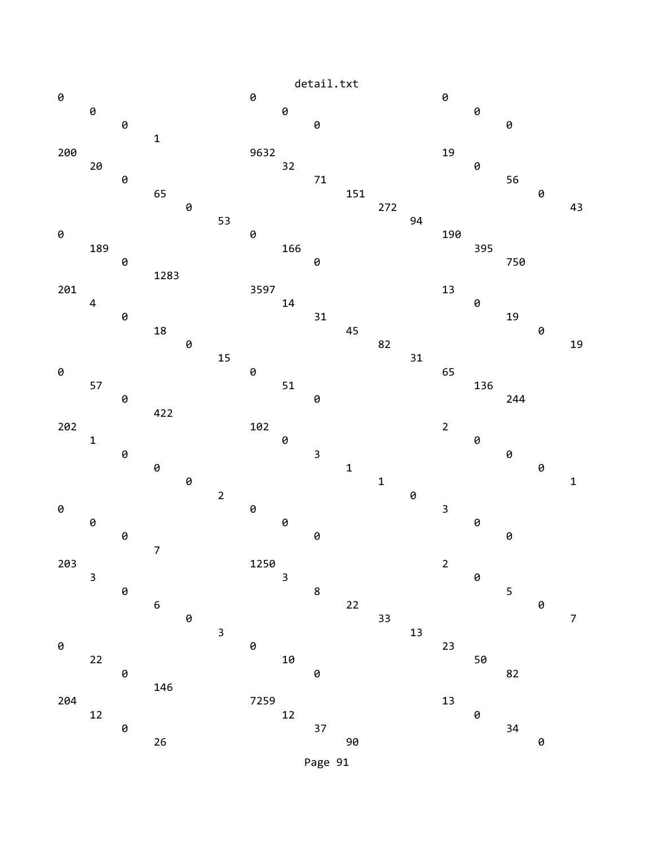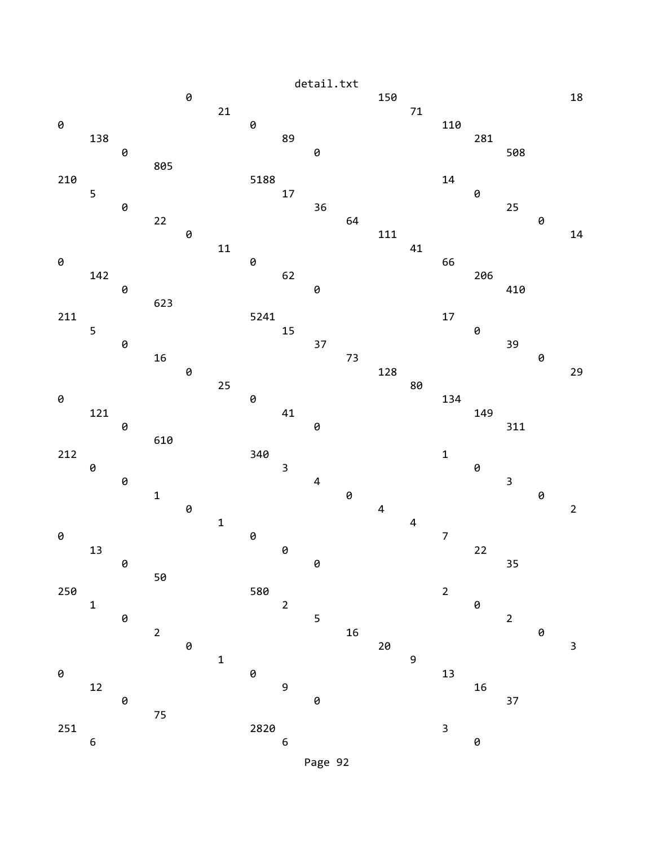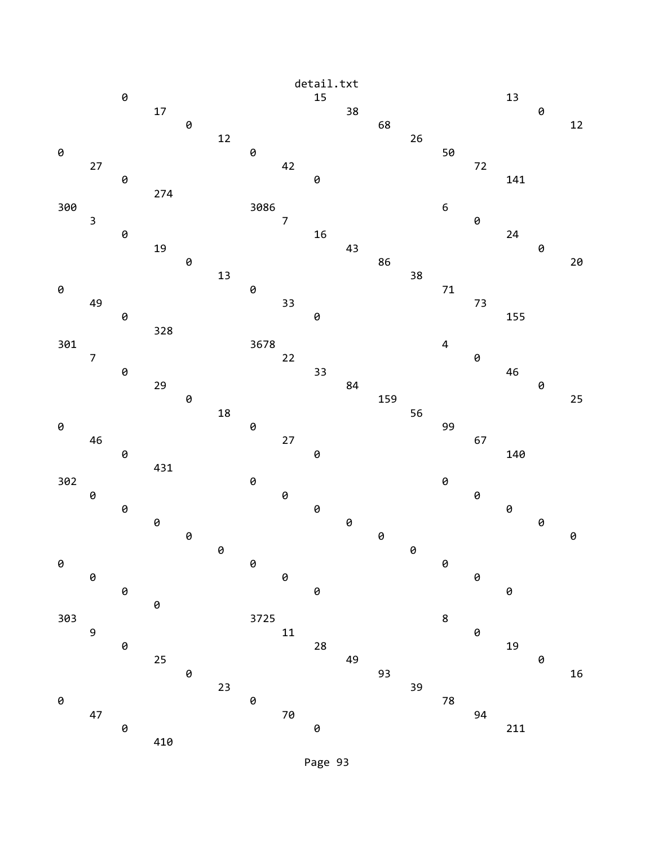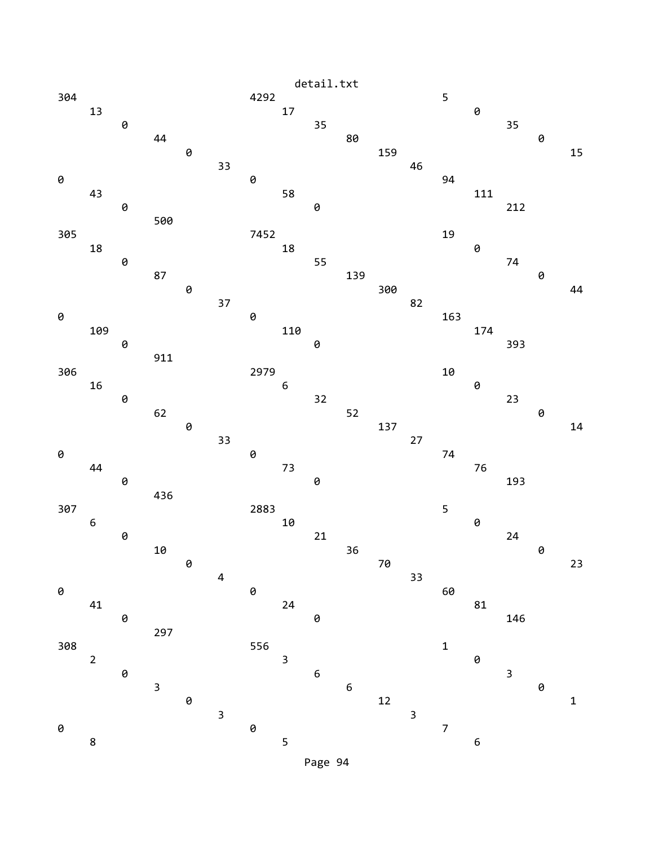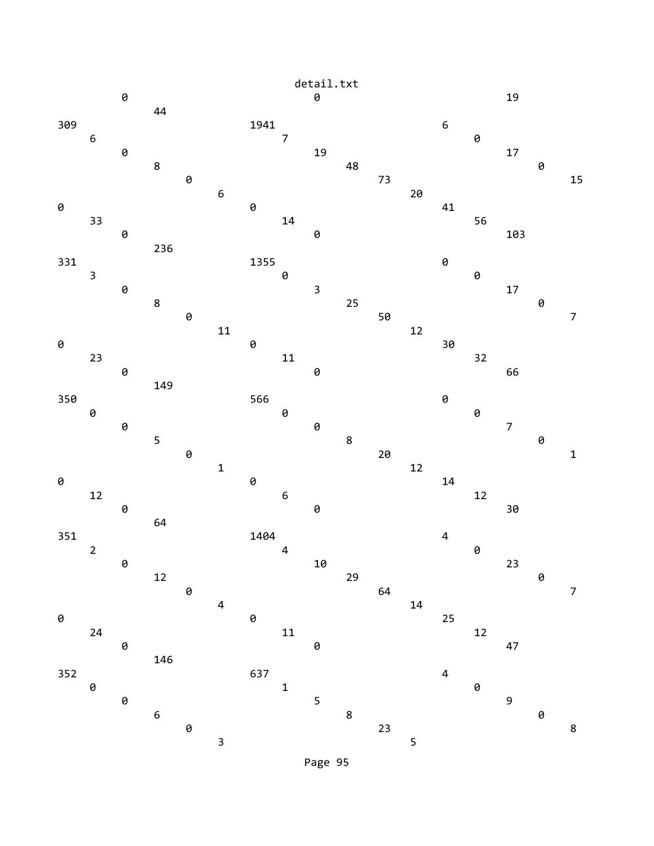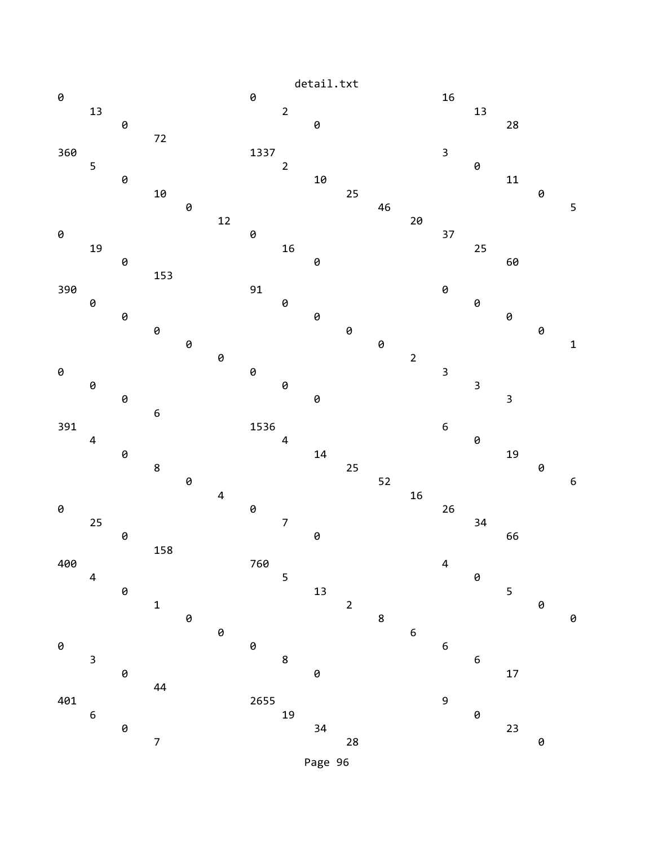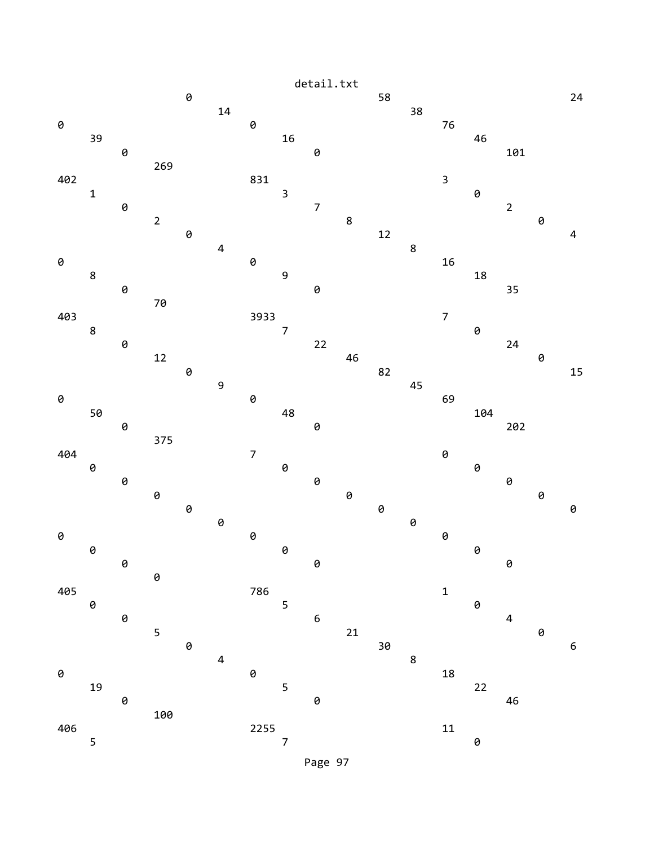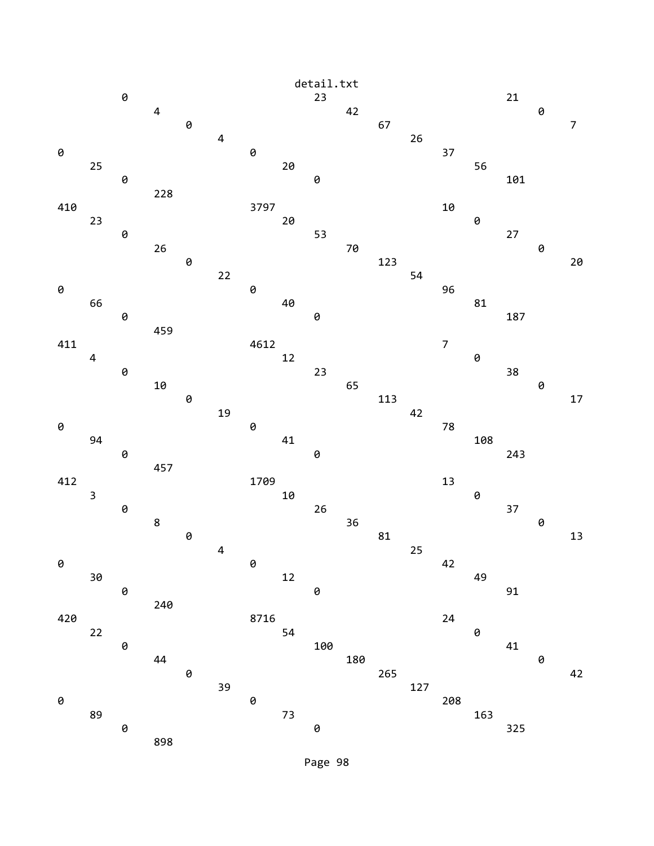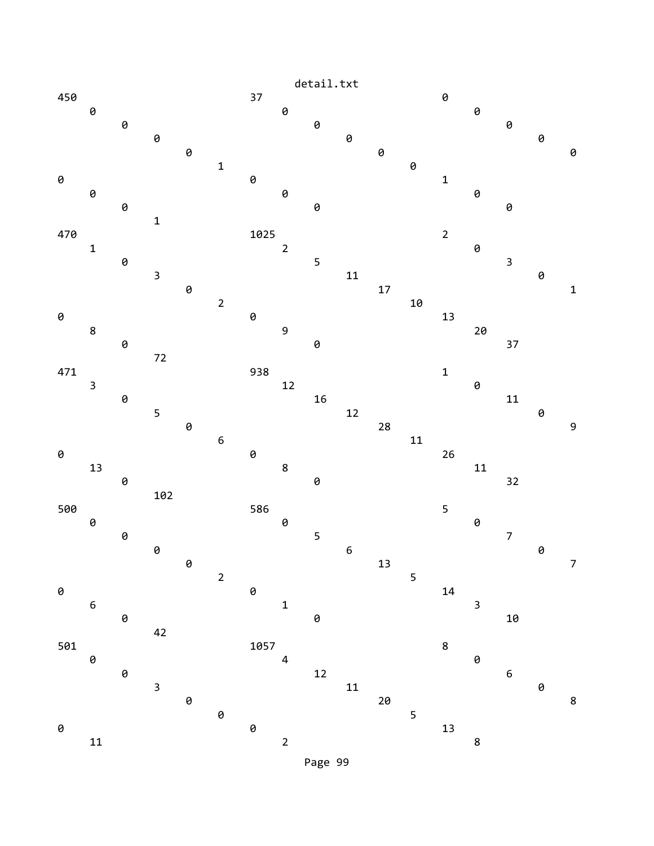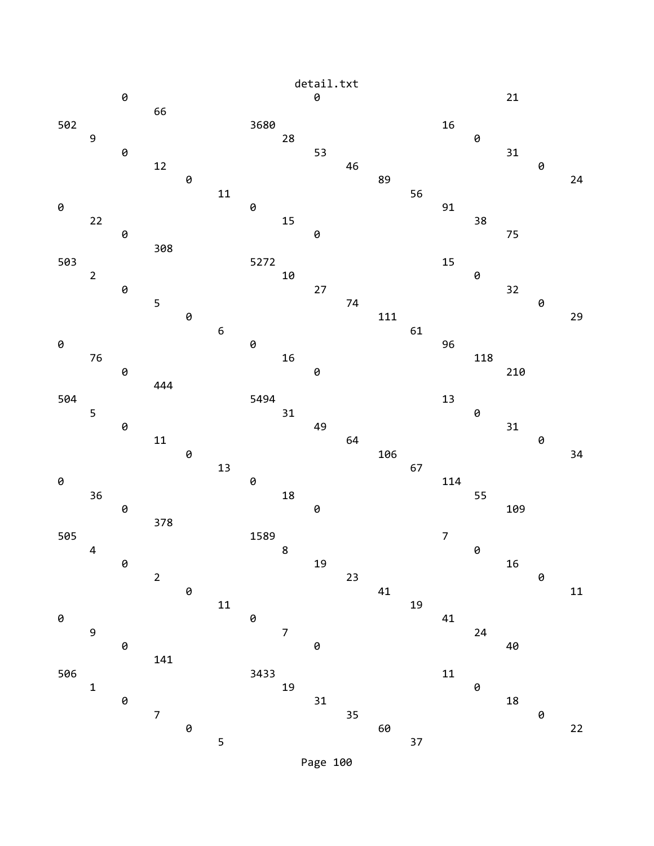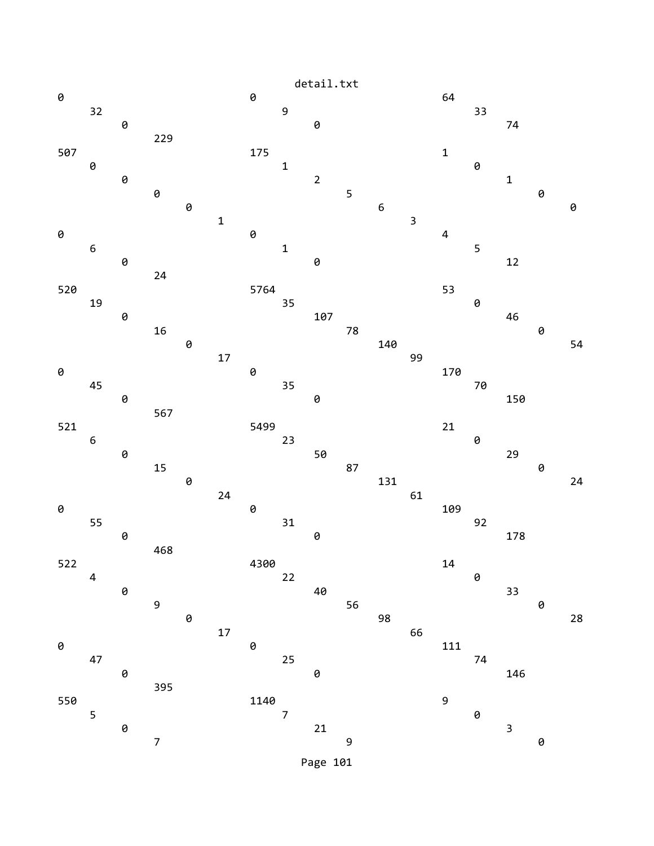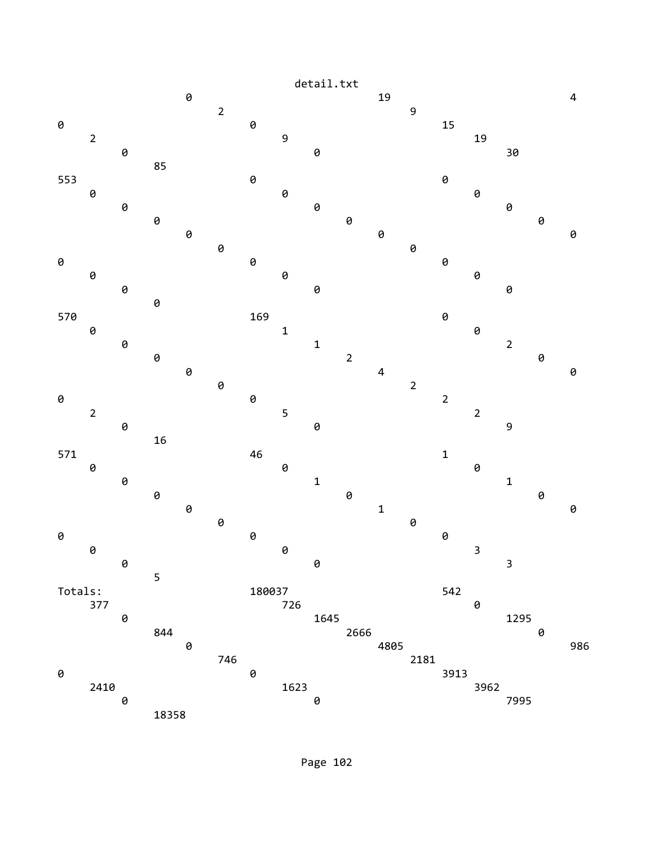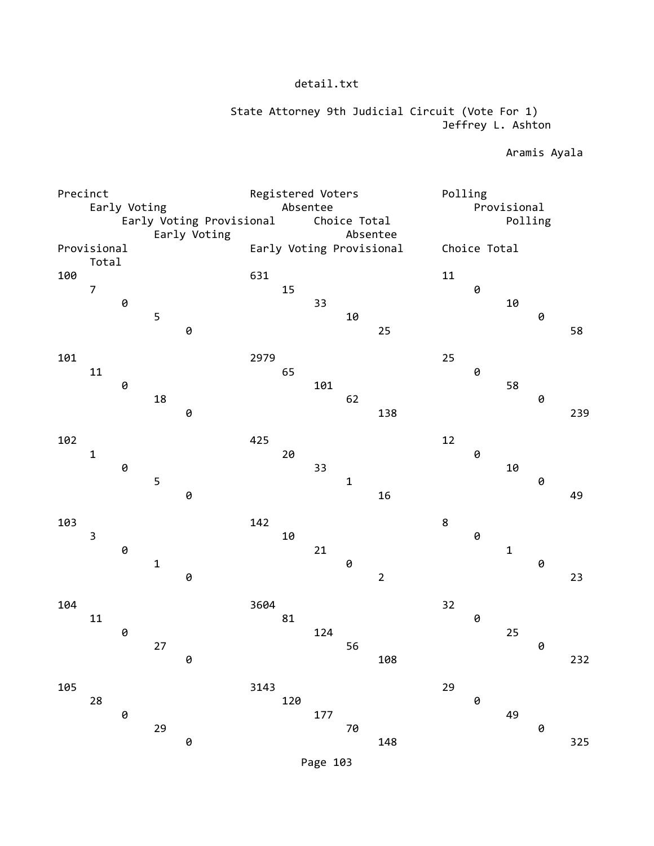## State Attorney 9th Judicial Circuit (Vote For 1) Jeffrey L. Ashton

Aramis Ayala

| Precinct |                          | Early Voting   |             |              |      | Absentee | Registered Voters |                                      |                | Polling |              | Provisional |   |     |
|----------|--------------------------|----------------|-------------|--------------|------|----------|-------------------|--------------------------------------|----------------|---------|--------------|-------------|---|-----|
|          | Early Voting Provisional |                |             | Choice Total |      |          |                   |                                      | Polling        |         |              |             |   |     |
|          | Provisional<br>Total     |                |             | Early Voting |      |          |                   | Absentee<br>Early Voting Provisional |                |         | Choice Total |             |   |     |
| 100      | $\overline{7}$           |                |             |              | 631  | 15       |                   |                                      |                | 11      | 0            |             |   |     |
|          |                          | 0              | 5           | 0            |      |          | 33                | 10                                   | 25             |         |              | 10          | 0 | 58  |
| 101      | 11                       |                |             |              | 2979 | 65       |                   |                                      |                | 25      | 0            |             |   |     |
|          |                          | 0              | 18          |              |      |          | 101               | 62                                   |                |         |              | 58          | 0 |     |
| 102      |                          |                |             | 0            | 425  |          |                   |                                      | 138            | 12      |              |             |   | 239 |
|          | $\mathbf 1$              | 0              | 5           |              |      | 20       | 33                | $\mathbf 1$                          |                |         | 0            | 10          | 0 |     |
|          |                          |                |             | 0            |      |          |                   |                                      | 16             |         |              |             |   | 49  |
| 103      | $\mathsf 3$              | $\pmb{\Theta}$ |             |              | 142  | 10       | 21                |                                      |                | $\bf 8$ | 0            | $\mathbf 1$ |   |     |
|          |                          |                | $\mathbf 1$ | 0            |      |          |                   | 0                                    | $\overline{2}$ |         |              |             | 0 | 23  |
| 104      | 11                       | $\pmb{\Theta}$ |             |              | 3604 | 81       | 124               |                                      |                | 32      | 0            | 25          |   |     |
|          |                          |                | 27          | 0            |      |          |                   | 56                                   | 108            |         |              |             | 0 | 232 |
| 105      | 28                       |                |             |              | 3143 | 120      |                   |                                      |                | 29      | 0            |             |   |     |
|          |                          | 0              | 29          | 0            |      |          | 177               | $7\theta$                            | 148            |         |              | 49          | 0 | 325 |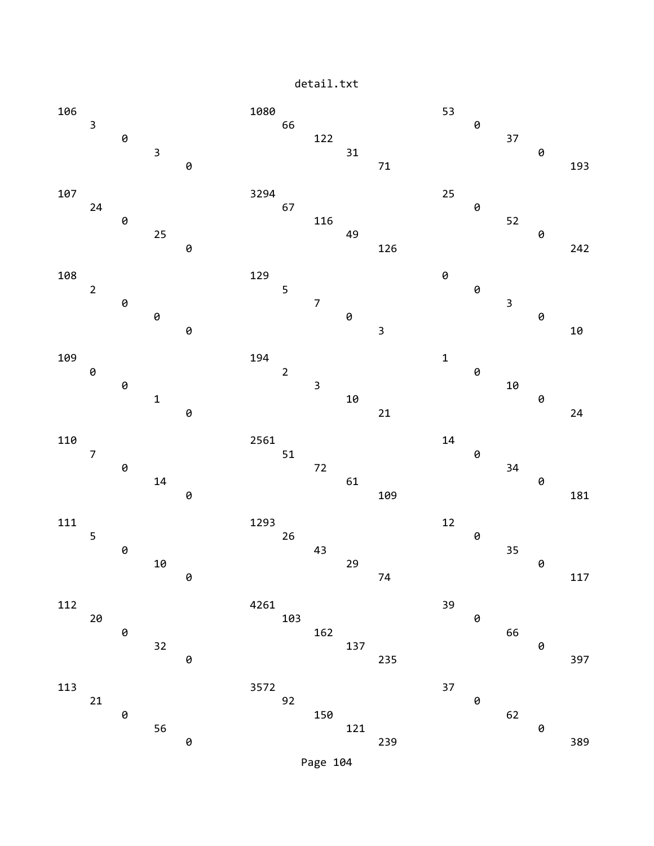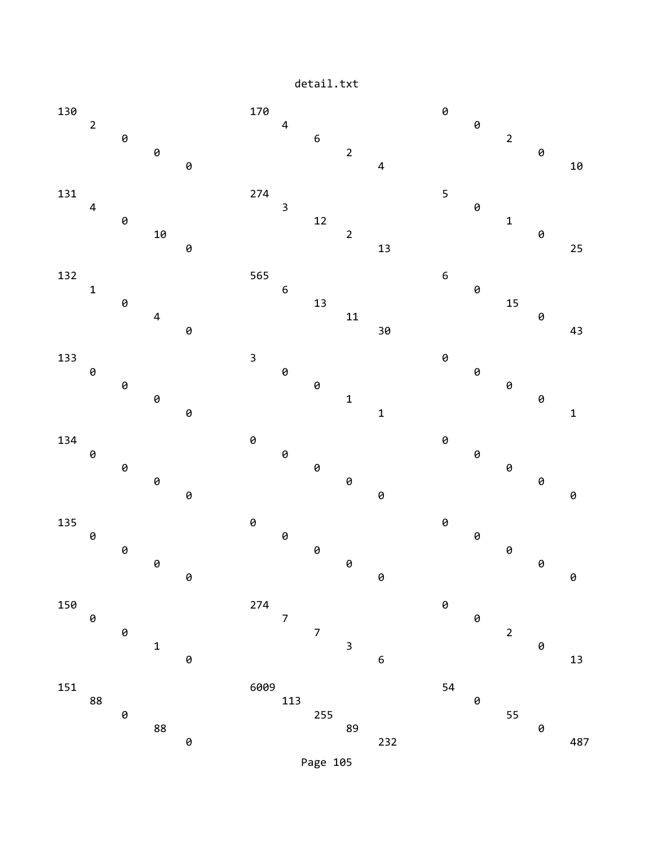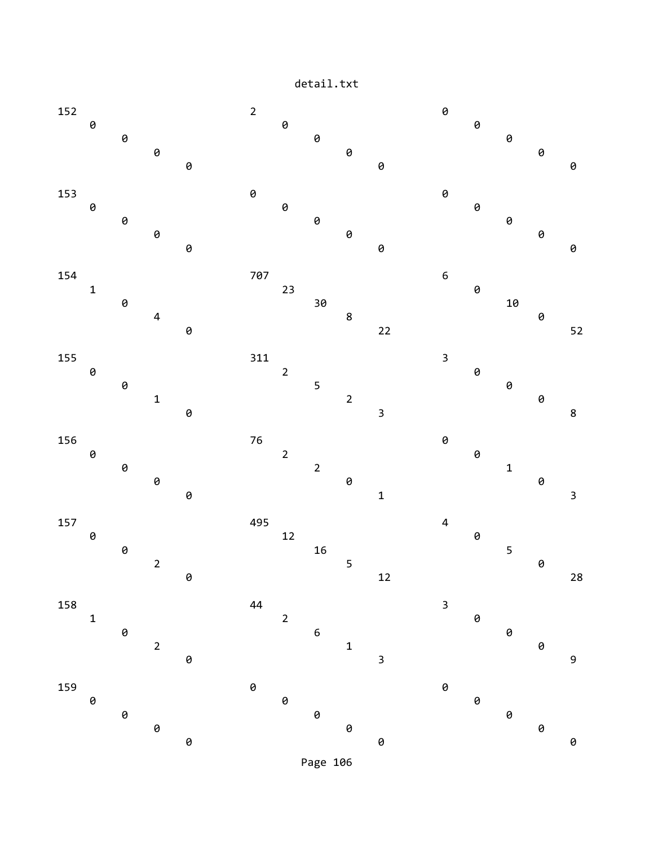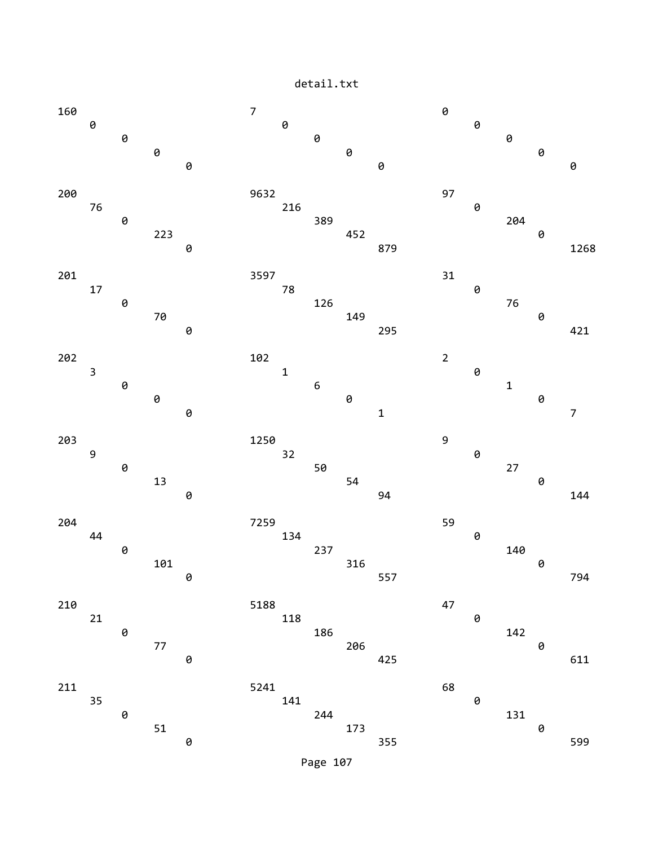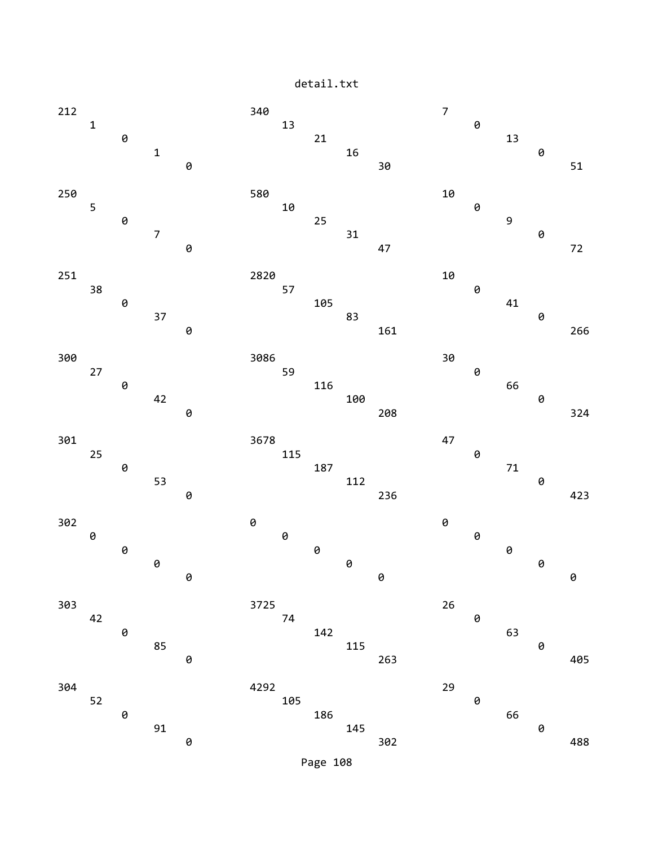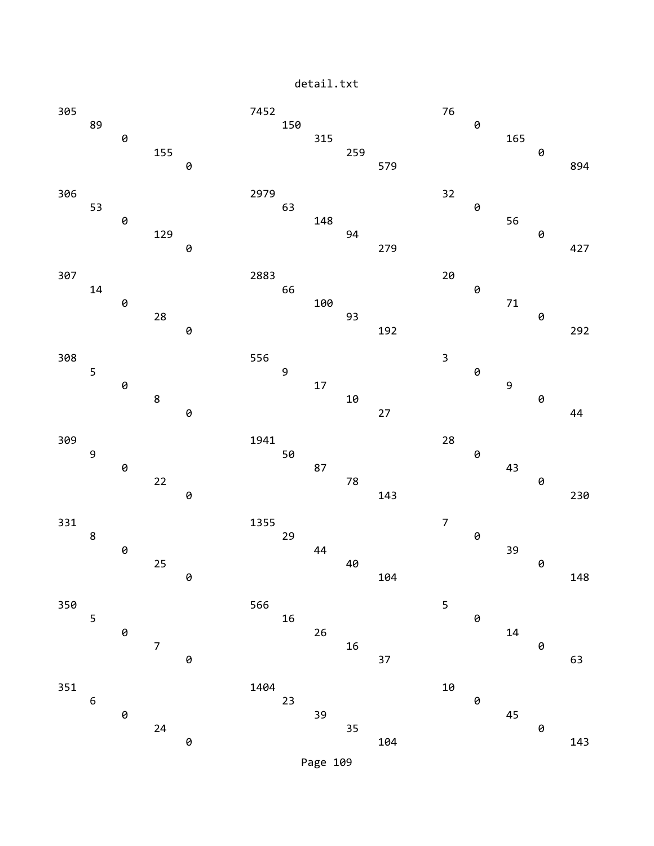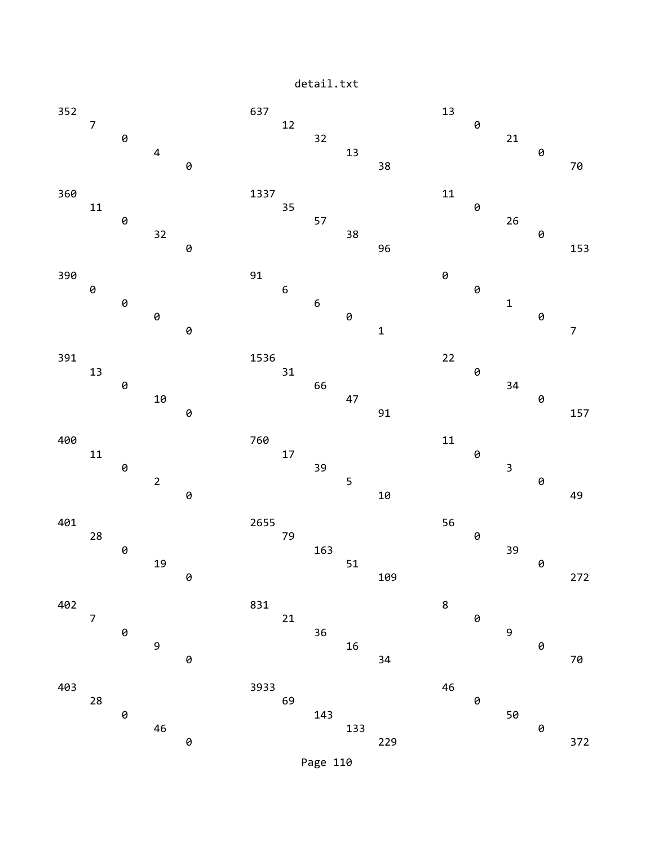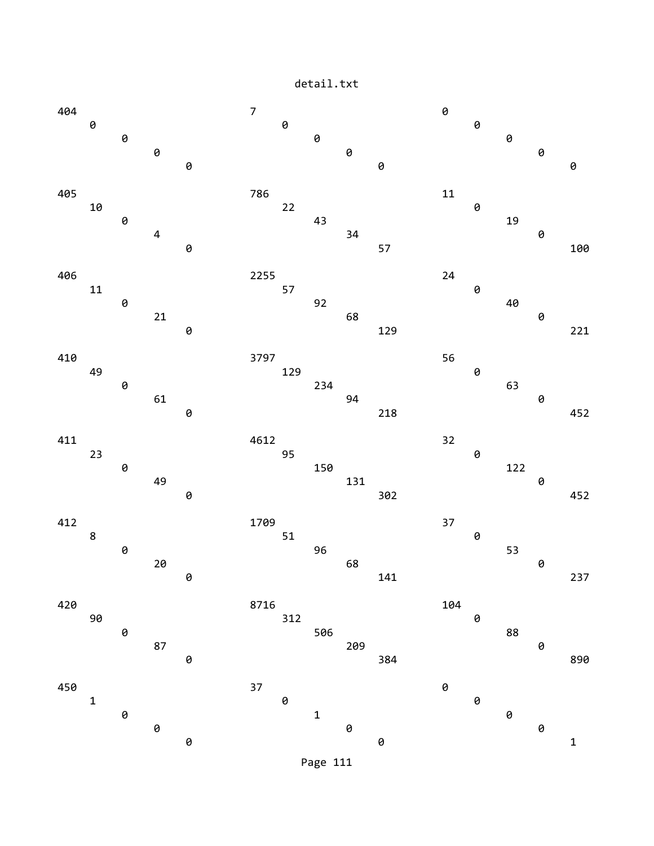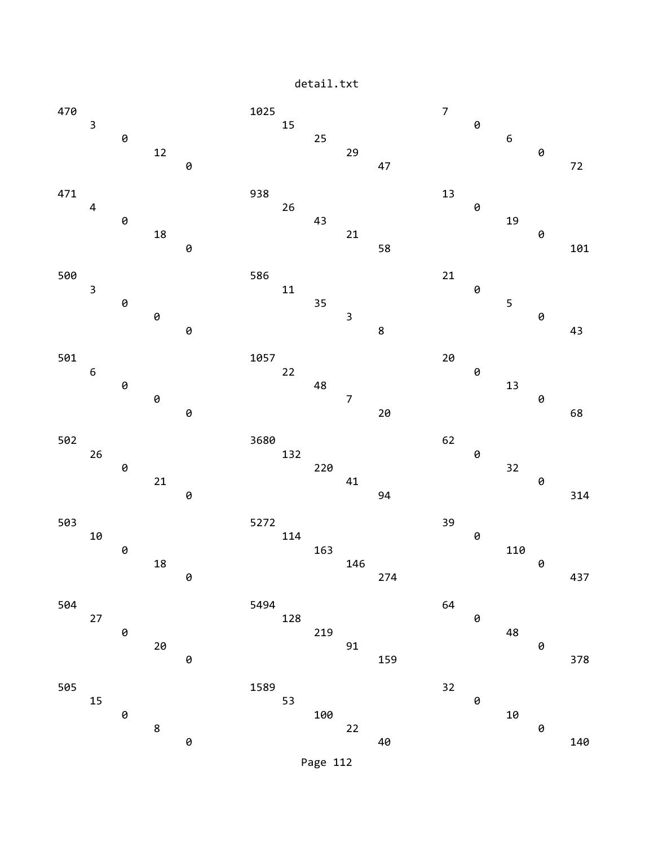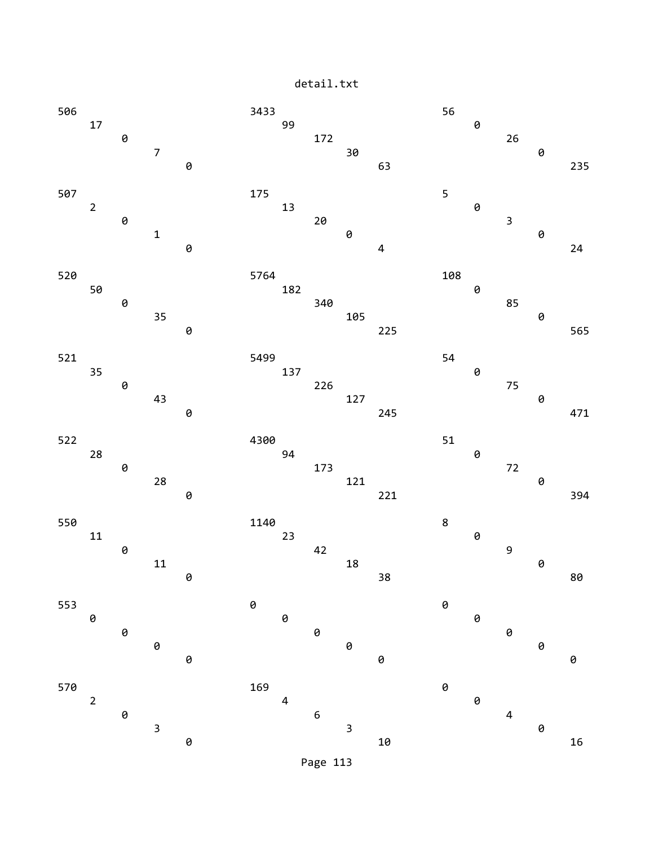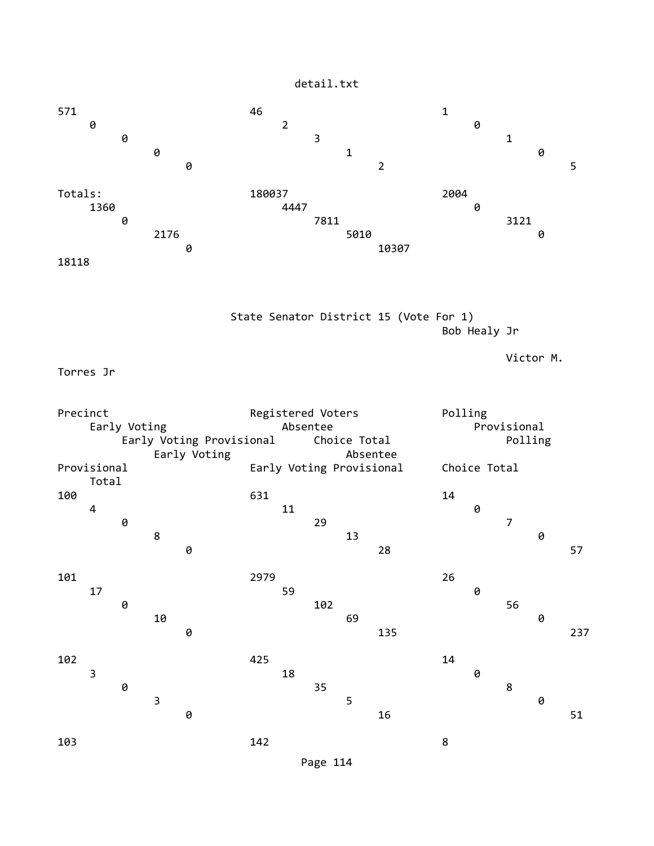

 State Senator District 15 (Vote For 1) Bob Healy Jr

Victor M.

Torres Jr

Precinct Registered Voters Polling Early Voting **Absentee** Absentee **Provisional** Early Voting Provisional Choice Total Polling Early Voting **Absentee** Provisional Early Voting Provisional Choice Total Total<br>100 100 631 14 4 11 0 **0** 29 29 7 8 13 0 **0** 28 57 101 2979 26 17 59 0 **0** 102 56 10 69 0 **0** 135 237 102 102 200 201 202 203 204 25  $\overline{\phantom{a}}$  3 18 0 0 35 8  $\overline{3}$  5 0 **0** 16 51 103 142 8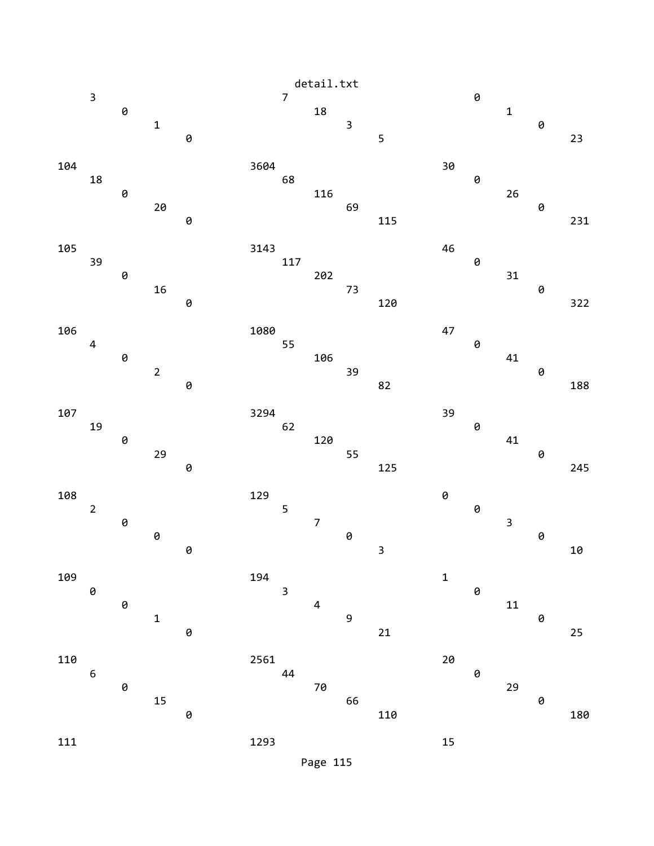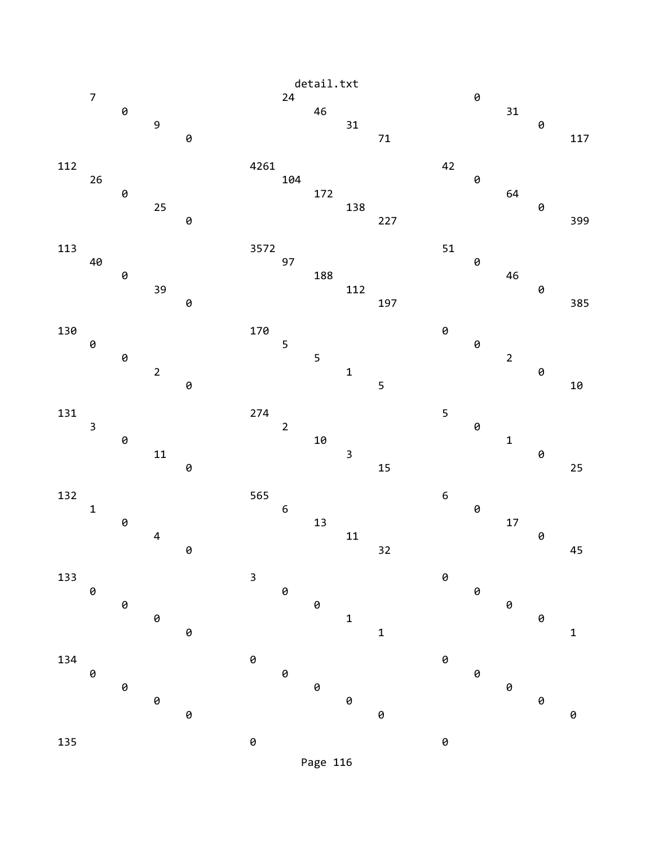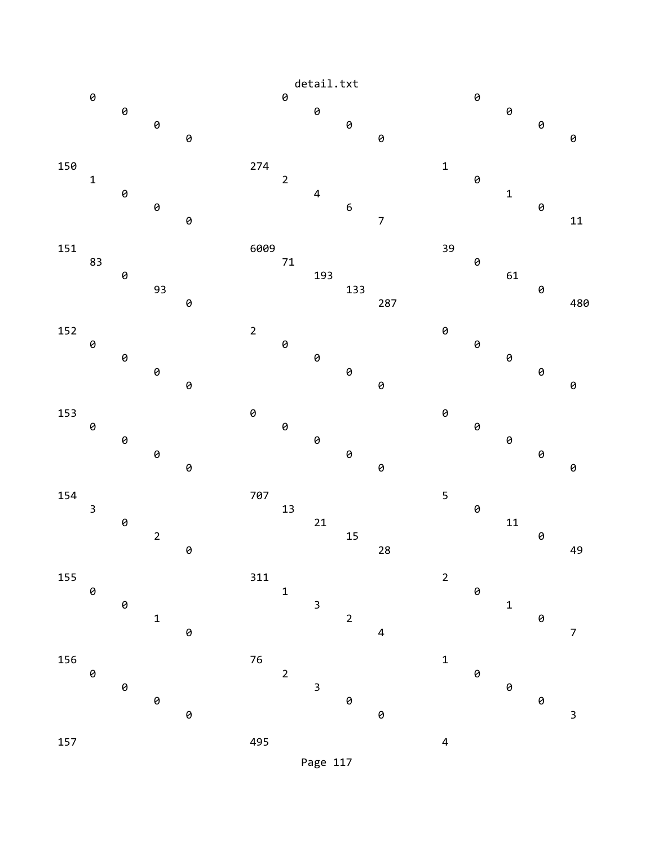

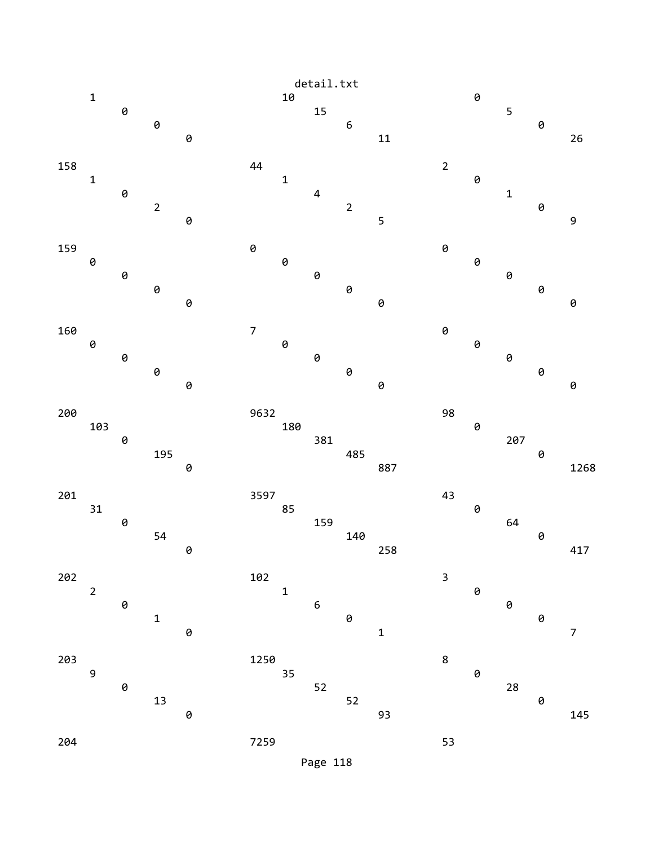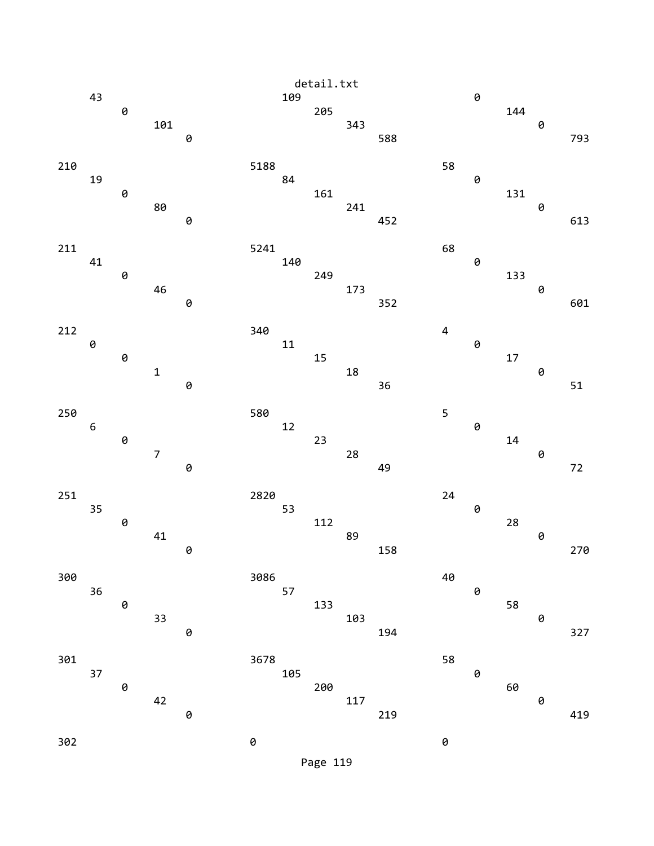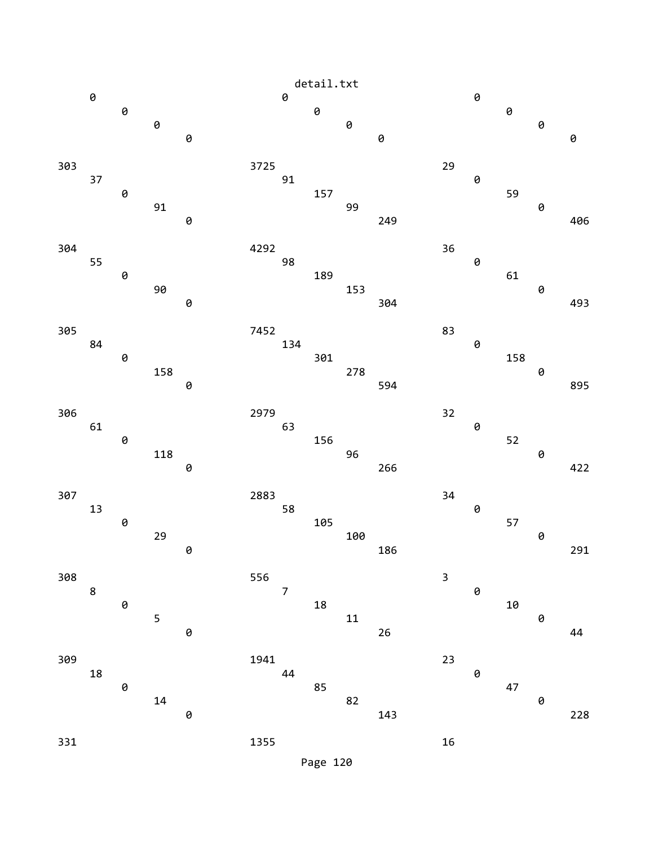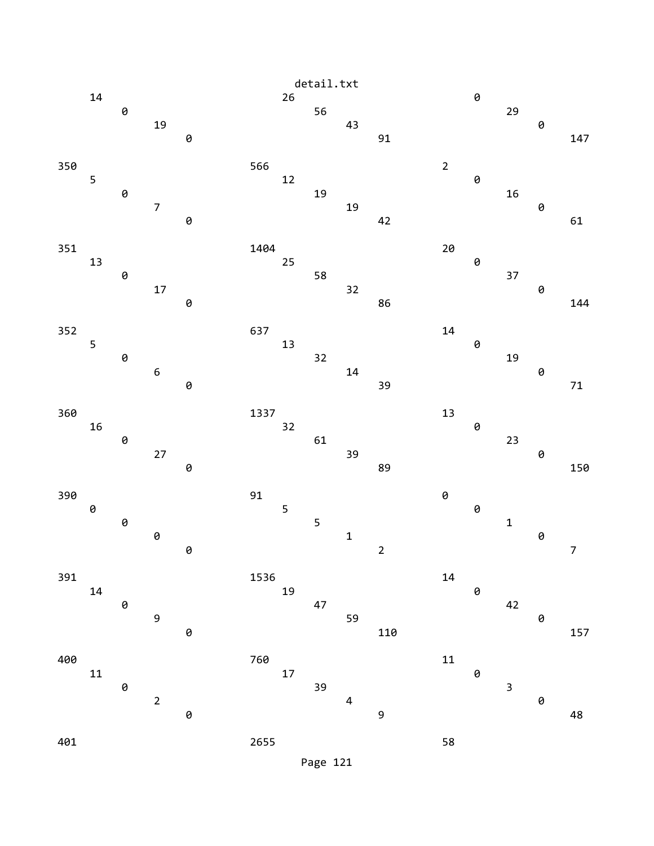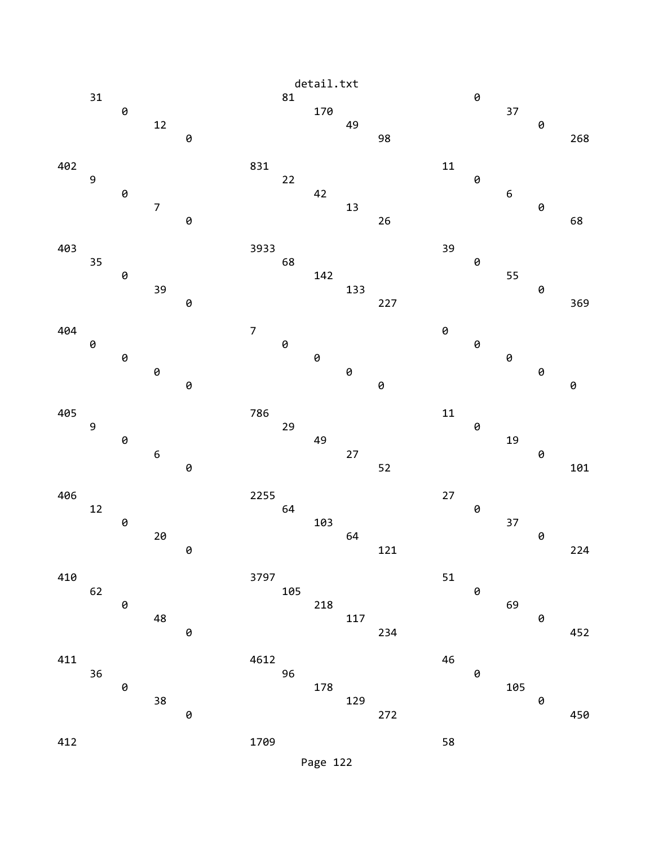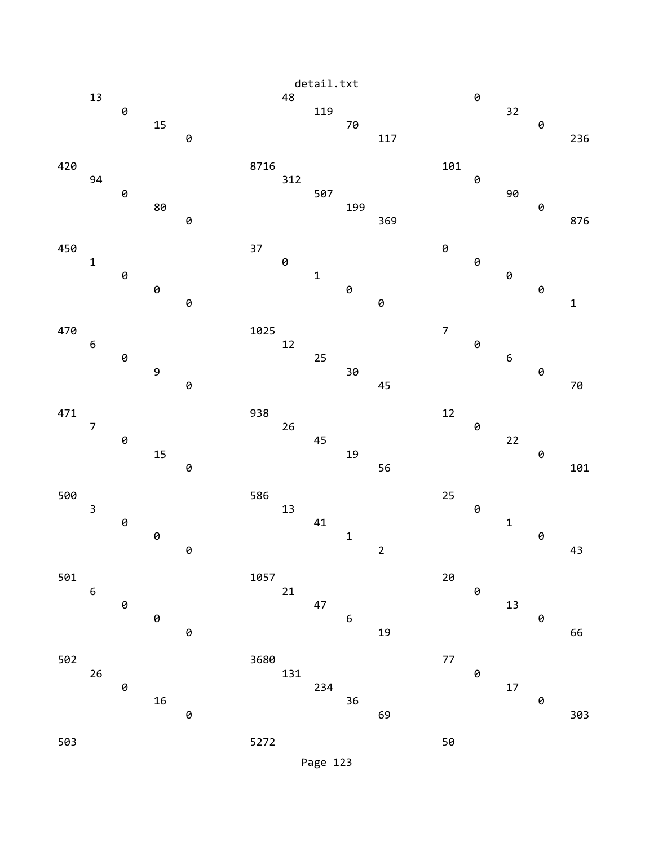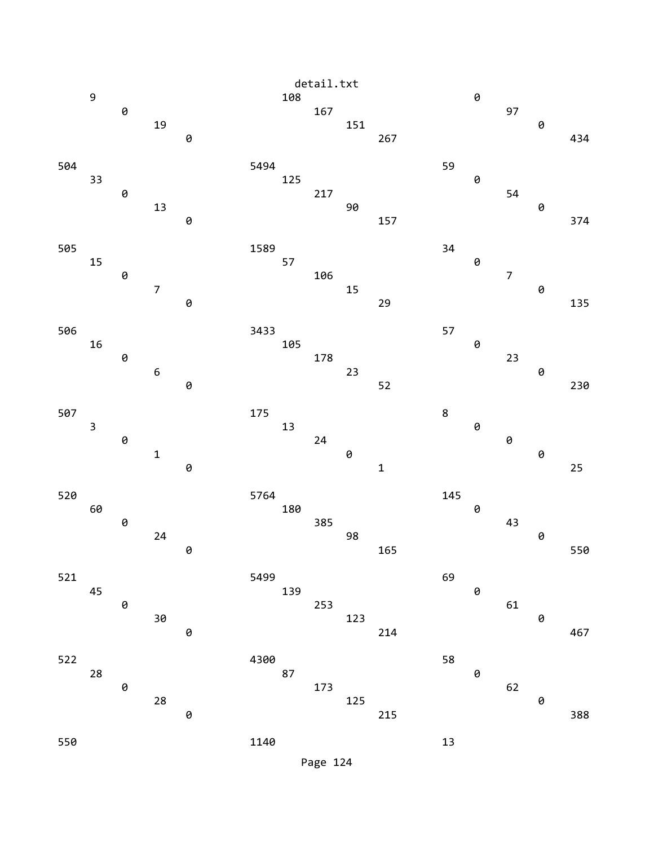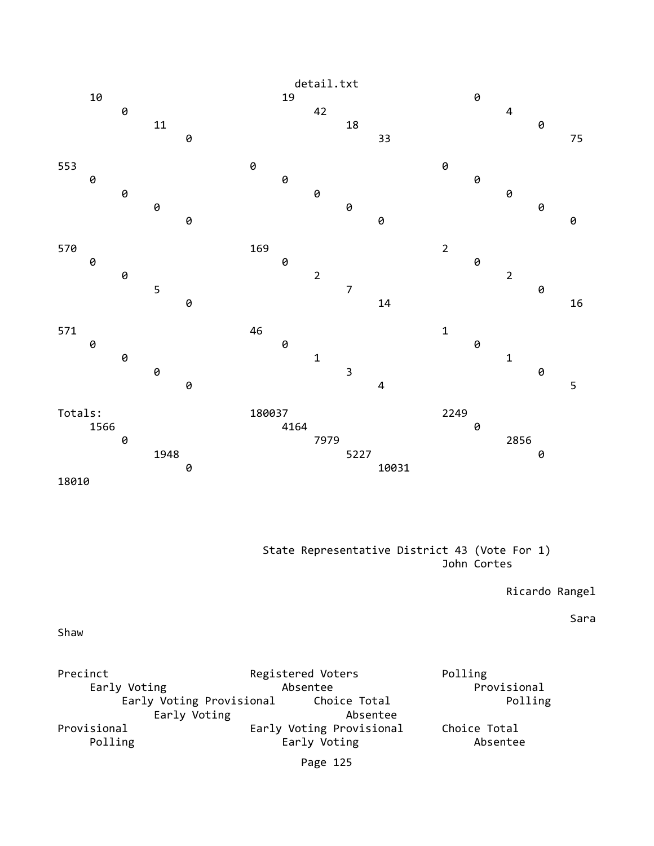

## State Representative District 43 (Vote For 1) John Cortes

Ricardo Rangel

Sara

Shaw

| Precinct                 |                          | Registered Voters | Polling      |
|--------------------------|--------------------------|-------------------|--------------|
| Early Voting             |                          | Absentee          | Provisional  |
| Early Voting Provisional |                          | Choice Total      | Polling      |
|                          | Early Voting             | Absentee          |              |
| Provisional              | Early Voting Provisional |                   | Choice Total |
| Polling                  |                          | Early Voting      | Absentee     |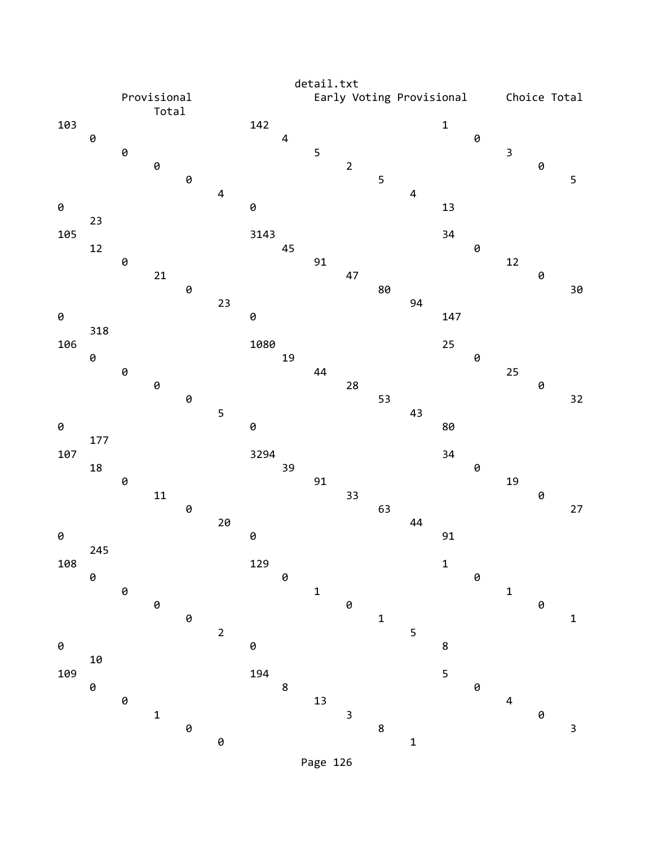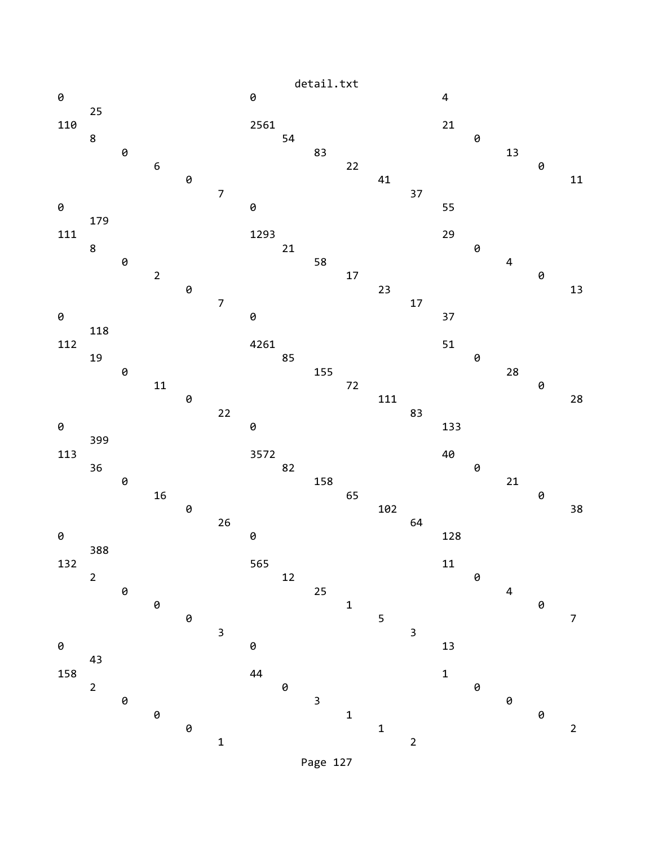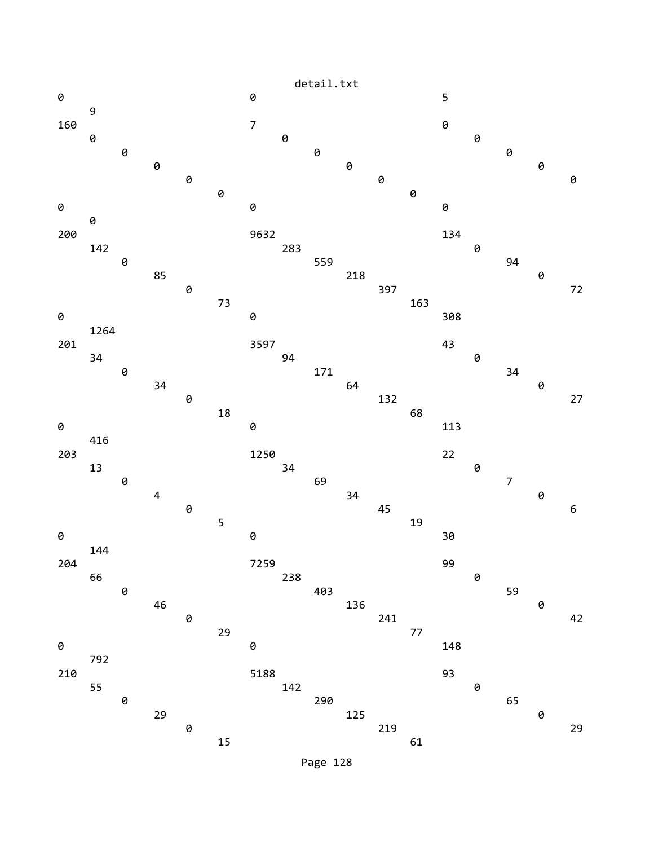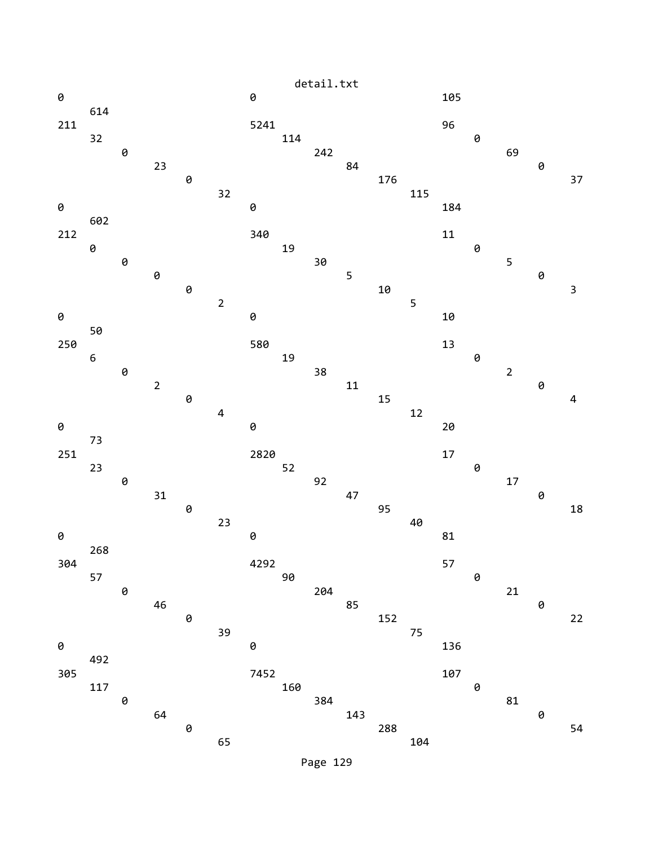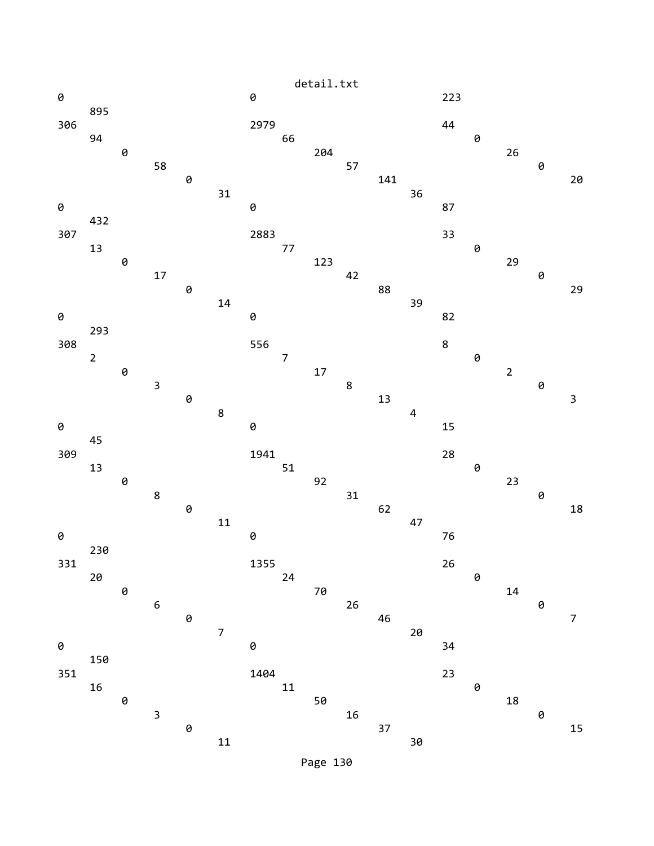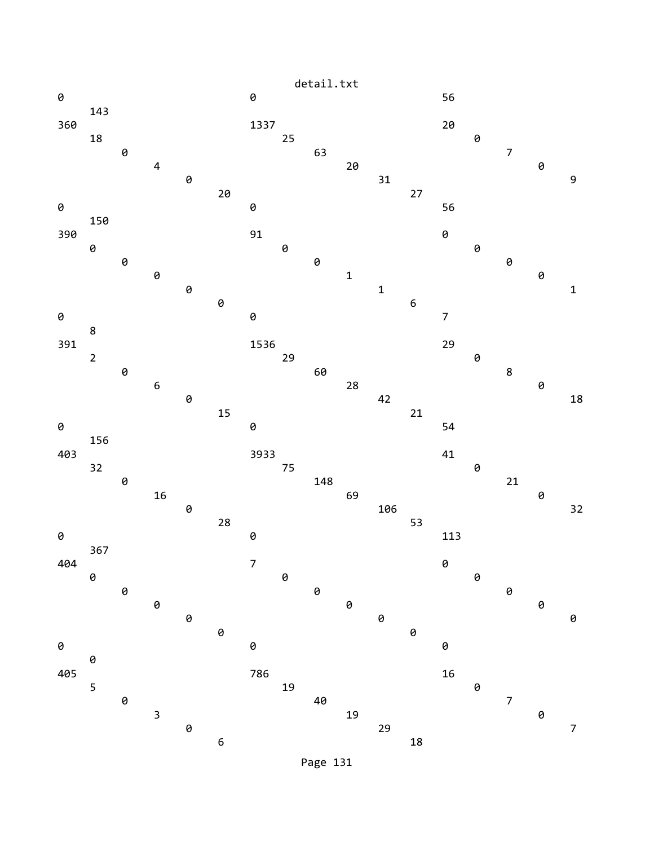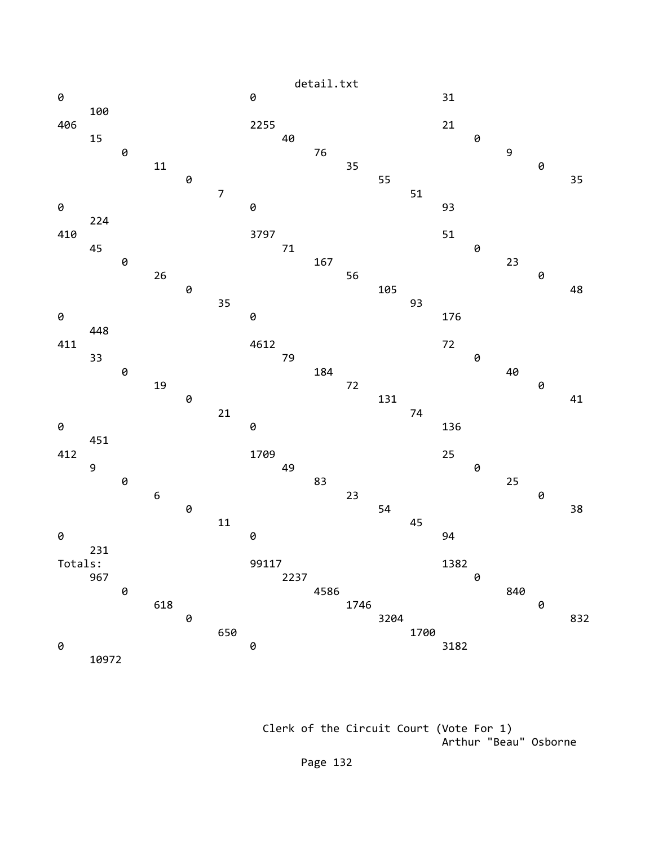

 Clerk of the Circuit Court (Vote For 1) Arthur "Beau" Osborne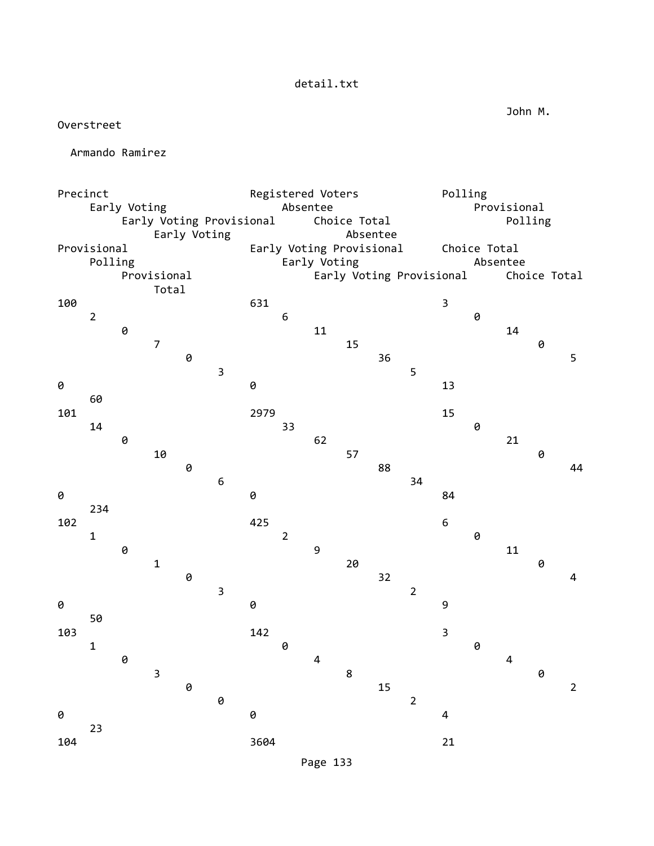Overstreet

Armando Ramirez

Page 133

John M.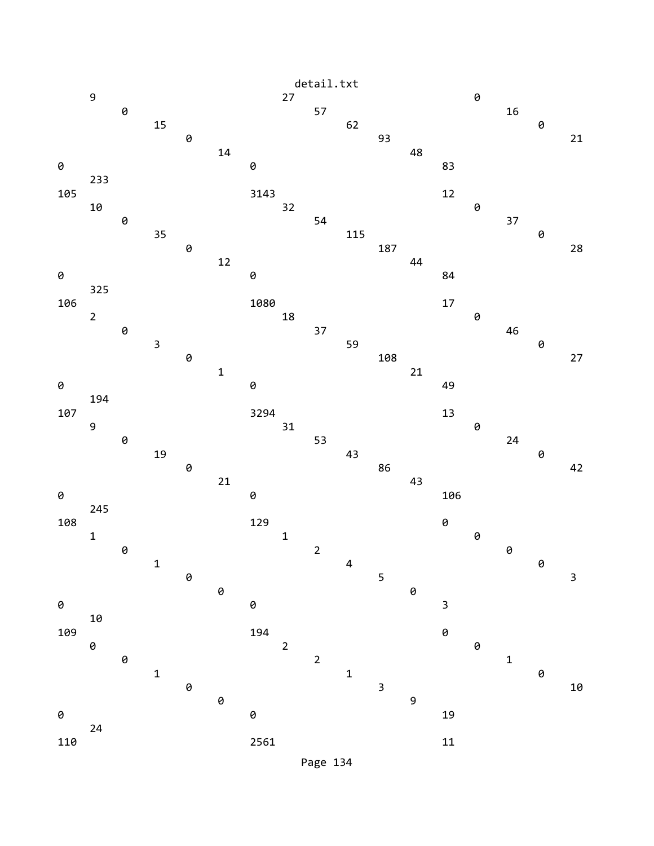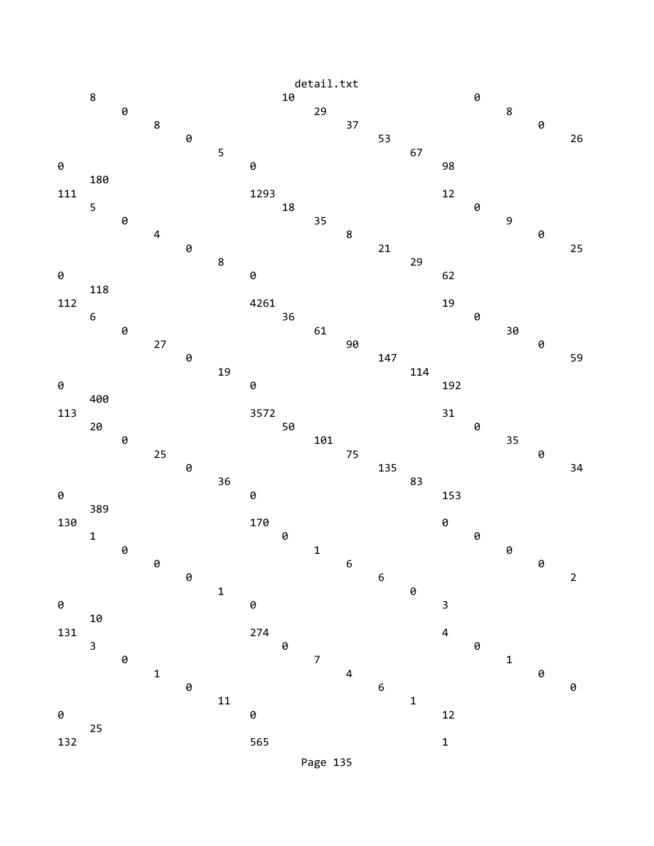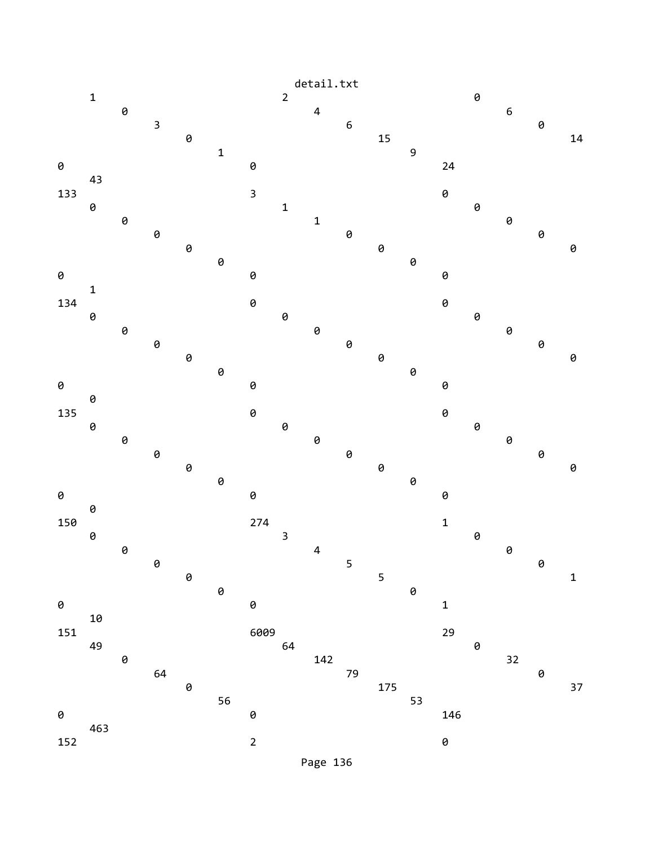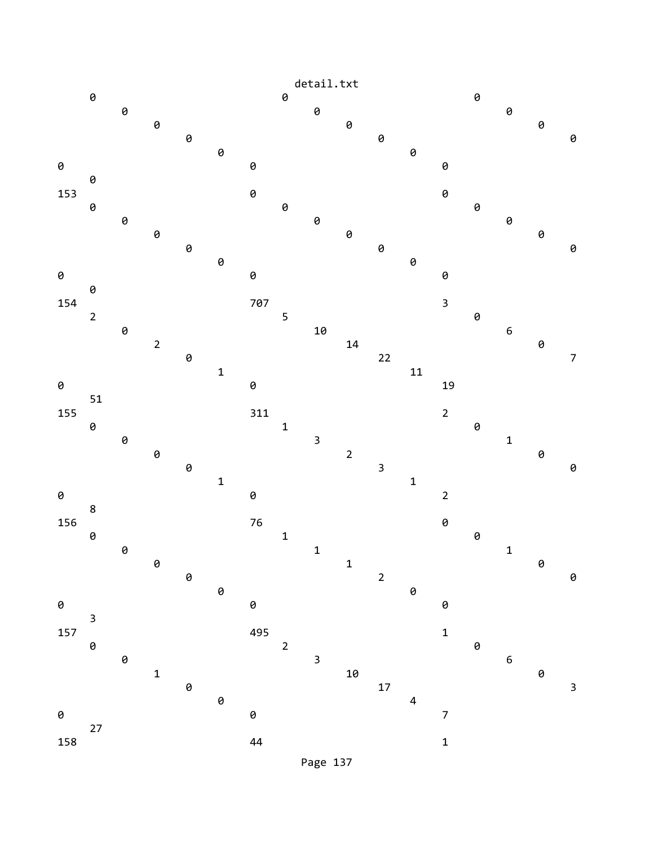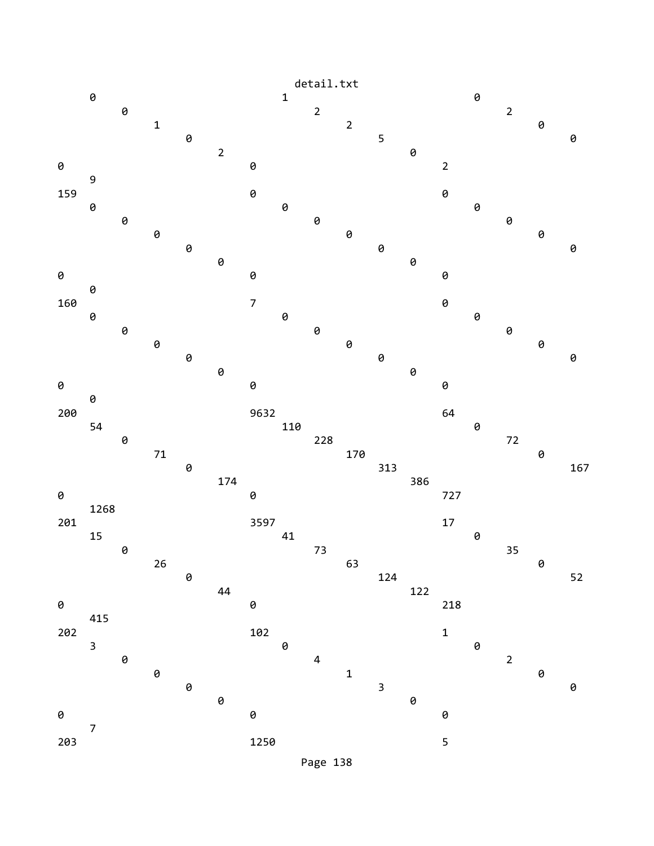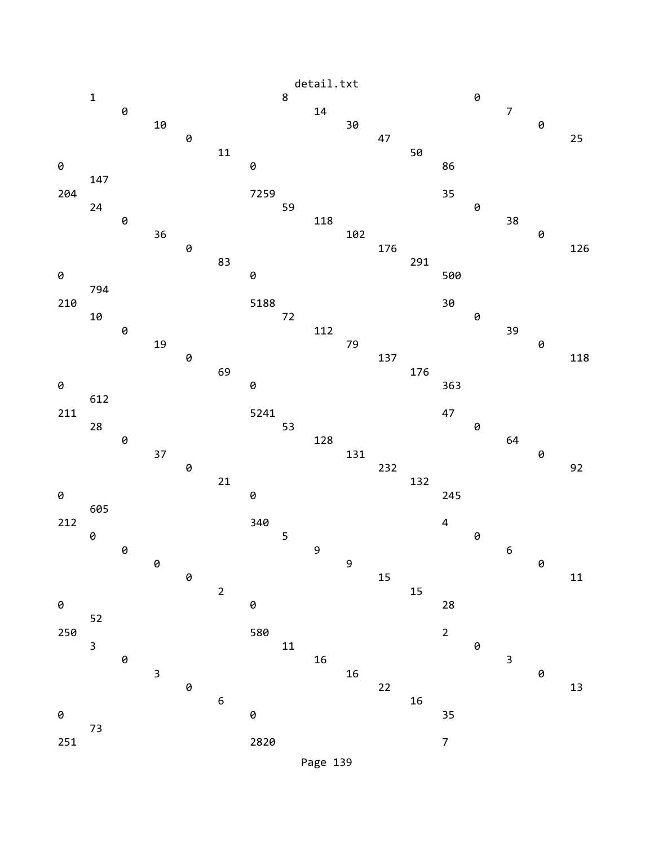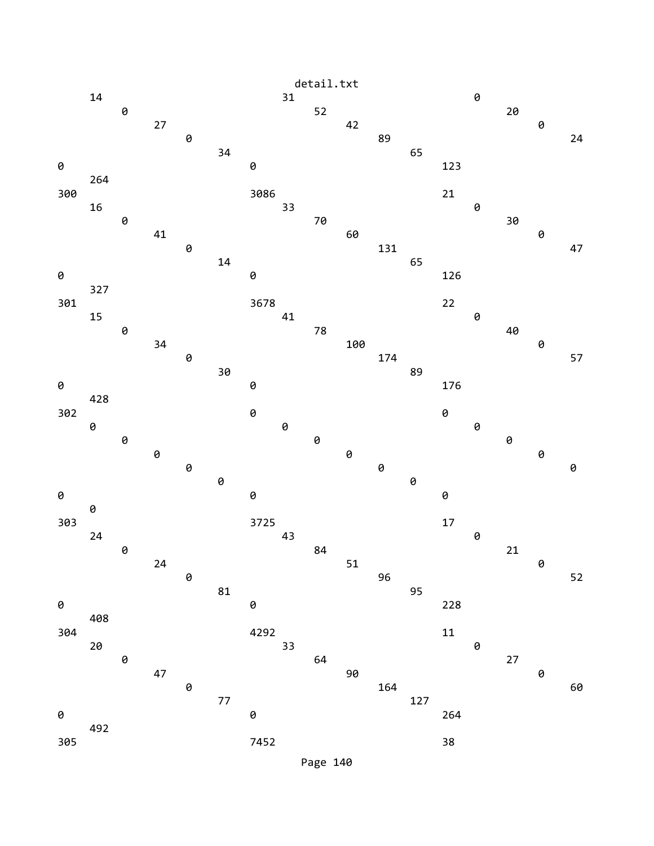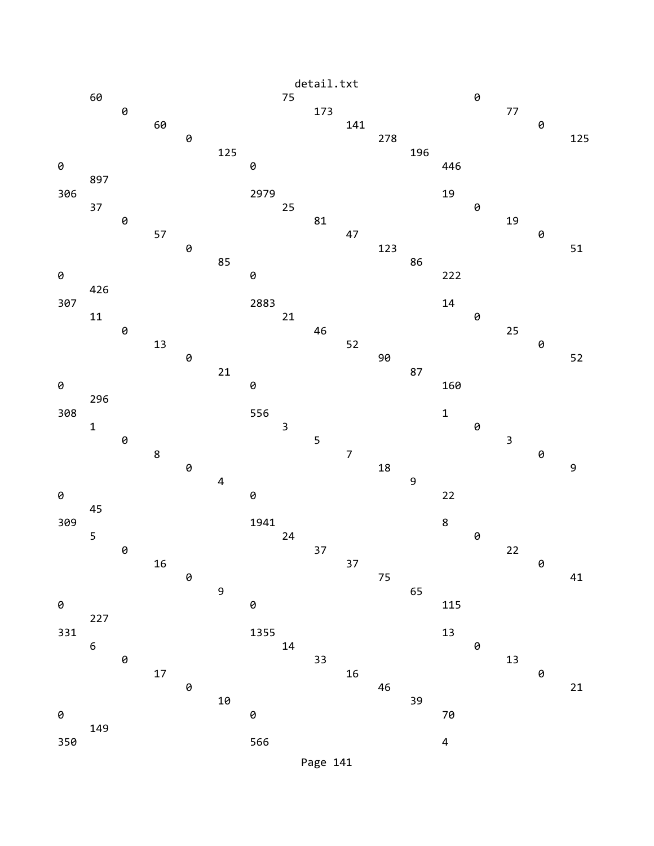

Page 141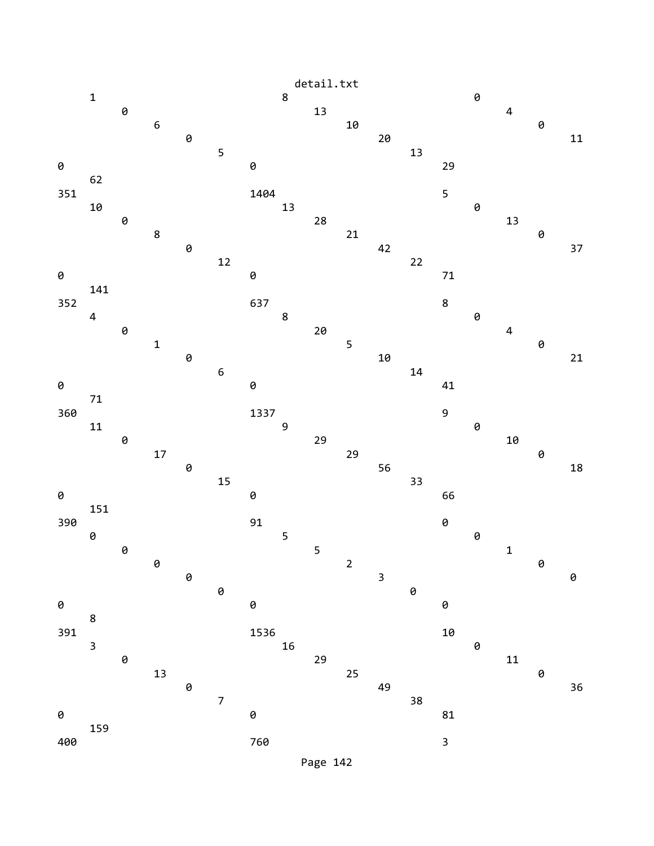

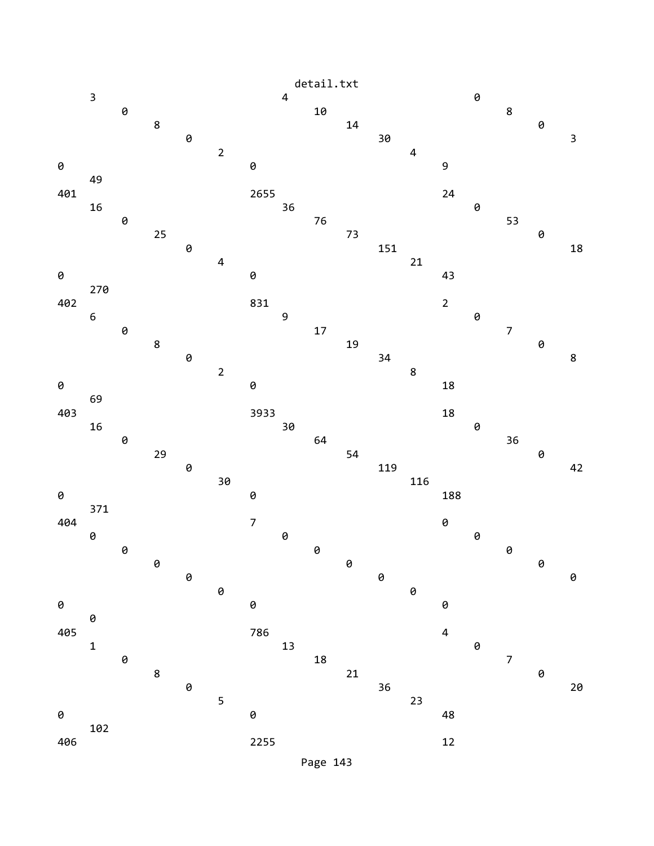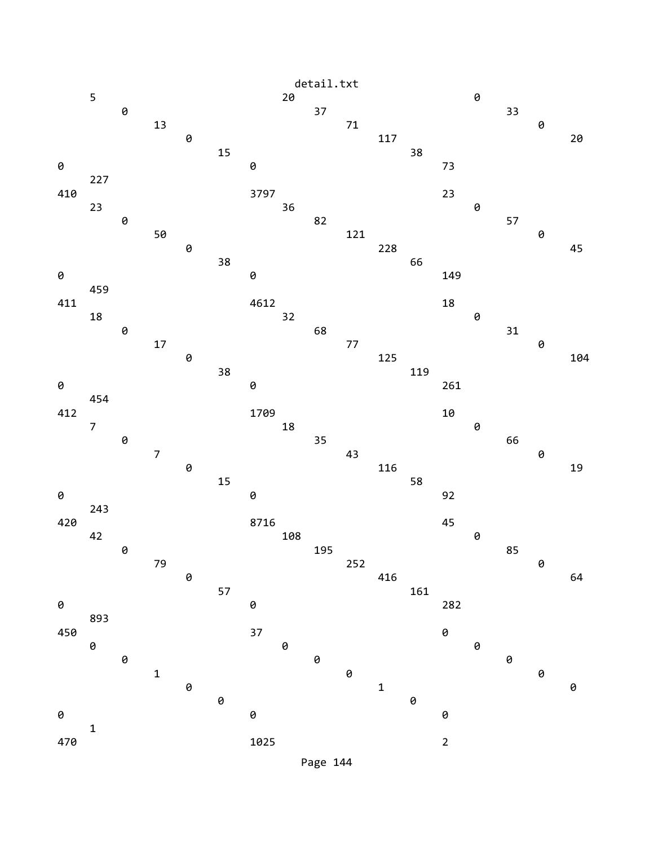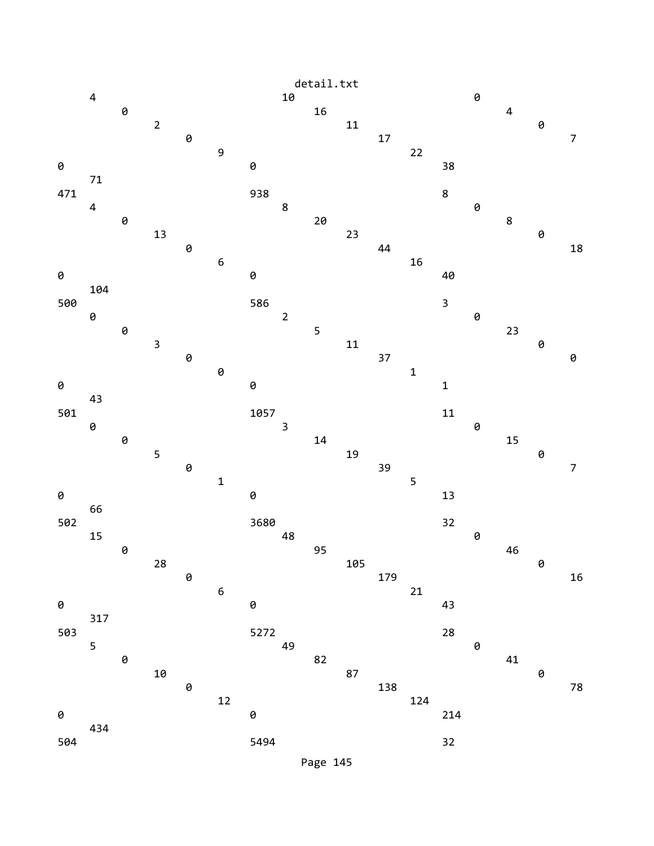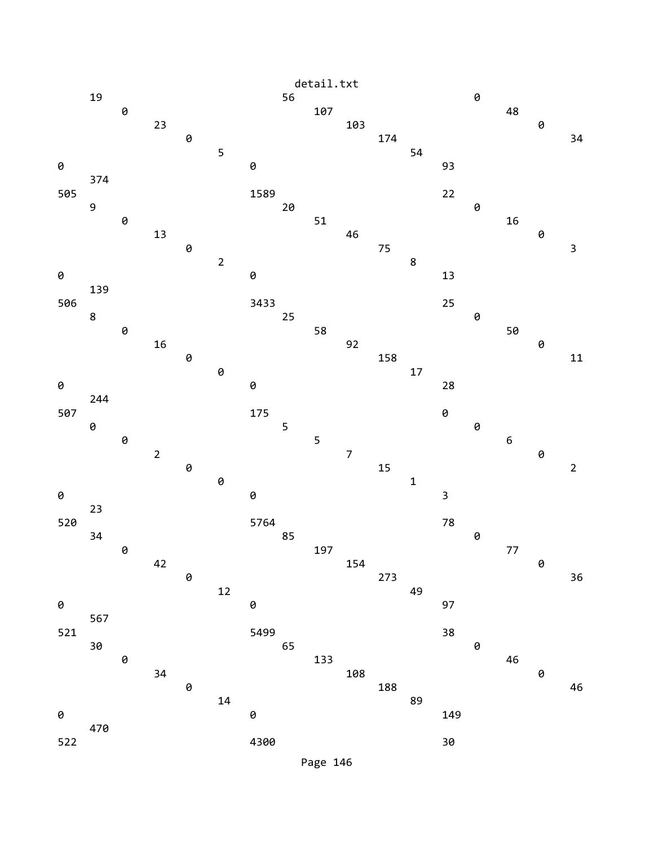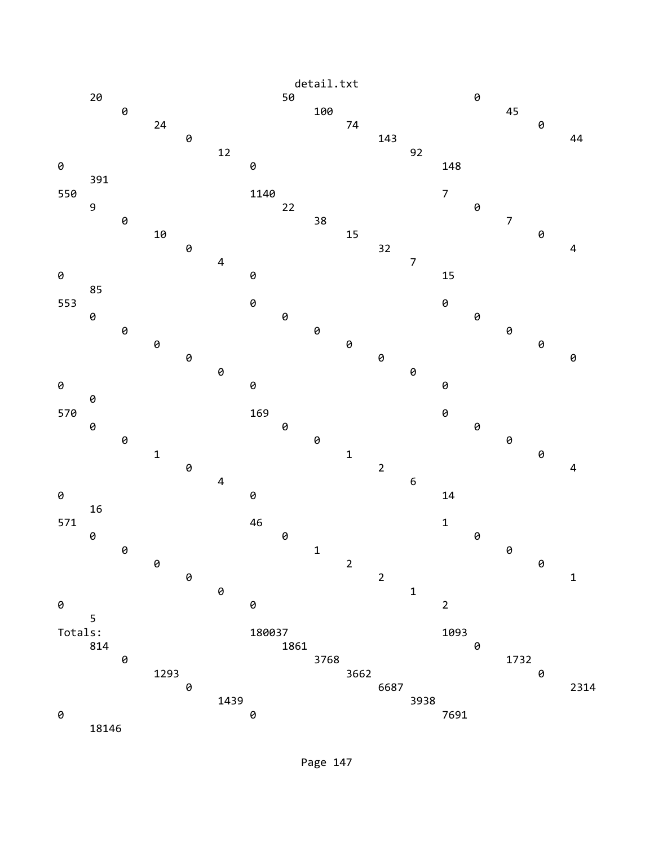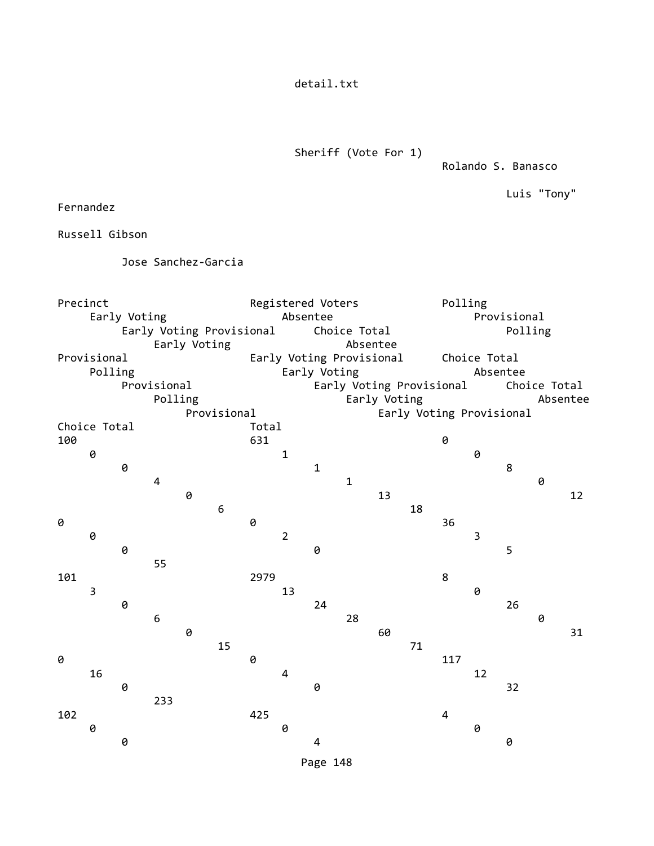detail.txt

Sheriff (Vote For 1)

Rolando S. Banasco

Luis "Tony"

Fernandez

Russell Gibson

Jose Sanchez-Garcia

Precinct Registered Voters Polling Early Voting **Absentee** Absentee **Provisional** Early Voting Provisional Choice Total **Polling** Early Voting **Absentee** Provisional Early Voting Provisional Choice Total Polling **Early Voting Early Voting Absentee**  Provisional Early Voting Provisional Choice Total Polling **Early Voting Absentee**  Provisional Early Voting Provisional Choice Total **Total** 100 631 631 0 1 0 0 **0** 1 8 4 1 0 **0** 13 12 6 18 **0** 36 0 2 3 **0 0** 5 55 101 2979 8  $\overline{\phantom{a}}$  3 13 0 0 24 26  $\overline{6}$  0 **0** 60 31 15 71 **0 0** 117  $16$  and  $4$  12 **0** 32 233 102 425 4 0 0 0 **0 1 1 0 1**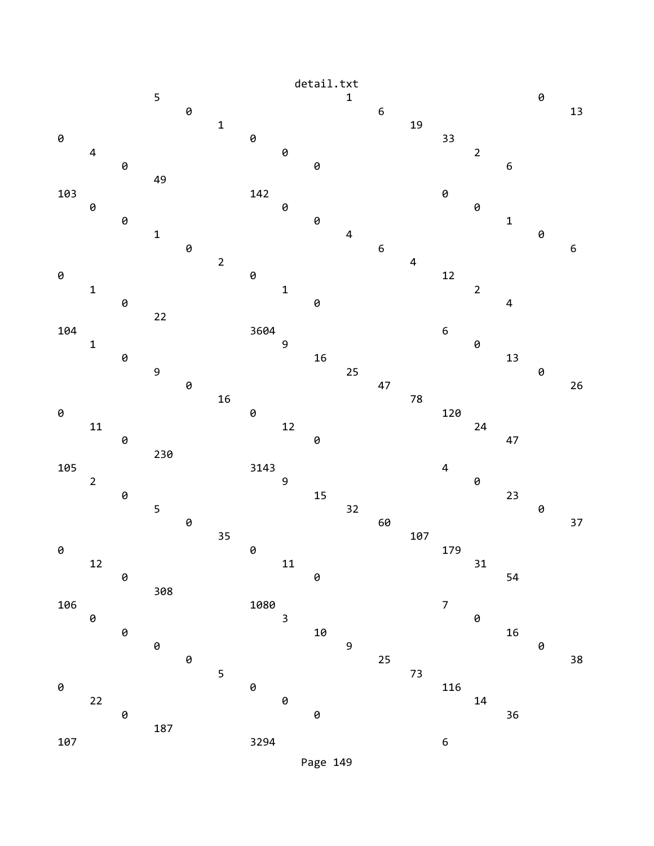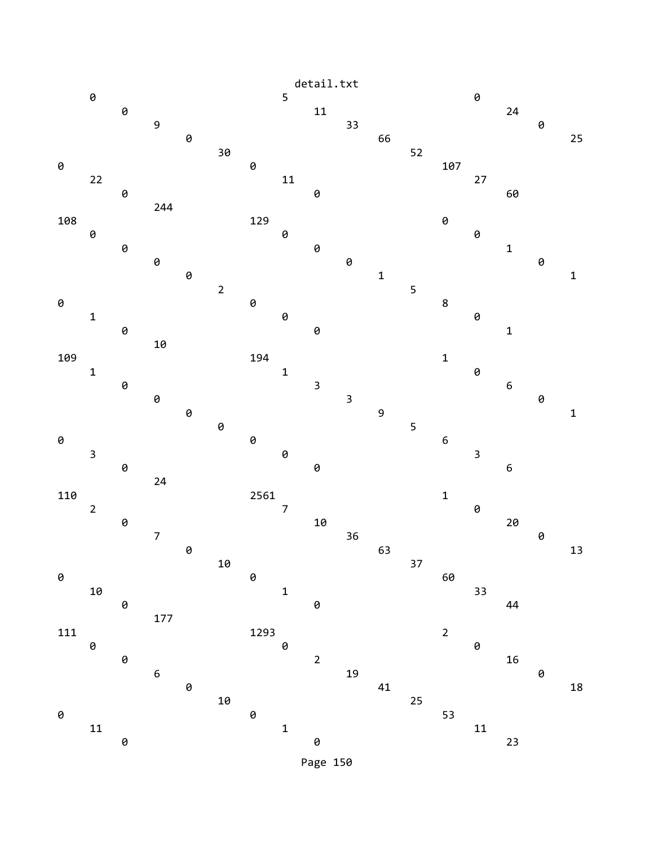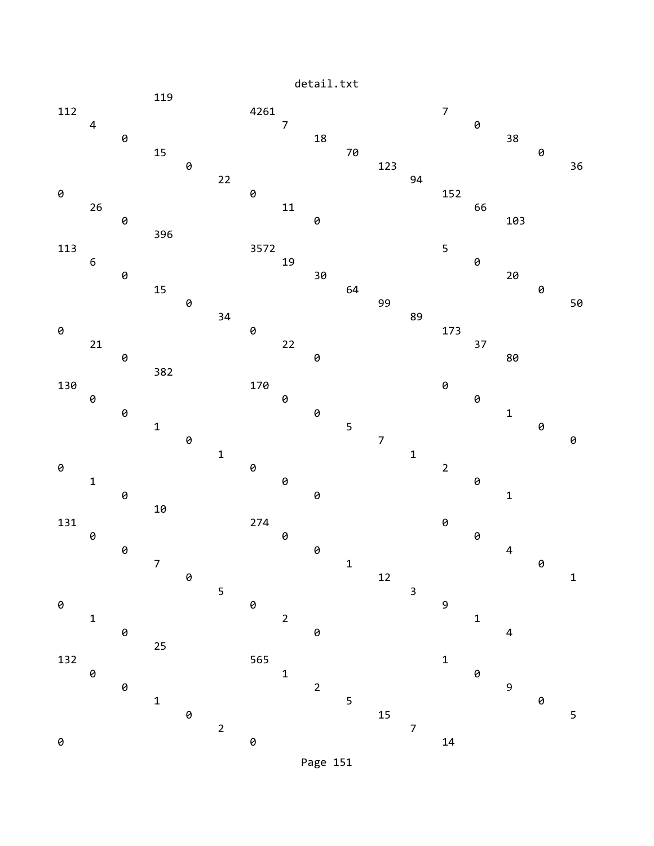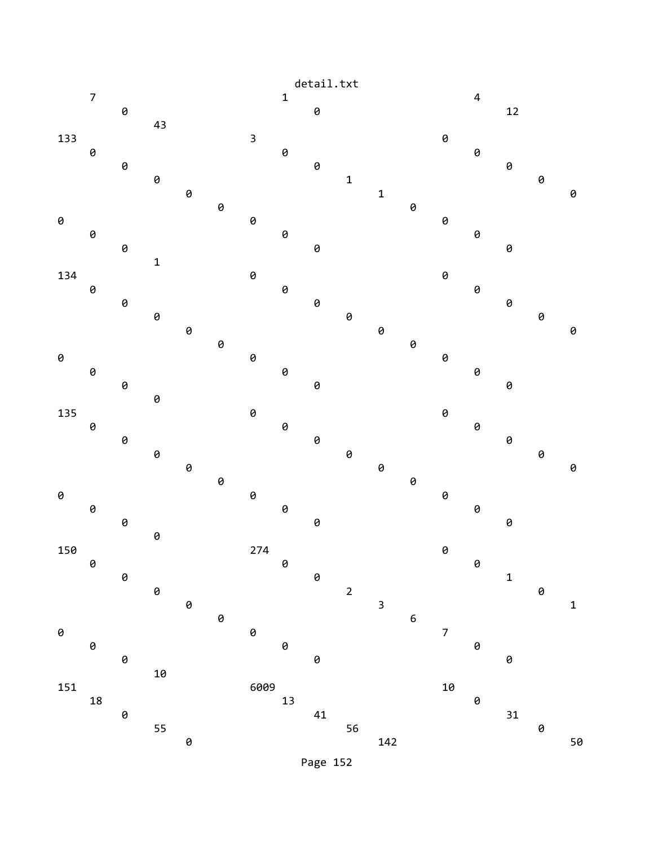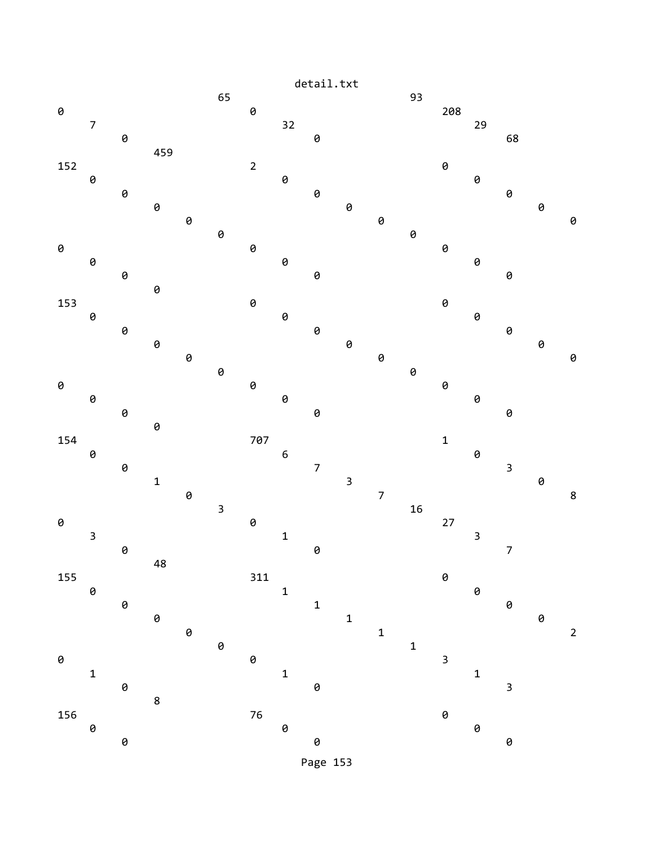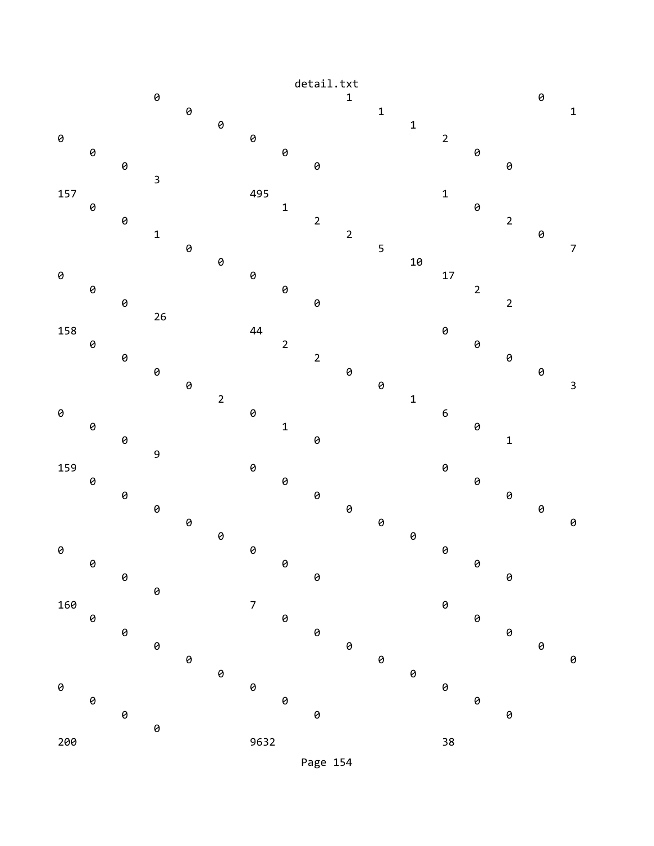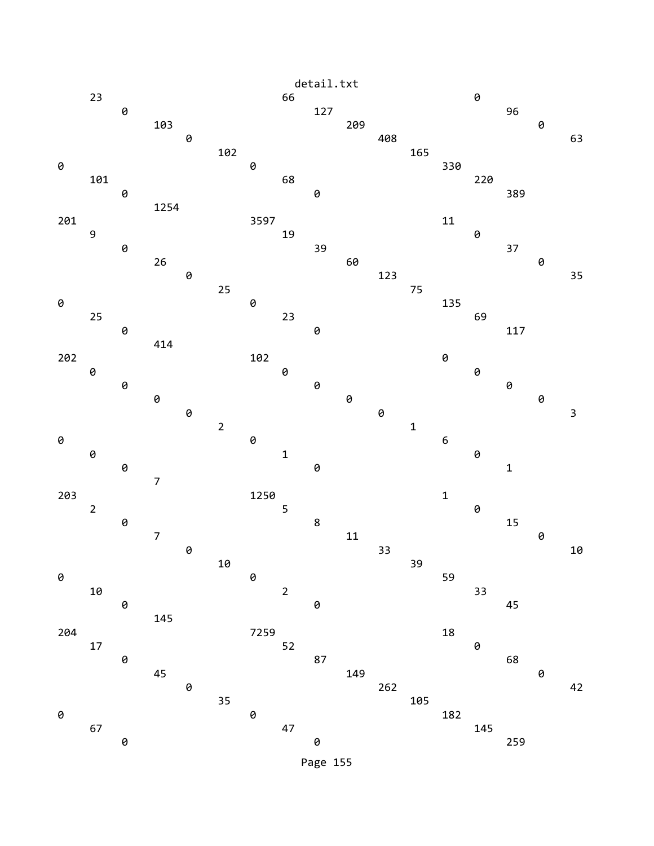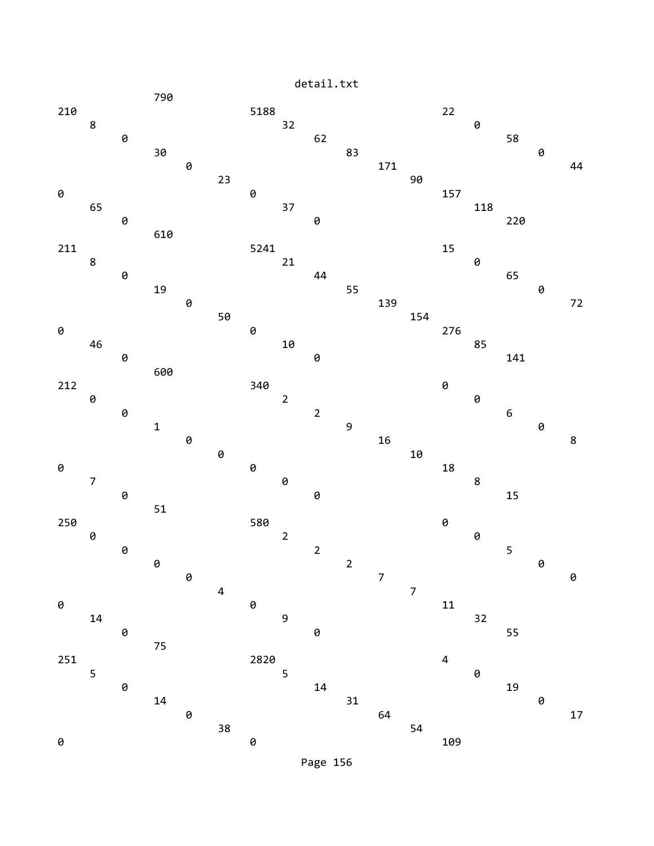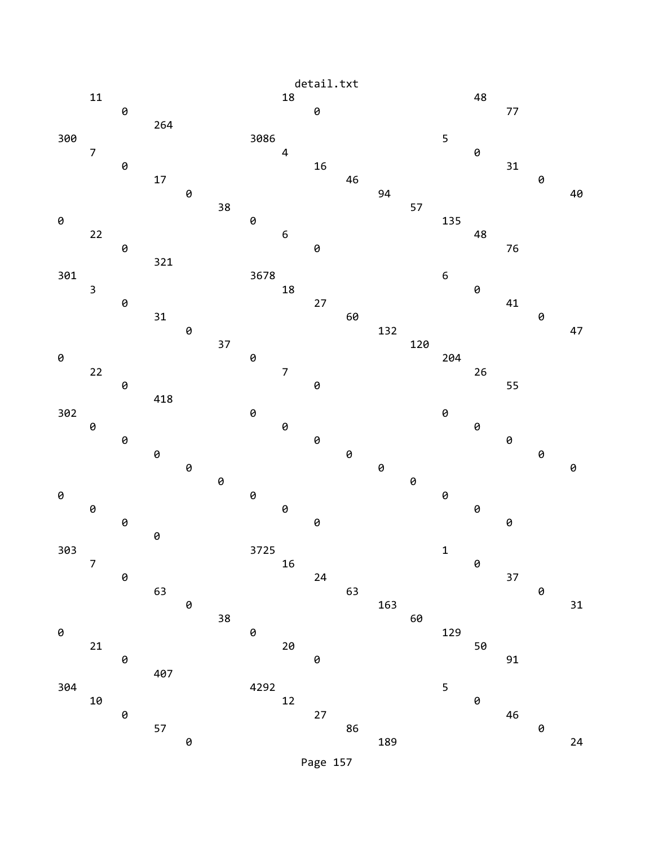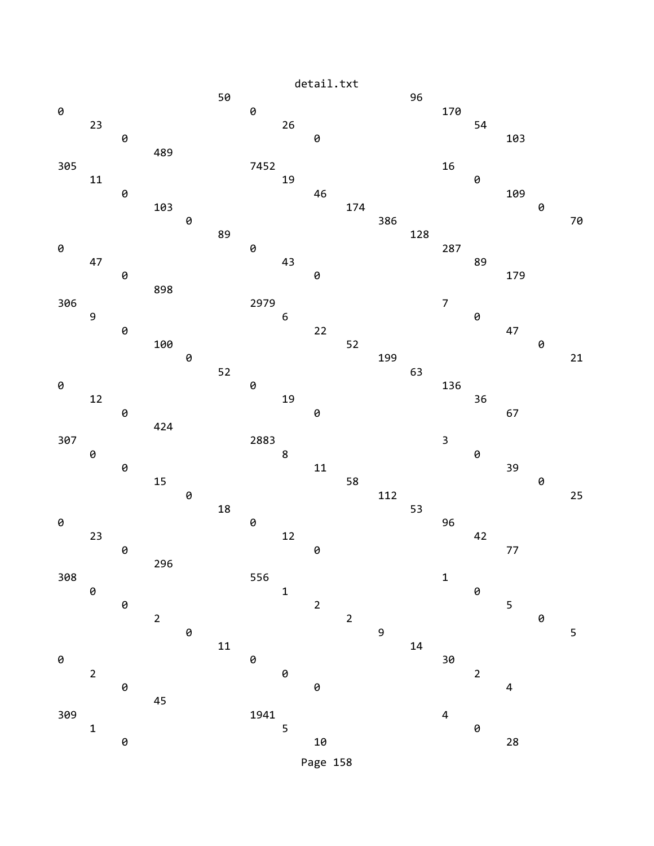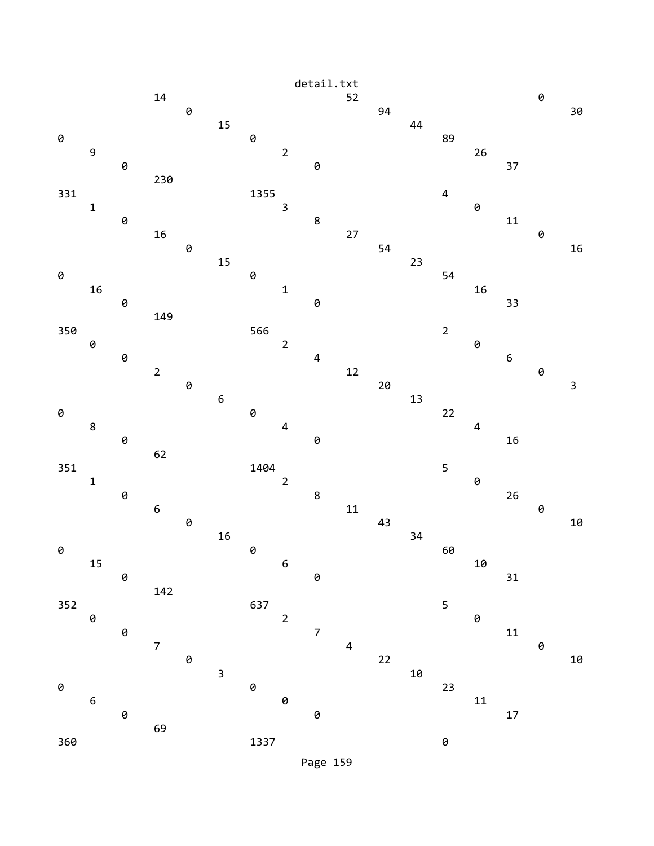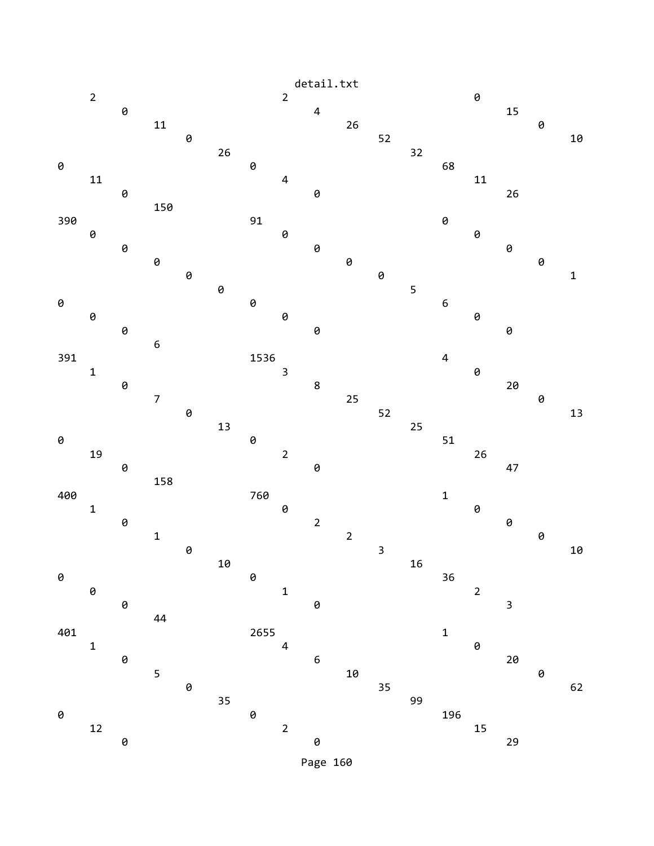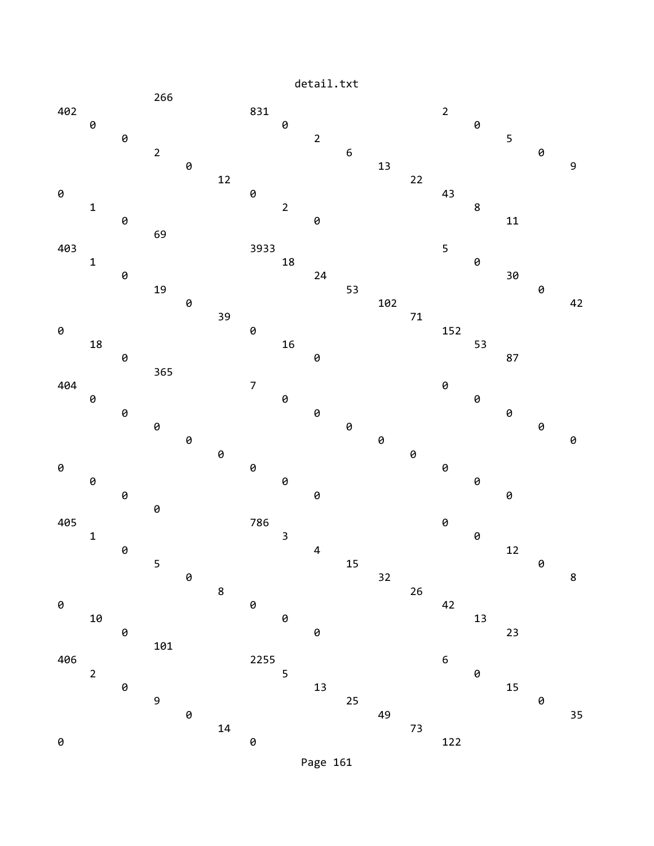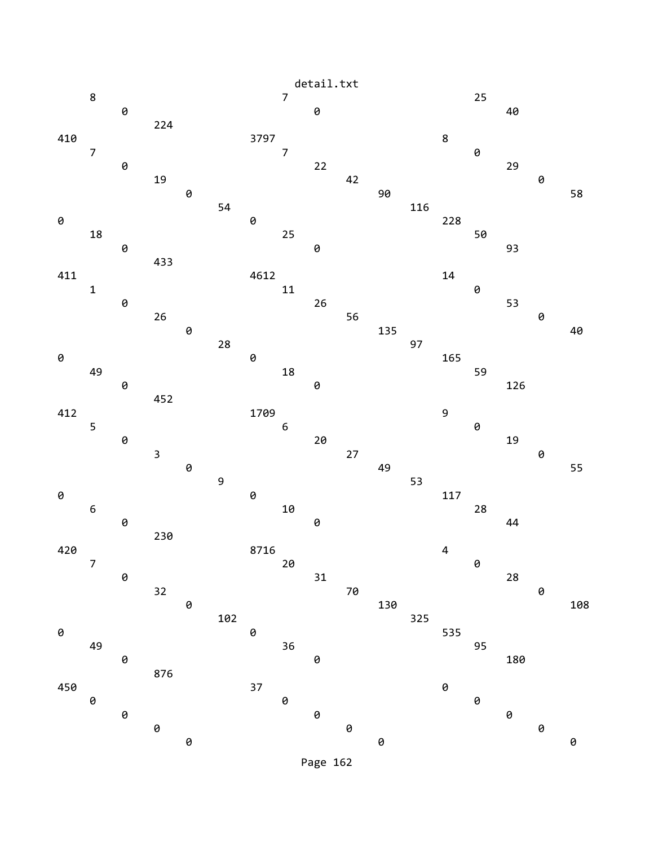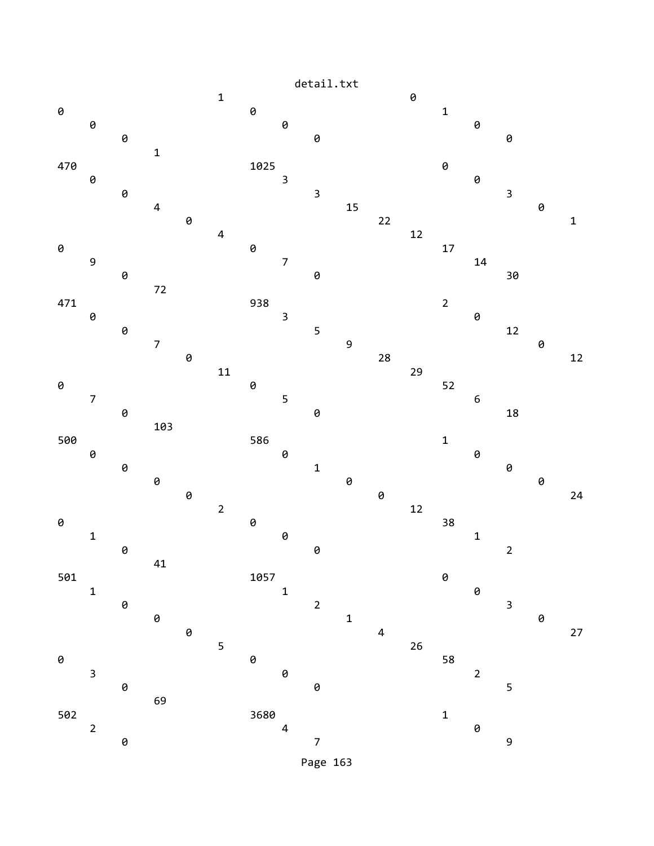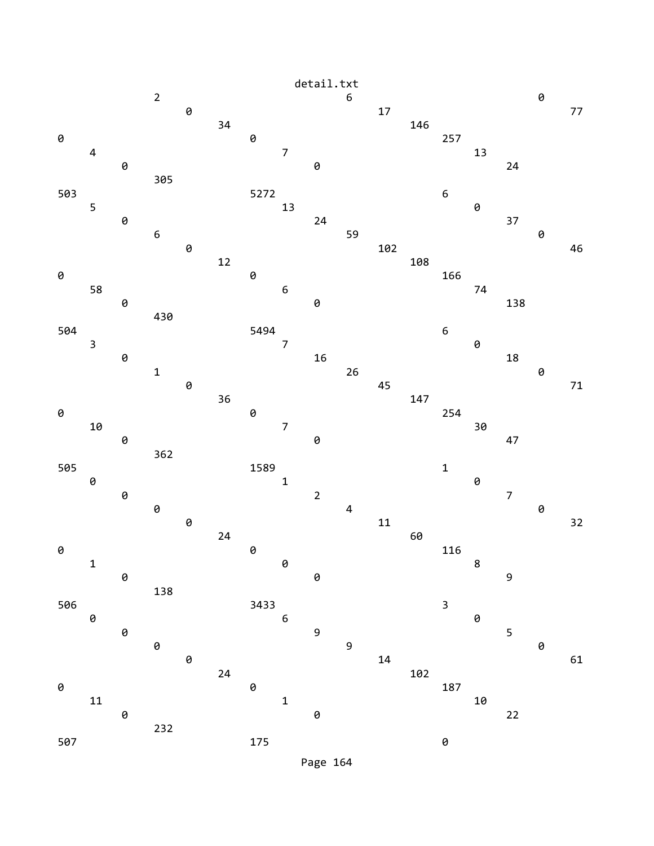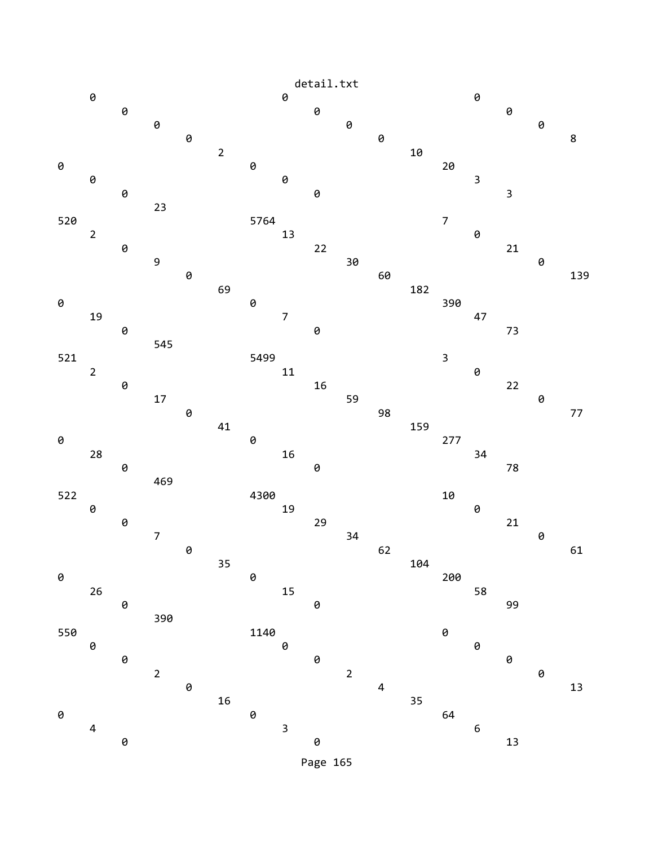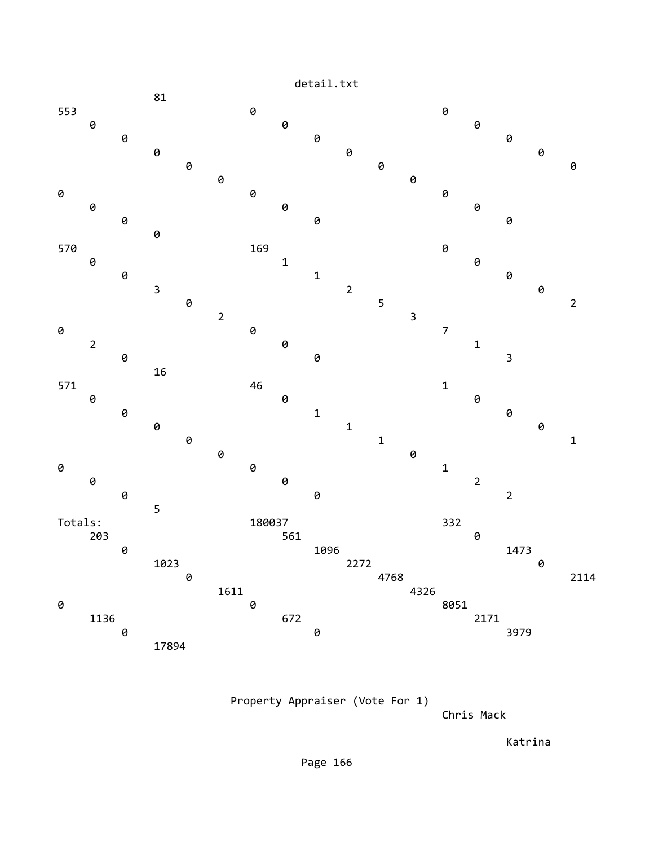

Property Appraiser (Vote For 1)

Chris Mack

Katrina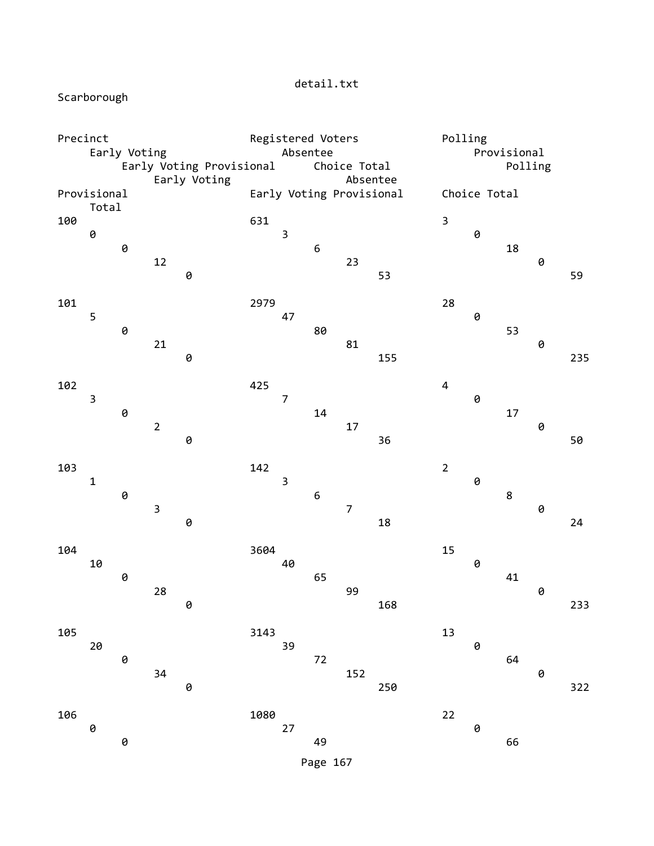detail.txt

Scarborough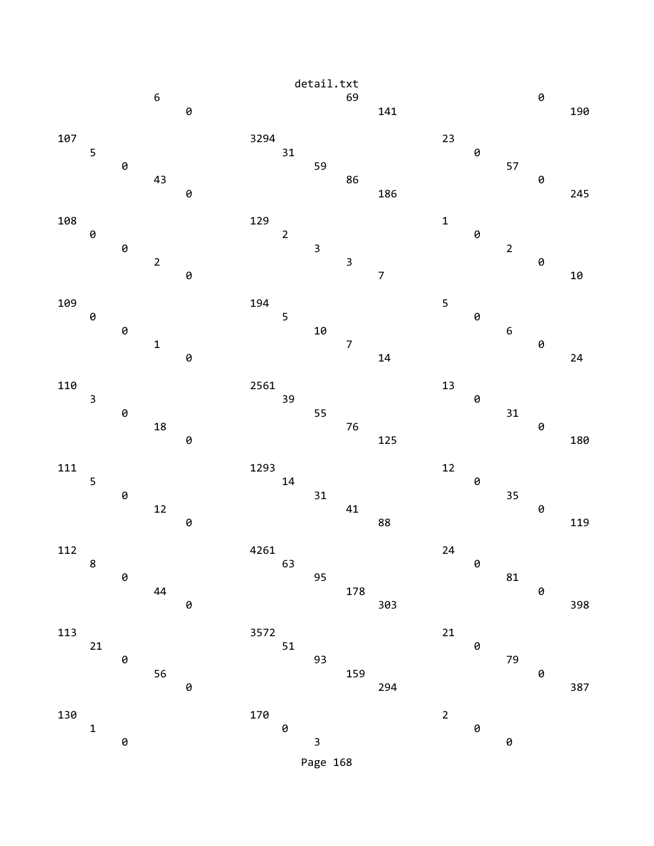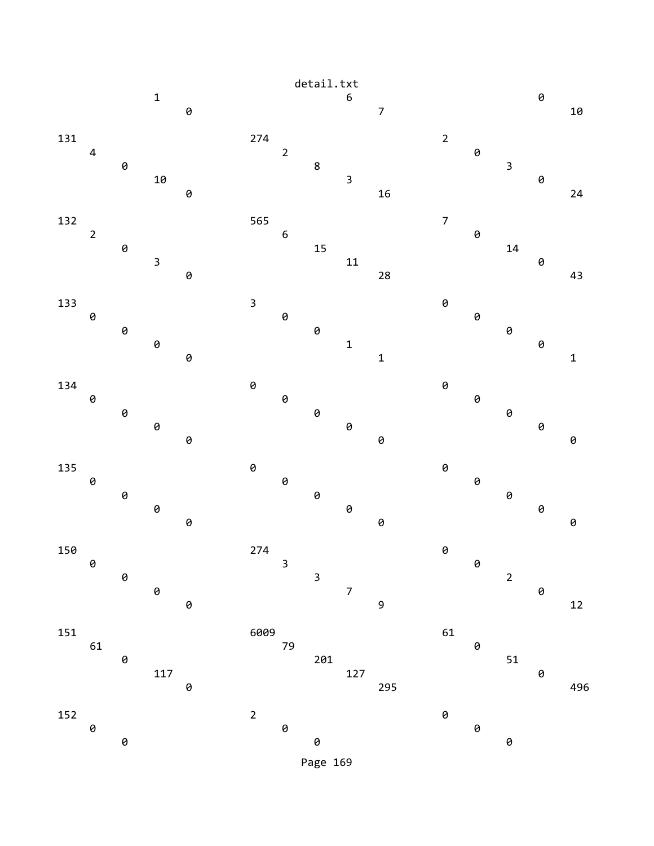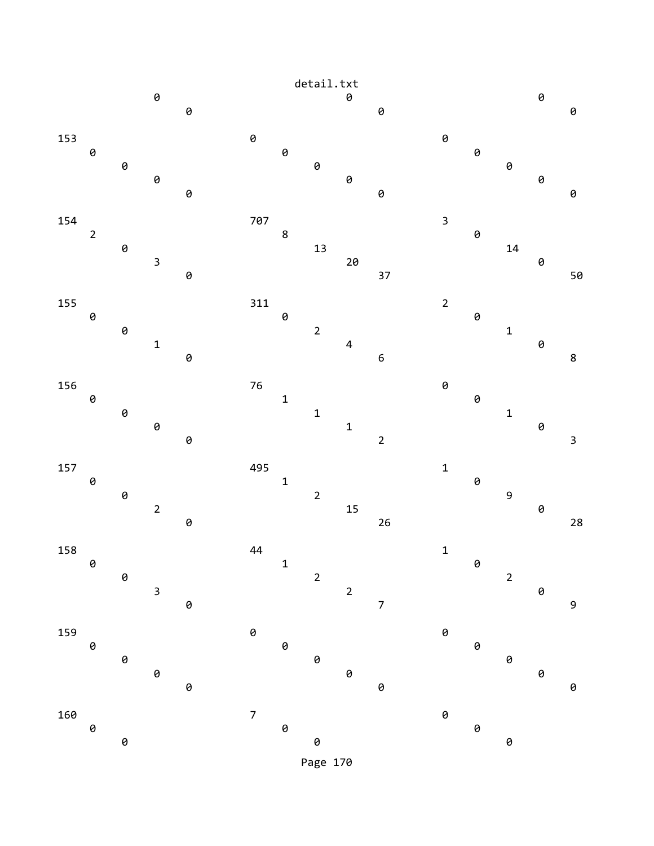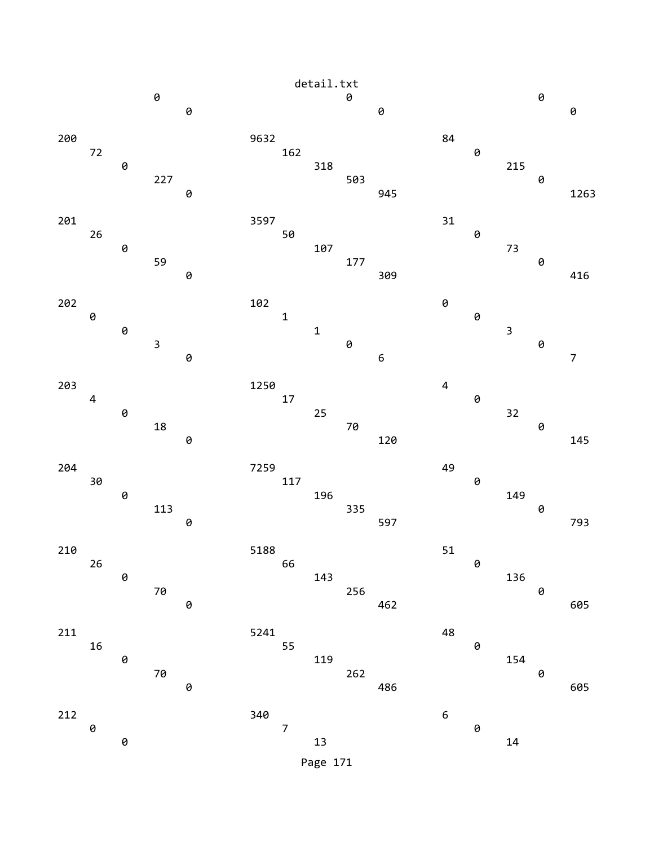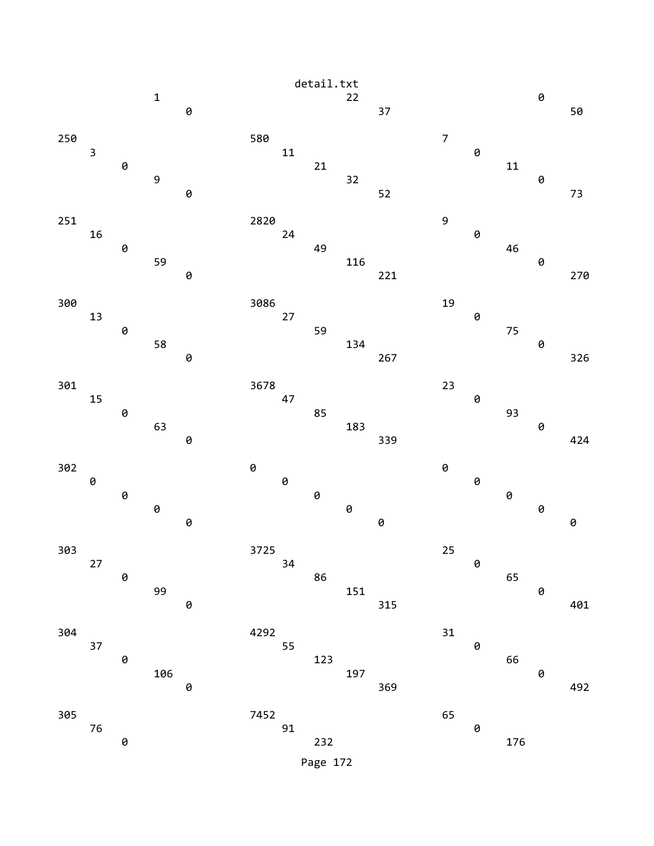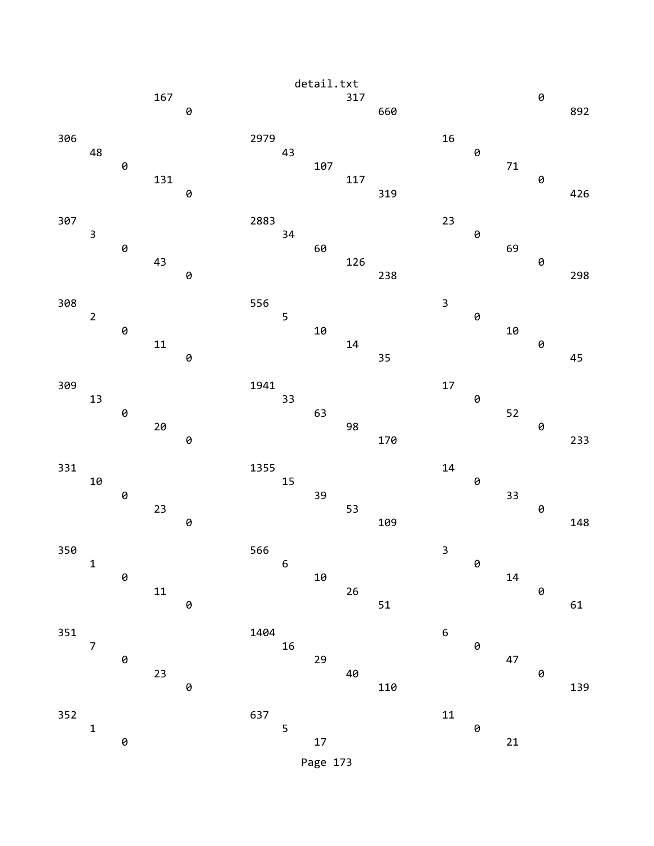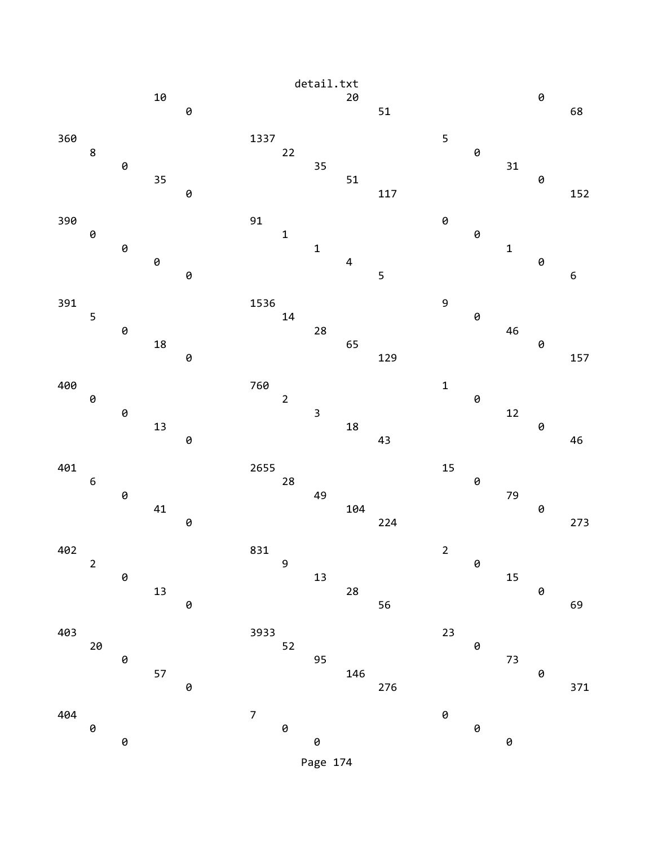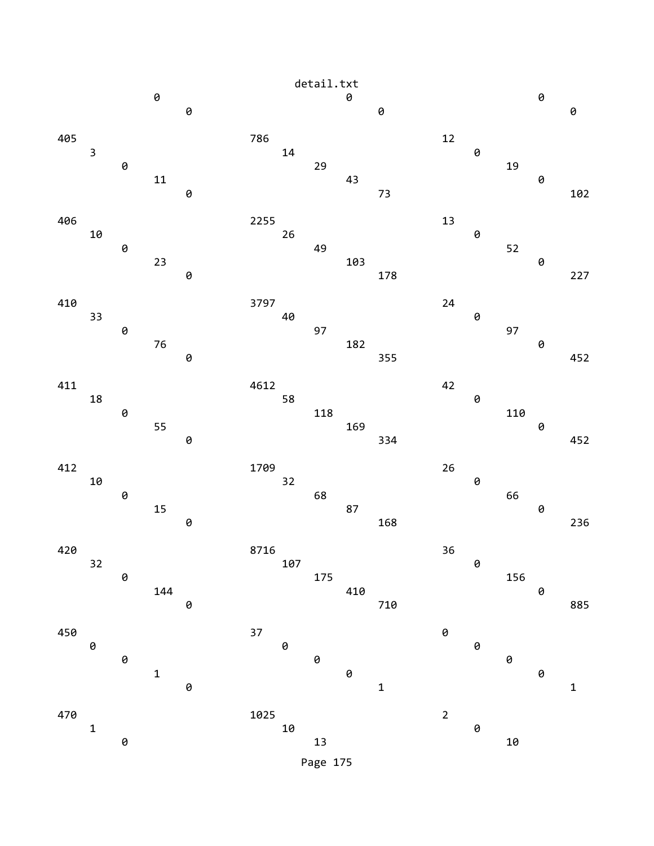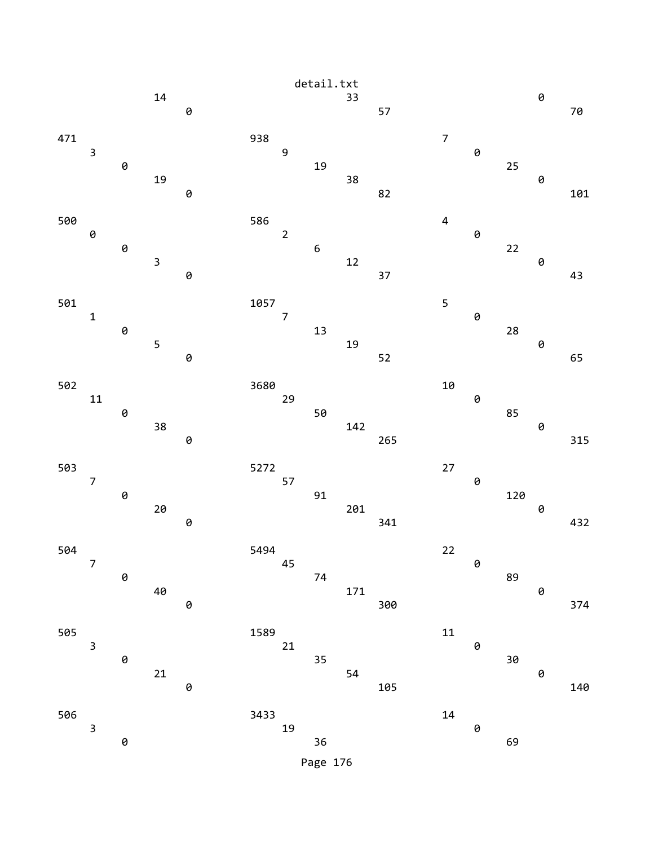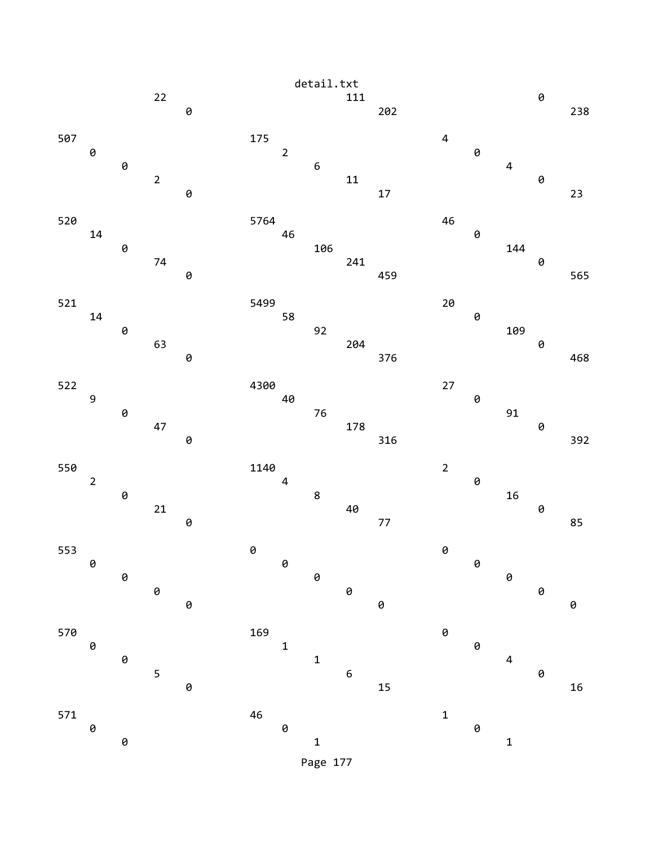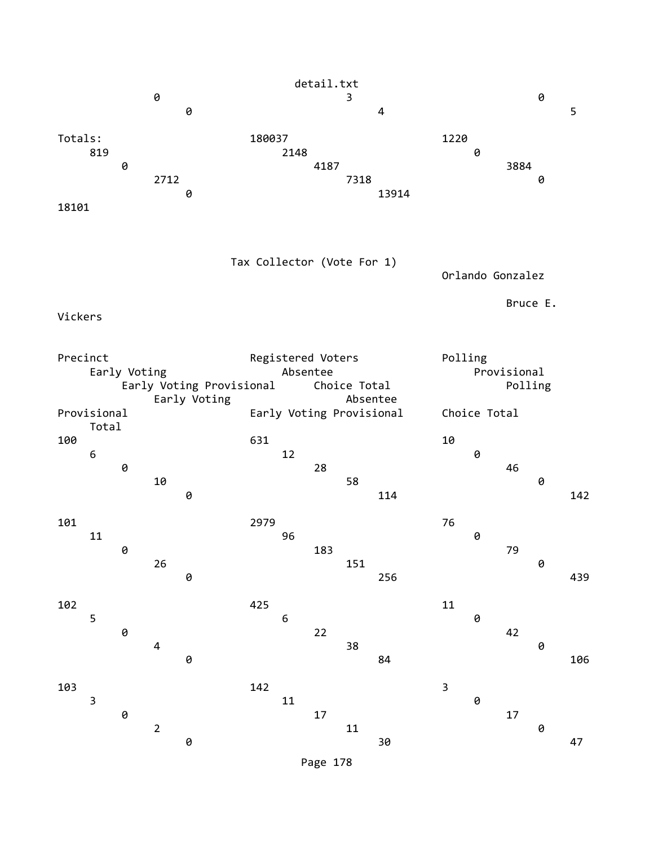| detail.txt              |                         |              |            |                                          |                            |            |                                               |                          |       |         |                  | 0                      |   |     |
|-------------------------|-------------------------|--------------|------------|------------------------------------------|----------------------------|------------|-----------------------------------------------|--------------------------|-------|---------|------------------|------------------------|---|-----|
|                         |                         |              | 0          | 0                                        |                            |            |                                               | 3                        | 4     |         |                  |                        |   | 5   |
| Totals:<br>18101        | 819                     | 0            | 2712       | 0                                        | 180037                     | 2148       | 4187                                          | 7318                     | 13914 | 1220    | 0                | 3884                   | 0 |     |
| Vickers                 |                         |              |            |                                          | Tax Collector (Vote For 1) |            |                                               |                          |       |         | Orlando Gonzalez | Bruce E.               |   |     |
| Precinct<br>Provisional |                         | Early Voting |            | Early Voting Provisional<br>Early Voting |                            | Absentee   | Registered Voters<br>Early Voting Provisional | Choice Total<br>Absentee |       | Polling | Choice Total     | Provisional<br>Polling |   |     |
| 100                     | Total<br>6              | 0            | 10         | 0                                        | 631                        | 12         | 28                                            | 58                       | 114   | 10      | 0                | 46                     | 0 | 142 |
| 101                     | 11                      | 0            | $26\,$     | 0                                        | 2979                       | 96         | 183                                           | 151                      | 256   | 76      | 0                | 79                     | 0 | 439 |
| 102                     | 5                       | 0            | 4          | 0                                        | 425                        | $\epsilon$ | 22                                            | 38                       | 84    | 11      | 0                | 42                     | 0 | 106 |
| 103                     | $\overline{\mathbf{3}}$ | 0            | $\sqrt{2}$ | $\pmb{\Theta}$                           | 142                        | $11\,$     | $17\,$                                        | 11                       | 30    | 3       | 0                | $17\,$                 | 0 | 47  |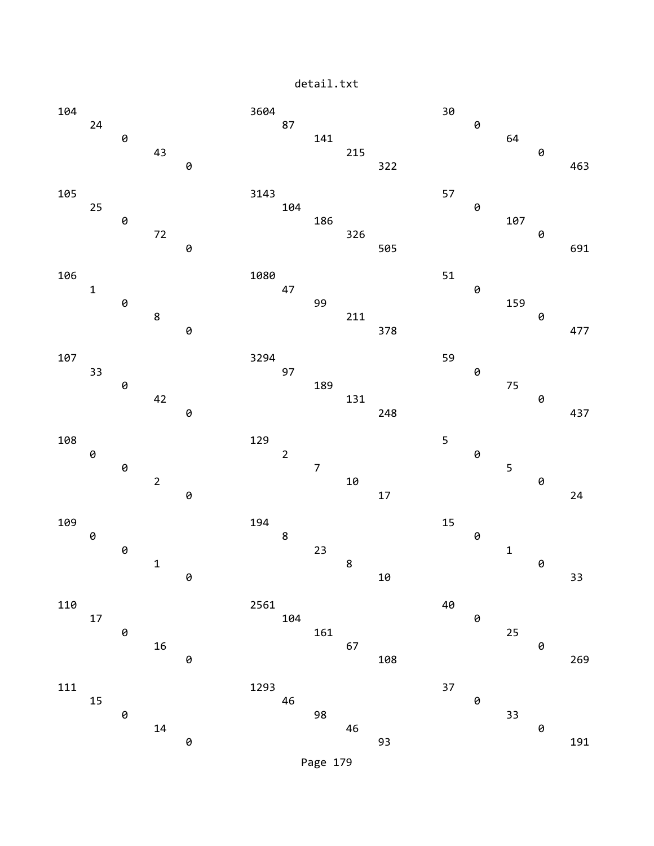detail.txt

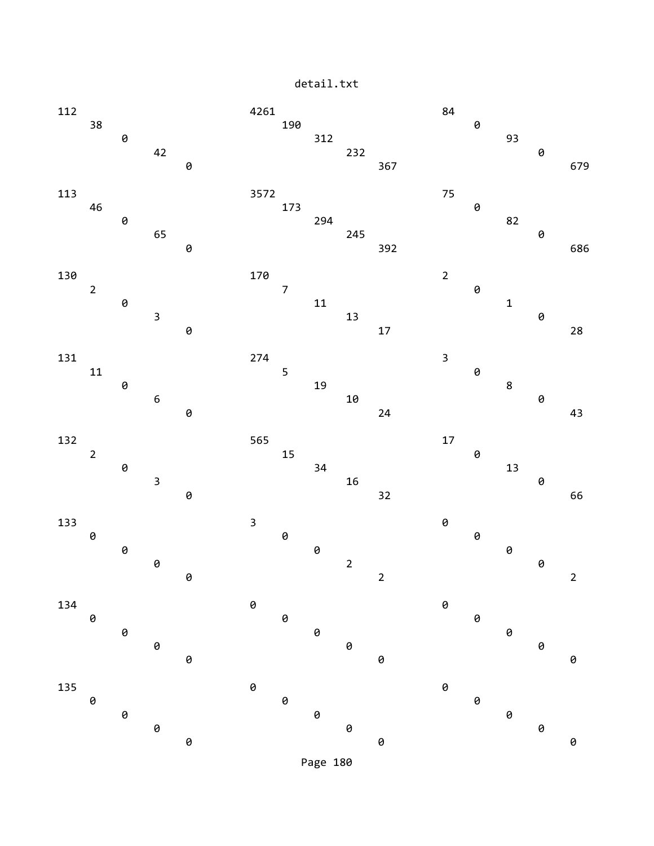detail.txt

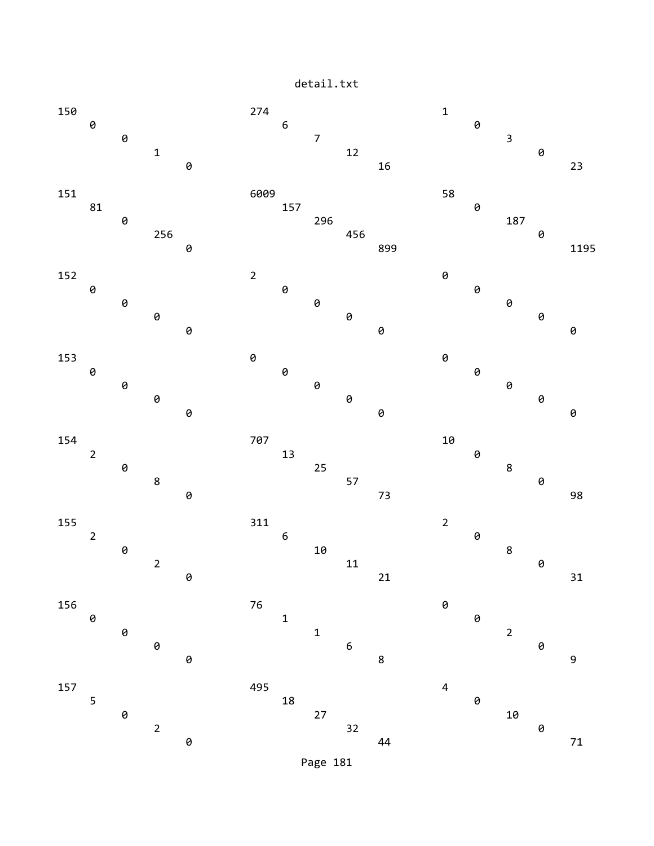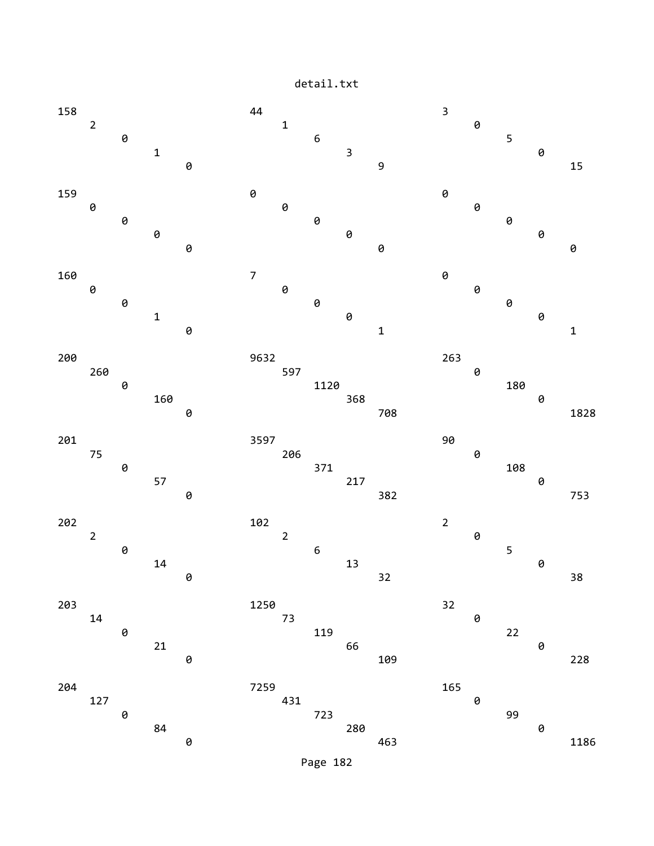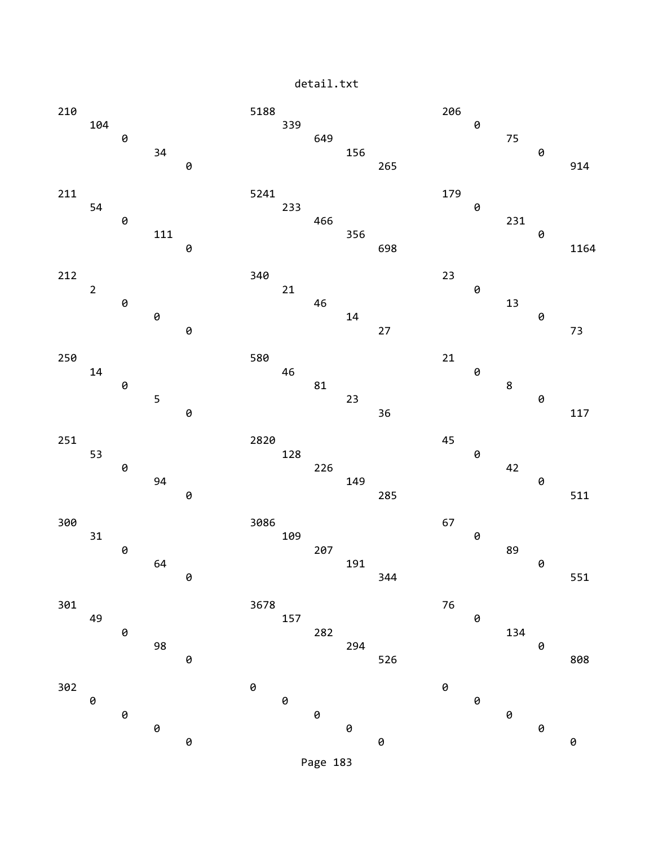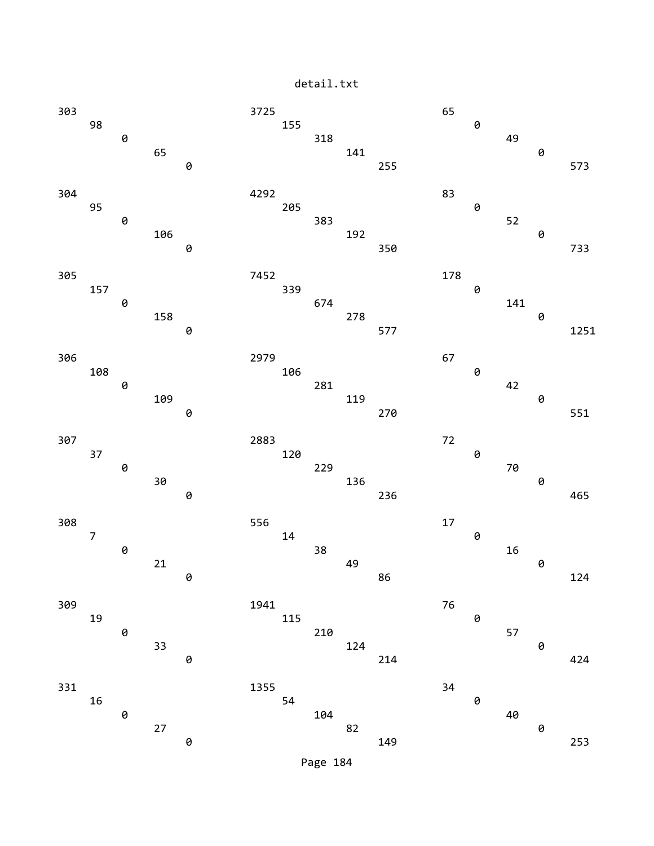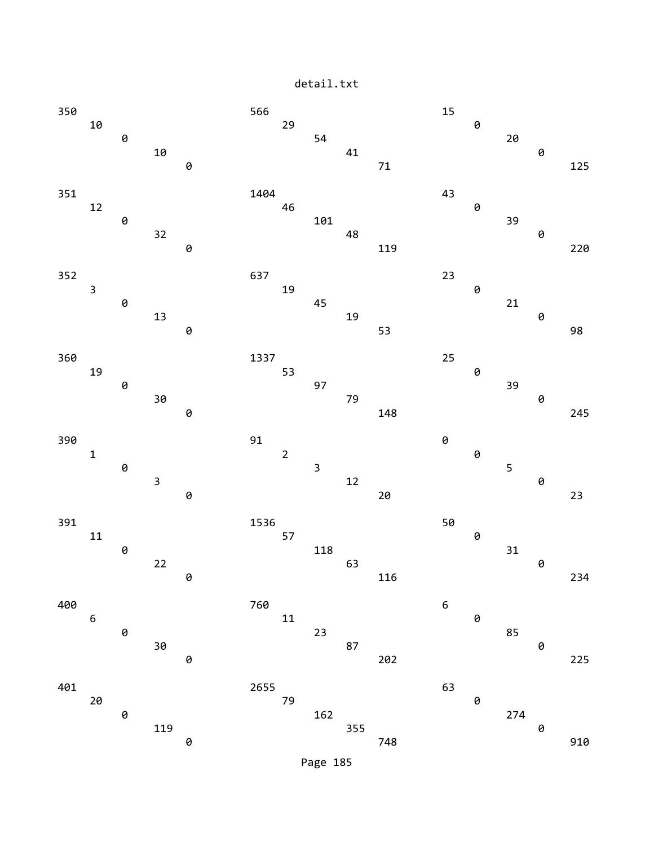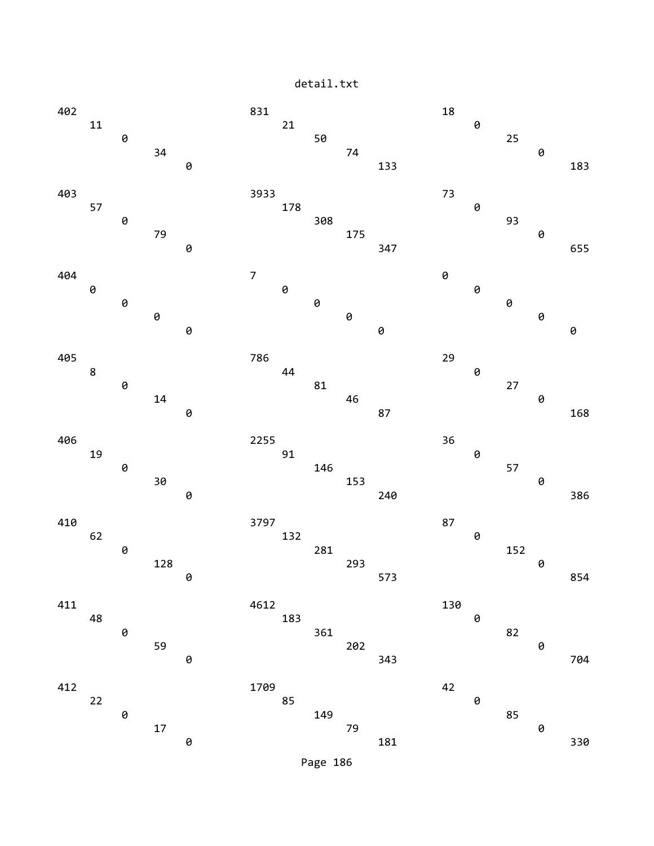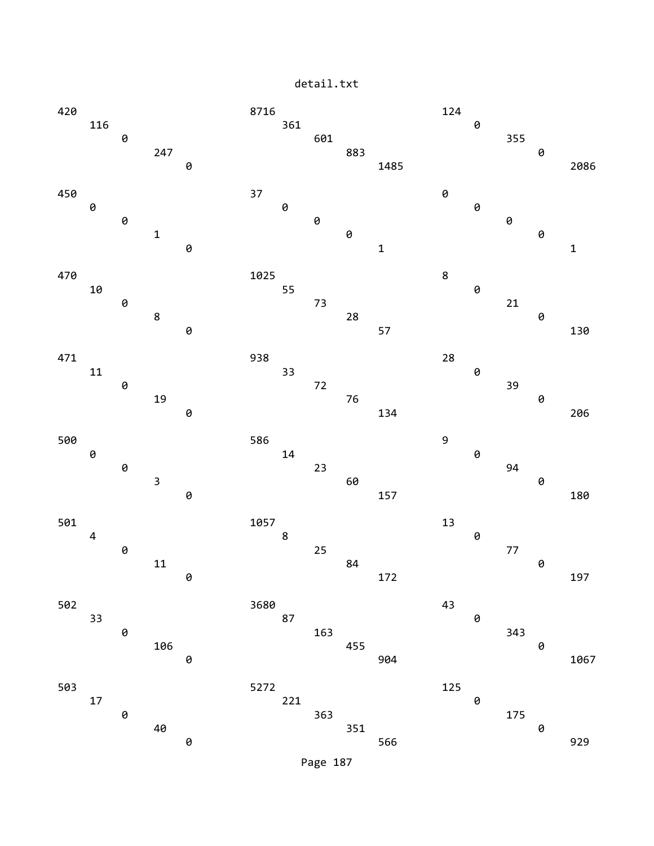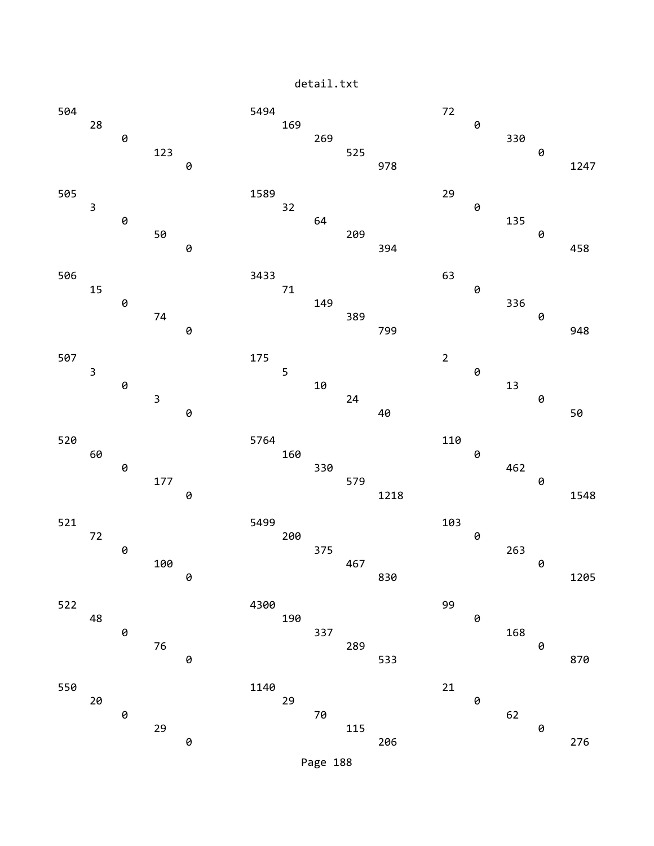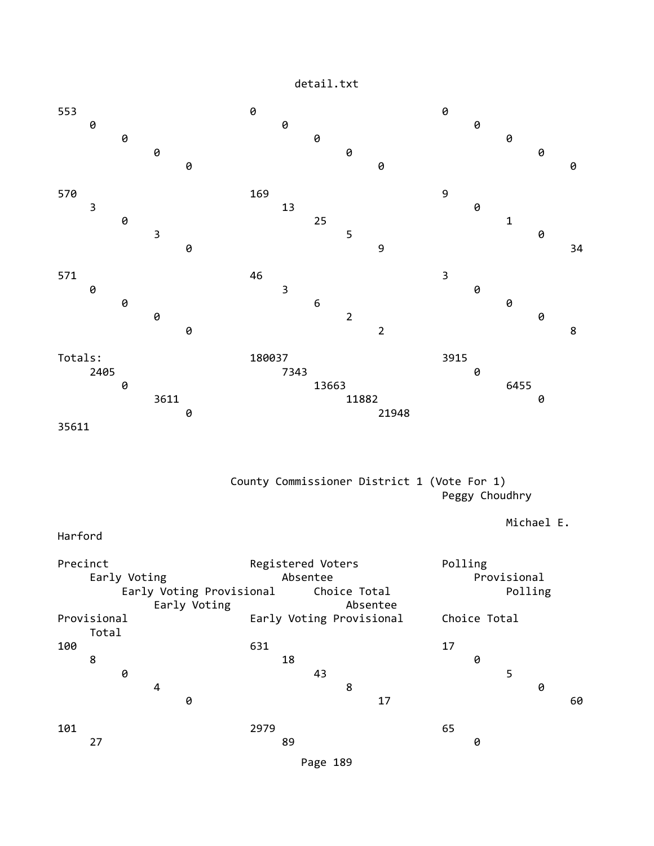

 County Commissioner District 1 (Vote For 1) Peggy Choudhry

Michael E.

Harford

Precinct **Registered Voters** Polling Early Voting **Absentee** Absentee **Provisional** Early Voting Provisional Choice Total **Polling** Early Voting **Absentee** Provisional Early Voting Provisional Choice Total Total 100 631 17 8 18 0 **0** 5 4 8 0 **0** 17 60 101 2979 65 27 89 0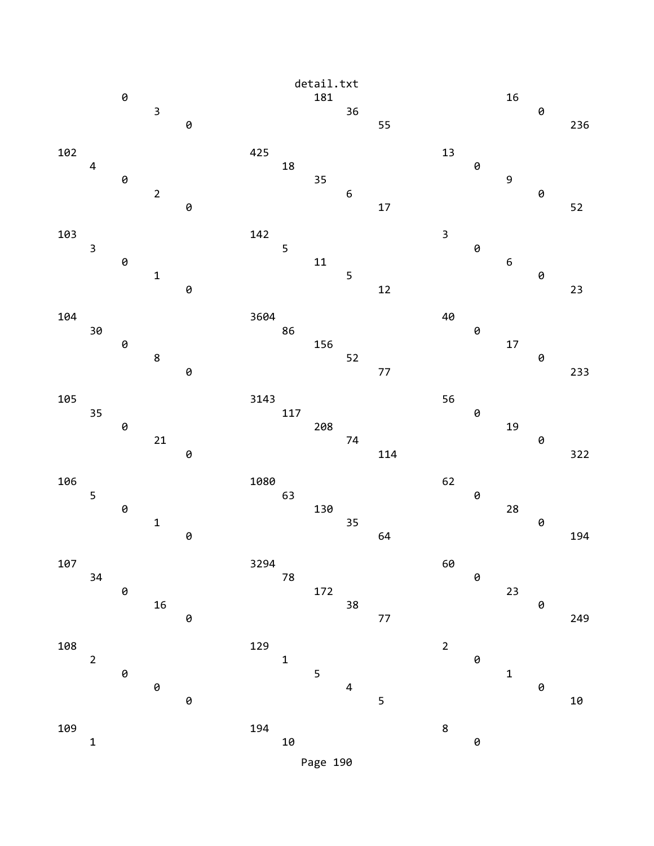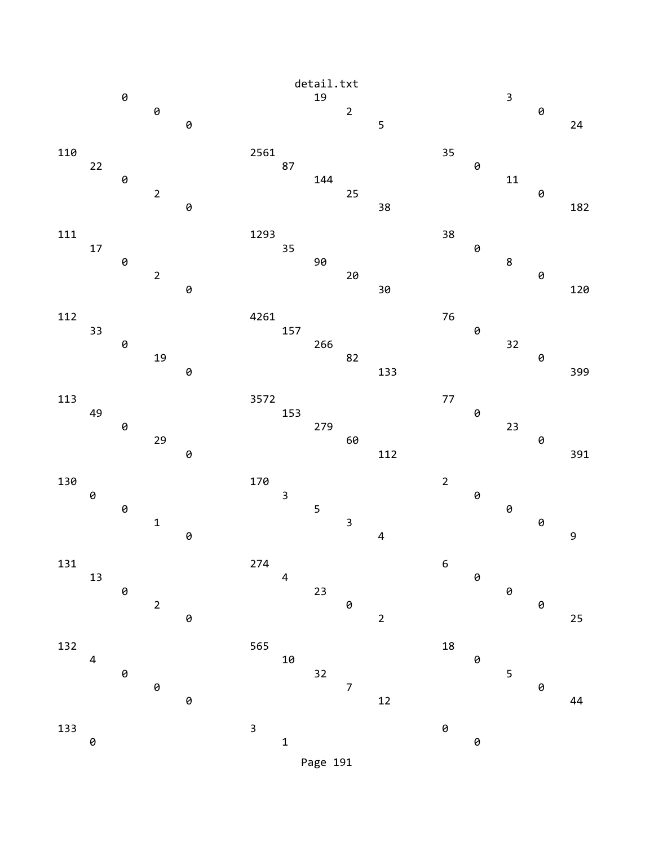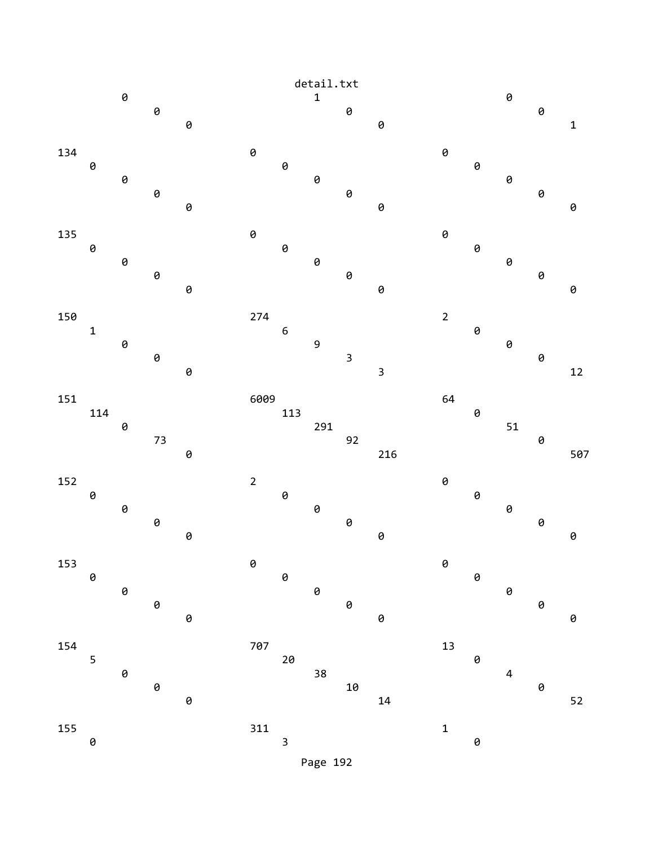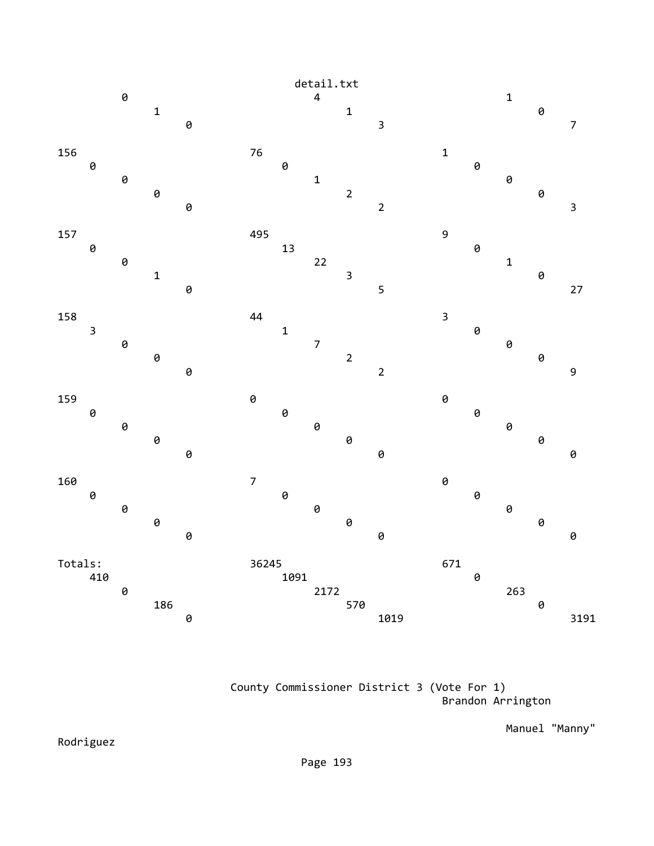

 County Commissioner District 3 (Vote For 1) Brandon Arrington

Manuel "Manny"

Rodriguez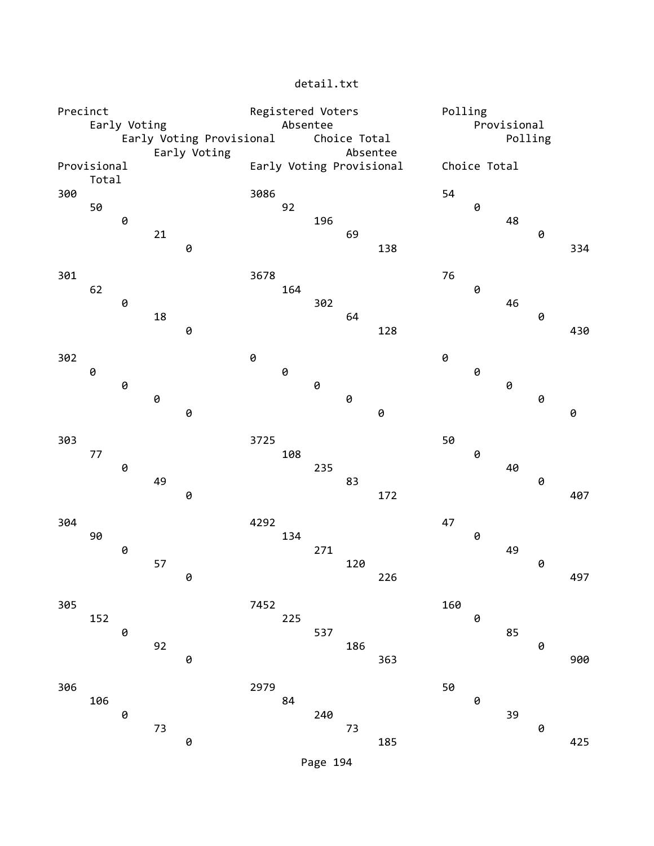| Precinct                             |                                          |   |    |                                      | Registered Voters |                          |     |     |     |              | Polling                |    |   |     |  |  |
|--------------------------------------|------------------------------------------|---|----|--------------------------------------|-------------------|--------------------------|-----|-----|-----|--------------|------------------------|----|---|-----|--|--|
|                                      | Early Voting<br>Early Voting Provisional |   |    |                                      |                   | Absentee<br>Choice Total |     |     |     |              | Provisional<br>Polling |    |   |     |  |  |
|                                      |                                          |   |    |                                      |                   |                          |     |     |     |              |                        |    |   |     |  |  |
| Early Voting<br>Provisional<br>Total |                                          |   |    | Absentee<br>Early Voting Provisional |                   |                          |     |     |     | Choice Total |                        |    |   |     |  |  |
| 300                                  |                                          |   |    |                                      | 3086              |                          |     |     |     | 54           |                        |    |   |     |  |  |
|                                      | 50                                       |   |    |                                      |                   | 92                       |     |     |     |              | 0                      |    |   |     |  |  |
|                                      |                                          | 0 |    |                                      |                   |                          | 196 |     |     |              |                        | 48 |   |     |  |  |
|                                      |                                          |   | 21 |                                      |                   |                          |     | 69  |     |              |                        |    | 0 |     |  |  |
|                                      |                                          |   |    | 0                                    |                   |                          |     |     | 138 |              |                        |    |   | 334 |  |  |
| 301                                  |                                          |   |    |                                      | 3678              |                          |     |     |     | 76           |                        |    |   |     |  |  |
|                                      | 62                                       |   |    |                                      |                   | 164                      |     |     |     |              | 0                      |    |   |     |  |  |
|                                      |                                          | 0 |    |                                      |                   |                          | 302 |     |     |              |                        | 46 |   |     |  |  |
|                                      |                                          |   | 18 |                                      |                   |                          |     | 64  |     |              |                        |    | 0 |     |  |  |
|                                      |                                          |   |    | 0                                    |                   |                          |     |     | 128 |              |                        |    |   | 430 |  |  |
| 302                                  |                                          |   |    |                                      | 0                 |                          |     |     |     | 0            |                        |    |   |     |  |  |
|                                      | 0                                        |   |    |                                      |                   | $\Theta$                 |     |     |     |              | 0                      |    |   |     |  |  |
|                                      |                                          | 0 |    |                                      |                   |                          | 0   |     |     |              |                        | 0  |   |     |  |  |
|                                      |                                          |   | 0  |                                      |                   |                          |     | 0   |     |              |                        |    | 0 |     |  |  |
|                                      |                                          |   |    | 0                                    |                   |                          |     |     | 0   |              |                        |    |   | 0   |  |  |
| 303                                  |                                          |   |    |                                      | 3725              |                          |     |     |     | 50           |                        |    |   |     |  |  |
|                                      | 77                                       |   |    |                                      |                   | 108                      |     |     |     |              | 0                      |    |   |     |  |  |
|                                      |                                          | 0 |    |                                      |                   |                          | 235 |     |     |              |                        | 40 |   |     |  |  |
|                                      |                                          |   | 49 |                                      |                   |                          |     | 83  |     |              |                        |    | 0 |     |  |  |
|                                      |                                          |   |    | 0                                    |                   |                          |     |     | 172 |              |                        |    |   | 407 |  |  |
| 304                                  |                                          |   |    |                                      | 4292              |                          |     |     |     | 47           |                        |    |   |     |  |  |
|                                      | 90                                       |   |    |                                      |                   | 134                      |     |     |     |              | 0                      |    |   |     |  |  |
|                                      |                                          | 0 |    |                                      |                   |                          | 271 |     |     |              |                        | 49 |   |     |  |  |
|                                      |                                          |   | 57 |                                      |                   |                          |     | 120 |     |              |                        |    | 0 |     |  |  |
|                                      |                                          |   |    | 0                                    |                   |                          |     |     | 226 |              |                        |    |   | 497 |  |  |
| 305                                  |                                          |   |    |                                      | 7452              |                          |     |     |     | 160          |                        |    |   |     |  |  |
|                                      | 152                                      |   |    |                                      |                   | 225                      |     |     |     |              | 0                      |    |   |     |  |  |
|                                      |                                          | 0 |    |                                      |                   |                          | 537 |     |     |              |                        | 85 |   |     |  |  |
|                                      |                                          |   | 92 |                                      |                   |                          |     | 186 |     |              |                        |    | 0 |     |  |  |
|                                      |                                          |   |    | 0                                    |                   |                          |     |     | 363 |              |                        |    |   | 900 |  |  |
| 306                                  |                                          |   |    |                                      | 2979              |                          |     |     |     | 50           |                        |    |   |     |  |  |
|                                      | 106                                      |   |    |                                      |                   | 84                       |     |     |     |              | 0                      |    |   |     |  |  |
|                                      |                                          | 0 |    |                                      |                   |                          | 240 |     |     |              |                        | 39 |   |     |  |  |
|                                      |                                          |   | 73 |                                      |                   |                          |     | 73  |     |              |                        |    | 0 |     |  |  |
|                                      |                                          |   |    | 0                                    |                   |                          |     |     | 185 |              |                        |    |   | 425 |  |  |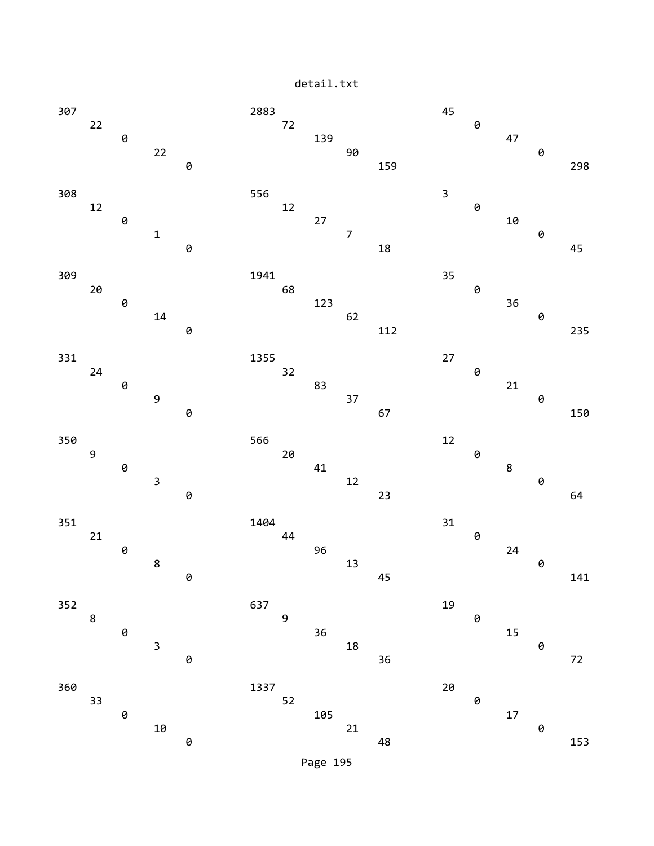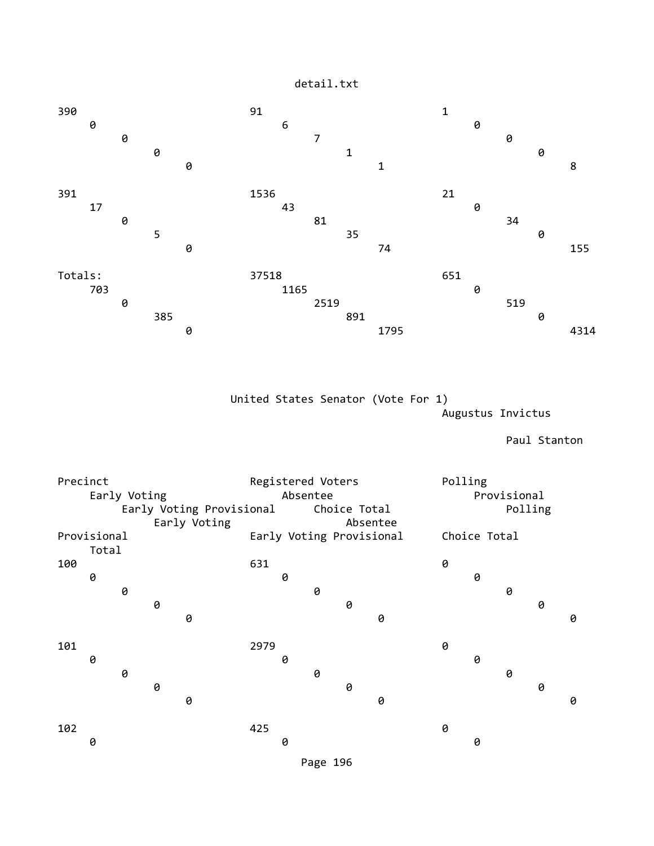

 United States Senator (Vote For 1) Augustus Invictus

Paul Stanton

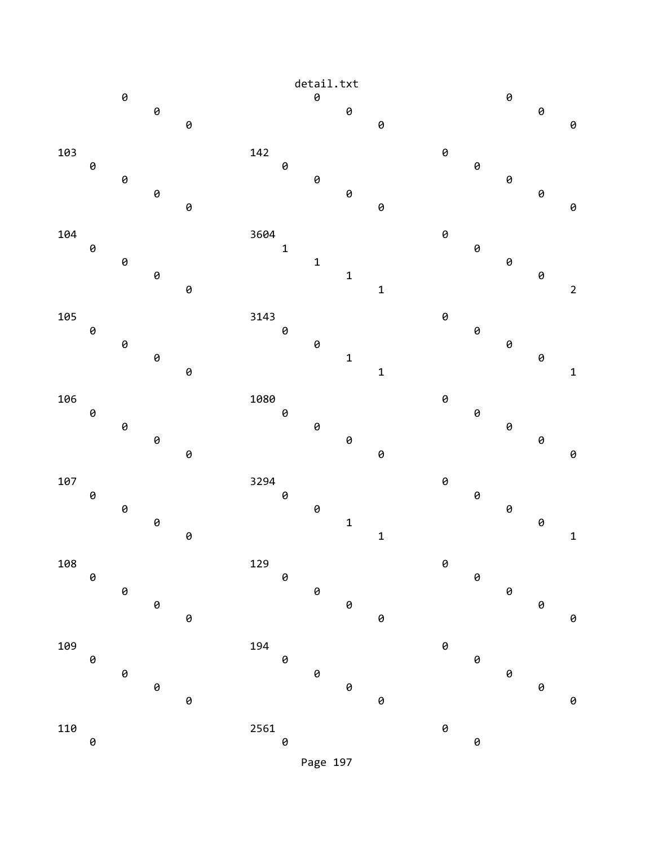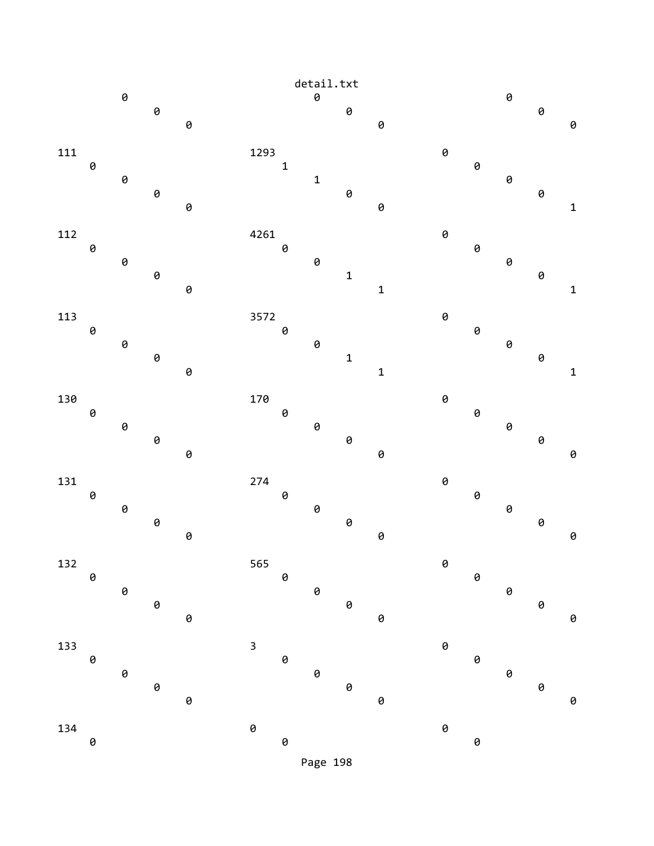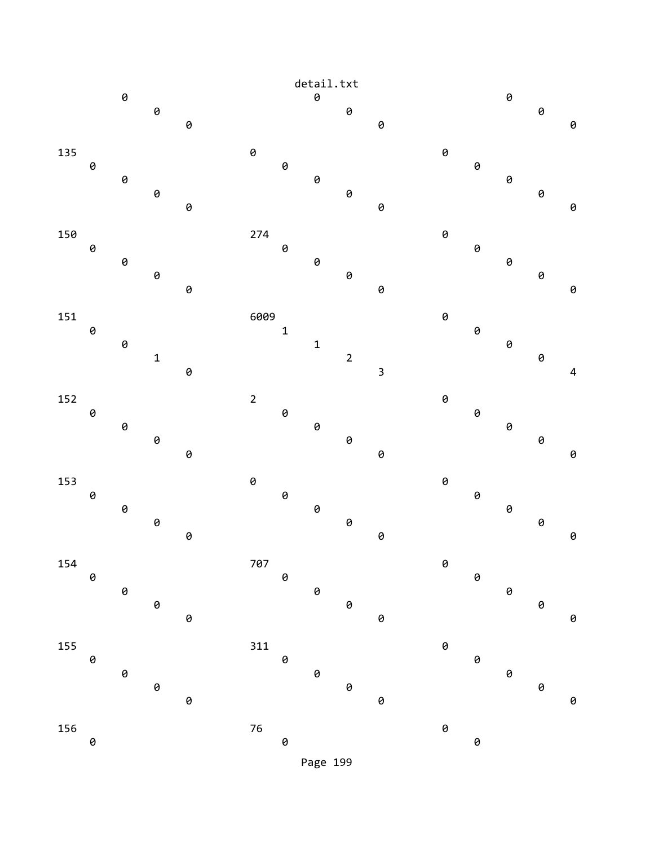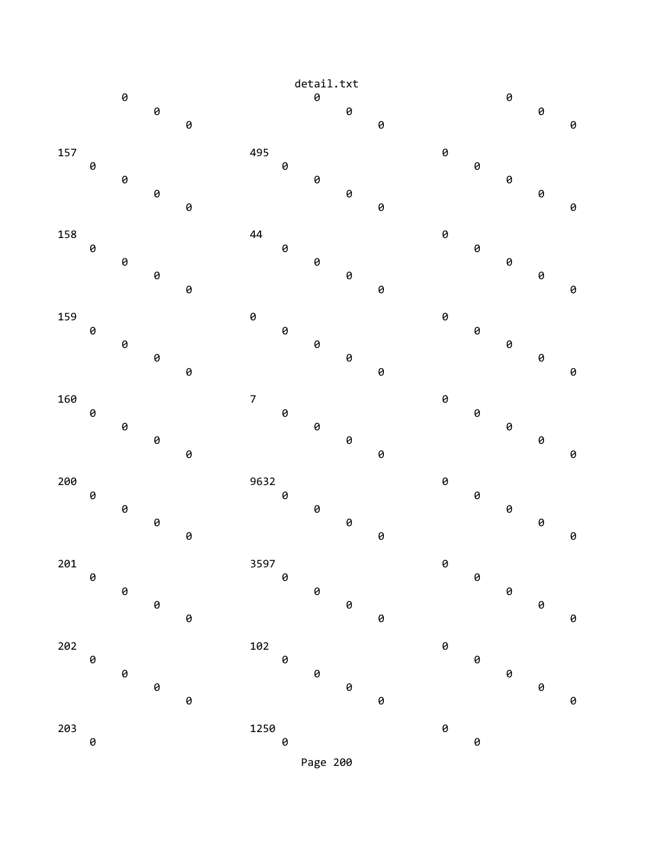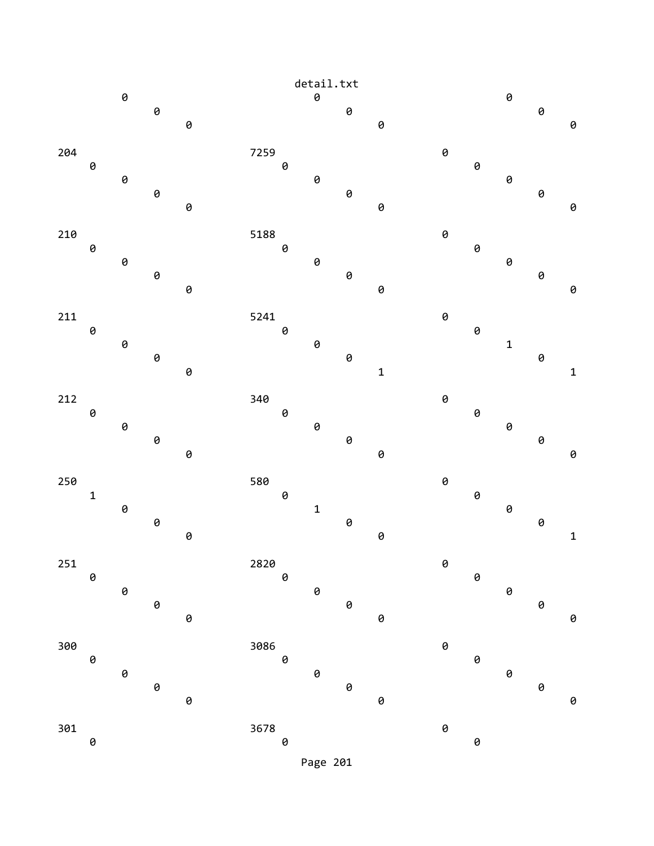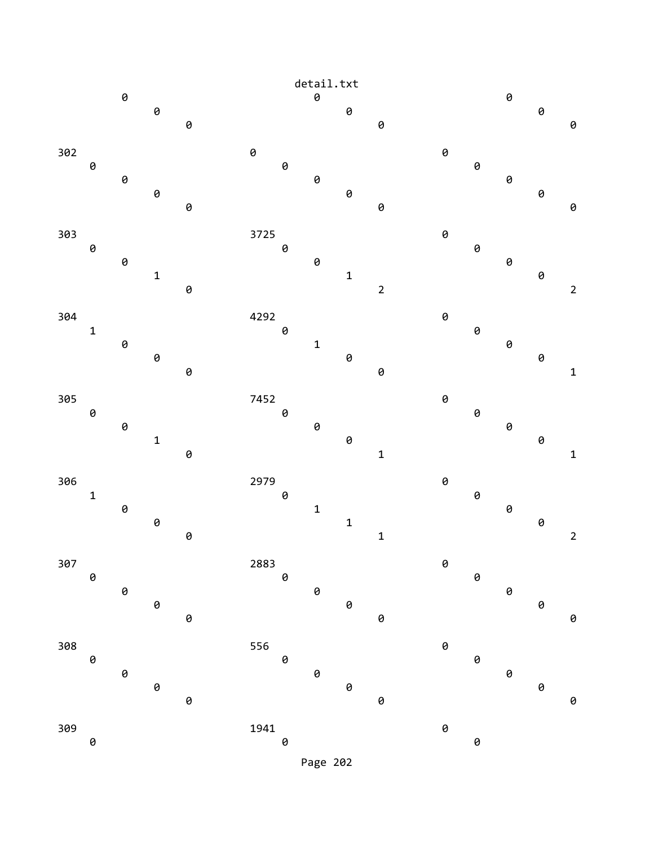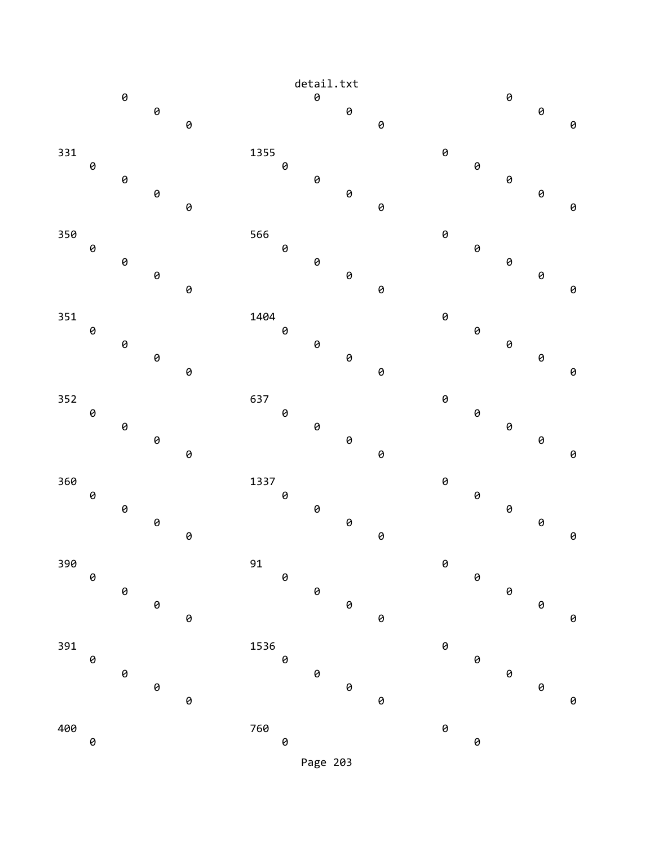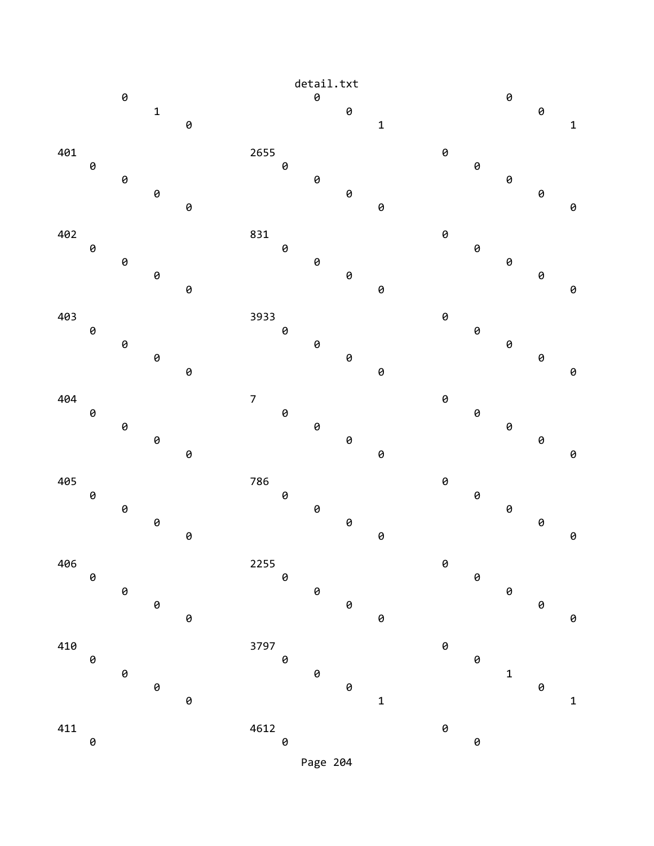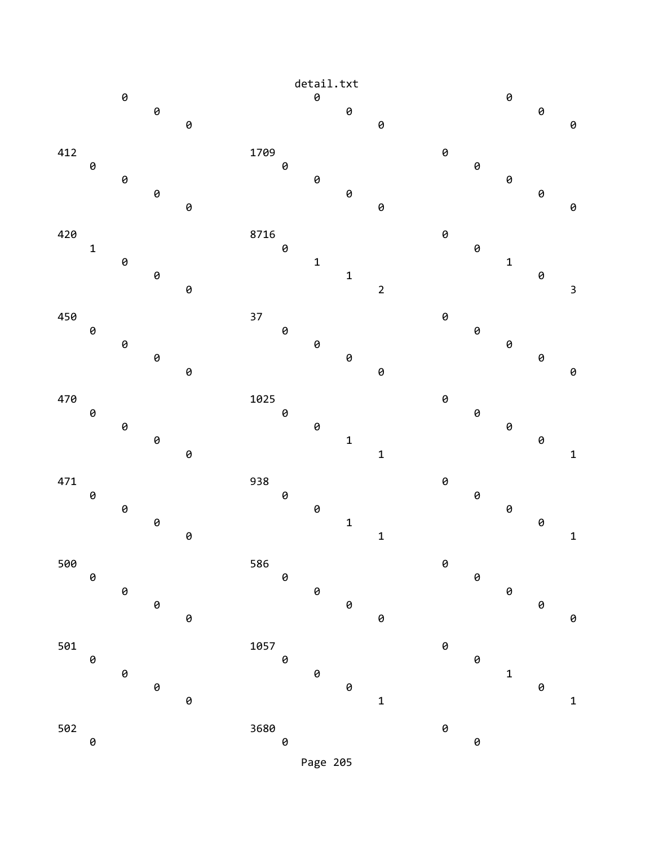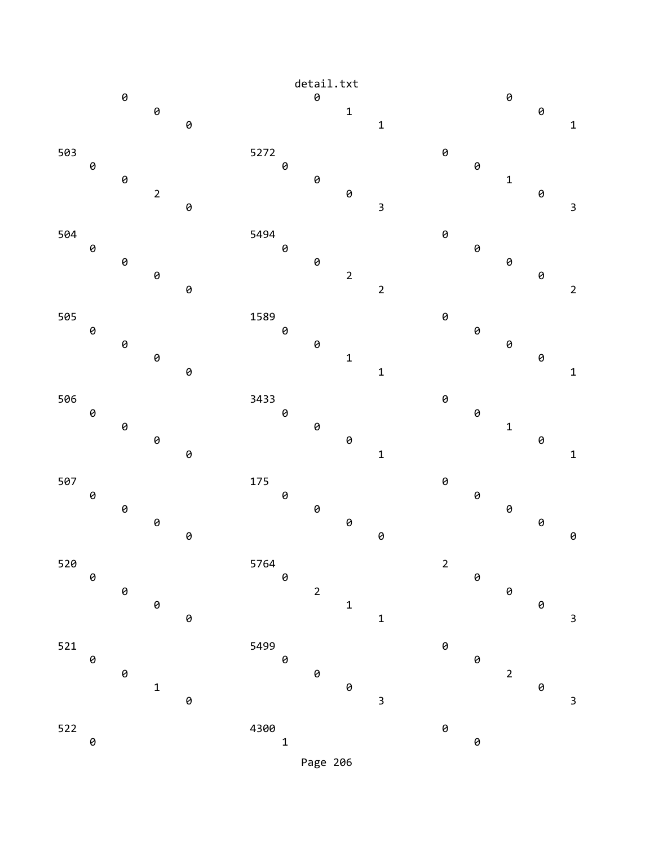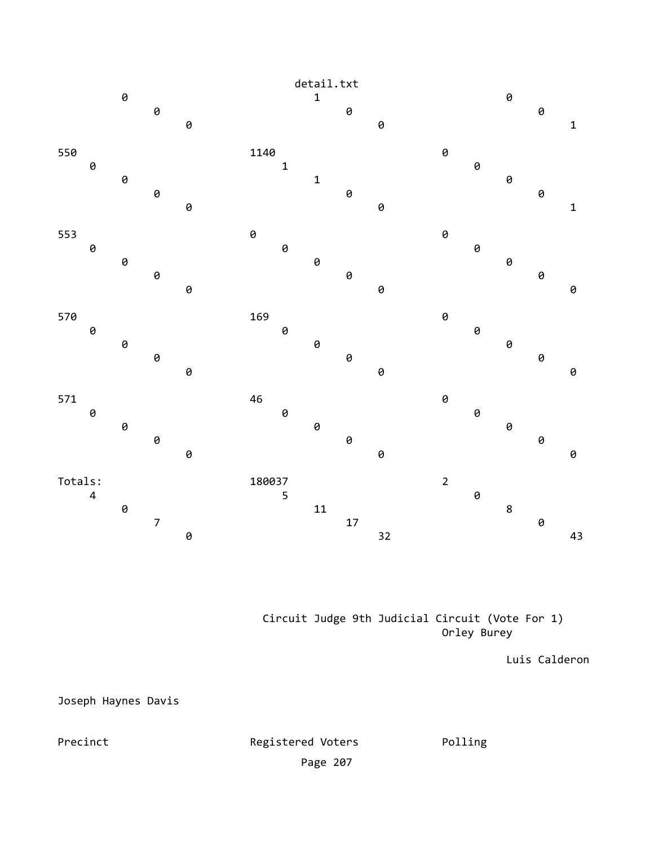

 Circuit Judge 9th Judicial Circuit (Vote For 1) Orley Burey

Luis Calderon

Joseph Haynes Davis

Registered Voters Polling Page 207

Precinct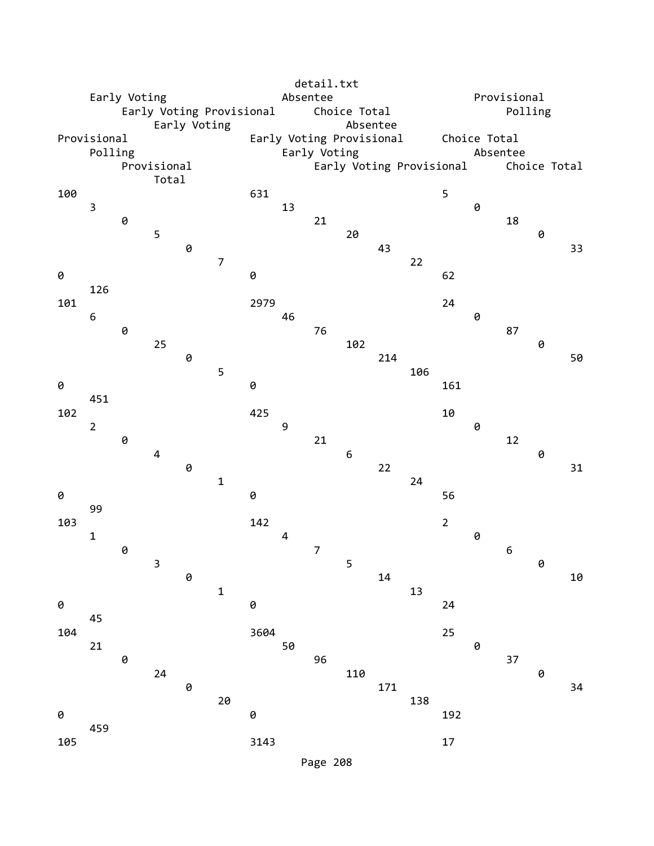|                 | Early Voting<br>Early Voting Provisional<br>Early Voting |          |                      |   |                |                       | detail.txt<br>Absentee<br>Choice Total<br>Absentee |                 |                  |                          |                          |                      | Provisional<br>Polling   |    |                |           |  |
|-----------------|----------------------------------------------------------|----------|----------------------|---|----------------|-----------------------|----------------------------------------------------|-----------------|------------------|--------------------------|--------------------------|----------------------|--------------------------|----|----------------|-----------|--|
| Provisional     | Polling                                                  |          | Provisional<br>Total |   |                |                       |                                                    | Early Voting    |                  | Early Voting Provisional | Early Voting Provisional |                      | Choice Total<br>Absentee |    | Choice Total   |           |  |
| 100<br>0        | $\mathsf 3$                                              | 0        | 5                    | 0 | $\overline{7}$ | 631<br>0              | 13                                                 | 21              | 20               | 43                       | 22                       | 5<br>62              | 0                        | 18 | 0              | 33        |  |
| 101<br>0        | 126<br>6                                                 | 0        | 25                   | 0 | 5              | 2979<br>0             | 46                                                 | 76              | 102              | 214                      | 106                      | 24<br>161            | 0                        | 87 | 0              | 50        |  |
| 102<br>0        | 451<br>$\overline{2}$                                    | 0        | $\pmb{4}$            | 0 | $\mathbf 1$    | 425<br>0              | 9                                                  | 21              | $\boldsymbol{6}$ | 22                       | 24                       | 10<br>56             | 0                        | 12 | 0              | 31        |  |
| 103<br>0        | 99<br>$\mathbf 1$<br>45                                  | 0        | 3                    | 0 | $\mathbf 1$    | 142<br>$\pmb{\Theta}$ | $\overline{a}$                                     | $7\overline{ }$ | 5                | $14\,$                   | 13                       | $\overline{2}$<br>24 | 0                        | 6  | $\pmb{\Theta}$ | $1\theta$ |  |
| 104<br>0<br>105 | 21<br>459                                                | $\Theta$ | 24                   | 0 | 20             | 3604<br>0<br>3143     | 50                                                 | 96              | 110              | 171                      | 138                      | 25<br>192<br>$17\,$  | 0                        | 37 | 0              | 34        |  |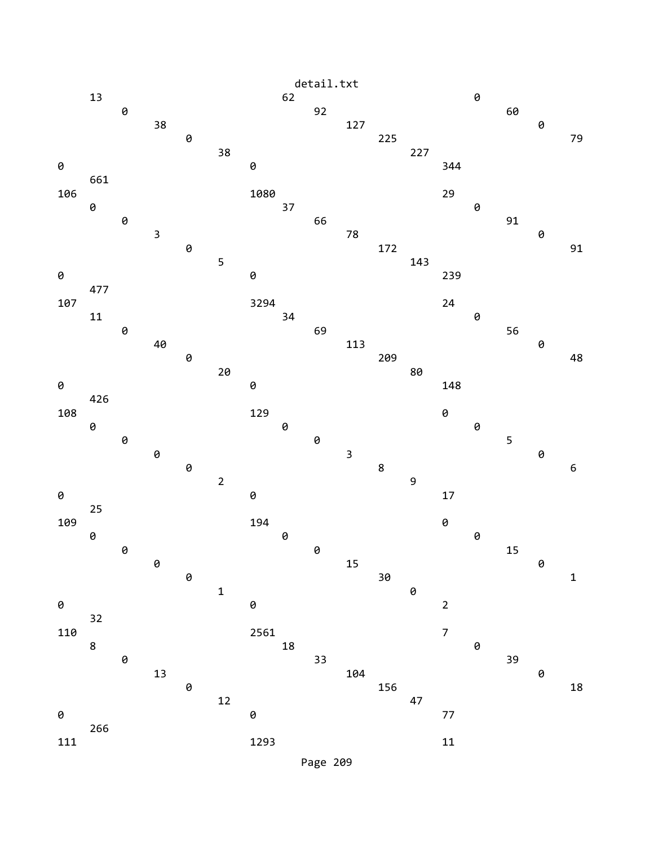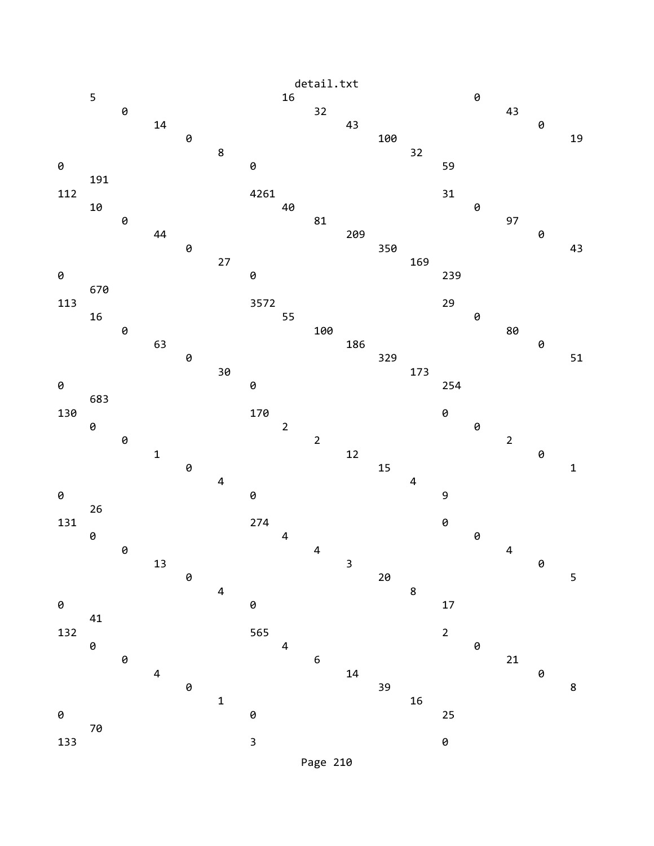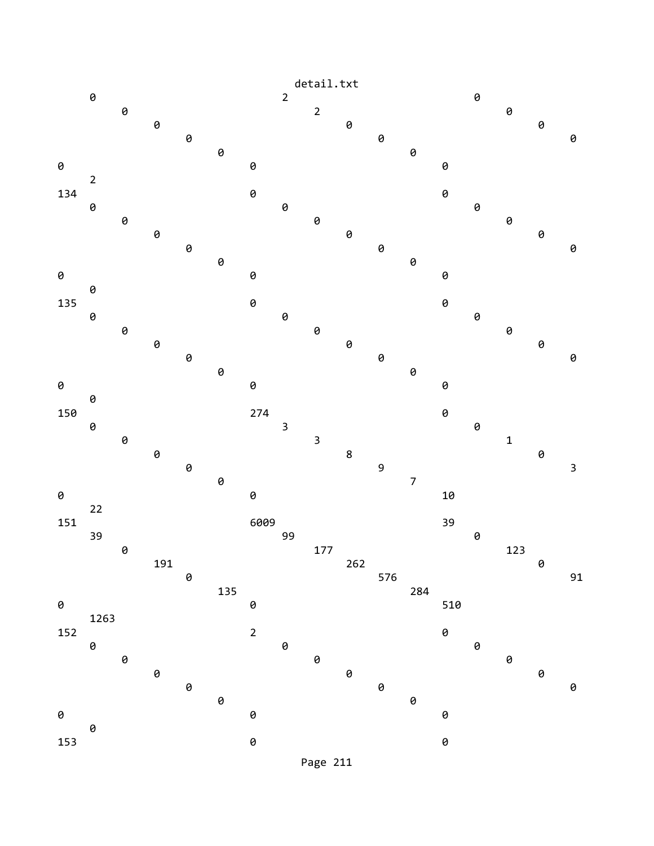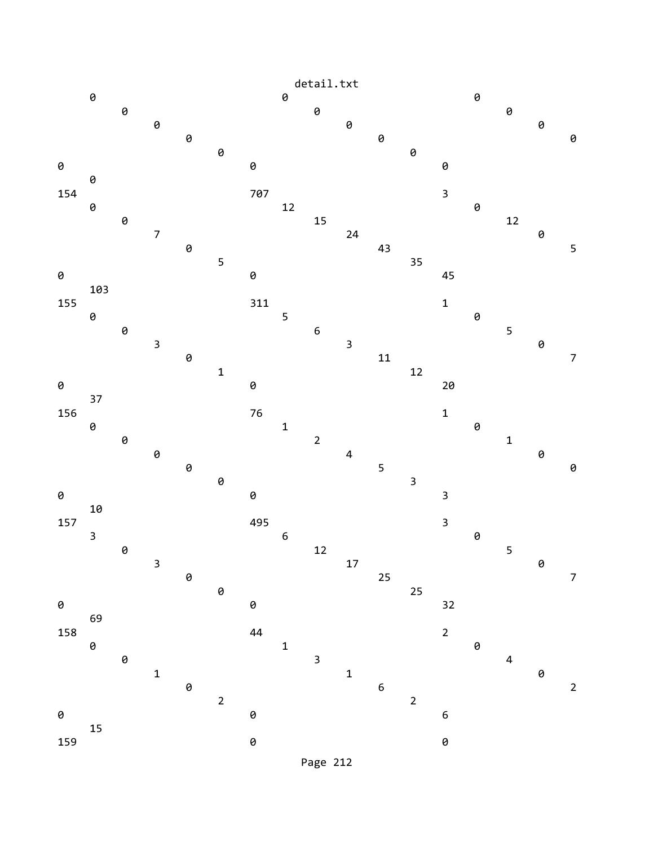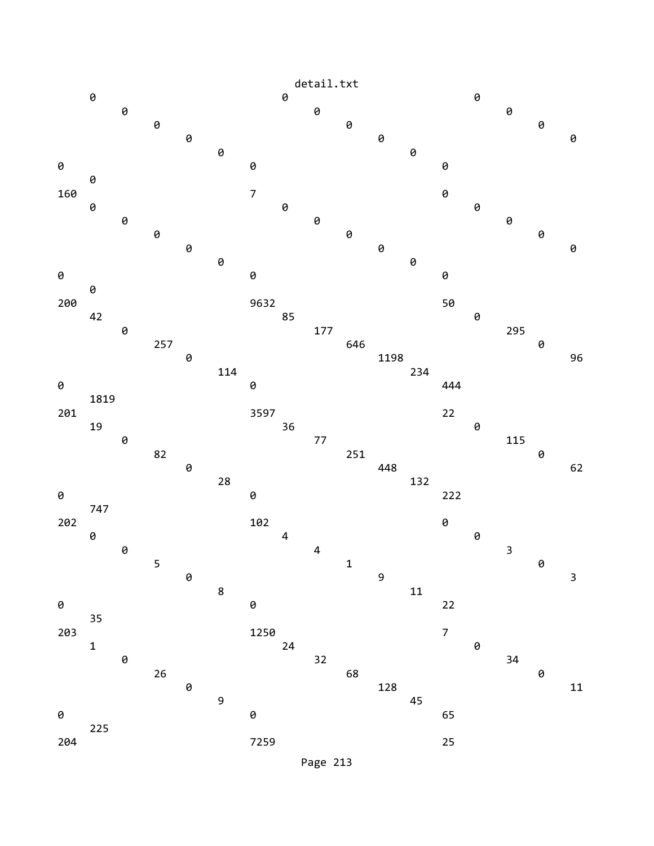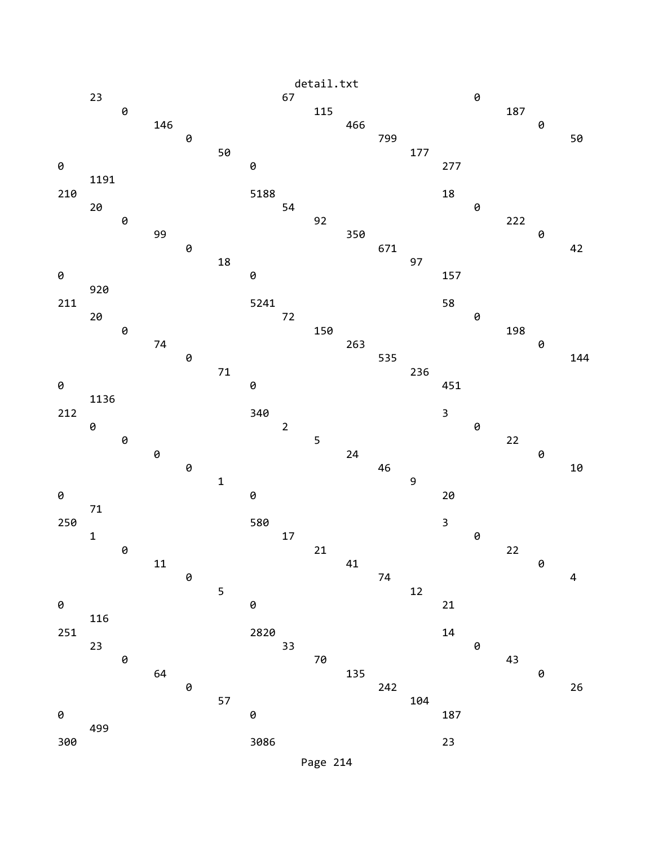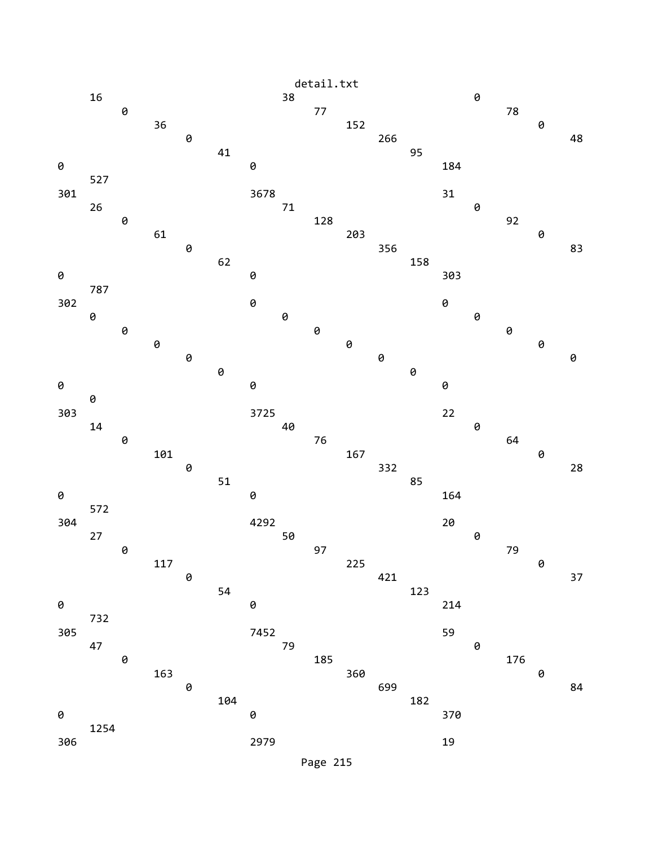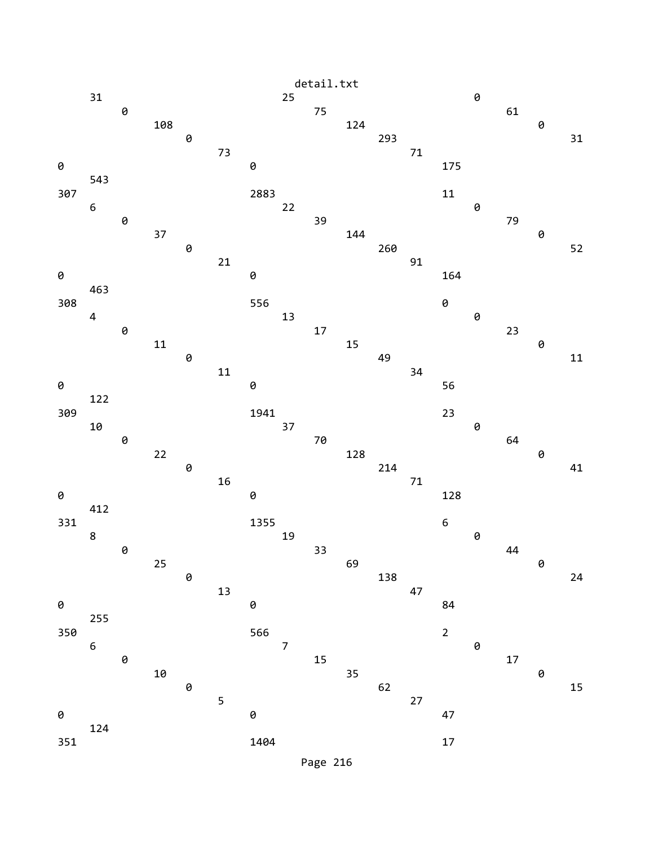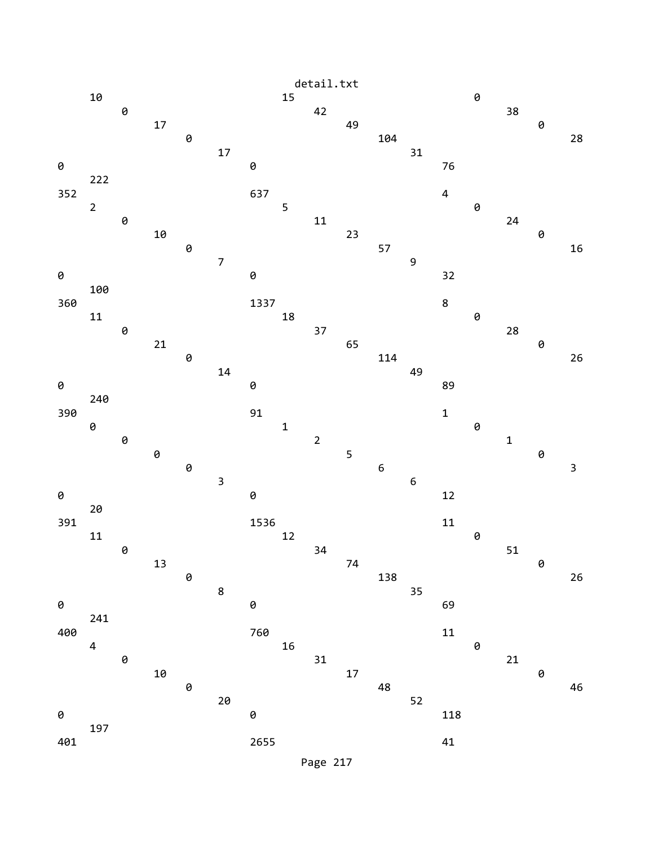

Page 217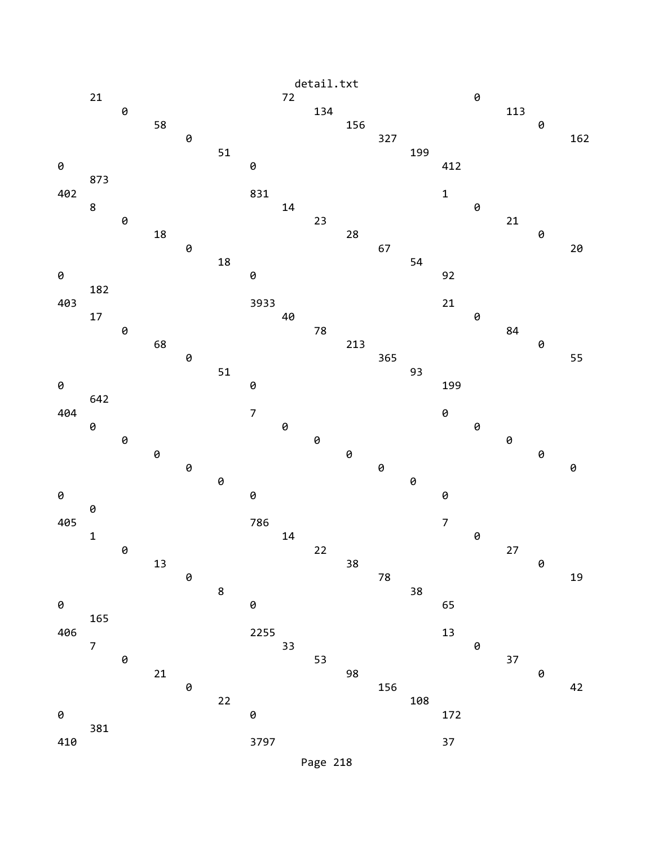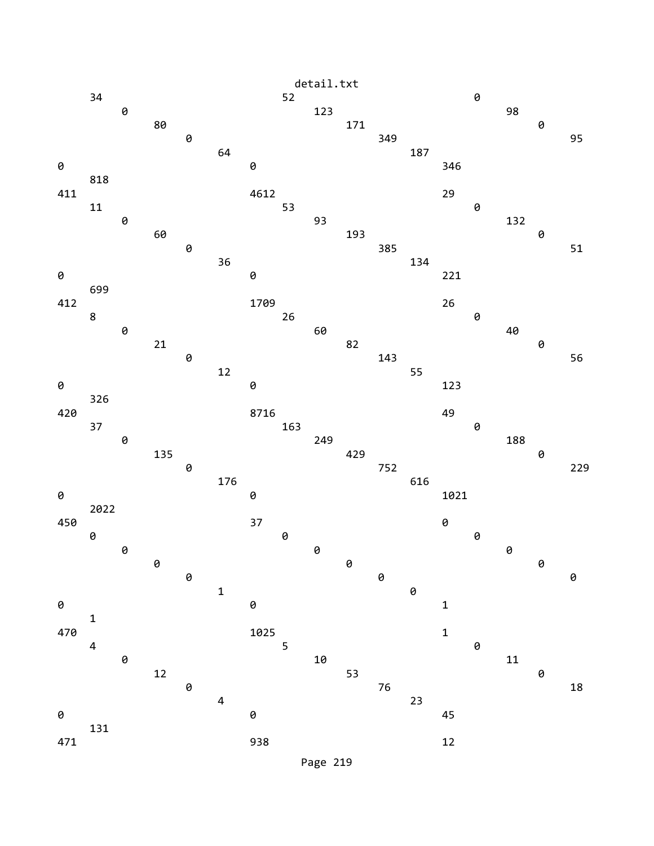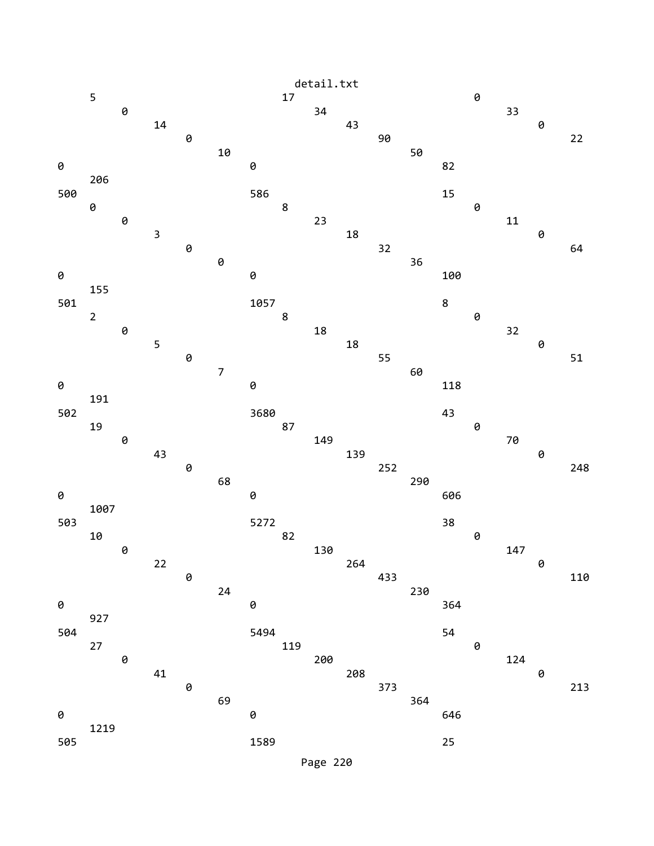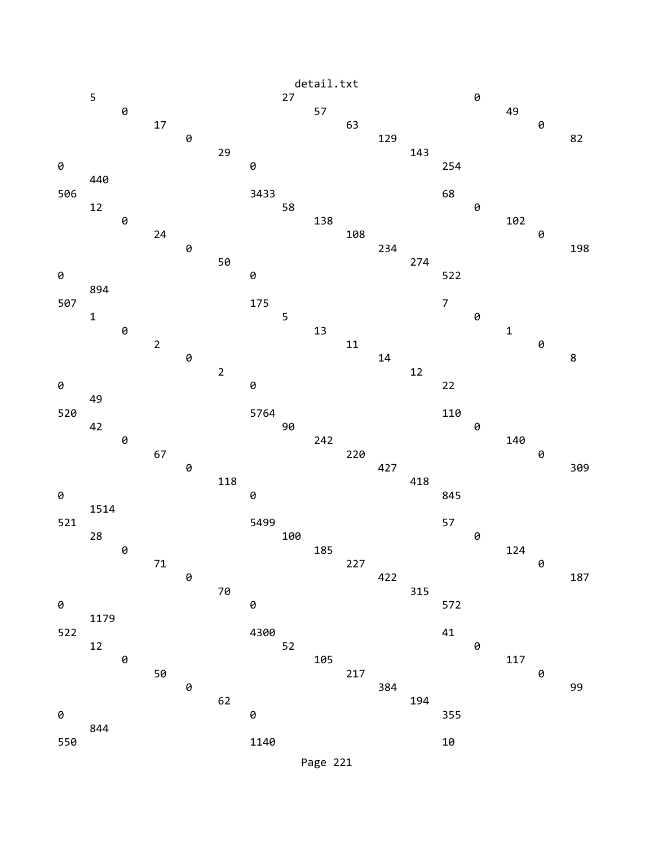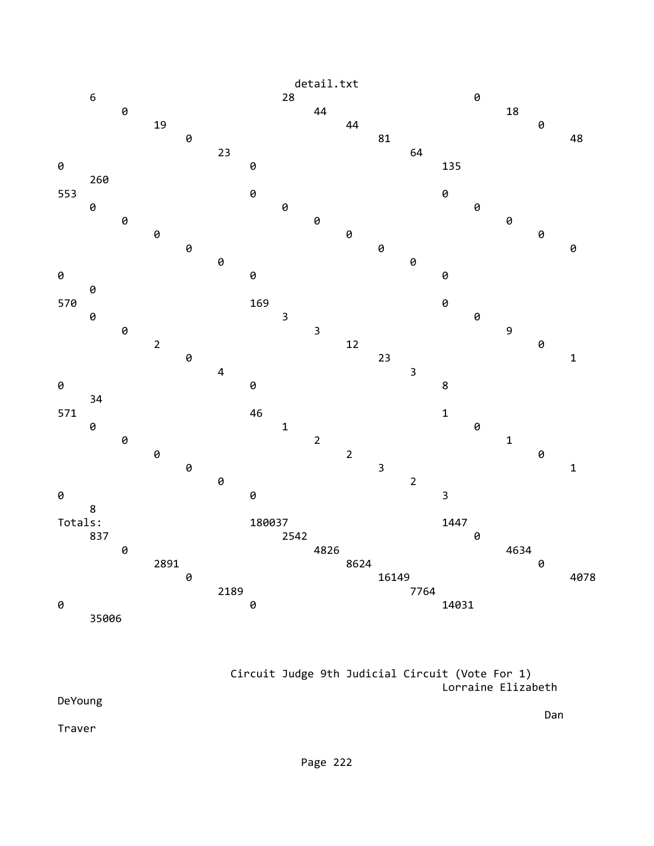

 Circuit Judge 9th Judicial Circuit (Vote For 1) Lorraine Elizabeth

DeYoung

Traver

Dan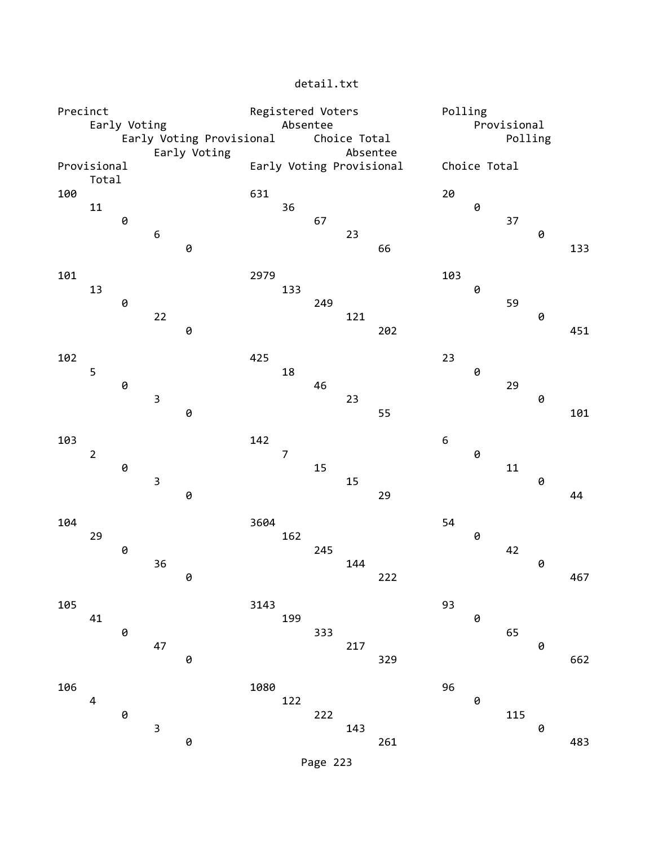| Precinct |                      |   |             |                                          | Registered Voters |                |     |              |                          |                  | Polling      |         |   |     |  |
|----------|----------------------|---|-------------|------------------------------------------|-------------------|----------------|-----|--------------|--------------------------|------------------|--------------|---------|---|-----|--|
|          | Early Voting         |   |             |                                          |                   | Absentee       |     |              |                          |                  | Provisional  |         |   |     |  |
|          |                      |   |             | Early Voting Provisional<br>Early Voting |                   |                |     | Choice Total | Absentee                 |                  |              | Polling |   |     |  |
|          | Provisional<br>Total |   |             |                                          |                   |                |     |              | Early Voting Provisional |                  | Choice Total |         |   |     |  |
| 100      |                      |   |             |                                          | 631               |                |     |              |                          | 20               |              |         |   |     |  |
|          | 11                   |   |             |                                          |                   | 36             |     |              |                          |                  | 0            |         |   |     |  |
|          |                      | 0 |             |                                          |                   |                | 67  |              |                          |                  |              | 37      |   |     |  |
|          |                      |   | 6           | 0                                        |                   |                |     | 23           | 66                       |                  |              |         | 0 | 133 |  |
| 101      |                      |   |             |                                          | 2979              |                |     |              |                          | 103              |              |         |   |     |  |
|          | 13                   |   |             |                                          |                   | 133            |     |              |                          |                  | 0            |         |   |     |  |
|          |                      | 0 | 22          |                                          |                   |                | 249 | 121          |                          |                  |              | 59      | 0 |     |  |
|          |                      |   |             | 0                                        |                   |                |     |              | 202                      |                  |              |         |   | 451 |  |
| 102      |                      |   |             |                                          | 425               |                |     |              |                          | 23               |              |         |   |     |  |
|          | 5                    |   |             |                                          |                   | 18             |     |              |                          |                  | 0            |         |   |     |  |
|          |                      | 0 |             |                                          |                   |                | 46  |              |                          |                  |              | 29      |   |     |  |
|          |                      |   | $\mathsf 3$ |                                          |                   |                |     | 23           |                          |                  |              |         | 0 |     |  |
|          |                      |   |             | 0                                        |                   |                |     |              | 55                       |                  |              |         |   | 101 |  |
| 103      |                      |   |             |                                          | 142               |                |     |              |                          | $\boldsymbol{6}$ |              |         |   |     |  |
|          | $\overline{2}$       |   |             |                                          |                   | $\overline{7}$ |     |              |                          |                  | 0            |         |   |     |  |
|          |                      | 0 |             |                                          |                   |                | 15  |              |                          |                  |              | $11\,$  |   |     |  |
|          |                      |   | $\mathsf 3$ |                                          |                   |                |     | 15           |                          |                  |              |         | 0 |     |  |
|          |                      |   |             | 0                                        |                   |                |     |              | 29                       |                  |              |         |   | 44  |  |
| 104      |                      |   |             |                                          | 3604              |                |     |              |                          | 54               |              |         |   |     |  |
|          | 29                   |   |             |                                          |                   | 162            |     |              |                          |                  | 0            |         |   |     |  |
|          |                      | 0 |             |                                          |                   |                | 245 |              |                          |                  |              | 42      |   |     |  |
|          |                      |   | 36          |                                          |                   |                |     | 144          |                          |                  |              |         | 0 |     |  |
|          |                      |   |             | 0                                        |                   |                |     |              | 222                      |                  |              |         |   | 467 |  |
| 105      |                      |   |             |                                          | 3143              |                |     |              |                          | 93               |              |         |   |     |  |
|          | 41                   |   |             |                                          |                   | 199            |     |              |                          |                  | 0            |         |   |     |  |
|          |                      | 0 |             |                                          |                   |                | 333 |              |                          |                  |              | 65      |   |     |  |
|          |                      |   | 47          |                                          |                   |                |     | 217          |                          |                  |              |         | 0 |     |  |
|          |                      |   |             | 0                                        |                   |                |     |              | 329                      |                  |              |         |   | 662 |  |
| 106      |                      |   |             |                                          | 1080              |                |     |              |                          | 96               |              |         |   |     |  |
|          | 4                    |   |             |                                          |                   | 122            |     |              |                          |                  | 0            |         |   |     |  |
|          |                      | 0 |             |                                          |                   |                | 222 |              |                          |                  |              | 115     |   |     |  |
|          |                      |   | 3           |                                          |                   |                |     | 143          |                          |                  |              |         | 0 |     |  |
|          |                      |   |             | 0                                        |                   |                |     |              | 261                      |                  |              |         |   | 483 |  |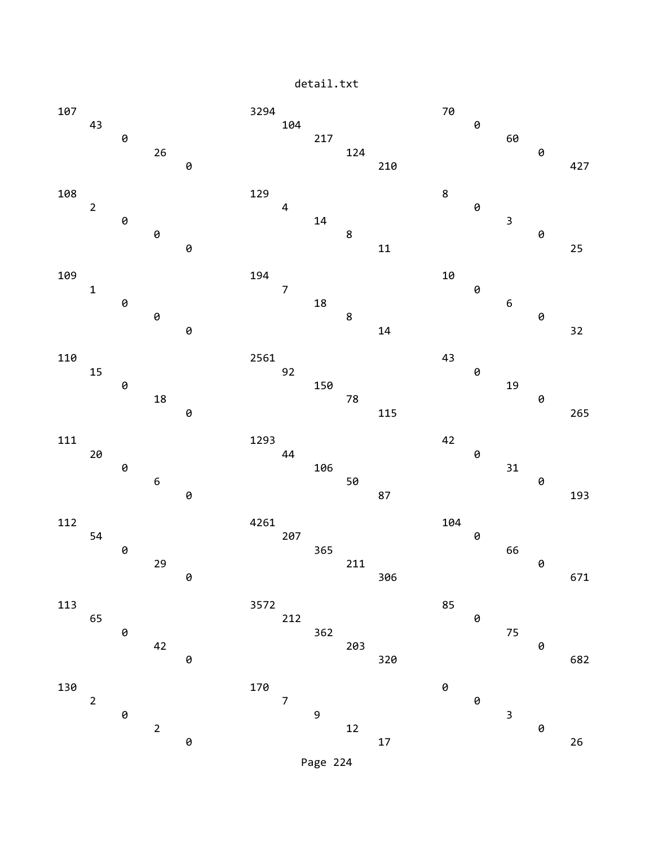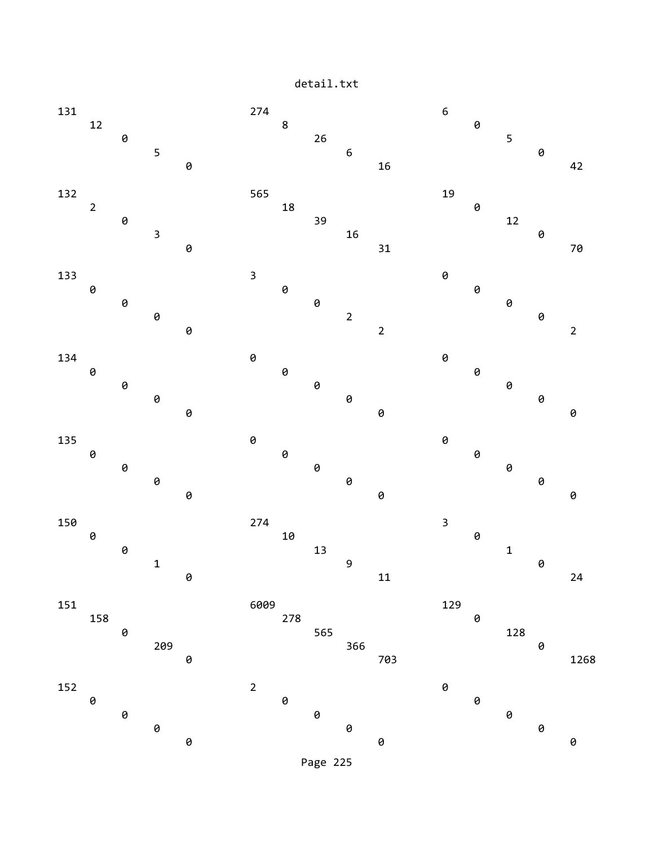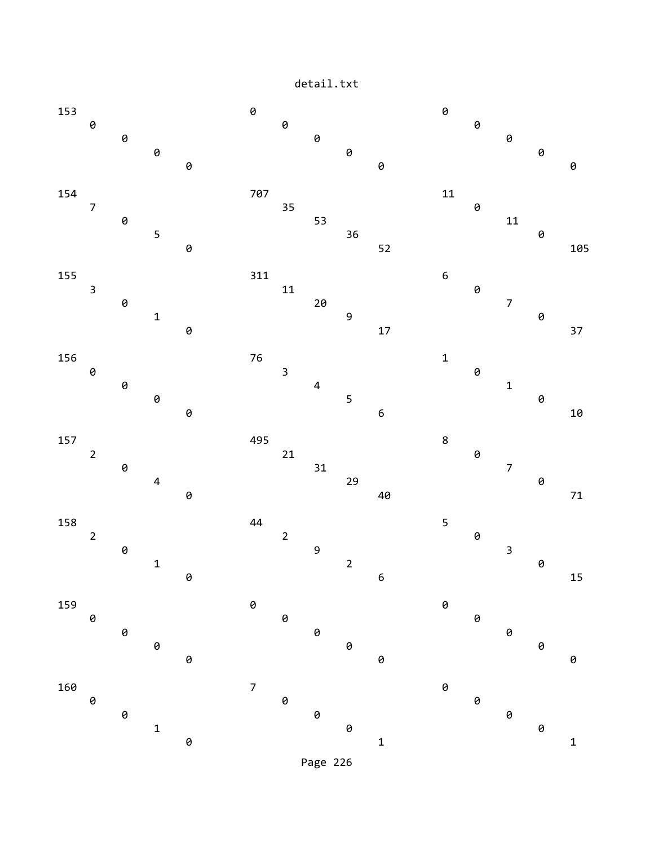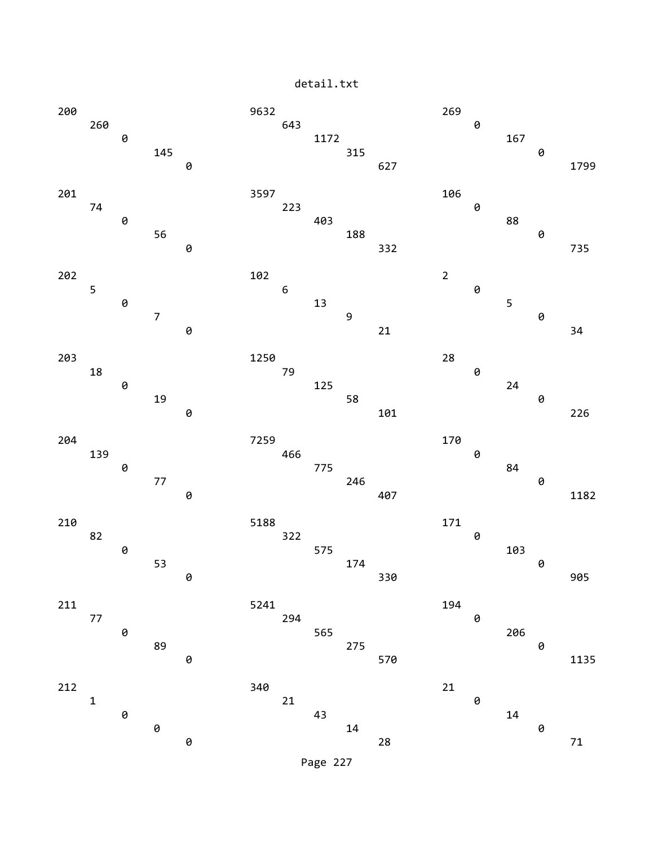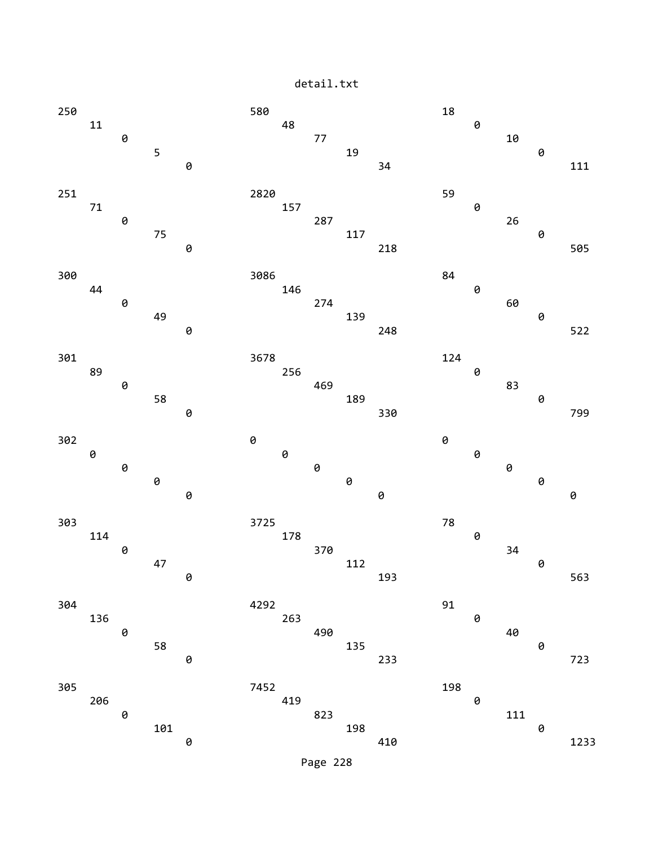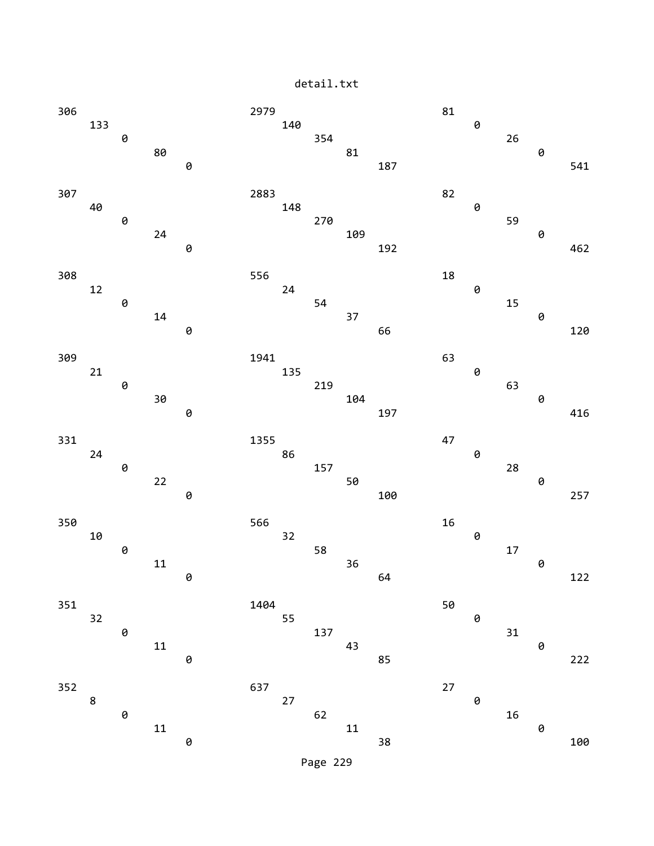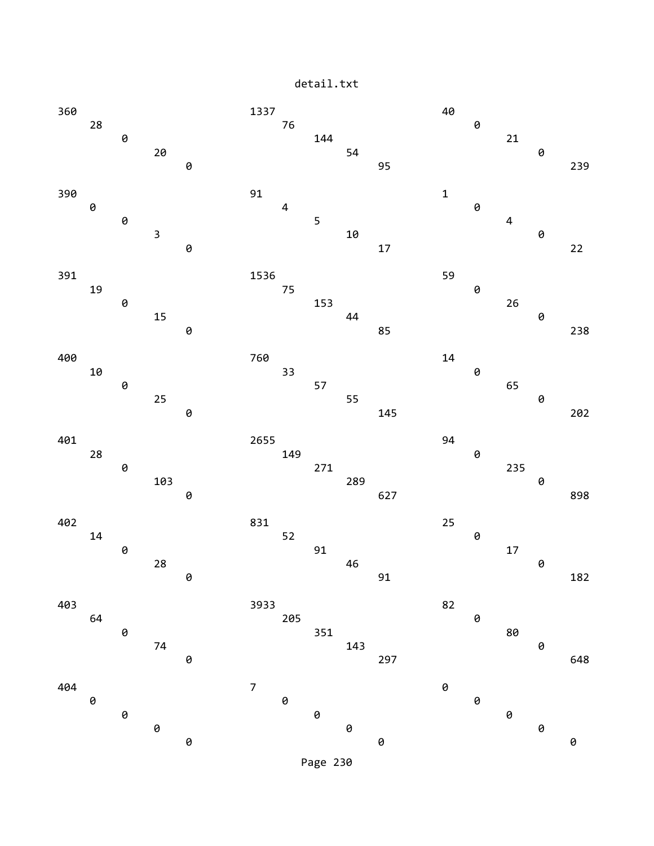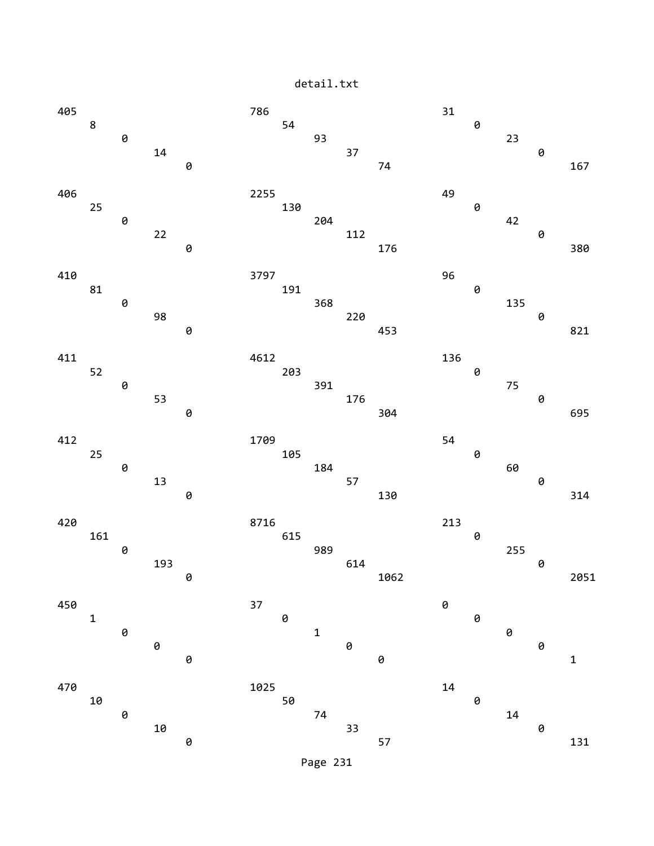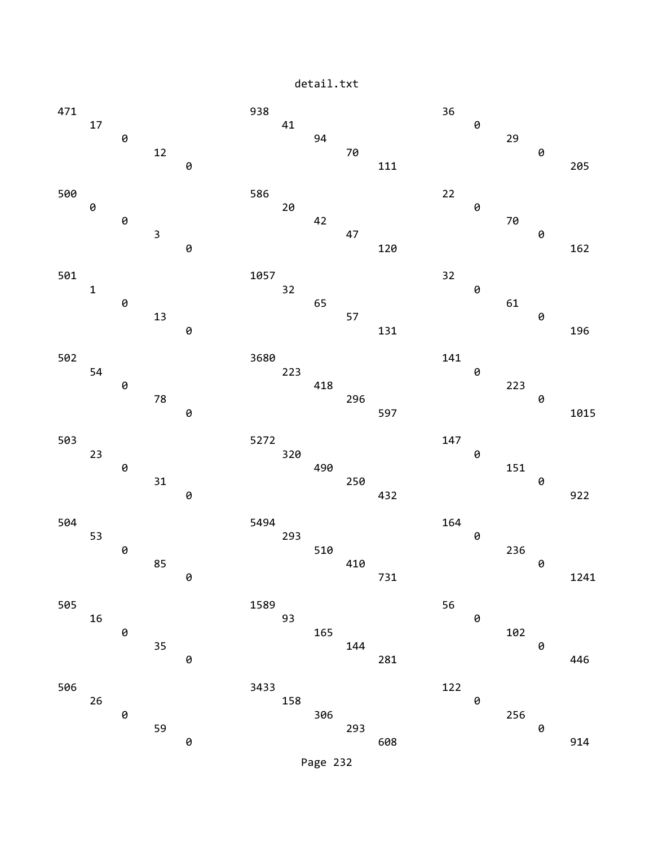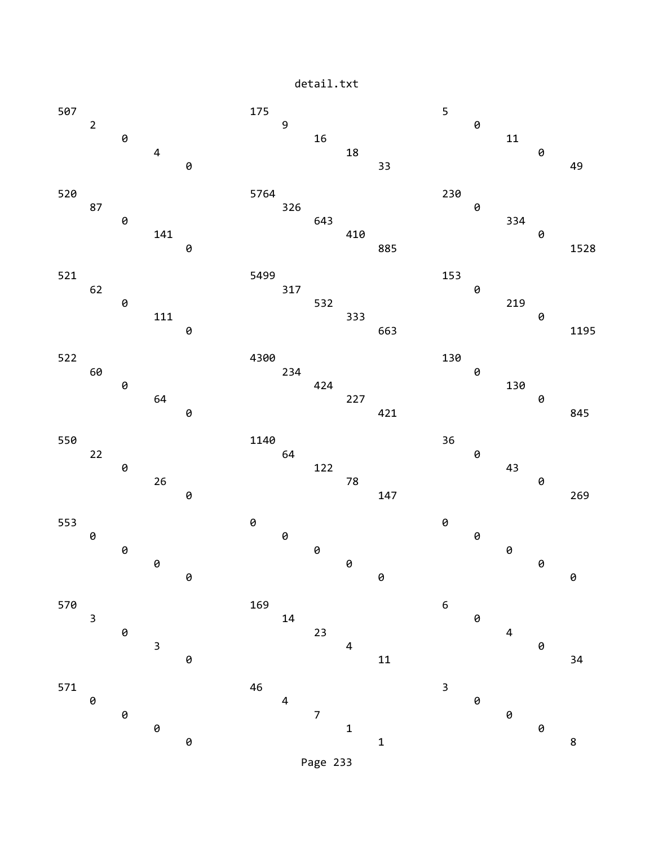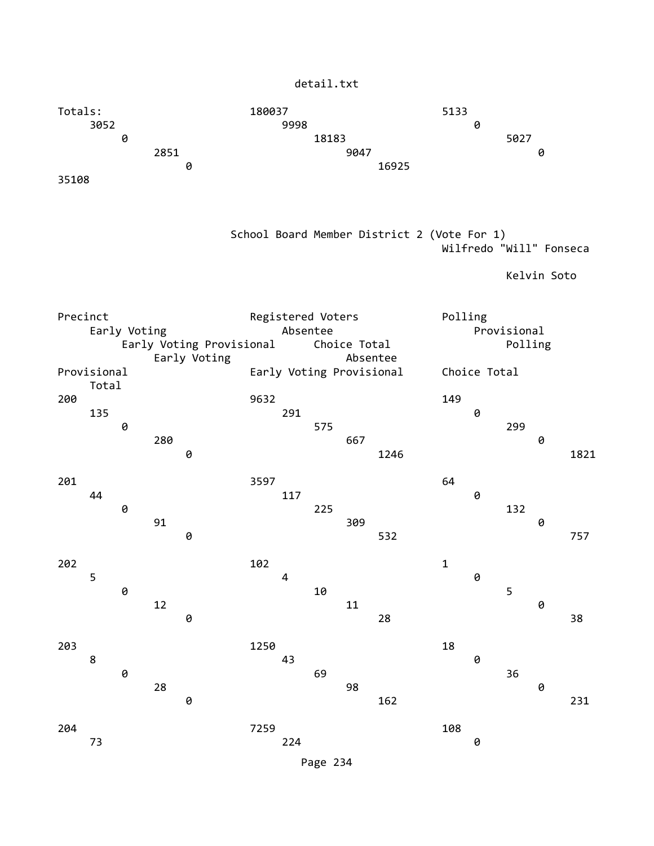| detail.txt |  |
|------------|--|
|------------|--|



| Provisional |       |   |     | Early Voting | Absentee<br>Early Voting Provisional |     |     |     |      |     | Choice Total |     |   |      |  |
|-------------|-------|---|-----|--------------|--------------------------------------|-----|-----|-----|------|-----|--------------|-----|---|------|--|
| 200         | Total |   |     |              | 9632                                 |     |     |     |      | 149 |              |     |   |      |  |
|             | 135   |   |     |              |                                      | 291 |     |     |      |     | 0            |     |   |      |  |
|             |       | 0 |     |              |                                      |     | 575 |     |      |     |              | 299 |   |      |  |
|             |       |   | 280 |              |                                      |     |     | 667 |      |     |              |     | 0 |      |  |
|             |       |   |     | 0            |                                      |     |     |     | 1246 |     |              |     |   | 1821 |  |
| 201         |       |   |     |              | 3597                                 |     |     |     |      | 64  |              |     |   |      |  |
|             | 44    |   |     |              |                                      | 117 |     |     |      |     | 0            |     |   |      |  |
|             |       | 0 |     |              |                                      |     | 225 |     |      |     |              | 132 |   |      |  |
|             |       |   | 91  |              |                                      |     |     | 309 |      |     |              |     | 0 |      |  |
|             |       |   |     | 0            |                                      |     |     |     | 532  |     |              |     |   | 757  |  |
|             |       |   |     |              |                                      |     |     |     |      |     |              |     |   |      |  |
| 202         |       |   |     |              | 102                                  |     |     |     |      | 1   |              |     |   |      |  |
|             | 5     |   |     |              |                                      | 4   |     |     |      |     | 0            |     |   |      |  |

**0** 10 5 12 11 0 0 28 38 203 1250 18 8 assessment and the set of  $43$  and  $9$ 

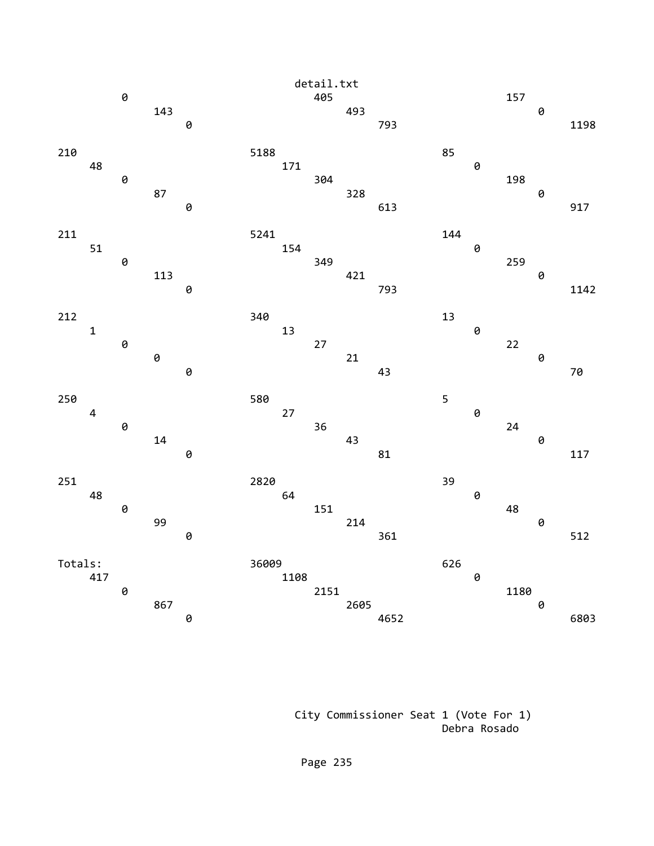

 City Commissioner Seat 1 (Vote For 1) Debra Rosado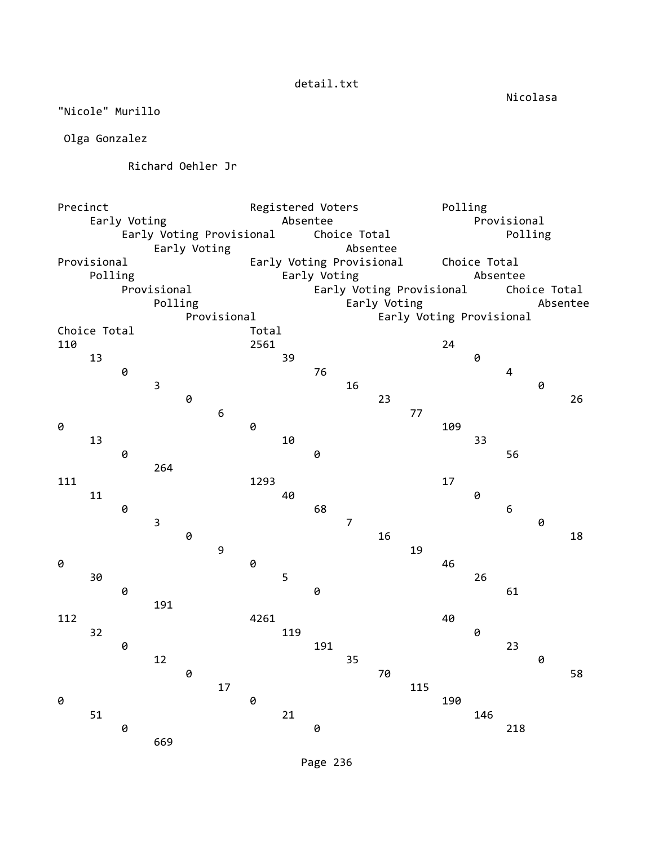Nicolasa

detail.txt

"Nicole" Murillo

Olga Gonzalez

Richard Oehler Jr

Precinct **Registered Voters** Polling Early Voting **Absentee** Absentee **Provisional** Early Voting Provisional Choice Total **Polling** Early Voting **Absentee** Provisional Early Voting Provisional Choice Total Polling **Early Voting Early Voting Absentee**  Provisional Early Voting Provisional Choice Total Polling **Early Voting Absentee**  Provisional Early Voting Provisional Choice Total **Total** 110 2561 2561 24 13 39 0 0 76 4  $\overline{3}$  and  $\overline{16}$  and  $\overline{0}$  0 23 26 6 77 **0** 109 13 10 33 **0** 56 264 111 1293 17 11 40 0 0 68 6 3 7 0  $\theta$  16 18 9 19 0 0 46 30 5 26 0 0 61 191 112 4261 49 32 119 0 0 191 23 12 35 0 0 70 58 17 115 **0** 190 51 21 146 0 0 218 669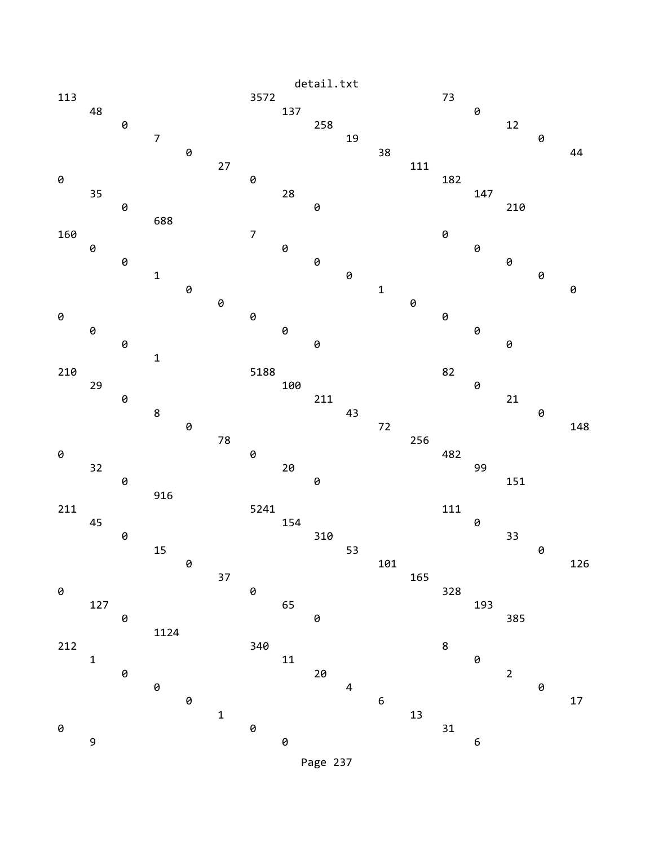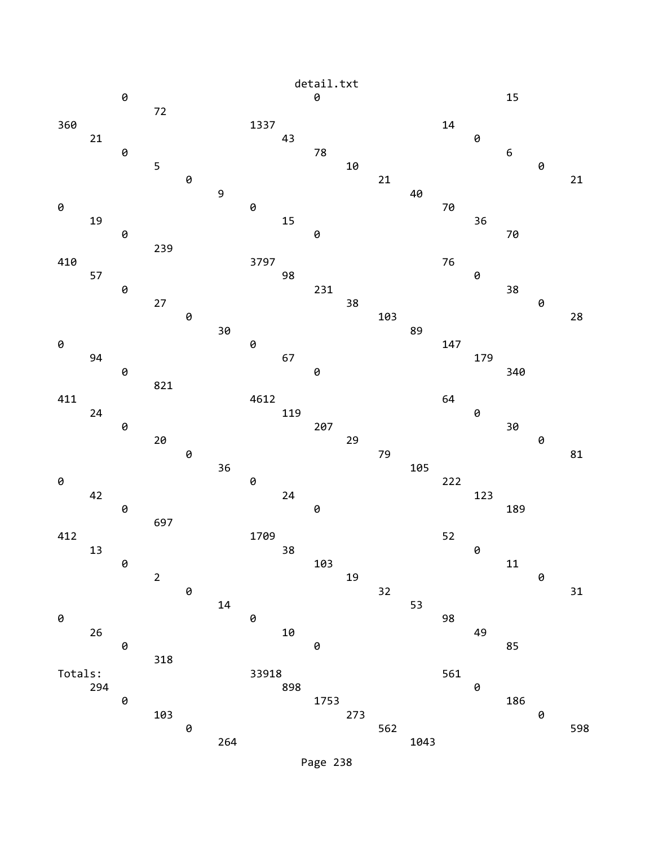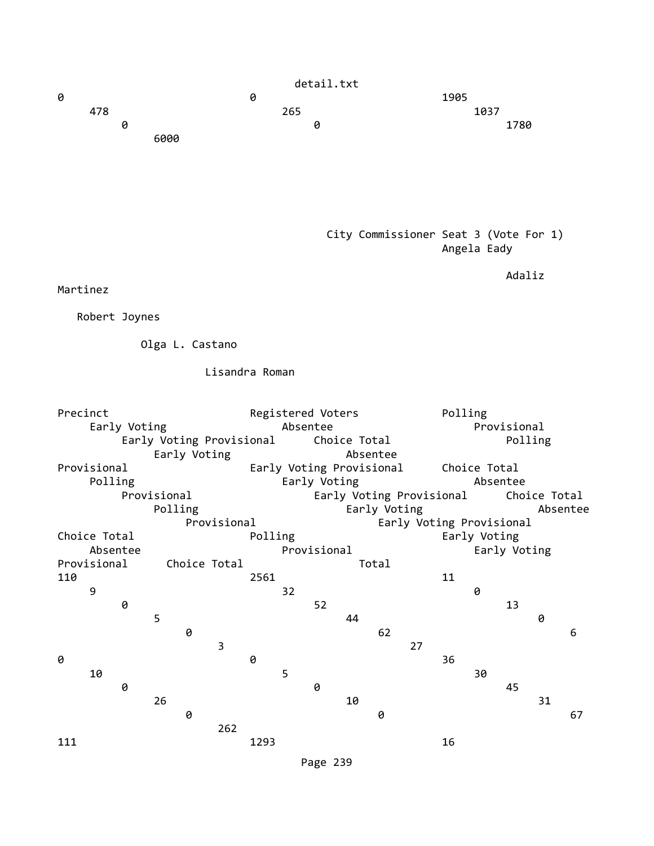

## City Commissioner Seat 3 (Vote For 1) Angela Eady

Adaliz

Martinez

Robert Joynes

Olga L. Castano

Lisandra Roman

| Precinct                                 |              |   |             |   |             | Registered Voters |    |                          |              |              |                          | Polling      |              |    |              |    |
|------------------------------------------|--------------|---|-------------|---|-------------|-------------------|----|--------------------------|--------------|--------------|--------------------------|--------------|--------------|----|--------------|----|
| Early Voting                             |              |   |             |   |             | Absentee          |    |                          |              |              |                          | Provisional  |              |    |              |    |
| Early Voting Provisional<br>Early Voting |              |   |             |   |             |                   |    |                          | Choice Total |              |                          | Polling      |              |    |              |    |
|                                          |              |   |             |   |             |                   |    |                          | Absentee     |              |                          |              |              |    |              |    |
|                                          | Provisional  |   |             |   |             |                   |    | Early Voting Provisional |              |              |                          |              | Choice Total |    |              |    |
|                                          | Polling      |   |             |   |             |                   |    | Early Voting             |              |              |                          |              | Absentee     |    |              |    |
|                                          |              |   | Provisional |   |             |                   |    |                          |              |              | Early Voting Provisional |              |              |    | Choice Total |    |
|                                          |              |   | Polling     |   |             |                   |    |                          |              | Early Voting |                          |              |              |    | Absentee     |    |
|                                          |              |   |             |   | Provisional |                   |    |                          |              |              | Early Voting Provisional |              |              |    |              |    |
|                                          | Choice Total |   |             |   |             | Polling           |    |                          |              |              |                          | Early Voting |              |    |              |    |
|                                          | Absentee     |   |             |   |             | Provisional       |    |                          |              |              |                          | Early Voting |              |    |              |    |
| Provisional<br>Choice Total              |              |   |             |   |             |                   |    | Total                    |              |              |                          |              |              |    |              |    |
| 110                                      |              |   |             |   |             | 2561              |    |                          |              |              |                          | 11           |              |    |              |    |
|                                          | 9            |   |             |   |             |                   | 32 |                          |              |              |                          |              | 0            |    |              |    |
|                                          |              | 0 |             |   |             |                   |    | 52                       |              |              |                          |              |              | 13 |              |    |
|                                          |              |   | 5           |   |             |                   |    |                          | 44           |              |                          |              |              |    | 0            |    |
|                                          |              |   |             | 0 |             |                   |    |                          |              | 62           |                          |              |              |    |              | 6  |
|                                          |              |   |             |   | 3           |                   |    |                          |              |              | 27                       |              |              |    |              |    |
| 0                                        |              |   |             |   |             | 0                 |    |                          |              |              |                          | 36           |              |    |              |    |
|                                          | 10           |   |             |   |             |                   | 5  |                          |              |              |                          |              | 30           |    |              |    |
|                                          |              | 0 |             |   |             |                   |    | 0                        |              |              |                          |              |              | 45 |              |    |
|                                          |              |   | 26          |   |             |                   |    |                          | 10           |              |                          |              |              |    | 31           |    |
|                                          |              |   |             | 0 | 262         |                   |    |                          |              | 0            |                          |              |              |    |              | 67 |
| 111                                      |              |   |             |   |             | 1293              |    |                          |              |              |                          | 16           |              |    |              |    |
|                                          |              |   |             |   |             |                   |    |                          |              |              |                          |              |              |    |              |    |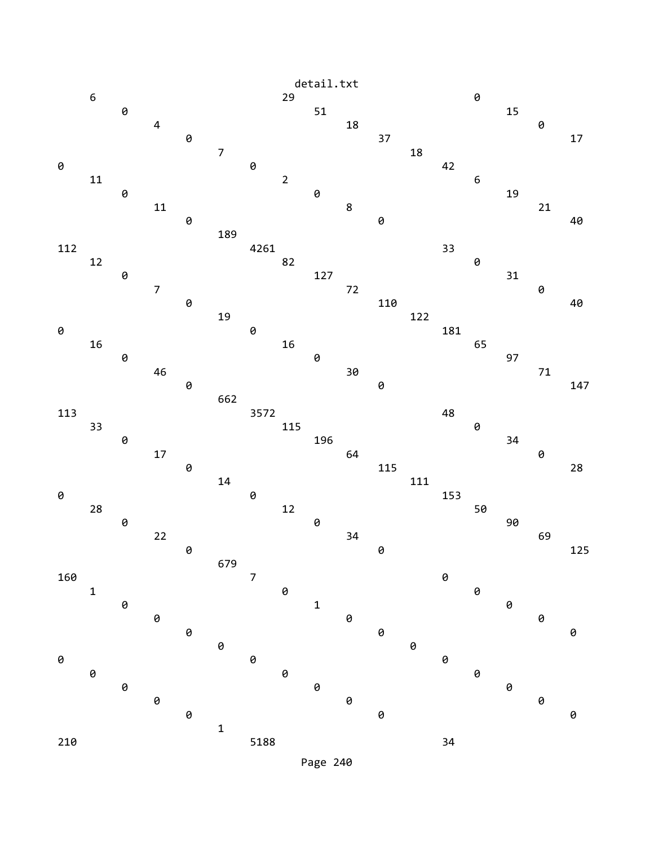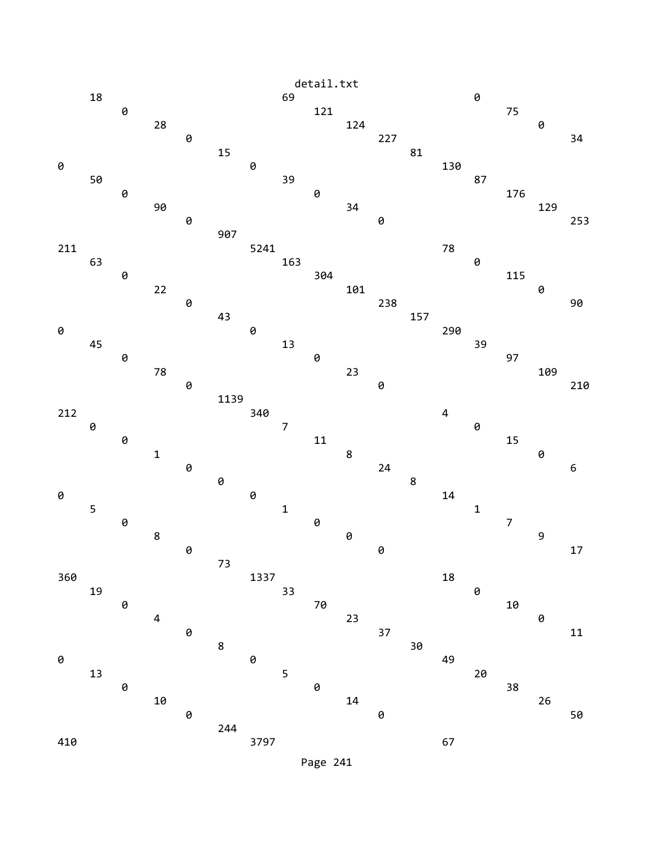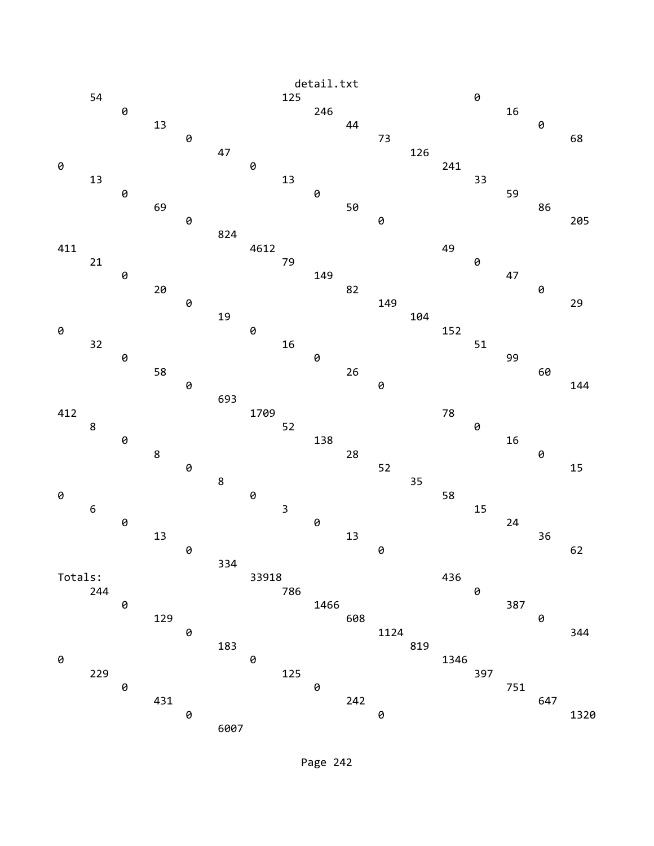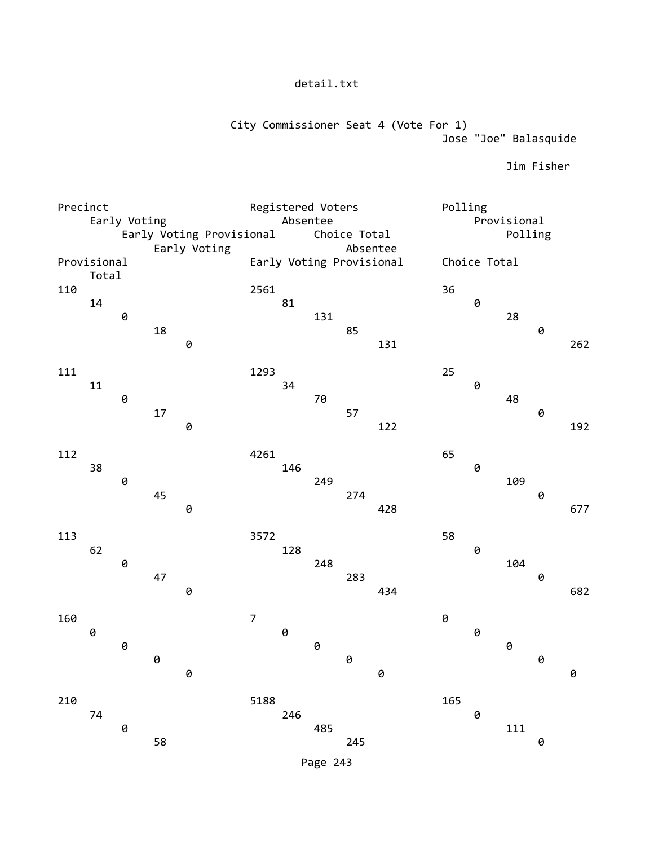City Commissioner Seat 4 (Vote For 1) Jose "Joe" Balasquide

Jim Fisher

| Precinct |                                          |                |    |              | Registered Voters |          |     |              |                          | Polling      |                |     |   |     |  |
|----------|------------------------------------------|----------------|----|--------------|-------------------|----------|-----|--------------|--------------------------|--------------|----------------|-----|---|-----|--|
|          | Early Voting<br>Early Voting Provisional |                |    |              |                   | Absentee |     |              |                          | Provisional  |                |     |   |     |  |
|          |                                          |                |    |              |                   |          |     | Choice Total |                          | Polling      |                |     |   |     |  |
|          | Provisional                              |                |    | Early Voting |                   |          |     | Absentee     | Early Voting Provisional |              |                |     |   |     |  |
|          | Total                                    |                |    |              |                   |          |     |              |                          | Choice Total |                |     |   |     |  |
| 110      |                                          |                |    |              | 2561              |          |     |              |                          | 36           |                |     |   |     |  |
|          | 14                                       |                |    |              |                   | 81       |     |              |                          |              | 0              |     |   |     |  |
|          |                                          | 0              |    |              |                   |          | 131 |              |                          |              |                | 28  |   |     |  |
|          |                                          |                | 18 |              |                   |          |     | 85           |                          |              |                |     | 0 |     |  |
|          |                                          |                |    | 0            |                   |          |     |              | 131                      |              |                |     |   | 262 |  |
| 111      |                                          |                |    |              | 1293              |          |     |              |                          | 25           |                |     |   |     |  |
|          | 11                                       |                |    |              |                   | 34       |     |              |                          |              | 0              |     |   |     |  |
|          |                                          | 0              |    |              |                   |          | 70  |              |                          |              |                | 48  |   |     |  |
|          |                                          |                | 17 |              |                   |          |     | 57           |                          |              |                |     | 0 |     |  |
|          |                                          |                |    | $\Theta$     |                   |          |     |              | 122                      |              |                |     |   | 192 |  |
|          |                                          |                |    |              |                   |          |     |              |                          |              |                |     |   |     |  |
| 112      | 38                                       |                |    |              | 4261              | 146      |     |              |                          | 65           | 0              |     |   |     |  |
|          |                                          | $\pmb{\theta}$ |    |              |                   |          | 249 |              |                          |              |                | 109 |   |     |  |
|          |                                          |                | 45 |              |                   |          |     | 274          |                          |              |                |     | 0 |     |  |
|          |                                          |                |    | $\Theta$     |                   |          |     |              | 428                      |              |                |     |   | 677 |  |
|          |                                          |                |    |              |                   |          |     |              |                          |              |                |     |   |     |  |
| 113      |                                          |                |    |              | 3572              |          |     |              |                          | 58           |                |     |   |     |  |
|          | 62                                       |                |    |              |                   | 128      |     |              |                          |              | $\pmb{\Theta}$ |     |   |     |  |
|          |                                          | 0              | 47 |              |                   |          | 248 | 283          |                          |              |                | 104 | 0 |     |  |
|          |                                          |                |    | 0            |                   |          |     |              | 434                      |              |                |     |   | 682 |  |
|          |                                          |                |    |              |                   |          |     |              |                          |              |                |     |   |     |  |
| 160      |                                          |                |    |              | $\overline{7}$    |          |     |              |                          | 0            |                |     |   |     |  |
|          | 0                                        |                |    |              |                   | 0        |     |              |                          |              | $\Theta$       |     |   |     |  |
|          |                                          | $\Theta$       |    |              |                   |          | 0   |              |                          |              |                | 0   |   |     |  |
|          |                                          |                | 0  |              |                   |          |     | 0            |                          |              |                |     | 0 |     |  |
|          |                                          |                |    | 0            |                   |          |     |              | 0                        |              |                |     |   | 0   |  |
| 210      |                                          |                |    |              | 5188              |          |     |              |                          | 165          |                |     |   |     |  |
|          | 74                                       |                |    |              |                   | 246      |     |              |                          |              | 0              |     |   |     |  |
|          |                                          | 0              |    |              |                   |          | 485 |              |                          |              |                | 111 |   |     |  |
|          |                                          |                | 58 |              |                   |          |     | 245          |                          |              |                |     | 0 |     |  |
|          |                                          |                |    |              |                   |          |     |              |                          |              |                |     |   |     |  |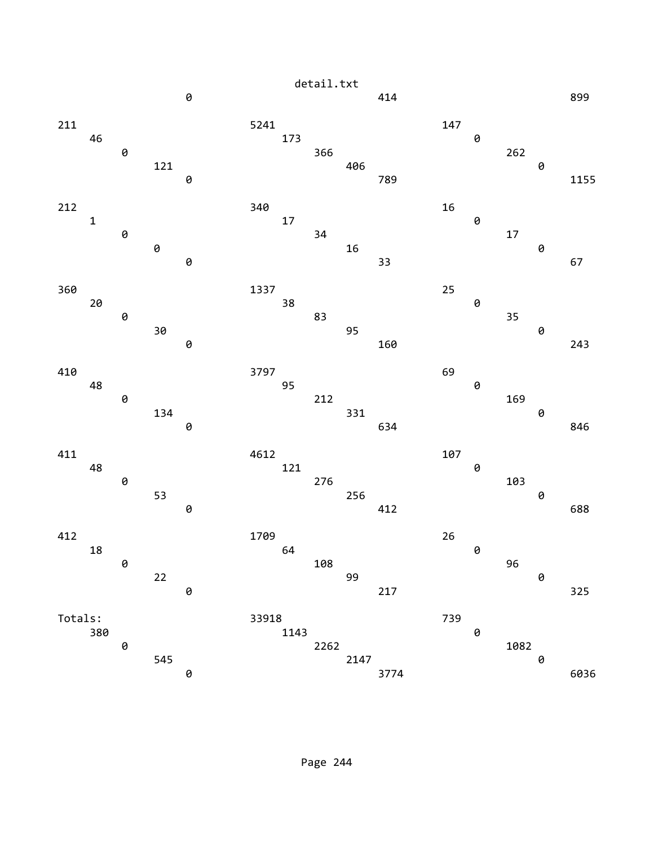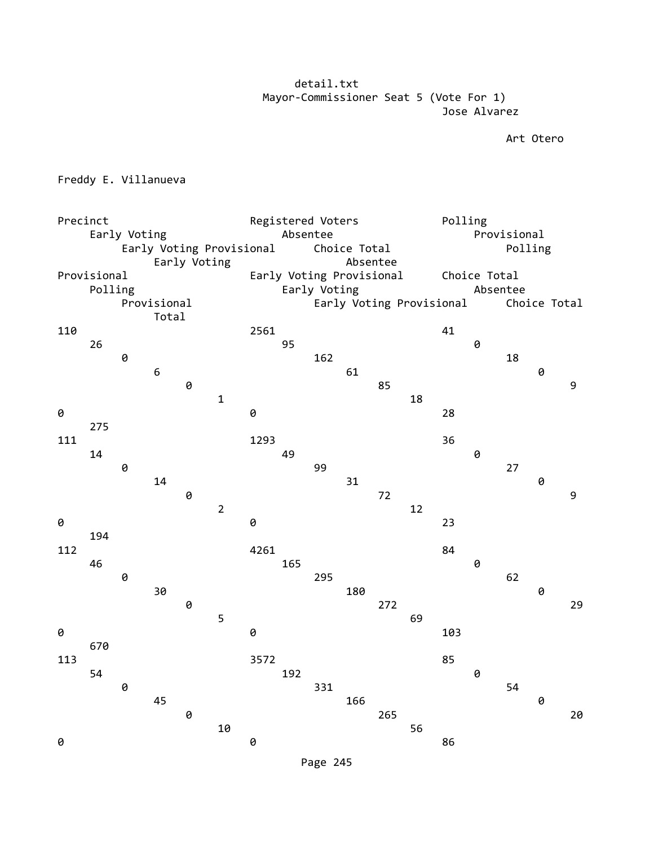detail.txt Mayor-Commissioner Seat 5 (Vote For 1) Jose Alvarez

Art Otero

Freddy E. Villanueva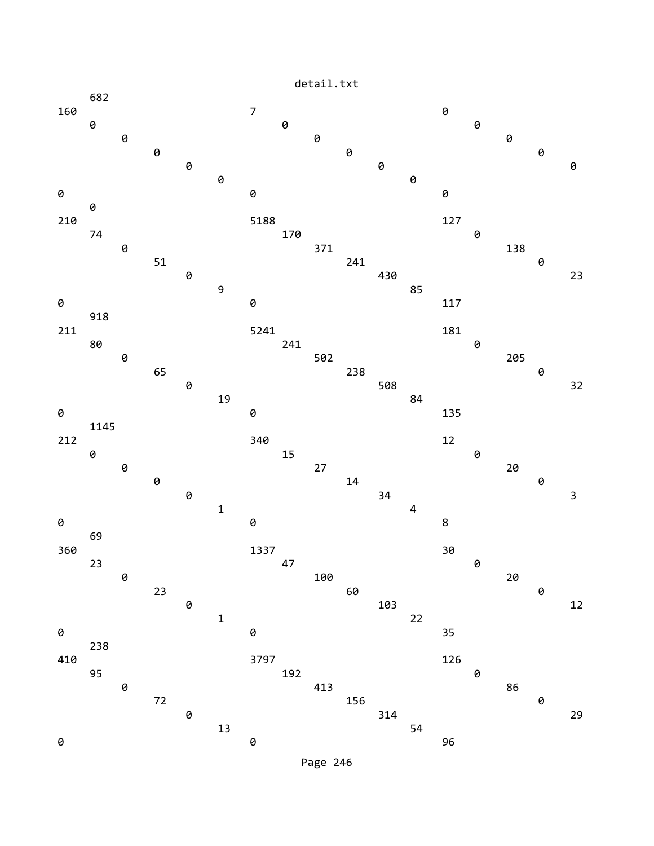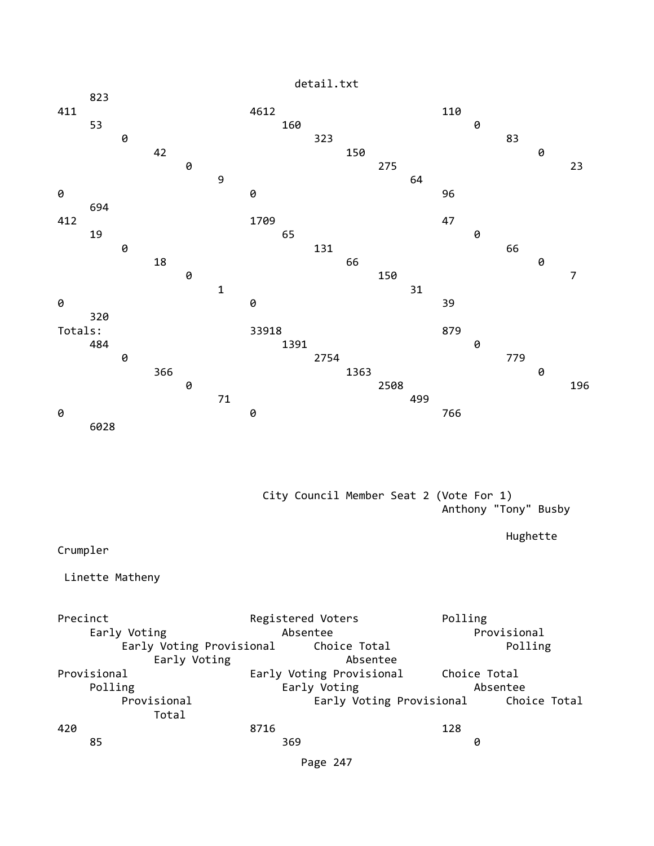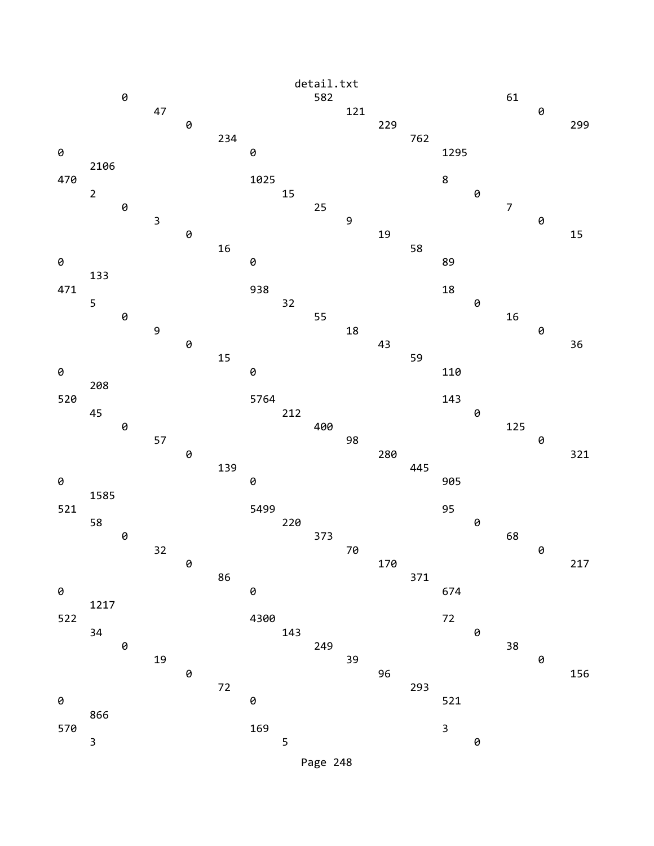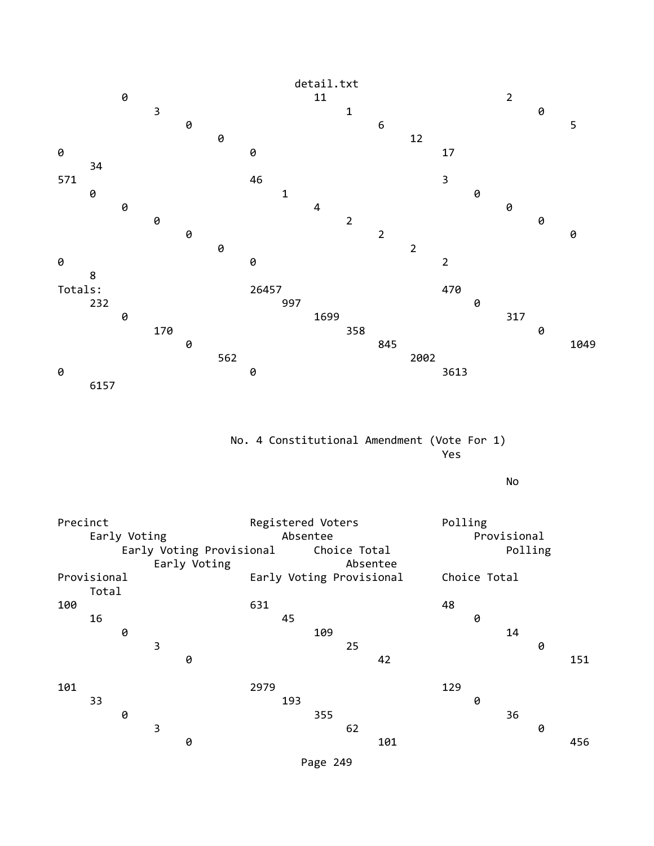

 No. 4 Constitutional Amendment (Vote For 1) Yes

No

| Precinct    |       | Early Voting |   | Early Voting Provisional<br>Early Voting | Registered Voters<br>Absentee<br>Choice Total<br>Absentee |     |     |    |     |     | Polling<br>Provisional<br>Polling |    |   |     |  |
|-------------|-------|--------------|---|------------------------------------------|-----------------------------------------------------------|-----|-----|----|-----|-----|-----------------------------------|----|---|-----|--|
| Provisional | Total |              |   |                                          | Early Voting Provisional                                  |     |     |    |     |     | Choice Total                      |    |   |     |  |
| 100         |       |              |   |                                          | 631                                                       |     |     |    |     | 48  |                                   |    |   |     |  |
|             | 16    |              |   |                                          |                                                           | 45  |     |    |     |     | 0                                 |    |   |     |  |
|             |       | 0            |   |                                          |                                                           |     | 109 |    |     |     |                                   | 14 |   |     |  |
|             |       |              | 3 |                                          |                                                           |     |     | 25 |     |     |                                   |    | 0 |     |  |
|             |       |              |   | 0                                        |                                                           |     |     |    | 42  |     |                                   |    |   | 151 |  |
| 101         |       |              |   |                                          | 2979                                                      |     |     |    |     | 129 |                                   |    |   |     |  |
|             | 33    |              |   |                                          |                                                           | 193 |     |    |     |     | 0                                 |    |   |     |  |
|             |       | 0            |   |                                          |                                                           |     | 355 |    |     |     |                                   | 36 |   |     |  |
|             |       |              | 3 |                                          |                                                           |     |     | 62 |     |     |                                   |    | 0 |     |  |
|             |       |              |   | 0                                        |                                                           |     |     |    | 101 |     |                                   |    |   | 456 |  |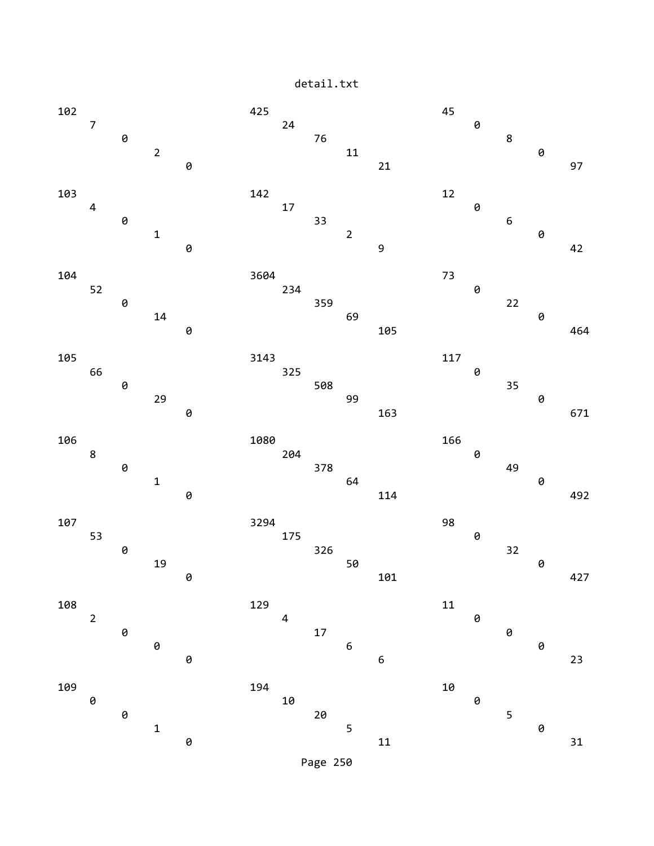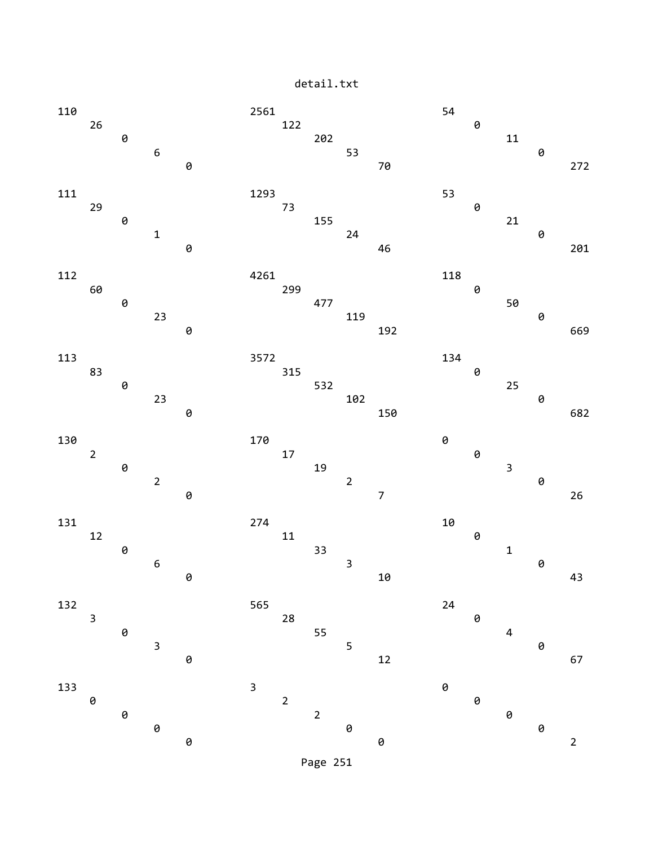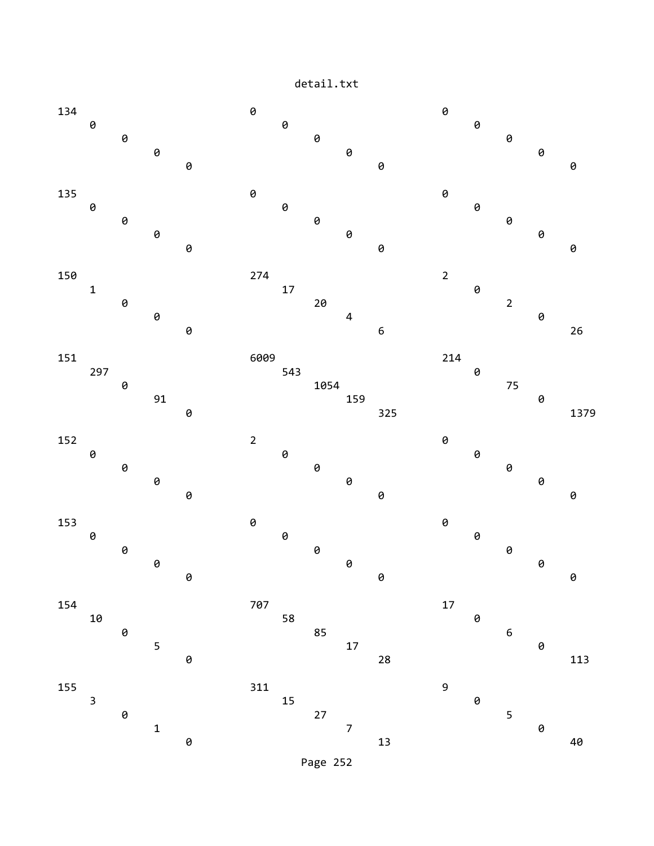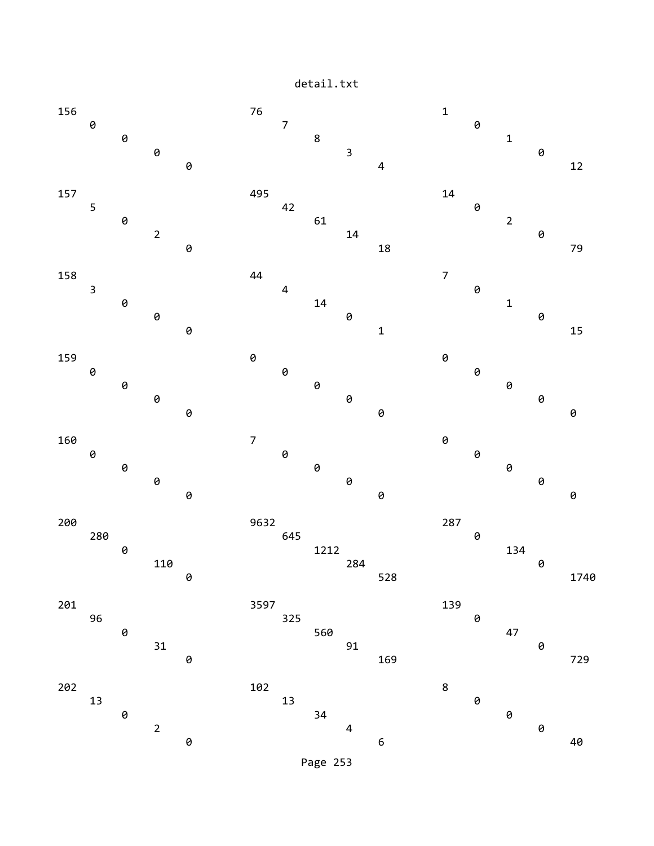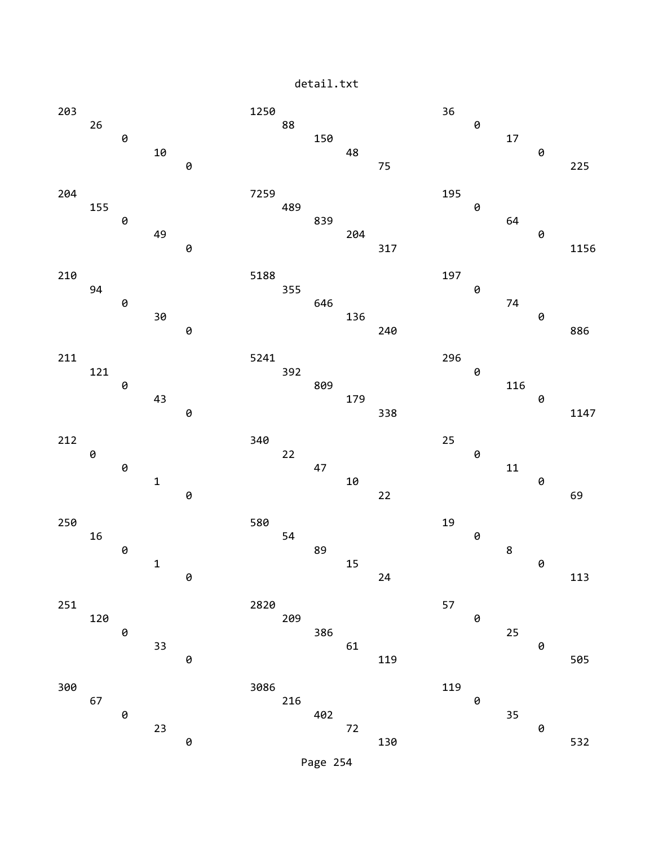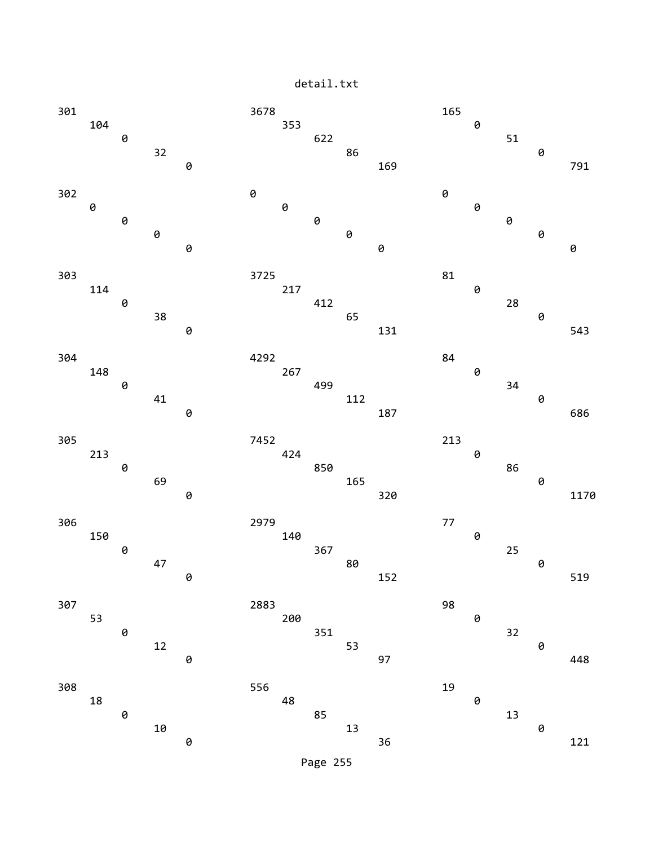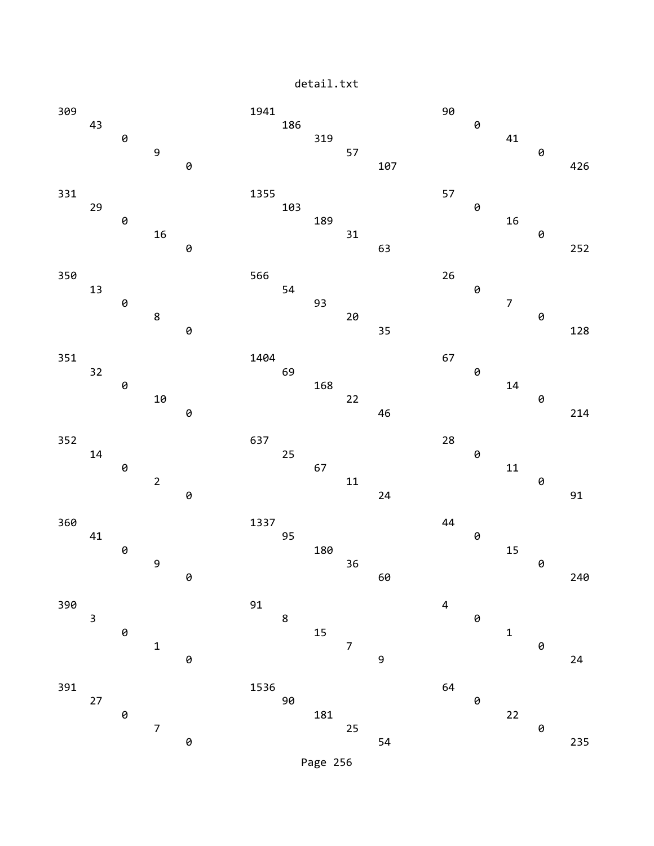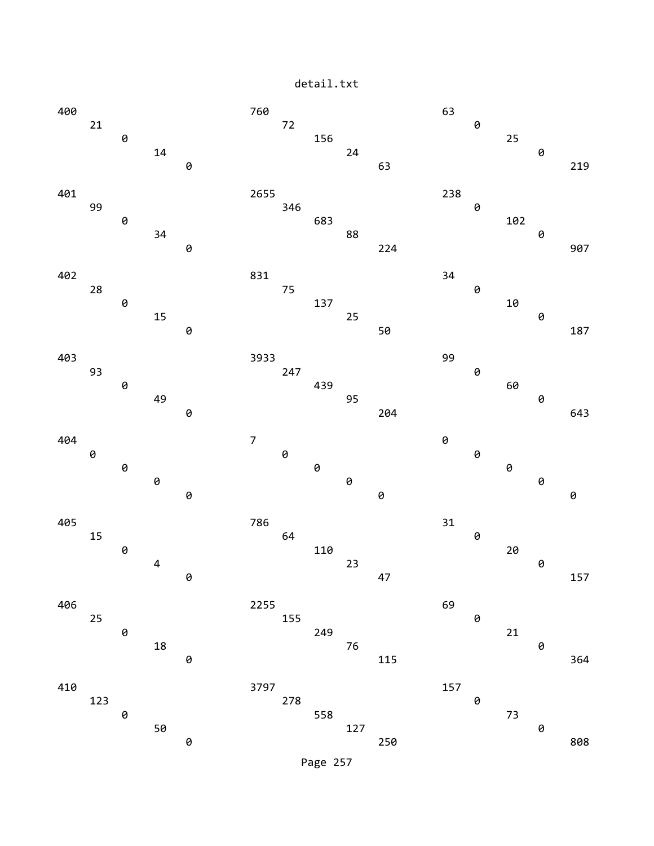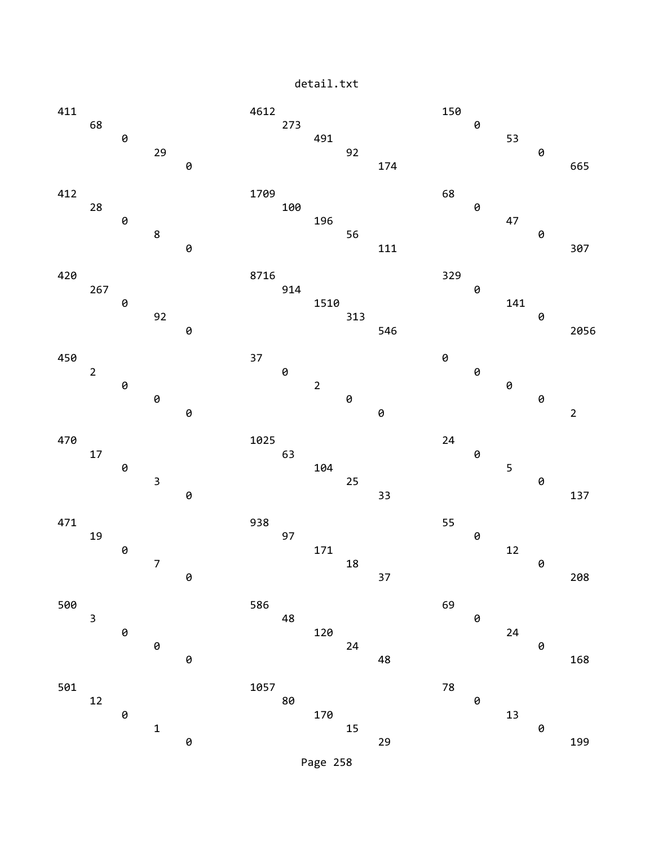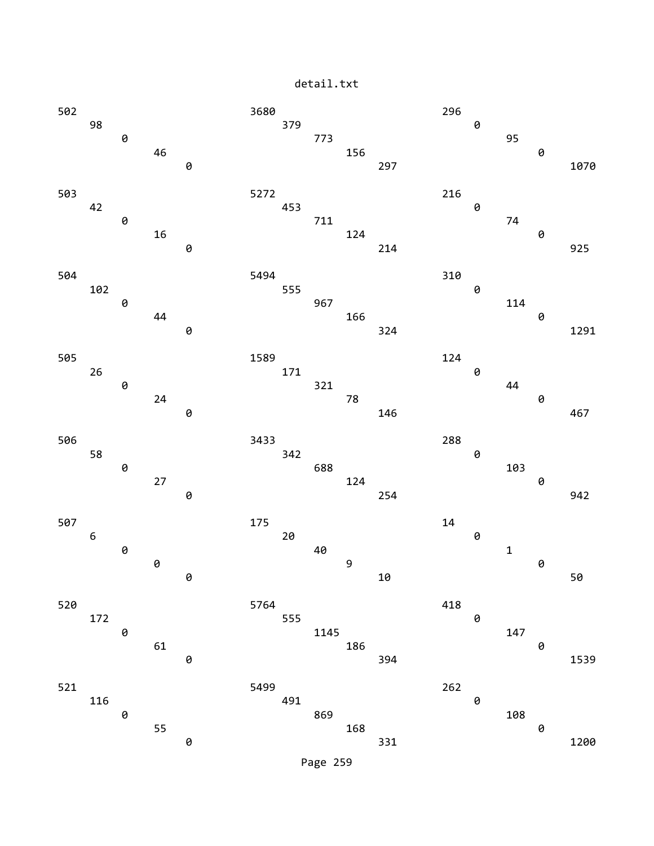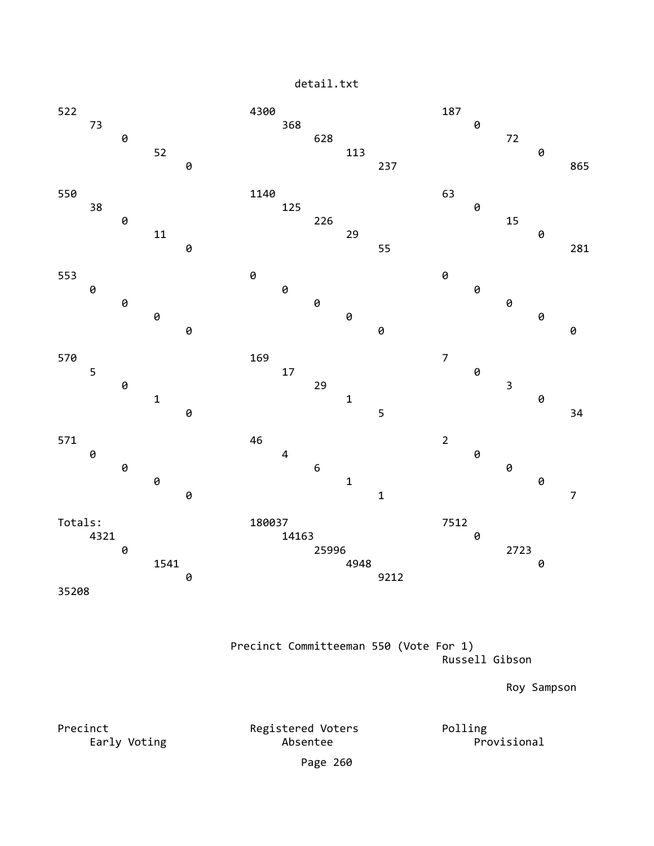

 Precinct Committeeman 550 (Vote For 1) Russell Gibson

Roy Sampson

Precinct Registered Voters Polling<br>Early Voting Registered Voters Polling<br>Resemble Absentee Early Voting **Absentee** Page 260